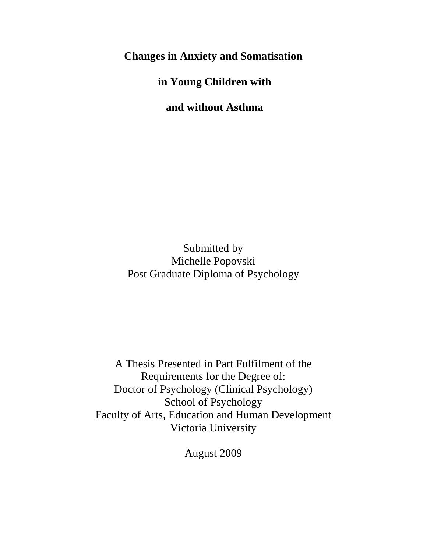**Changes in Anxiety and Somatisation**

**in Young Children with**

**and without Asthma**

Submitted by Michelle Popovski Post Graduate Diploma of Psychology

A Thesis Presented in Part Fulfilment of the Requirements for the Degree of: Doctor of Psychology (Clinical Psychology) School of Psychology Faculty of Arts, Education and Human Development Victoria University

August 2009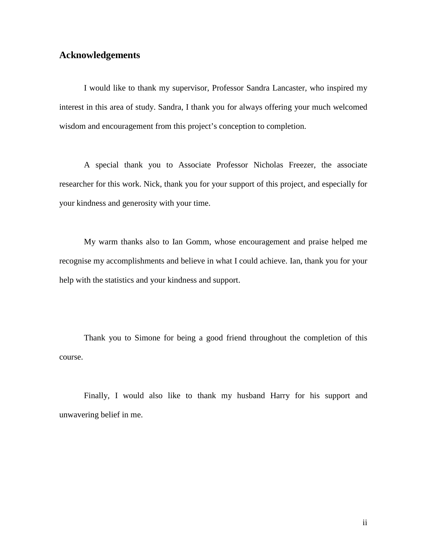### **Acknowledgements**

I would like to thank my supervisor, Professor Sandra Lancaster, who inspired my interest in this area of study. Sandra, I thank you for always offering your much welcomed wisdom and encouragement from this project's conception to completion.

A special thank you to Associate Professor Nicholas Freezer, the associate researcher for this work. Nick, thank you for your support of this project, and especially for your kindness and generosity with your time.

My warm thanks also to Ian Gomm, whose encouragement and praise helped me recognise my accomplishments and believe in what I could achieve. Ian, thank you for your help with the statistics and your kindness and support.

Thank you to Simone for being a good friend throughout the completion of this course.

Finally, I would also like to thank my husband Harry for his support and unwavering belief in me.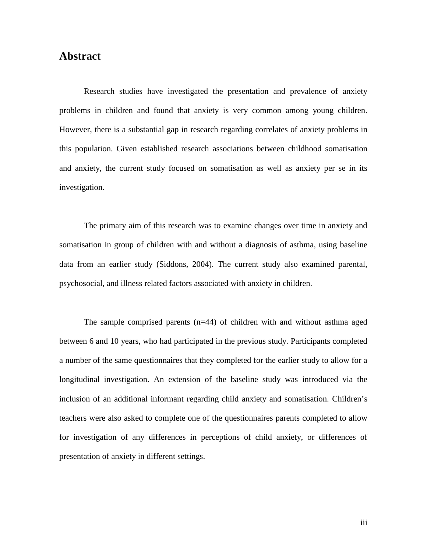## **Abstract**

Research studies have investigated the presentation and prevalence of anxiety problems in children and found that anxiety is very common among young children. However, there is a substantial gap in research regarding correlates of anxiety problems in this population. Given established research associations between childhood somatisation and anxiety, the current study focused on somatisation as well as anxiety per se in its investigation.

The primary aim of this research was to examine changes over time in anxiety and somatisation in group of children with and without a diagnosis of asthma, using baseline data from an earlier study (Siddons, 2004). The current study also examined parental, psychosocial, and illness related factors associated with anxiety in children.

The sample comprised parents (n=44) of children with and without asthma aged between 6 and 10 years, who had participated in the previous study. Participants completed a number of the same questionnaires that they completed for the earlier study to allow for a longitudinal investigation. An extension of the baseline study was introduced via the inclusion of an additional informant regarding child anxiety and somatisation. Children's teachers were also asked to complete one of the questionnaires parents completed to allow for investigation of any differences in perceptions of child anxiety, or differences of presentation of anxiety in different settings.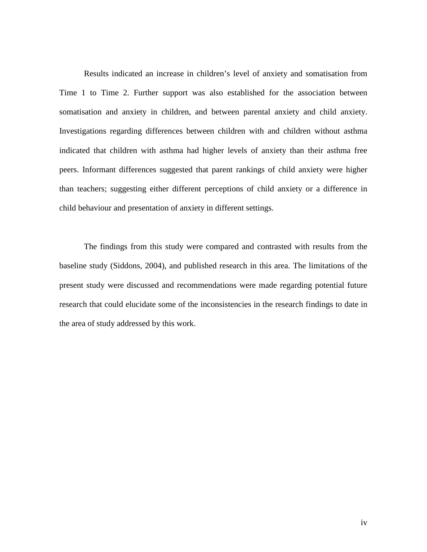Results indicated an increase in children's level of anxiety and somatisation from Time 1 to Time 2. Further support was also established for the association between somatisation and anxiety in children, and between parental anxiety and child anxiety. Investigations regarding differences between children with and children without asthma indicated that children with asthma had higher levels of anxiety than their asthma free peers. Informant differences suggested that parent rankings of child anxiety were higher than teachers; suggesting either different perceptions of child anxiety or a difference in child behaviour and presentation of anxiety in different settings.

The findings from this study were compared and contrasted with results from the baseline study (Siddons, 2004), and published research in this area. The limitations of the present study were discussed and recommendations were made regarding potential future research that could elucidate some of the inconsistencies in the research findings to date in the area of study addressed by this work.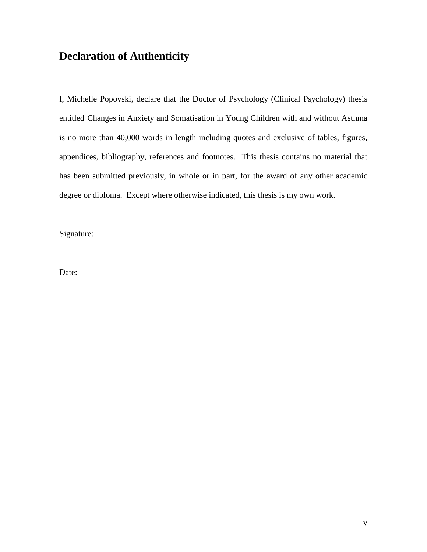# **Declaration of Authenticity**

I, Michelle Popovski, declare that the Doctor of Psychology (Clinical Psychology) thesis entitled Changes in Anxiety and Somatisation in Young Children with and without Asthma is no more than 40,000 words in length including quotes and exclusive of tables, figures, appendices, bibliography, references and footnotes. This thesis contains no material that has been submitted previously, in whole or in part, for the award of any other academic degree or diploma. Except where otherwise indicated, this thesis is my own work.

Signature:

Date: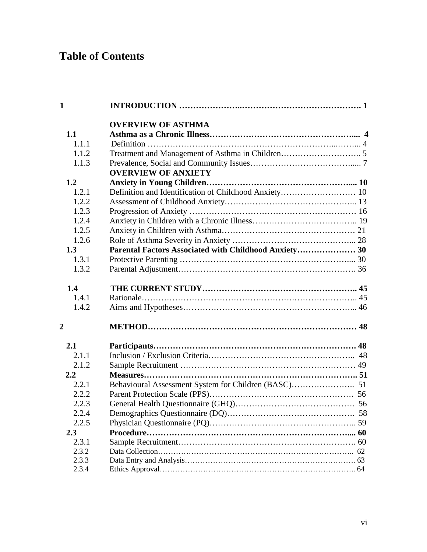# **Table of Contents**

| $\mathbf{1}$   |                                                       |  |
|----------------|-------------------------------------------------------|--|
|                | <b>OVERVIEW OF ASTHMA</b>                             |  |
| 1.1            |                                                       |  |
| 1.1.1          |                                                       |  |
| 1.1.2          |                                                       |  |
| 1.1.3          |                                                       |  |
|                | <b>OVERVIEW OF ANXIETY</b>                            |  |
| 1.2            |                                                       |  |
| 1.2.1          |                                                       |  |
| 1.2.2          |                                                       |  |
| 1.2.3          |                                                       |  |
| 1.2.4          |                                                       |  |
| 1.2.5          |                                                       |  |
| 1.2.6          |                                                       |  |
| 1.3            | Parental Factors Associated with Childhood Anxiety 30 |  |
| 1.3.1          |                                                       |  |
| 1.3.2          |                                                       |  |
| 1.4            |                                                       |  |
| 1.4.1          |                                                       |  |
| 1.4.2          |                                                       |  |
| $\overline{2}$ |                                                       |  |
| 2.1            |                                                       |  |
| 2.1.1          |                                                       |  |
| 2.1.2          |                                                       |  |
| $2.2^{\circ}$  |                                                       |  |
| 2.2.1          |                                                       |  |
| 2.2.2          |                                                       |  |
| 2.2.3          |                                                       |  |
| 2.2.4          |                                                       |  |
| 2.2.5          |                                                       |  |
| 2.3            |                                                       |  |
| 2.3.1          |                                                       |  |
| 2.3.2          |                                                       |  |
| 2.3.3          |                                                       |  |
| 2.3.4          |                                                       |  |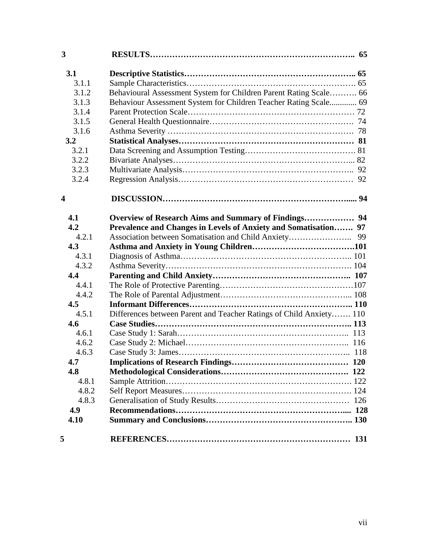| 3                       |                                                                     |  |
|-------------------------|---------------------------------------------------------------------|--|
| 3.1                     |                                                                     |  |
| 3.1.1                   |                                                                     |  |
| 3.1.2                   | Behavioural Assessment System for Children Parent Rating Scale 66   |  |
| 3.1.3                   | Behaviour Assessment System for Children Teacher Rating Scale 69    |  |
| 3.1.4                   |                                                                     |  |
| 3.1.5                   |                                                                     |  |
| 3.1.6                   |                                                                     |  |
| 3.2                     |                                                                     |  |
| 3.2.1                   |                                                                     |  |
| 3.2.2                   |                                                                     |  |
| 3.2.3                   |                                                                     |  |
| 3.2.4                   |                                                                     |  |
| $\overline{\mathbf{4}}$ |                                                                     |  |
| 4.1                     |                                                                     |  |
| 4.2                     | Prevalence and Changes in Levels of Anxiety and Somatisation 97     |  |
| 4.2.1                   |                                                                     |  |
| 4.3                     |                                                                     |  |
| 4.3.1                   |                                                                     |  |
| 4.3.2                   |                                                                     |  |
| 4.4                     |                                                                     |  |
| 4.4.1                   |                                                                     |  |
| 4.4.2                   |                                                                     |  |
| 4.5                     |                                                                     |  |
| 4.5.1                   | Differences between Parent and Teacher Ratings of Child Anxiety 110 |  |
| 4.6                     |                                                                     |  |
| 4.6.1                   |                                                                     |  |
| 4.6.2                   |                                                                     |  |
| 4.6.3                   |                                                                     |  |
| 4.7                     |                                                                     |  |
| 4.8                     |                                                                     |  |
| 4.8.1                   |                                                                     |  |
| 4.8.2                   |                                                                     |  |
| 4.8.3                   |                                                                     |  |
| 4.9                     |                                                                     |  |
| 4.10                    |                                                                     |  |
| 5                       |                                                                     |  |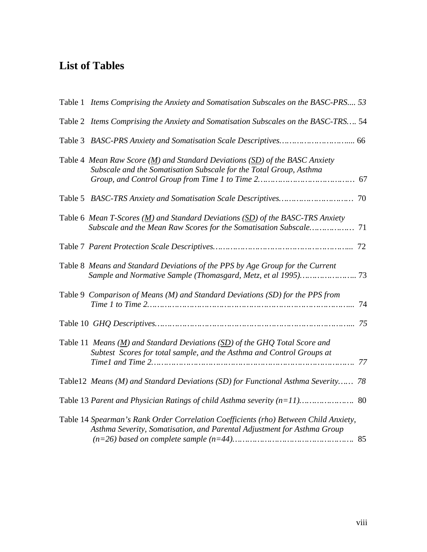## **List of Tables**

| Table 1 Items Comprising the Anxiety and Somatisation Subscales on the BASC-PRS 53                                                                                                |    |
|-----------------------------------------------------------------------------------------------------------------------------------------------------------------------------------|----|
| Table 2 Items Comprising the Anxiety and Somatisation Subscales on the BASC-TRS 54                                                                                                |    |
|                                                                                                                                                                                   |    |
| Table 4 Mean Raw Score ( $\underline{M}$ ) and Standard Deviations ( $\underline{SD}$ ) of the BASC Anxiety<br>Subscale and the Somatisation Subscale for the Total Group, Asthma |    |
|                                                                                                                                                                                   |    |
| Table 6 Mean T-Scores $(M)$ and Standard Deviations $(SD)$ of the BASC-TRS Anxiety<br>Subscale and the Mean Raw Scores for the Somatisation Subscale                              | 71 |
|                                                                                                                                                                                   |    |
| Table 8 Means and Standard Deviations of the PPS by Age Group for the Current                                                                                                     |    |
| Table 9 Comparison of Means (M) and Standard Deviations (SD) for the PPS from                                                                                                     | 74 |
|                                                                                                                                                                                   |    |
| Table 11 Means $(M)$ and Standard Deviations (SD) of the GHQ Total Score and<br>Subtest Scores for total sample, and the Asthma and Control Groups at                             |    |
| Table12 Means (M) and Standard Deviations (SD) for Functional Asthma Severity 78                                                                                                  |    |
|                                                                                                                                                                                   |    |
| Table 14 Spearman's Rank Order Correlation Coefficients (rho) Between Child Anxiety,<br>Asthma Severity, Somatisation, and Parental Adjustment for Asthma Group                   |    |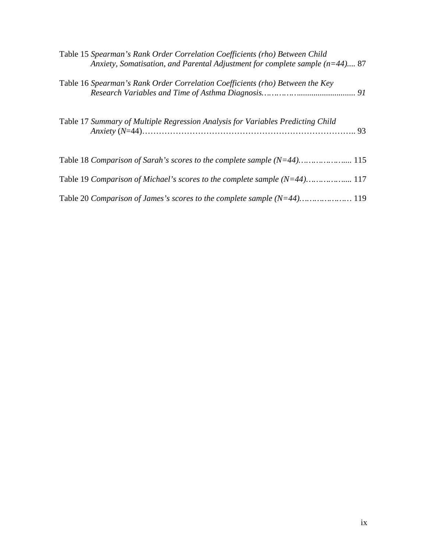| Table 15 Spearman's Rank Order Correlation Coefficients (rho) Between Child<br>Anxiety, Somatisation, and Parental Adjustment for complete sample $(n=44)$ 87 |
|---------------------------------------------------------------------------------------------------------------------------------------------------------------|
| Table 16 Spearman's Rank Order Correlation Coefficients (rho) Between the Key                                                                                 |
| Table 17 Summary of Multiple Regression Analysis for Variables Predicting Child                                                                               |
| Table 18 Comparison of Sarah's scores to the complete sample (N=44) 115                                                                                       |
| Table 19 Comparison of Michael's scores to the complete sample (N=44) 117                                                                                     |
|                                                                                                                                                               |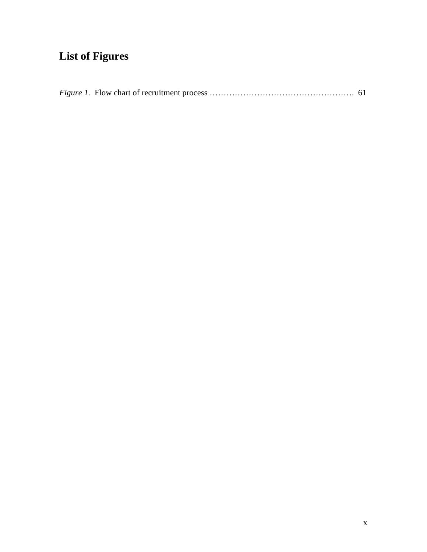# **List of Figures**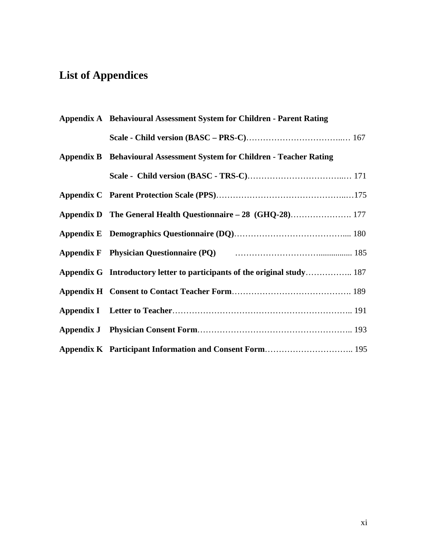# **List of Appendices**

| Appendix A Behavioural Assessment System for Children - Parent Rating    |  |
|--------------------------------------------------------------------------|--|
|                                                                          |  |
| Appendix B Behavioural Assessment System for Children - Teacher Rating   |  |
|                                                                          |  |
|                                                                          |  |
| Appendix D The General Health Questionnaire - 28 (GHQ-28) 177            |  |
|                                                                          |  |
| Appendix F Physician Questionnaire (PQ) manufactured and the 185         |  |
| Appendix G Introductory letter to participants of the original study 187 |  |
|                                                                          |  |
|                                                                          |  |
|                                                                          |  |
|                                                                          |  |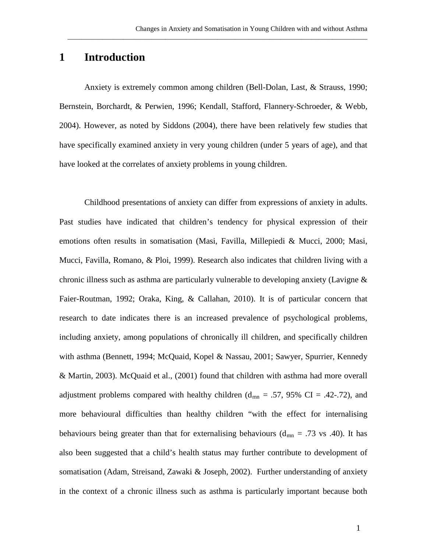### **1 Introduction**

Anxiety is extremely common among children (Bell-Dolan, Last, & Strauss, 1990; Bernstein, Borchardt, & Perwien, 1996; Kendall, Stafford, Flannery-Schroeder, & Webb, 2004). However, as noted by Siddons (2004), there have been relatively few studies that have specifically examined anxiety in very young children (under 5 years of age), and that have looked at the correlates of anxiety problems in young children.

\_\_\_\_\_\_\_\_\_\_\_\_\_\_\_\_\_\_\_\_\_\_\_\_\_\_\_\_\_\_\_\_\_\_\_\_\_\_\_\_\_\_\_\_\_\_\_\_\_\_\_\_\_\_\_\_\_\_\_\_\_\_\_\_\_\_\_\_\_\_\_\_\_\_\_\_\_\_\_\_\_\_\_\_\_\_

Childhood presentations of anxiety can differ from expressions of anxiety in adults. Past studies have indicated that children's tendency for physical expression of their emotions often results in somatisation (Masi, Favilla, Millepiedi & Mucci, 2000; Masi, Mucci, Favilla, Romano, & Ploi, 1999). Research also indicates that children living with a chronic illness such as asthma are particularly vulnerable to developing anxiety (Lavigne & Faier-Routman, 1992; Oraka, King, & Callahan, 2010). It is of particular concern that research to date indicates there is an increased prevalence of psychological problems, including anxiety, among populations of chronically ill children, and specifically children with asthma (Bennett, 1994; McQuaid, Kopel & Nassau, 2001; Sawyer, Spurrier, Kennedy & Martin, 2003). McQuaid et al., (2001) found that children with asthma had more overall adjustment problems compared with healthy children ( $d_{mn} = .57, 95\%$  CI = .42-.72), and more behavioural difficulties than healthy children "with the effect for internalising behaviours being greater than that for externalising behaviours ( $d_{mn} = .73$  vs .40). It has also been suggested that a child's health status may further contribute to development of somatisation (Adam, Streisand, Zawaki & Joseph, 2002). Further understanding of anxiety in the context of a chronic illness such as asthma is particularly important because both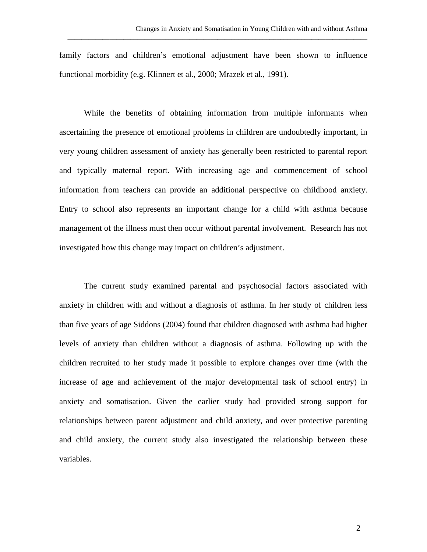family factors and children's emotional adjustment have been shown to influence functional morbidity (e.g. Klinnert et al., 2000; Mrazek et al., 1991).

\_\_\_\_\_\_\_\_\_\_\_\_\_\_\_\_\_\_\_\_\_\_\_\_\_\_\_\_\_\_\_\_\_\_\_\_\_\_\_\_\_\_\_\_\_\_\_\_\_\_\_\_\_\_\_\_\_\_\_\_\_\_\_\_\_\_\_\_\_\_\_\_\_\_\_\_\_\_\_\_\_\_\_\_\_\_

While the benefits of obtaining information from multiple informants when ascertaining the presence of emotional problems in children are undoubtedly important, in very young children assessment of anxiety has generally been restricted to parental report and typically maternal report. With increasing age and commencement of school information from teachers can provide an additional perspective on childhood anxiety. Entry to school also represents an important change for a child with asthma because management of the illness must then occur without parental involvement. Research has not investigated how this change may impact on children's adjustment.

The current study examined parental and psychosocial factors associated with anxiety in children with and without a diagnosis of asthma. In her study of children less than five years of age Siddons (2004) found that children diagnosed with asthma had higher levels of anxiety than children without a diagnosis of asthma. Following up with the children recruited to her study made it possible to explore changes over time (with the increase of age and achievement of the major developmental task of school entry) in anxiety and somatisation. Given the earlier study had provided strong support for relationships between parent adjustment and child anxiety, and over protective parenting and child anxiety, the current study also investigated the relationship between these variables.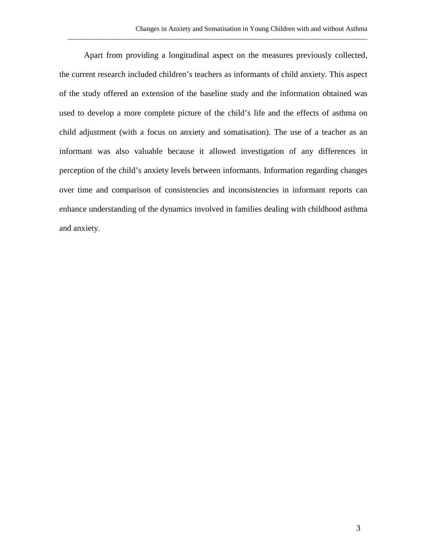Apart from providing a longitudinal aspect on the measures previously collected, the current research included children's teachers as informants of child anxiety. This aspect of the study offered an extension of the baseline study and the information obtained was used to develop a more complete picture of the child's life and the effects of asthma on child adjustment (with a focus on anxiety and somatisation). The use of a teacher as an informant was also valuable because it allowed investigation of any differences in perception of the child's anxiety levels between informants. Information regarding changes over time and comparison of consistencies and inconsistencies in informant reports can enhance understanding of the dynamics involved in families dealing with childhood asthma and anxiety.

\_\_\_\_\_\_\_\_\_\_\_\_\_\_\_\_\_\_\_\_\_\_\_\_\_\_\_\_\_\_\_\_\_\_\_\_\_\_\_\_\_\_\_\_\_\_\_\_\_\_\_\_\_\_\_\_\_\_\_\_\_\_\_\_\_\_\_\_\_\_\_\_\_\_\_\_\_\_\_\_\_\_\_\_\_\_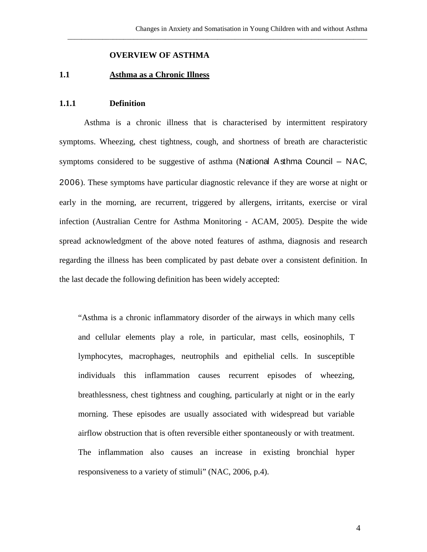\_\_\_\_\_\_\_\_\_\_\_\_\_\_\_\_\_\_\_\_\_\_\_\_\_\_\_\_\_\_\_\_\_\_\_\_\_\_\_\_\_\_\_\_\_\_\_\_\_\_\_\_\_\_\_\_\_\_\_\_\_\_\_\_\_\_\_\_\_\_\_\_\_\_\_\_\_\_\_\_\_\_\_\_\_\_

#### **OVERVIEW OF ASTHMA**

#### **1.1 Asthma as a Chronic Illness**

#### **1.1.1 Definition**

Asthma is a chronic illness that is characterised by intermittent respiratory symptoms. Wheezing, chest tightness, cough, and shortness of breath are characteristic symptoms considered to be suggestive of asthma (National Asthma Council – NAC, 2006). These symptoms have particular diagnostic relevance if they are worse at night or early in the morning, are recurrent, triggered by allergens, irritants, exercise or viral infection (Australian Centre for Asthma Monitoring - ACAM, 2005). Despite the wide spread acknowledgment of the above noted features of asthma, diagnosis and research regarding the illness has been complicated by past debate over a consistent definition. In the last decade the following definition has been widely accepted:

"Asthma is a chronic inflammatory disorder of the airways in which many cells and cellular elements play a role, in particular, mast cells, eosinophils, T lymphocytes, macrophages, neutrophils and epithelial cells. In susceptible individuals this inflammation causes recurrent episodes of wheezing, breathlessness, chest tightness and coughing, particularly at night or in the early morning. These episodes are usually associated with widespread but variable airflow obstruction that is often reversible either spontaneously or with treatment. The inflammation also causes an increase in existing bronchial hyper responsiveness to a variety of stimuli" (NAC, 2006, p.4).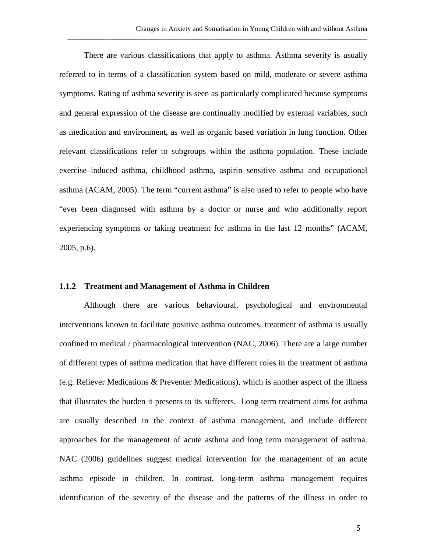There are various classifications that apply to asthma. Asthma severity is usually referred to in terms of a classification system based on mild, moderate or severe asthma symptoms. Rating of asthma severity is seen as particularly complicated because symptoms and general expression of the disease are continually modified by external variables, such as medication and environment, as well as organic based variation in lung function. Other relevant classifications refer to subgroups within the asthma population. These include exercise–induced asthma, childhood asthma, aspirin sensitive asthma and occupational asthma (ACAM, 2005). The term "current asthma" is also used to refer to people who have "ever been diagnosed with asthma by a doctor or nurse and who additionally report experiencing symptoms or taking treatment for asthma in the last 12 months" (ACAM, 2005, p.6).

\_\_\_\_\_\_\_\_\_\_\_\_\_\_\_\_\_\_\_\_\_\_\_\_\_\_\_\_\_\_\_\_\_\_\_\_\_\_\_\_\_\_\_\_\_\_\_\_\_\_\_\_\_\_\_\_\_\_\_\_\_\_\_\_\_\_\_\_\_\_\_\_\_\_\_\_\_\_\_\_\_\_\_\_\_\_

#### **1.1.2 Treatment and Management of Asthma in Children**

Although there are various behavioural, psychological and environmental interventions known to facilitate positive asthma outcomes, treatment of asthma is usually confined to medical / pharmacological intervention (NAC, 2006). There are a large number of different types of asthma medication that have different roles in the treatment of asthma (e.g. Reliever Medications & Preventer Medications), which is another aspect of the illness that illustrates the burden it presents to its sufferers. Long term treatment aims for asthma are usually described in the context of asthma management, and include different approaches for the management of acute asthma and long term management of asthma. NAC (2006) guidelines suggest medical intervention for the management of an acute asthma episode in children. In contrast, long-term asthma management requires identification of the severity of the disease and the patterns of the illness in order to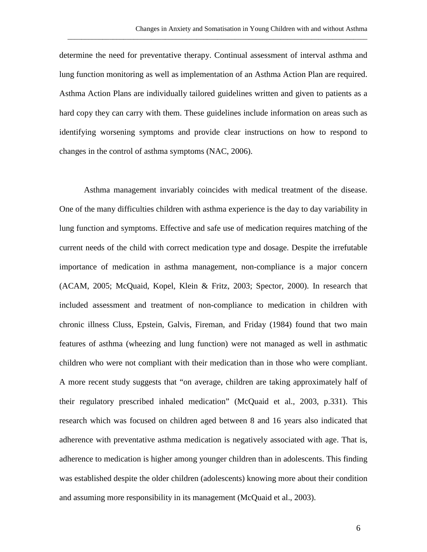determine the need for preventative therapy. Continual assessment of interval asthma and lung function monitoring as well as implementation of an Asthma Action Plan are required. Asthma Action Plans are individually tailored guidelines written and given to patients as a hard copy they can carry with them. These guidelines include information on areas such as identifying worsening symptoms and provide clear instructions on how to respond to changes in the control of asthma symptoms (NAC, 2006).

\_\_\_\_\_\_\_\_\_\_\_\_\_\_\_\_\_\_\_\_\_\_\_\_\_\_\_\_\_\_\_\_\_\_\_\_\_\_\_\_\_\_\_\_\_\_\_\_\_\_\_\_\_\_\_\_\_\_\_\_\_\_\_\_\_\_\_\_\_\_\_\_\_\_\_\_\_\_\_\_\_\_\_\_\_\_

Asthma management invariably coincides with medical treatment of the disease. One of the many difficulties children with asthma experience is the day to day variability in lung function and symptoms. Effective and safe use of medication requires matching of the current needs of the child with correct medication type and dosage. Despite the irrefutable importance of medication in asthma management, non-compliance is a major concern (ACAM, 2005; McQuaid, Kopel, Klein & Fritz, 2003; Spector, 2000). In research that included assessment and treatment of non-compliance to medication in children with chronic illness Cluss, Epstein, Galvis, Fireman, and Friday (1984) found that two main features of asthma (wheezing and lung function) were not managed as well in asthmatic children who were not compliant with their medication than in those who were compliant. A more recent study suggests that "on average, children are taking approximately half of their regulatory prescribed inhaled medication" (McQuaid et al., 2003, p.331). This research which was focused on children aged between 8 and 16 years also indicated that adherence with preventative asthma medication is negatively associated with age. That is, adherence to medication is higher among younger children than in adolescents. This finding was established despite the older children (adolescents) knowing more about their condition and assuming more responsibility in its management (McQuaid et al., 2003).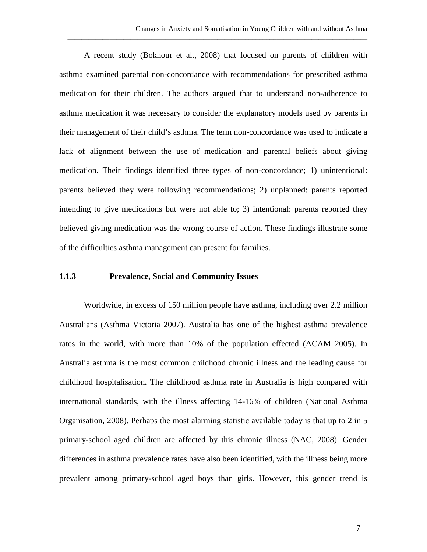A recent study (Bokhour et al., 2008) that focused on parents of children with asthma examined parental non-concordance with recommendations for prescribed asthma medication for their children. The authors argued that to understand non-adherence to asthma medication it was necessary to consider the explanatory models used by parents in their management of their child's asthma. The term non-concordance was used to indicate a lack of alignment between the use of medication and parental beliefs about giving medication. Their findings identified three types of non-concordance; 1) unintentional: parents believed they were following recommendations; 2) unplanned: parents reported intending to give medications but were not able to; 3) intentional: parents reported they believed giving medication was the wrong course of action. These findings illustrate some of the difficulties asthma management can present for families.

\_\_\_\_\_\_\_\_\_\_\_\_\_\_\_\_\_\_\_\_\_\_\_\_\_\_\_\_\_\_\_\_\_\_\_\_\_\_\_\_\_\_\_\_\_\_\_\_\_\_\_\_\_\_\_\_\_\_\_\_\_\_\_\_\_\_\_\_\_\_\_\_\_\_\_\_\_\_\_\_\_\_\_\_\_\_

#### **1.1.3 Prevalence, Social and Community Issues**

Worldwide, in excess of 150 million people have asthma, including over 2.2 million Australians (Asthma Victoria 2007). Australia has one of the highest asthma prevalence rates in the world, with more than 10% of the population effected (ACAM 2005). In Australia asthma is the most common childhood chronic illness and the leading cause for childhood hospitalisation. The childhood asthma rate in Australia is high compared with international standards, with the illness affecting 14-16% of children (National Asthma Organisation, 2008). Perhaps the most alarming statistic available today is that up to 2 in 5 primary-school aged children are affected by this chronic illness (NAC, 2008). Gender differences in asthma prevalence rates have also been identified, with the illness being more prevalent among primary-school aged boys than girls. However, this gender trend is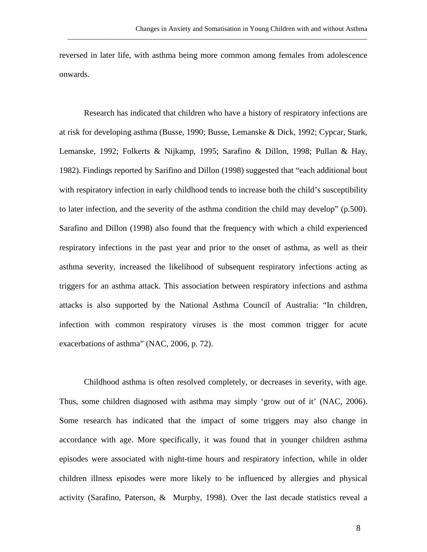reversed in later life, with asthma being more common among females from adolescence onwards.

\_\_\_\_\_\_\_\_\_\_\_\_\_\_\_\_\_\_\_\_\_\_\_\_\_\_\_\_\_\_\_\_\_\_\_\_\_\_\_\_\_\_\_\_\_\_\_\_\_\_\_\_\_\_\_\_\_\_\_\_\_\_\_\_\_\_\_\_\_\_\_\_\_\_\_\_\_\_\_\_\_\_\_\_\_\_

Research has indicated that children who have a history of respiratory infections are at risk for developing asthma (Busse, 1990; Busse, Lemanske & Dick, 1992; Cypcar, Stark, Lemanske, 1992; Folkerts & Nijkamp, 1995; Sarafino & Dillon, 1998; Pullan & Hay, 1982). Findings reported by Sarifino and Dillon (1998) suggested that "each additional bout with respiratory infection in early childhood tends to increase both the child's susceptibility to later infection, and the severity of the asthma condition the child may develop" (p.500). Sarafino and Dillon (1998) also found that the frequency with which a child experienced respiratory infections in the past year and prior to the onset of asthma, as well as their asthma severity, increased the likelihood of subsequent respiratory infections acting as triggers for an asthma attack. This association between respiratory infections and asthma attacks is also supported by the National Asthma Council of Australia: "In children, infection with common respiratory viruses is the most common trigger for acute exacerbations of asthma" (NAC, 2006, p. 72).

Childhood asthma is often resolved completely, or decreases in severity, with age. Thus, some children diagnosed with asthma may simply 'grow out of it' (NAC, 2006). Some research has indicated that the impact of some triggers may also change in accordance with age. More specifically, it was found that in younger children asthma episodes were associated with night-time hours and respiratory infection, while in older children illness episodes were more likely to be influenced by allergies and physical activity (Sarafino, Paterson, & Murphy, 1998). Over the last decade statistics reveal a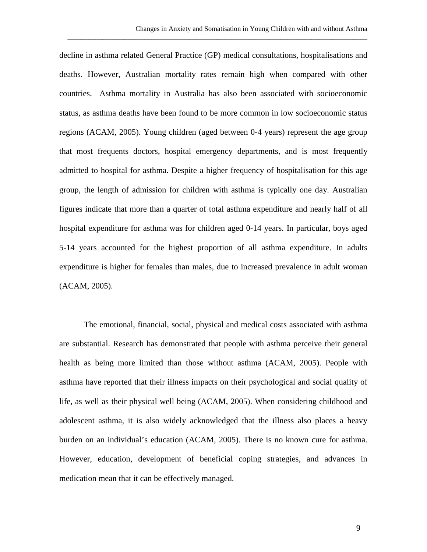decline in asthma related General Practice (GP) medical consultations, hospitalisations and deaths. However, Australian mortality rates remain high when compared with other countries. Asthma mortality in Australia has also been associated with socioeconomic status, as asthma deaths have been found to be more common in low socioeconomic status regions (ACAM, 2005). Young children (aged between 0-4 years) represent the age group that most frequents doctors, hospital emergency departments, and is most frequently admitted to hospital for asthma. Despite a higher frequency of hospitalisation for this age group, the length of admission for children with asthma is typically one day. Australian figures indicate that more than a quarter of total asthma expenditure and nearly half of all hospital expenditure for asthma was for children aged 0-14 years. In particular, boys aged 5-14 years accounted for the highest proportion of all asthma expenditure. In adults expenditure is higher for females than males, due to increased prevalence in adult woman (ACAM, 2005).

\_\_\_\_\_\_\_\_\_\_\_\_\_\_\_\_\_\_\_\_\_\_\_\_\_\_\_\_\_\_\_\_\_\_\_\_\_\_\_\_\_\_\_\_\_\_\_\_\_\_\_\_\_\_\_\_\_\_\_\_\_\_\_\_\_\_\_\_\_\_\_\_\_\_\_\_\_\_\_\_\_\_\_\_\_\_

The emotional, financial, social, physical and medical costs associated with asthma are substantial. Research has demonstrated that people with asthma perceive their general health as being more limited than those without asthma (ACAM, 2005). People with asthma have reported that their illness impacts on their psychological and social quality of life, as well as their physical well being (ACAM, 2005). When considering childhood and adolescent asthma, it is also widely acknowledged that the illness also places a heavy burden on an individual's education (ACAM, 2005). There is no known cure for asthma. However, education, development of beneficial coping strategies, and advances in medication mean that it can be effectively managed.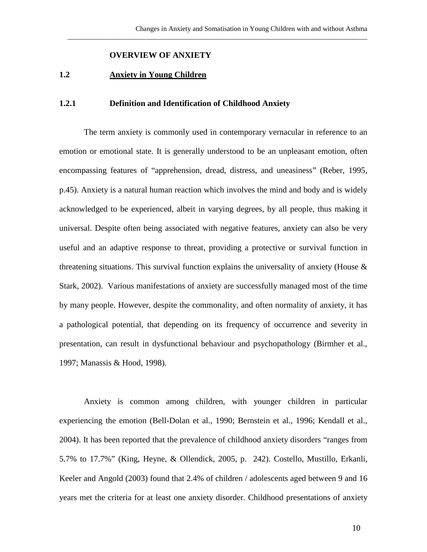\_\_\_\_\_\_\_\_\_\_\_\_\_\_\_\_\_\_\_\_\_\_\_\_\_\_\_\_\_\_\_\_\_\_\_\_\_\_\_\_\_\_\_\_\_\_\_\_\_\_\_\_\_\_\_\_\_\_\_\_\_\_\_\_\_\_\_\_\_\_\_\_\_\_\_\_\_\_\_\_\_\_\_\_\_\_

#### **OVERVIEW OF ANXIETY**

#### **1.2 Anxiety in Young Children**

#### **1.2.1 Definition and Identification of Childhood Anxiety**

The term anxiety is commonly used in contemporary vernacular in reference to an emotion or emotional state. It is generally understood to be an unpleasant emotion, often encompassing features of "apprehension, dread, distress, and uneasiness" (Reber, 1995, p.45). Anxiety is a natural human reaction which involves the mind and body and is widely acknowledged to be experienced, albeit in varying degrees, by all people, thus making it universal. Despite often being associated with negative features, anxiety can also be very useful and an adaptive response to threat, providing a protective or survival function in threatening situations. This survival function explains the universality of anxiety (House  $\&$ Stark, 2002). Various manifestations of anxiety are successfully managed most of the time by many people. However, despite the commonality, and often normality of anxiety, it has a pathological potential, that depending on its frequency of occurrence and severity in presentation, can result in dysfunctional behaviour and psychopathology (Birmher et al., 1997; Manassis & Hood, 1998).

Anxiety is common among children, with younger children in particular experiencing the emotion (Bell-Dolan et al., 1990; Bernstein et al., 1996; Kendall et al., 2004). It has been reported that the prevalence of childhood anxiety disorders "ranges from 5.7% to 17.7%" (King, Heyne, & Ollendick, 2005, p. 242). Costello, Mustillo, Erkanli, Keeler and Angold (2003) found that 2.4% of children / adolescents aged between 9 and 16 years met the criteria for at least one anxiety disorder. Childhood presentations of anxiety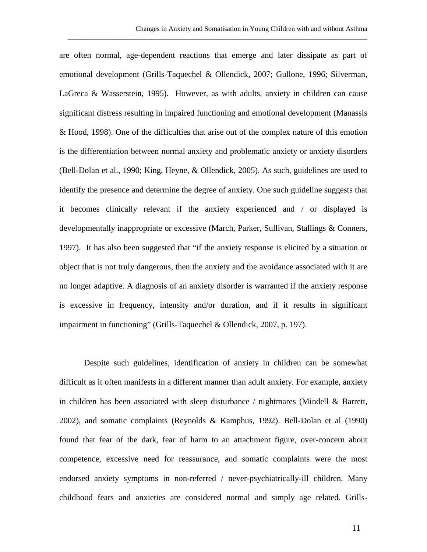are often normal, age-dependent reactions that emerge and later dissipate as part of emotional development (Grills-Taquechel & Ollendick, 2007; Gullone, 1996; Silverman, LaGreca & Wasserstein, 1995). However, as with adults, anxiety in children can cause significant distress resulting in impaired functioning and emotional development (Manassis & Hood, 1998). One of the difficulties that arise out of the complex nature of this emotion is the differentiation between normal anxiety and problematic anxiety or anxiety disorders (Bell-Dolan et al., 1990; King, Heyne, & Ollendick, 2005). As such, guidelines are used to identify the presence and determine the degree of anxiety. One such guideline suggests that it becomes clinically relevant if the anxiety experienced and / or displayed is developmentally inappropriate or excessive (March, Parker, Sullivan, Stallings & Conners, 1997). It has also been suggested that "if the anxiety response is elicited by a situation or object that is not truly dangerous, then the anxiety and the avoidance associated with it are no longer adaptive. A diagnosis of an anxiety disorder is warranted if the anxiety response is excessive in frequency, intensity and/or duration, and if it results in significant impairment in functioning" (Grills-Taquechel & Ollendick, 2007, p. 197).

\_\_\_\_\_\_\_\_\_\_\_\_\_\_\_\_\_\_\_\_\_\_\_\_\_\_\_\_\_\_\_\_\_\_\_\_\_\_\_\_\_\_\_\_\_\_\_\_\_\_\_\_\_\_\_\_\_\_\_\_\_\_\_\_\_\_\_\_\_\_\_\_\_\_\_\_\_\_\_\_\_\_\_\_\_\_

Despite such guidelines, identification of anxiety in children can be somewhat difficult as it often manifests in a different manner than adult anxiety. For example, anxiety in children has been associated with sleep disturbance  $\ell$  nightmares (Mindell & Barrett, 2002), and somatic complaints (Reynolds & Kamphus, 1992). Bell-Dolan et al (1990) found that fear of the dark, fear of harm to an attachment figure, over-concern about competence, excessive need for reassurance, and somatic complaints were the most endorsed anxiety symptoms in non-referred / never-psychiatrically-ill children. Many childhood fears and anxieties are considered normal and simply age related. Grills-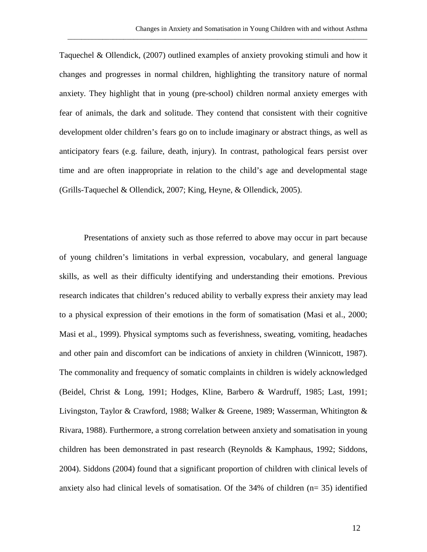Taquechel & Ollendick, (2007) outlined examples of anxiety provoking stimuli and how it changes and progresses in normal children, highlighting the transitory nature of normal anxiety. They highlight that in young (pre-school) children normal anxiety emerges with fear of animals, the dark and solitude. They contend that consistent with their cognitive development older children's fears go on to include imaginary or abstract things, as well as anticipatory fears (e.g. failure, death, injury). In contrast, pathological fears persist over time and are often inappropriate in relation to the child's age and developmental stage (Grills-Taquechel & Ollendick, 2007; King, Heyne, & Ollendick, 2005).

\_\_\_\_\_\_\_\_\_\_\_\_\_\_\_\_\_\_\_\_\_\_\_\_\_\_\_\_\_\_\_\_\_\_\_\_\_\_\_\_\_\_\_\_\_\_\_\_\_\_\_\_\_\_\_\_\_\_\_\_\_\_\_\_\_\_\_\_\_\_\_\_\_\_\_\_\_\_\_\_\_\_\_\_\_\_

Presentations of anxiety such as those referred to above may occur in part because of young children's limitations in verbal expression, vocabulary, and general language skills, as well as their difficulty identifying and understanding their emotions. Previous research indicates that children's reduced ability to verbally express their anxiety may lead to a physical expression of their emotions in the form of somatisation (Masi et al., 2000; Masi et al., 1999). Physical symptoms such as feverishness, sweating, vomiting, headaches and other pain and discomfort can be indications of anxiety in children (Winnicott, 1987). The commonality and frequency of somatic complaints in children is widely acknowledged (Beidel, Christ & Long, 1991; Hodges, Kline, Barbero & Wardruff, 1985; Last, 1991; Livingston, Taylor & Crawford, 1988; Walker & Greene, 1989; Wasserman, Whitington & Rivara, 1988). Furthermore, a strong correlation between anxiety and somatisation in young children has been demonstrated in past research (Reynolds & Kamphaus, 1992; Siddons, 2004). Siddons (2004) found that a significant proportion of children with clinical levels of anxiety also had clinical levels of somatisation. Of the 34% of children (n= 35) identified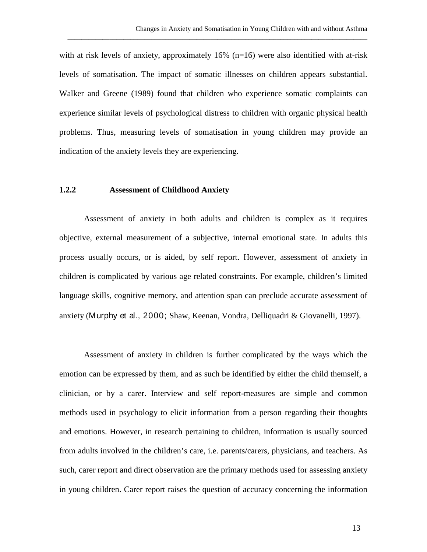with at risk levels of anxiety, approximately 16% (n=16) were also identified with at-risk levels of somatisation. The impact of somatic illnesses on children appears substantial. Walker and Greene (1989) found that children who experience somatic complaints can experience similar levels of psychological distress to children with organic physical health problems. Thus, measuring levels of somatisation in young children may provide an indication of the anxiety levels they are experiencing.

\_\_\_\_\_\_\_\_\_\_\_\_\_\_\_\_\_\_\_\_\_\_\_\_\_\_\_\_\_\_\_\_\_\_\_\_\_\_\_\_\_\_\_\_\_\_\_\_\_\_\_\_\_\_\_\_\_\_\_\_\_\_\_\_\_\_\_\_\_\_\_\_\_\_\_\_\_\_\_\_\_\_\_\_\_\_

#### **1.2.2 Assessment of Childhood Anxiety**

Assessment of anxiety in both adults and children is complex as it requires objective, external measurement of a subjective, internal emotional state. In adults this process usually occurs, or is aided, by self report. However, assessment of anxiety in children is complicated by various age related constraints. For example, children's limited language skills, cognitive memory, and attention span can preclude accurate assessment of anxiety (Murphy et al., 2000; Shaw, Keenan, Vondra, Delliquadri & Giovanelli, 1997).

Assessment of anxiety in children is further complicated by the ways which the emotion can be expressed by them, and as such be identified by either the child themself, a clinician, or by a carer. Interview and self report-measures are simple and common methods used in psychology to elicit information from a person regarding their thoughts and emotions. However, in research pertaining to children, information is usually sourced from adults involved in the children's care, i.e. parents/carers, physicians, and teachers. As such, carer report and direct observation are the primary methods used for assessing anxiety in young children. Carer report raises the question of accuracy concerning the information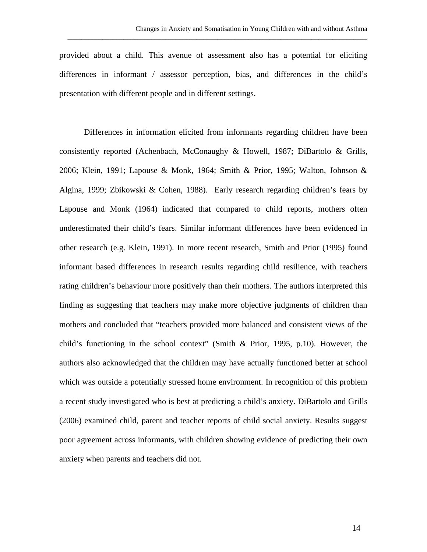provided about a child. This avenue of assessment also has a potential for eliciting differences in informant / assessor perception, bias, and differences in the child's presentation with different people and in different settings.

\_\_\_\_\_\_\_\_\_\_\_\_\_\_\_\_\_\_\_\_\_\_\_\_\_\_\_\_\_\_\_\_\_\_\_\_\_\_\_\_\_\_\_\_\_\_\_\_\_\_\_\_\_\_\_\_\_\_\_\_\_\_\_\_\_\_\_\_\_\_\_\_\_\_\_\_\_\_\_\_\_\_\_\_\_\_

Differences in information elicited from informants regarding children have been consistently reported (Achenbach, McConaughy & Howell, 1987; DiBartolo & Grills, 2006; Klein, 1991; Lapouse & Monk, 1964; Smith & Prior, 1995; Walton, Johnson & Algina, 1999; Zbikowski & Cohen, 1988). Early research regarding children's fears by Lapouse and Monk (1964) indicated that compared to child reports, mothers often underestimated their child's fears. Similar informant differences have been evidenced in other research (e.g. Klein, 1991). In more recent research, Smith and Prior (1995) found informant based differences in research results regarding child resilience, with teachers rating children's behaviour more positively than their mothers. The authors interpreted this finding as suggesting that teachers may make more objective judgments of children than mothers and concluded that "teachers provided more balanced and consistent views of the child's functioning in the school context" (Smith & Prior, 1995, p.10). However, the authors also acknowledged that the children may have actually functioned better at school which was outside a potentially stressed home environment. In recognition of this problem a recent study investigated who is best at predicting a child's anxiety. DiBartolo and Grills (2006) examined child, parent and teacher reports of child social anxiety. Results suggest poor agreement across informants, with children showing evidence of predicting their own anxiety when parents and teachers did not.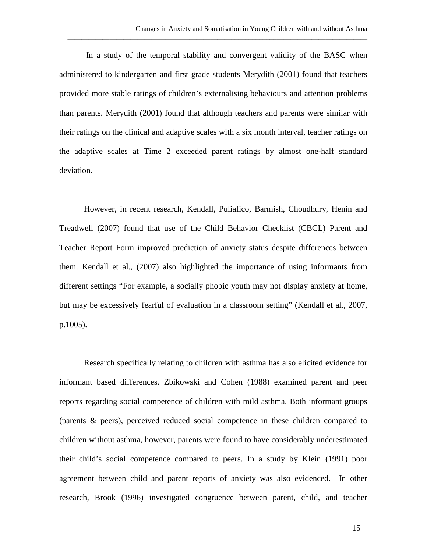In a study of the temporal stability and convergent validity of the BASC when administered to kindergarten and first grade students Merydith (2001) found that teachers provided more stable ratings of children's externalising behaviours and attention problems than parents. Merydith (2001) found that although teachers and parents were similar with their ratings on the clinical and adaptive scales with a six month interval, teacher ratings on the adaptive scales at Time 2 exceeded parent ratings by almost one-half standard deviation.

\_\_\_\_\_\_\_\_\_\_\_\_\_\_\_\_\_\_\_\_\_\_\_\_\_\_\_\_\_\_\_\_\_\_\_\_\_\_\_\_\_\_\_\_\_\_\_\_\_\_\_\_\_\_\_\_\_\_\_\_\_\_\_\_\_\_\_\_\_\_\_\_\_\_\_\_\_\_\_\_\_\_\_\_\_\_

However, in recent research, Kendall, Puliafico, Barmish, Choudhury, Henin and Treadwell (2007) found that use of the Child Behavior Checklist (CBCL) Parent and Teacher Report Form improved prediction of anxiety status despite differences between them. Kendall et al., (2007) also highlighted the importance of using informants from different settings "For example, a socially phobic youth may not display anxiety at home, but may be excessively fearful of evaluation in a classroom setting" (Kendall et al., 2007, p.1005).

Research specifically relating to children with asthma has also elicited evidence for informant based differences. Zbikowski and Cohen (1988) examined parent and peer reports regarding social competence of children with mild asthma. Both informant groups (parents & peers), perceived reduced social competence in these children compared to children without asthma, however, parents were found to have considerably underestimated their child's social competence compared to peers. In a study by Klein (1991) poor agreement between child and parent reports of anxiety was also evidenced. In other research, Brook (1996) investigated congruence between parent, child, and teacher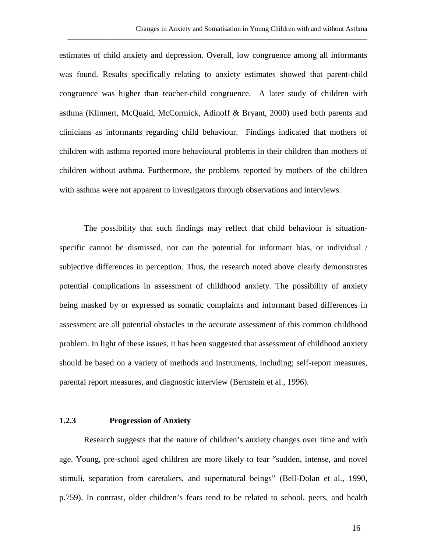estimates of child anxiety and depression. Overall, low congruence among all informants was found. Results specifically relating to anxiety estimates showed that parent-child congruence was higher than teacher-child congruence. A later study of children with asthma (Klinnert, McQuaid, McCormick, Adinoff & Bryant, 2000) used both parents and clinicians as informants regarding child behaviour. Findings indicated that mothers of children with asthma reported more behavioural problems in their children than mothers of children without asthma. Furthermore, the problems reported by mothers of the children with asthma were not apparent to investigators through observations and interviews.

\_\_\_\_\_\_\_\_\_\_\_\_\_\_\_\_\_\_\_\_\_\_\_\_\_\_\_\_\_\_\_\_\_\_\_\_\_\_\_\_\_\_\_\_\_\_\_\_\_\_\_\_\_\_\_\_\_\_\_\_\_\_\_\_\_\_\_\_\_\_\_\_\_\_\_\_\_\_\_\_\_\_\_\_\_\_

The possibility that such findings may reflect that child behaviour is situationspecific cannot be dismissed, nor can the potential for informant bias, or individual / subjective differences in perception. Thus, the research noted above clearly demonstrates potential complications in assessment of childhood anxiety. The possibility of anxiety being masked by or expressed as somatic complaints and informant based differences in assessment are all potential obstacles in the accurate assessment of this common childhood problem. In light of these issues, it has been suggested that assessment of childhood anxiety should be based on a variety of methods and instruments, including; self-report measures, parental report measures, and diagnostic interview (Bernstein et al., 1996).

#### **1.2.3 Progression of Anxiety**

Research suggests that the nature of children's anxiety changes over time and with age. Young, pre-school aged children are more likely to fear "sudden, intense, and novel stimuli, separation from caretakers, and supernatural beings" (Bell-Dolan et al., 1990, p.759). In contrast, older children's fears tend to be related to school, peers, and health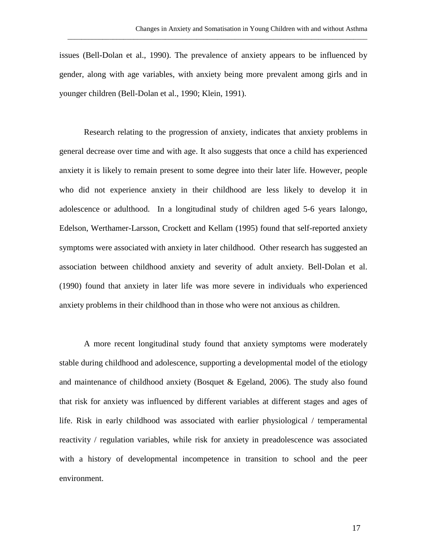issues (Bell-Dolan et al., 1990). The prevalence of anxiety appears to be influenced by gender, along with age variables, with anxiety being more prevalent among girls and in younger children (Bell-Dolan et al., 1990; Klein, 1991).

\_\_\_\_\_\_\_\_\_\_\_\_\_\_\_\_\_\_\_\_\_\_\_\_\_\_\_\_\_\_\_\_\_\_\_\_\_\_\_\_\_\_\_\_\_\_\_\_\_\_\_\_\_\_\_\_\_\_\_\_\_\_\_\_\_\_\_\_\_\_\_\_\_\_\_\_\_\_\_\_\_\_\_\_\_\_

Research relating to the progression of anxiety, indicates that anxiety problems in general decrease over time and with age. It also suggests that once a child has experienced anxiety it is likely to remain present to some degree into their later life. However, people who did not experience anxiety in their childhood are less likely to develop it in adolescence or adulthood. In a longitudinal study of children aged 5-6 years Ialongo, Edelson, Werthamer-Larsson, Crockett and Kellam (1995) found that self-reported anxiety symptoms were associated with anxiety in later childhood. Other research has suggested an association between childhood anxiety and severity of adult anxiety. Bell-Dolan et al. (1990) found that anxiety in later life was more severe in individuals who experienced anxiety problems in their childhood than in those who were not anxious as children.

A more recent longitudinal study found that anxiety symptoms were moderately stable during childhood and adolescence, supporting a developmental model of the etiology and maintenance of childhood anxiety (Bosquet  $\&$  Egeland, 2006). The study also found that risk for anxiety was influenced by different variables at different stages and ages of life. Risk in early childhood was associated with earlier physiological / temperamental reactivity / regulation variables, while risk for anxiety in preadolescence was associated with a history of developmental incompetence in transition to school and the peer environment.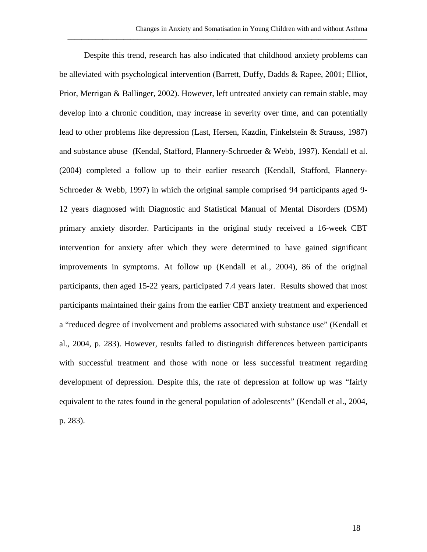\_\_\_\_\_\_\_\_\_\_\_\_\_\_\_\_\_\_\_\_\_\_\_\_\_\_\_\_\_\_\_\_\_\_\_\_\_\_\_\_\_\_\_\_\_\_\_\_\_\_\_\_\_\_\_\_\_\_\_\_\_\_\_\_\_\_\_\_\_\_\_\_\_\_\_\_\_\_\_\_\_\_\_\_\_\_

Despite this trend, research has also indicated that childhood anxiety problems can be alleviated with psychological intervention (Barrett, Duffy, Dadds & Rapee, 2001; Elliot, Prior, Merrigan & Ballinger, 2002). However, left untreated anxiety can remain stable, may develop into a chronic condition, may increase in severity over time, and can potentially lead to other problems like depression (Last, Hersen, Kazdin, Finkelstein & Strauss, 1987) and substance abuse (Kendal, Stafford, Flannery-Schroeder & Webb, 1997). Kendall et al. (2004) completed a follow up to their earlier research (Kendall, Stafford, Flannery-Schroeder & Webb, 1997) in which the original sample comprised 94 participants aged 9- 12 years diagnosed with Diagnostic and Statistical Manual of Mental Disorders (DSM) primary anxiety disorder. Participants in the original study received a 16-week CBT intervention for anxiety after which they were determined to have gained significant improvements in symptoms. At follow up (Kendall et al., 2004), 86 of the original participants, then aged 15-22 years, participated 7.4 years later. Results showed that most participants maintained their gains from the earlier CBT anxiety treatment and experienced a "reduced degree of involvement and problems associated with substance use" (Kendall et al., 2004, p. 283). However, results failed to distinguish differences between participants with successful treatment and those with none or less successful treatment regarding development of depression. Despite this, the rate of depression at follow up was "fairly equivalent to the rates found in the general population of adolescents" (Kendall et al., 2004, p. 283).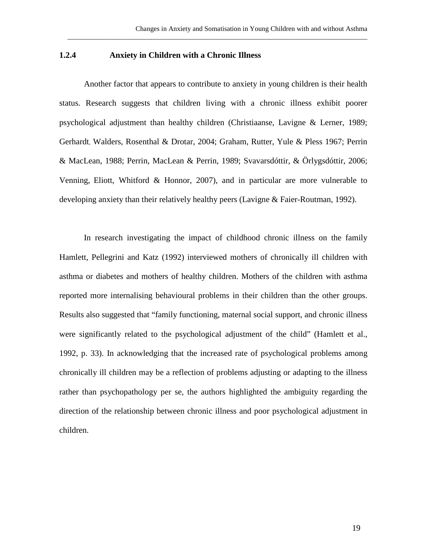#### **1.2.4 Anxiety in Children with a Chronic Illness**

Another factor that appears to contribute to anxiety in young children is their health status. Research suggests that children living with a chronic illness exhibit poorer psychological adjustment than healthy children (Christiaanse, Lavigne & Lerner, 1989; Gerhardt, Walders, Rosenthal & Drotar, 2004; Graham, Rutter, Yule & Pless 1967; Perrin & MacLean, 1988; Perrin, MacLean & Perrin, 1989; Svavarsdóttir, & Örlygsdóttir, 2006; Venning, Eliott, Whitford & Honnor, 2007), and in particular are more vulnerable to developing anxiety than their relatively healthy peers (Lavigne & Faier-Routman, 1992).

\_\_\_\_\_\_\_\_\_\_\_\_\_\_\_\_\_\_\_\_\_\_\_\_\_\_\_\_\_\_\_\_\_\_\_\_\_\_\_\_\_\_\_\_\_\_\_\_\_\_\_\_\_\_\_\_\_\_\_\_\_\_\_\_\_\_\_\_\_\_\_\_\_\_\_\_\_\_\_\_\_\_\_\_\_\_

In research investigating the impact of childhood chronic illness on the family Hamlett, Pellegrini and Katz (1992) interviewed mothers of chronically ill children with asthma or diabetes and mothers of healthy children. Mothers of the children with asthma reported more internalising behavioural problems in their children than the other groups. Results also suggested that "family functioning, maternal social support, and chronic illness were significantly related to the psychological adjustment of the child" (Hamlett et al., 1992, p. 33). In acknowledging that the increased rate of psychological problems among chronically ill children may be a reflection of problems adjusting or adapting to the illness rather than psychopathology per se, the authors highlighted the ambiguity regarding the direction of the relationship between chronic illness and poor psychological adjustment in children.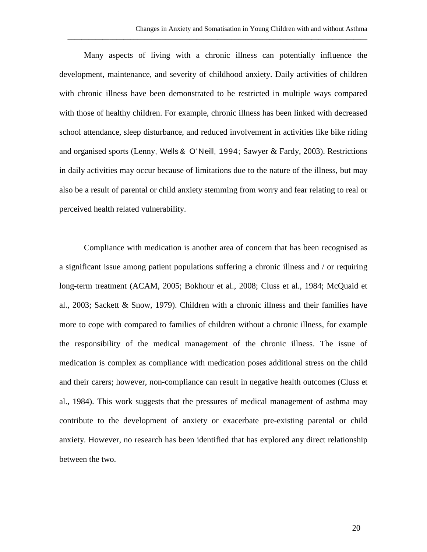Many aspects of living with a chronic illness can potentially influence the development, maintenance, and severity of childhood anxiety. Daily activities of children with chronic illness have been demonstrated to be restricted in multiple ways compared with those of healthy children. For example, chronic illness has been linked with decreased school attendance, sleep disturbance, and reduced involvement in activities like bike riding and organised sports (Lenny, Wells & O'Neill, 1994; Sawyer & Fardy, 2003). Restrictions in daily activities may occur because of limitations due to the nature of the illness, but may also be a result of parental or child anxiety stemming from worry and fear relating to real or perceived health related vulnerability.

\_\_\_\_\_\_\_\_\_\_\_\_\_\_\_\_\_\_\_\_\_\_\_\_\_\_\_\_\_\_\_\_\_\_\_\_\_\_\_\_\_\_\_\_\_\_\_\_\_\_\_\_\_\_\_\_\_\_\_\_\_\_\_\_\_\_\_\_\_\_\_\_\_\_\_\_\_\_\_\_\_\_\_\_\_\_

Compliance with medication is another area of concern that has been recognised as a significant issue among patient populations suffering a chronic illness and / or requiring long-term treatment (ACAM, 2005; Bokhour et al., 2008; Cluss et al., 1984; McQuaid et al., 2003; Sackett & Snow, 1979). Children with a chronic illness and their families have more to cope with compared to families of children without a chronic illness, for example the responsibility of the medical management of the chronic illness. The issue of medication is complex as compliance with medication poses additional stress on the child and their carers; however, non-compliance can result in negative health outcomes (Cluss et al., 1984). This work suggests that the pressures of medical management of asthma may contribute to the development of anxiety or exacerbate pre-existing parental or child anxiety. However, no research has been identified that has explored any direct relationship between the two.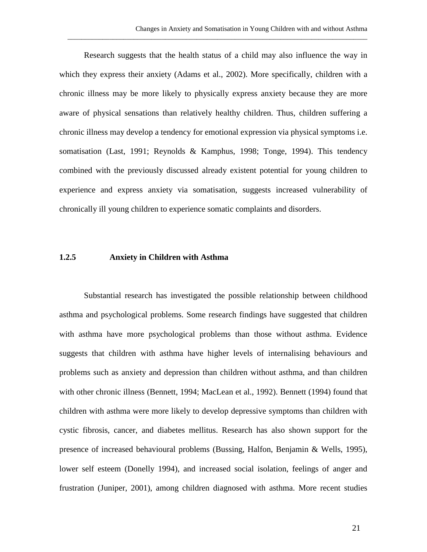Research suggests that the health status of a child may also influence the way in which they express their anxiety (Adams et al., 2002). More specifically, children with a chronic illness may be more likely to physically express anxiety because they are more aware of physical sensations than relatively healthy children. Thus, children suffering a chronic illness may develop a tendency for emotional expression via physical symptoms i.e. somatisation (Last, 1991; Reynolds & Kamphus, 1998; Tonge, 1994). This tendency combined with the previously discussed already existent potential for young children to experience and express anxiety via somatisation, suggests increased vulnerability of chronically ill young children to experience somatic complaints and disorders.

\_\_\_\_\_\_\_\_\_\_\_\_\_\_\_\_\_\_\_\_\_\_\_\_\_\_\_\_\_\_\_\_\_\_\_\_\_\_\_\_\_\_\_\_\_\_\_\_\_\_\_\_\_\_\_\_\_\_\_\_\_\_\_\_\_\_\_\_\_\_\_\_\_\_\_\_\_\_\_\_\_\_\_\_\_\_

#### **1.2.5 Anxiety in Children with Asthma**

Substantial research has investigated the possible relationship between childhood asthma and psychological problems. Some research findings have suggested that children with asthma have more psychological problems than those without asthma. Evidence suggests that children with asthma have higher levels of internalising behaviours and problems such as anxiety and depression than children without asthma, and than children with other chronic illness (Bennett, 1994; MacLean et al., 1992). Bennett (1994) found that children with asthma were more likely to develop depressive symptoms than children with cystic fibrosis, cancer, and diabetes mellitus. Research has also shown support for the presence of increased behavioural problems (Bussing, Halfon, Benjamin & Wells, 1995), lower self esteem (Donelly 1994), and increased social isolation, feelings of anger and frustration (Juniper, 2001), among children diagnosed with asthma. More recent studies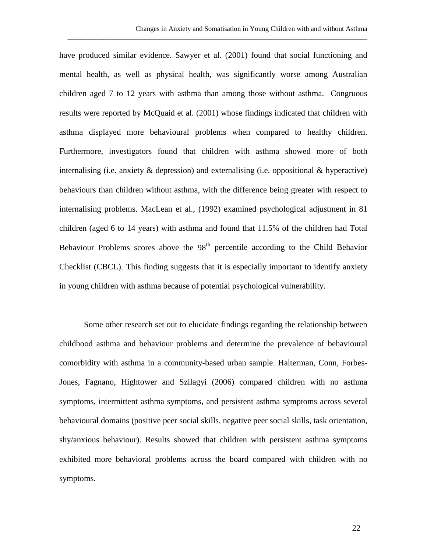have produced similar evidence. Sawyer et al. (2001) found that social functioning and mental health, as well as physical health, was significantly worse among Australian children aged 7 to 12 years with asthma than among those without asthma. Congruous results were reported by McQuaid et al. (2001) whose findings indicated that children with asthma displayed more behavioural problems when compared to healthy children. Furthermore, investigators found that children with asthma showed more of both internalising (i.e. anxiety  $\&$  depression) and externalising (i.e. oppositional  $\&$  hyperactive) behaviours than children without asthma, with the difference being greater with respect to internalising problems. MacLean et al., (1992) examined psychological adjustment in 81 children (aged 6 to 14 years) with asthma and found that 11.5% of the children had Total Behaviour Problems scores above the  $98<sup>th</sup>$  percentile according to the Child Behavior Checklist (CBCL). This finding suggests that it is especially important to identify anxiety in young children with asthma because of potential psychological vulnerability.

\_\_\_\_\_\_\_\_\_\_\_\_\_\_\_\_\_\_\_\_\_\_\_\_\_\_\_\_\_\_\_\_\_\_\_\_\_\_\_\_\_\_\_\_\_\_\_\_\_\_\_\_\_\_\_\_\_\_\_\_\_\_\_\_\_\_\_\_\_\_\_\_\_\_\_\_\_\_\_\_\_\_\_\_\_\_

Some other research set out to elucidate findings regarding the relationship between childhood asthma and behaviour problems and determine the prevalence of behavioural comorbidity with asthma in a community-based urban sample. Halterman, Conn, Forbes-Jones, Fagnano, Hightower and Szilagyi (2006) compared children with no asthma symptoms, intermittent asthma symptoms, and persistent asthma symptoms across several behavioural domains (positive peer social skills, negative peer social skills, task orientation, shy/anxious behaviour). Results showed that children with persistent asthma symptoms exhibited more behavioral problems across the board compared with children with no symptoms.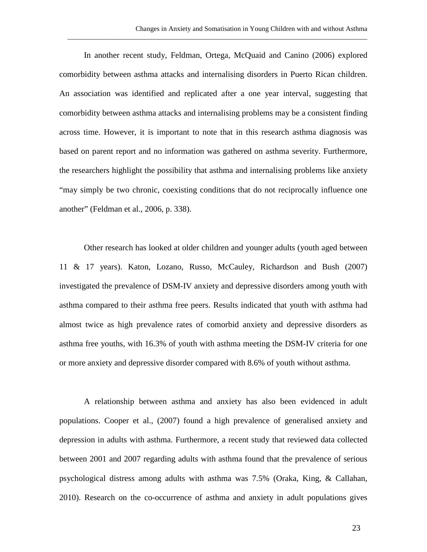In another recent study, Feldman, Ortega, McQuaid and Canino (2006) explored comorbidity between asthma attacks and internalising disorders in Puerto Rican children. An association was identified and replicated after a one year interval, suggesting that comorbidity between asthma attacks and internalising problems may be a consistent finding across time. However, it is important to note that in this research asthma diagnosis was based on parent report and no information was gathered on asthma severity. Furthermore, the researchers highlight the possibility that asthma and internalising problems like anxiety "may simply be two chronic, coexisting conditions that do not reciprocally influence one another" (Feldman et al., 2006, p. 338).

\_\_\_\_\_\_\_\_\_\_\_\_\_\_\_\_\_\_\_\_\_\_\_\_\_\_\_\_\_\_\_\_\_\_\_\_\_\_\_\_\_\_\_\_\_\_\_\_\_\_\_\_\_\_\_\_\_\_\_\_\_\_\_\_\_\_\_\_\_\_\_\_\_\_\_\_\_\_\_\_\_\_\_\_\_\_

Other research has looked at older children and younger adults (youth aged between 11 & 17 years). Katon, Lozano, Russo, McCauley, Richardson and Bush (2007) investigated the prevalence of DSM-IV anxiety and depressive disorders among youth with asthma compared to their asthma free peers. Results indicated that youth with asthma had almost twice as high prevalence rates of comorbid anxiety and depressive disorders as asthma free youths, with 16.3% of youth with asthma meeting the DSM-IV criteria for one or more anxiety and depressive disorder compared with 8.6% of youth without asthma.

A relationship between asthma and anxiety has also been evidenced in adult populations. Cooper et al., (2007) found a high prevalence of generalised anxiety and depression in adults with asthma. Furthermore, a recent study that reviewed data collected between 2001 and 2007 regarding adults with asthma found that the prevalence of serious psychological distress among adults with asthma was 7.5% (Oraka, King, & Callahan, 2010). Research on the co-occurrence of asthma and anxiety in adult populations gives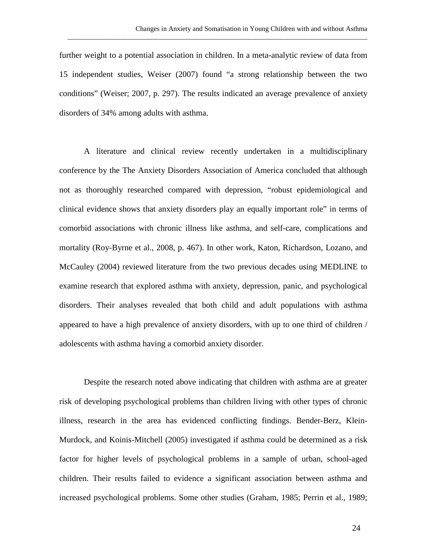further weight to a potential association in children. In a meta-analytic review of data from 15 independent studies, Weiser (2007) found "a strong relationship between the two conditions" (Weiser; 2007, p. 297). The results indicated an average prevalence of anxiety disorders of 34% among adults with asthma.

\_\_\_\_\_\_\_\_\_\_\_\_\_\_\_\_\_\_\_\_\_\_\_\_\_\_\_\_\_\_\_\_\_\_\_\_\_\_\_\_\_\_\_\_\_\_\_\_\_\_\_\_\_\_\_\_\_\_\_\_\_\_\_\_\_\_\_\_\_\_\_\_\_\_\_\_\_\_\_\_\_\_\_\_\_\_

A literature and clinical review recently undertaken in a multidisciplinary conference by the The Anxiety Disorders Association of America concluded that although not as thoroughly researched compared with depression, "robust epidemiological and clinical evidence shows that anxiety disorders play an equally important role" in terms of comorbid associations with chronic illness like asthma, and self-care, complications and mortality (Roy-Byrne et al., 2008, p. 467). In other work, Katon, Richardson, Lozano, and McCauley (2004) reviewed literature from the two previous decades using MEDLINE to examine research that explored asthma with anxiety, depression, panic, and psychological disorders. Their analyses revealed that both child and adult populations with asthma appeared to have a high prevalence of anxiety disorders, with up to one third of children / adolescents with asthma having a comorbid anxiety disorder.

Despite the research noted above indicating that children with asthma are at greater risk of developing psychological problems than children living with other types of chronic illness, research in the area has evidenced conflicting findings. Bender-Berz, Klein-Murdock, and Koinis-Mitchell (2005) investigated if asthma could be determined as a risk factor for higher levels of psychological problems in a sample of urban, school-aged children. Their results failed to evidence a significant association between asthma and increased psychological problems. Some other studies (Graham, 1985; Perrin et al., 1989;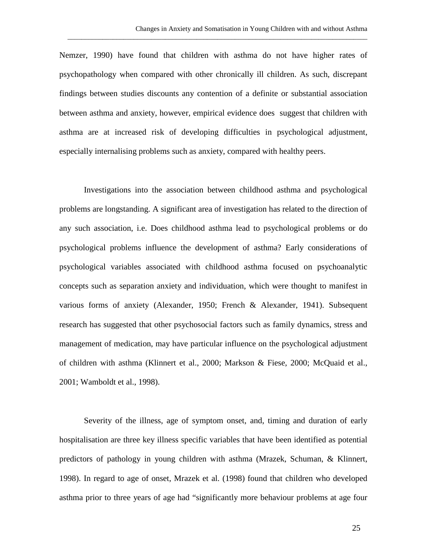Nemzer, 1990) have found that children with asthma do not have higher rates of psychopathology when compared with other chronically ill children. As such, discrepant findings between studies discounts any contention of a definite or substantial association between asthma and anxiety, however, empirical evidence does suggest that children with asthma are at increased risk of developing difficulties in psychological adjustment, especially internalising problems such as anxiety, compared with healthy peers.

\_\_\_\_\_\_\_\_\_\_\_\_\_\_\_\_\_\_\_\_\_\_\_\_\_\_\_\_\_\_\_\_\_\_\_\_\_\_\_\_\_\_\_\_\_\_\_\_\_\_\_\_\_\_\_\_\_\_\_\_\_\_\_\_\_\_\_\_\_\_\_\_\_\_\_\_\_\_\_\_\_\_\_\_\_\_

Investigations into the association between childhood asthma and psychological problems are longstanding. A significant area of investigation has related to the direction of any such association, i.e. Does childhood asthma lead to psychological problems or do psychological problems influence the development of asthma? Early considerations of psychological variables associated with childhood asthma focused on psychoanalytic concepts such as separation anxiety and individuation, which were thought to manifest in various forms of anxiety (Alexander, 1950; French & Alexander, 1941). Subsequent research has suggested that other psychosocial factors such as family dynamics, stress and management of medication, may have particular influence on the psychological adjustment of children with asthma (Klinnert et al., 2000; Markson & Fiese, 2000; McQuaid et al., 2001; Wamboldt et al., 1998).

Severity of the illness, age of symptom onset, and, timing and duration of early hospitalisation are three key illness specific variables that have been identified as potential predictors of pathology in young children with asthma (Mrazek, Schuman, & Klinnert, 1998). In regard to age of onset, Mrazek et al. (1998) found that children who developed asthma prior to three years of age had "significantly more behaviour problems at age four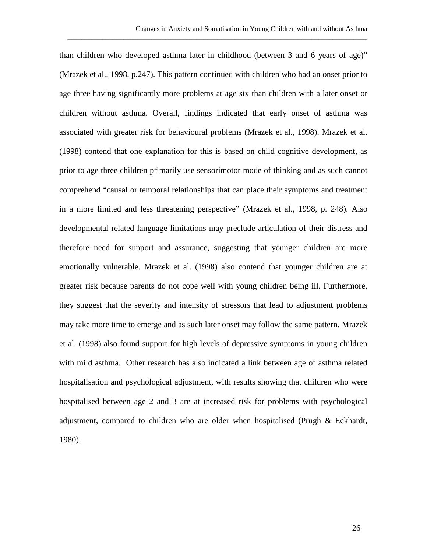than children who developed asthma later in childhood (between 3 and 6 years of age)" (Mrazek et al., 1998, p.247). This pattern continued with children who had an onset prior to age three having significantly more problems at age six than children with a later onset or children without asthma. Overall, findings indicated that early onset of asthma was associated with greater risk for behavioural problems (Mrazek et al., 1998). Mrazek et al. (1998) contend that one explanation for this is based on child cognitive development, as prior to age three children primarily use sensorimotor mode of thinking and as such cannot comprehend "causal or temporal relationships that can place their symptoms and treatment in a more limited and less threatening perspective" (Mrazek et al., 1998, p. 248). Also developmental related language limitations may preclude articulation of their distress and therefore need for support and assurance, suggesting that younger children are more emotionally vulnerable. Mrazek et al. (1998) also contend that younger children are at greater risk because parents do not cope well with young children being ill. Furthermore, they suggest that the severity and intensity of stressors that lead to adjustment problems may take more time to emerge and as such later onset may follow the same pattern. Mrazek et al. (1998) also found support for high levels of depressive symptoms in young children with mild asthma. Other research has also indicated a link between age of asthma related hospitalisation and psychological adjustment, with results showing that children who were hospitalised between age 2 and 3 are at increased risk for problems with psychological adjustment, compared to children who are older when hospitalised (Prugh & Eckhardt, 1980).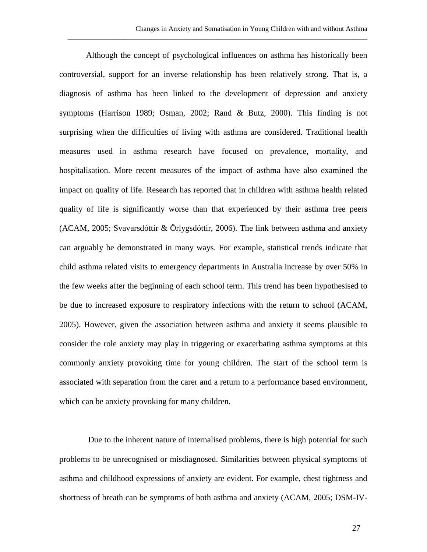Although the concept of psychological influences on asthma has historically been controversial, support for an inverse relationship has been relatively strong. That is, a diagnosis of asthma has been linked to the development of depression and anxiety symptoms (Harrison 1989; Osman, 2002; Rand & Butz, 2000). This finding is not surprising when the difficulties of living with asthma are considered. Traditional health measures used in asthma research have focused on prevalence, mortality, and hospitalisation. More recent measures of the impact of asthma have also examined the impact on quality of life. Research has reported that in children with asthma health related quality of life is significantly worse than that experienced by their asthma free peers (ACAM, 2005; Svavarsdóttir & Örlygsdóttir, 2006). The link between asthma and anxiety can arguably be demonstrated in many ways. For example, statistical trends indicate that child asthma related visits to emergency departments in Australia increase by over 50% in the few weeks after the beginning of each school term. This trend has been hypothesised to be due to increased exposure to respiratory infections with the return to school (ACAM, 2005). However, given the association between asthma and anxiety it seems plausible to consider the role anxiety may play in triggering or exacerbating asthma symptoms at this commonly anxiety provoking time for young children. The start of the school term is associated with separation from the carer and a return to a performance based environment, which can be anxiety provoking for many children.

 Due to the inherent nature of internalised problems, there is high potential for such problems to be unrecognised or misdiagnosed. Similarities between physical symptoms of asthma and childhood expressions of anxiety are evident. For example, chest tightness and shortness of breath can be symptoms of both asthma and anxiety (ACAM, 2005; DSM-IV-

27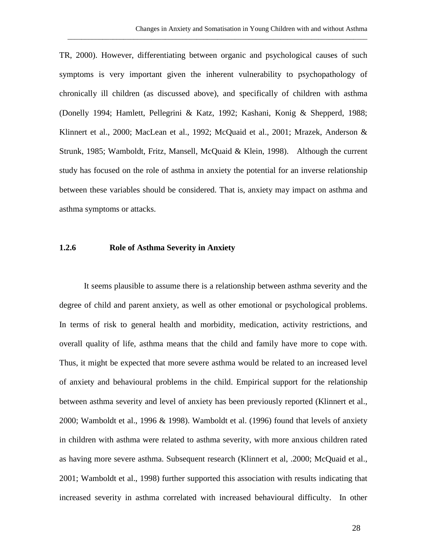TR, 2000). However, differentiating between organic and psychological causes of such symptoms is very important given the inherent vulnerability to psychopathology of chronically ill children (as discussed above), and specifically of children with asthma (Donelly 1994; Hamlett, Pellegrini & Katz, 1992; Kashani, Konig & Shepperd, 1988; Klinnert et al., 2000; MacLean et al., 1992; McQuaid et al., 2001; Mrazek, Anderson & Strunk, 1985; Wamboldt, Fritz, Mansell, McQuaid & Klein, 1998). Although the current study has focused on the role of asthma in anxiety the potential for an inverse relationship between these variables should be considered. That is, anxiety may impact on asthma and asthma symptoms or attacks.

\_\_\_\_\_\_\_\_\_\_\_\_\_\_\_\_\_\_\_\_\_\_\_\_\_\_\_\_\_\_\_\_\_\_\_\_\_\_\_\_\_\_\_\_\_\_\_\_\_\_\_\_\_\_\_\_\_\_\_\_\_\_\_\_\_\_\_\_\_\_\_\_\_\_\_\_\_\_\_\_\_\_\_\_\_\_

### **1.2.6 Role of Asthma Severity in Anxiety**

It seems plausible to assume there is a relationship between asthma severity and the degree of child and parent anxiety, as well as other emotional or psychological problems. In terms of risk to general health and morbidity, medication, activity restrictions, and overall quality of life, asthma means that the child and family have more to cope with. Thus, it might be expected that more severe asthma would be related to an increased level of anxiety and behavioural problems in the child. Empirical support for the relationship between asthma severity and level of anxiety has been previously reported (Klinnert et al., 2000; Wamboldt et al., 1996 & 1998). Wamboldt et al. (1996) found that levels of anxiety in children with asthma were related to asthma severity, with more anxious children rated as having more severe asthma. Subsequent research (Klinnert et al, .2000; McQuaid et al., 2001; Wamboldt et al., 1998) further supported this association with results indicating that increased severity in asthma correlated with increased behavioural difficulty. In other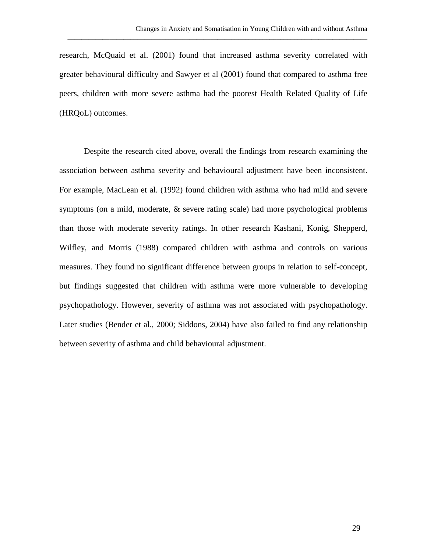research, McQuaid et al. (2001) found that increased asthma severity correlated with greater behavioural difficulty and Sawyer et al (2001) found that compared to asthma free peers, children with more severe asthma had the poorest Health Related Quality of Life (HRQoL) outcomes.

\_\_\_\_\_\_\_\_\_\_\_\_\_\_\_\_\_\_\_\_\_\_\_\_\_\_\_\_\_\_\_\_\_\_\_\_\_\_\_\_\_\_\_\_\_\_\_\_\_\_\_\_\_\_\_\_\_\_\_\_\_\_\_\_\_\_\_\_\_\_\_\_\_\_\_\_\_\_\_\_\_\_\_\_\_\_

Despite the research cited above, overall the findings from research examining the association between asthma severity and behavioural adjustment have been inconsistent. For example, MacLean et al. (1992) found children with asthma who had mild and severe symptoms (on a mild, moderate, & severe rating scale) had more psychological problems than those with moderate severity ratings. In other research Kashani, Konig, Shepperd, Wilfley, and Morris (1988) compared children with asthma and controls on various measures. They found no significant difference between groups in relation to self-concept, but findings suggested that children with asthma were more vulnerable to developing psychopathology. However, severity of asthma was not associated with psychopathology. Later studies (Bender et al., 2000; Siddons, 2004) have also failed to find any relationship between severity of asthma and child behavioural adjustment.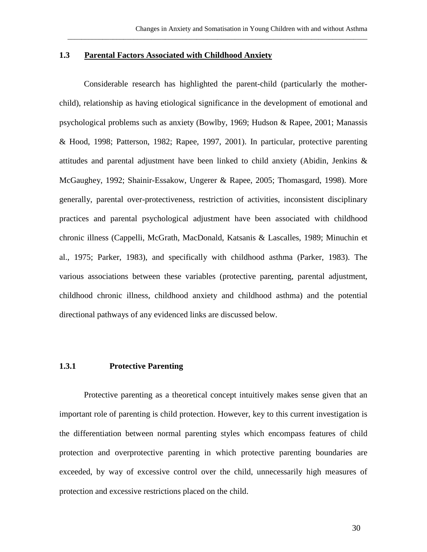### **1.3 Parental Factors Associated with Childhood Anxiety**

Considerable research has highlighted the parent-child (particularly the motherchild), relationship as having etiological significance in the development of emotional and psychological problems such as anxiety (Bowlby, 1969; Hudson & Rapee, 2001; Manassis & Hood, 1998; Patterson, 1982; Rapee, 1997, 2001). In particular, protective parenting attitudes and parental adjustment have been linked to child anxiety (Abidin, Jenkins & McGaughey, 1992; Shainir-Essakow, Ungerer & Rapee, 2005; Thomasgard, 1998). More generally, parental over-protectiveness, restriction of activities, inconsistent disciplinary practices and parental psychological adjustment have been associated with childhood chronic illness (Cappelli, McGrath, MacDonald, Katsanis & Lascalles, 1989; Minuchin et al., 1975; Parker, 1983), and specifically with childhood asthma (Parker, 1983). The various associations between these variables (protective parenting, parental adjustment, childhood chronic illness, childhood anxiety and childhood asthma) and the potential directional pathways of any evidenced links are discussed below.

## **1.3.1 Protective Parenting**

Protective parenting as a theoretical concept intuitively makes sense given that an important role of parenting is child protection. However, key to this current investigation is the differentiation between normal parenting styles which encompass features of child protection and overprotective parenting in which protective parenting boundaries are exceeded, by way of excessive control over the child, unnecessarily high measures of protection and excessive restrictions placed on the child.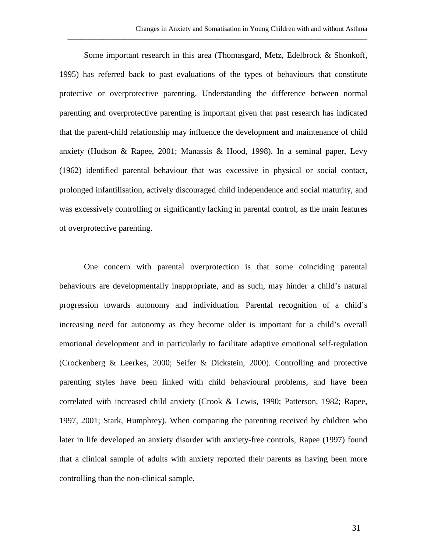Some important research in this area (Thomasgard, Metz, Edelbrock & Shonkoff, 1995) has referred back to past evaluations of the types of behaviours that constitute protective or overprotective parenting. Understanding the difference between normal parenting and overprotective parenting is important given that past research has indicated that the parent-child relationship may influence the development and maintenance of child anxiety (Hudson & Rapee, 2001; Manassis & Hood, 1998). In a seminal paper, Levy (1962) identified parental behaviour that was excessive in physical or social contact, prolonged infantilisation, actively discouraged child independence and social maturity, and was excessively controlling or significantly lacking in parental control, as the main features of overprotective parenting.

\_\_\_\_\_\_\_\_\_\_\_\_\_\_\_\_\_\_\_\_\_\_\_\_\_\_\_\_\_\_\_\_\_\_\_\_\_\_\_\_\_\_\_\_\_\_\_\_\_\_\_\_\_\_\_\_\_\_\_\_\_\_\_\_\_\_\_\_\_\_\_\_\_\_\_\_\_\_\_\_\_\_\_\_\_\_

One concern with parental overprotection is that some coinciding parental behaviours are developmentally inappropriate, and as such, may hinder a child's natural progression towards autonomy and individuation. Parental recognition of a child's increasing need for autonomy as they become older is important for a child's overall emotional development and in particularly to facilitate adaptive emotional self-regulation (Crockenberg & Leerkes, 2000; Seifer & Dickstein, 2000). Controlling and protective parenting styles have been linked with child behavioural problems, and have been correlated with increased child anxiety (Crook & Lewis, 1990; Patterson, 1982; Rapee, 1997, 2001; Stark, Humphrey). When comparing the parenting received by children who later in life developed an anxiety disorder with anxiety-free controls, Rapee (1997) found that a clinical sample of adults with anxiety reported their parents as having been more controlling than the non-clinical sample.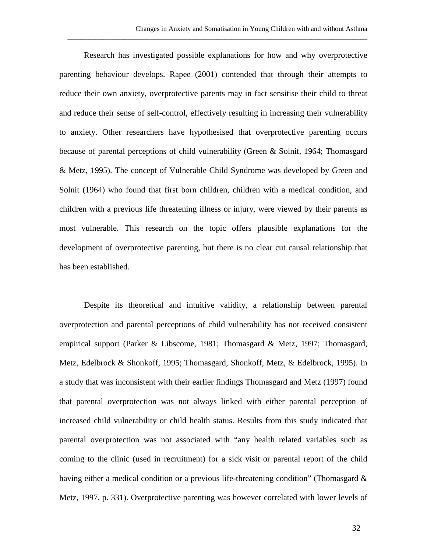Research has investigated possible explanations for how and why overprotective parenting behaviour develops. Rapee (2001) contended that through their attempts to reduce their own anxiety, overprotective parents may in fact sensitise their child to threat and reduce their sense of self-control, effectively resulting in increasing their vulnerability to anxiety. Other researchers have hypothesised that overprotective parenting occurs because of parental perceptions of child vulnerability (Green & Solnit, 1964; Thomasgard & Metz, 1995). The concept of Vulnerable Child Syndrome was developed by Green and Solnit (1964) who found that first born children, children with a medical condition, and children with a previous life threatening illness or injury, were viewed by their parents as most vulnerable. This research on the topic offers plausible explanations for the development of overprotective parenting, but there is no clear cut causal relationship that has been established.

\_\_\_\_\_\_\_\_\_\_\_\_\_\_\_\_\_\_\_\_\_\_\_\_\_\_\_\_\_\_\_\_\_\_\_\_\_\_\_\_\_\_\_\_\_\_\_\_\_\_\_\_\_\_\_\_\_\_\_\_\_\_\_\_\_\_\_\_\_\_\_\_\_\_\_\_\_\_\_\_\_\_\_\_\_\_

Despite its theoretical and intuitive validity, a relationship between parental overprotection and parental perceptions of child vulnerability has not received consistent empirical support (Parker & Libscome, 1981; Thomasgard & Metz, 1997; Thomasgard, Metz, Edelbrock & Shonkoff, 1995; Thomasgard, Shonkoff, Metz, & Edelbrock, 1995). In a study that was inconsistent with their earlier findings Thomasgard and Metz (1997) found that parental overprotection was not always linked with either parental perception of increased child vulnerability or child health status. Results from this study indicated that parental overprotection was not associated with "any health related variables such as coming to the clinic (used in recruitment) for a sick visit or parental report of the child having either a medical condition or a previous life-threatening condition" (Thomasgard & Metz, 1997, p. 331). Overprotective parenting was however correlated with lower levels of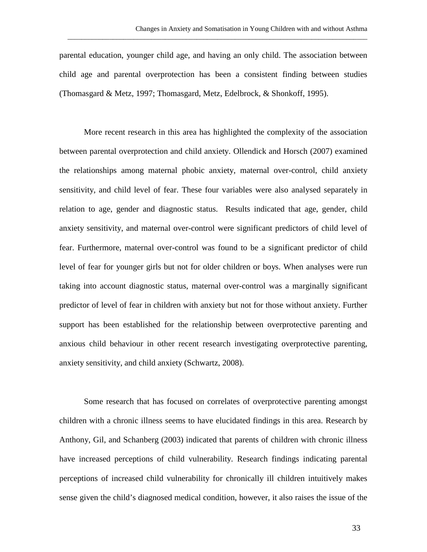parental education, younger child age, and having an only child. The association between child age and parental overprotection has been a consistent finding between studies (Thomasgard & Metz, 1997; Thomasgard, Metz, Edelbrock, & Shonkoff, 1995).

\_\_\_\_\_\_\_\_\_\_\_\_\_\_\_\_\_\_\_\_\_\_\_\_\_\_\_\_\_\_\_\_\_\_\_\_\_\_\_\_\_\_\_\_\_\_\_\_\_\_\_\_\_\_\_\_\_\_\_\_\_\_\_\_\_\_\_\_\_\_\_\_\_\_\_\_\_\_\_\_\_\_\_\_\_\_

More recent research in this area has highlighted the complexity of the association between parental overprotection and child anxiety. Ollendick and Horsch (2007) examined the relationships among maternal phobic anxiety, maternal over-control, child anxiety sensitivity, and child level of fear. These four variables were also analysed separately in relation to age, gender and diagnostic status. Results indicated that age, gender, child anxiety sensitivity, and maternal over-control were significant predictors of child level of fear. Furthermore, maternal over-control was found to be a significant predictor of child level of fear for younger girls but not for older children or boys. When analyses were run taking into account diagnostic status, maternal over-control was a marginally significant predictor of level of fear in children with anxiety but not for those without anxiety. Further support has been established for the relationship between overprotective parenting and anxious child behaviour in other recent research investigating overprotective parenting, anxiety sensitivity, and child anxiety (Schwartz, 2008).

Some research that has focused on correlates of overprotective parenting amongst children with a chronic illness seems to have elucidated findings in this area. Research by Anthony, Gil, and Schanberg (2003) indicated that parents of children with chronic illness have increased perceptions of child vulnerability. Research findings indicating parental perceptions of increased child vulnerability for chronically ill children intuitively makes sense given the child's diagnosed medical condition, however, it also raises the issue of the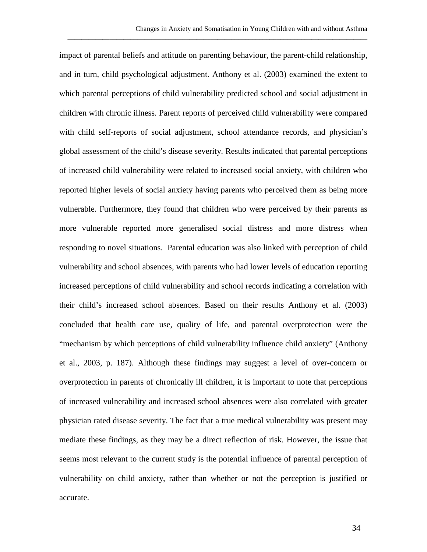impact of parental beliefs and attitude on parenting behaviour, the parent-child relationship, and in turn, child psychological adjustment. Anthony et al. (2003) examined the extent to which parental perceptions of child vulnerability predicted school and social adjustment in children with chronic illness. Parent reports of perceived child vulnerability were compared with child self-reports of social adjustment, school attendance records, and physician's global assessment of the child's disease severity. Results indicated that parental perceptions of increased child vulnerability were related to increased social anxiety, with children who reported higher levels of social anxiety having parents who perceived them as being more vulnerable. Furthermore, they found that children who were perceived by their parents as more vulnerable reported more generalised social distress and more distress when responding to novel situations. Parental education was also linked with perception of child vulnerability and school absences, with parents who had lower levels of education reporting increased perceptions of child vulnerability and school records indicating a correlation with their child's increased school absences. Based on their results Anthony et al. (2003) concluded that health care use, quality of life, and parental overprotection were the "mechanism by which perceptions of child vulnerability influence child anxiety" (Anthony et al., 2003, p. 187). Although these findings may suggest a level of over-concern or overprotection in parents of chronically ill children, it is important to note that perceptions of increased vulnerability and increased school absences were also correlated with greater physician rated disease severity. The fact that a true medical vulnerability was present may mediate these findings, as they may be a direct reflection of risk. However, the issue that seems most relevant to the current study is the potential influence of parental perception of vulnerability on child anxiety, rather than whether or not the perception is justified or accurate.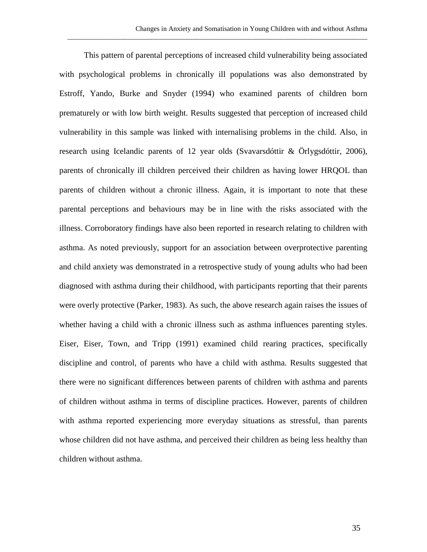This pattern of parental perceptions of increased child vulnerability being associated with psychological problems in chronically ill populations was also demonstrated by Estroff, Yando, Burke and Snyder (1994) who examined parents of children born prematurely or with low birth weight. Results suggested that perception of increased child vulnerability in this sample was linked with internalising problems in the child. Also, in research using Icelandic parents of 12 year olds (Svavarsdóttir & Örlygsdóttir, 2006), parents of chronically ill children perceived their children as having lower HRQOL than parents of children without a chronic illness. Again, it is important to note that these parental perceptions and behaviours may be in line with the risks associated with the illness. Corroboratory findings have also been reported in research relating to children with asthma. As noted previously, support for an association between overprotective parenting and child anxiety was demonstrated in a retrospective study of young adults who had been diagnosed with asthma during their childhood, with participants reporting that their parents were overly protective (Parker, 1983). As such, the above research again raises the issues of whether having a child with a chronic illness such as asthma influences parenting styles. Eiser, Eiser, Town, and Tripp (1991) examined child rearing practices, specifically discipline and control, of parents who have a child with asthma. Results suggested that there were no significant differences between parents of children with asthma and parents of children without asthma in terms of discipline practices. However, parents of children with asthma reported experiencing more everyday situations as stressful, than parents whose children did not have asthma, and perceived their children as being less healthy than children without asthma.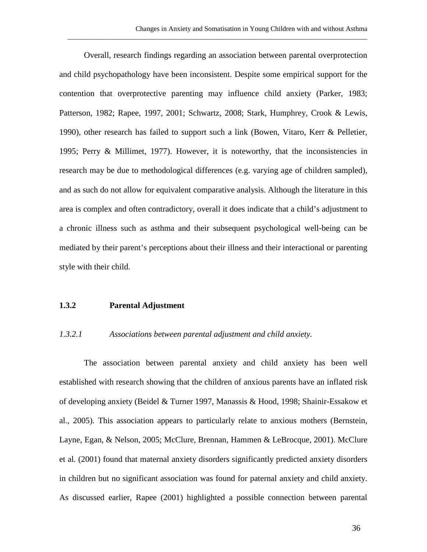Overall, research findings regarding an association between parental overprotection and child psychopathology have been inconsistent. Despite some empirical support for the contention that overprotective parenting may influence child anxiety (Parker, 1983; Patterson, 1982; Rapee, 1997, 2001; Schwartz, 2008; Stark, Humphrey, Crook & Lewis, 1990), other research has failed to support such a link (Bowen, Vitaro, Kerr & Pelletier, 1995; Perry & Millimet, 1977). However, it is noteworthy, that the inconsistencies in research may be due to methodological differences (e.g. varying age of children sampled), and as such do not allow for equivalent comparative analysis. Although the literature in this area is complex and often contradictory, overall it does indicate that a child's adjustment to a chronic illness such as asthma and their subsequent psychological well-being can be mediated by their parent's perceptions about their illness and their interactional or parenting style with their child.

\_\_\_\_\_\_\_\_\_\_\_\_\_\_\_\_\_\_\_\_\_\_\_\_\_\_\_\_\_\_\_\_\_\_\_\_\_\_\_\_\_\_\_\_\_\_\_\_\_\_\_\_\_\_\_\_\_\_\_\_\_\_\_\_\_\_\_\_\_\_\_\_\_\_\_\_\_\_\_\_\_\_\_\_\_\_

### **1.3.2 Parental Adjustment**

### *1.3.2.1 Associations between parental adjustment and child anxiety.*

The association between parental anxiety and child anxiety has been well established with research showing that the children of anxious parents have an inflated risk of developing anxiety (Beidel & Turner 1997, Manassis & Hood, 1998; Shainir-Essakow et al., 2005). This association appears to particularly relate to anxious mothers (Bernstein, Layne, Egan, & Nelson, 2005; McClure, Brennan, Hammen & LeBrocque, 2001). McClure et al. (2001) found that maternal anxiety disorders significantly predicted anxiety disorders in children but no significant association was found for paternal anxiety and child anxiety. As discussed earlier, Rapee (2001) highlighted a possible connection between parental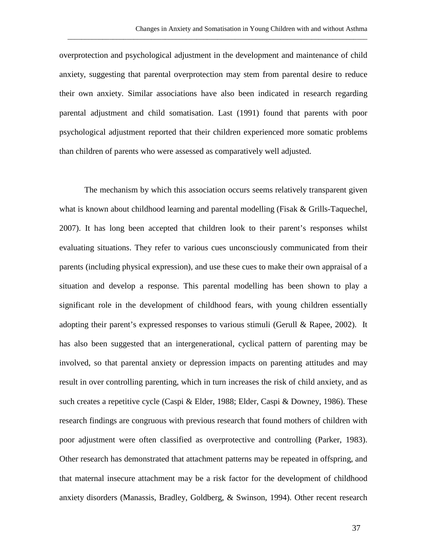overprotection and psychological adjustment in the development and maintenance of child anxiety, suggesting that parental overprotection may stem from parental desire to reduce their own anxiety. Similar associations have also been indicated in research regarding parental adjustment and child somatisation. Last (1991) found that parents with poor psychological adjustment reported that their children experienced more somatic problems than children of parents who were assessed as comparatively well adjusted.

\_\_\_\_\_\_\_\_\_\_\_\_\_\_\_\_\_\_\_\_\_\_\_\_\_\_\_\_\_\_\_\_\_\_\_\_\_\_\_\_\_\_\_\_\_\_\_\_\_\_\_\_\_\_\_\_\_\_\_\_\_\_\_\_\_\_\_\_\_\_\_\_\_\_\_\_\_\_\_\_\_\_\_\_\_\_

The mechanism by which this association occurs seems relatively transparent given what is known about childhood learning and parental modelling (Fisak & Grills-Taquechel, 2007). It has long been accepted that children look to their parent's responses whilst evaluating situations. They refer to various cues unconsciously communicated from their parents (including physical expression), and use these cues to make their own appraisal of a situation and develop a response. This parental modelling has been shown to play a significant role in the development of childhood fears, with young children essentially adopting their parent's expressed responses to various stimuli (Gerull & Rapee, 2002). It has also been suggested that an intergenerational, cyclical pattern of parenting may be involved, so that parental anxiety or depression impacts on parenting attitudes and may result in over controlling parenting, which in turn increases the risk of child anxiety, and as such creates a repetitive cycle (Caspi & Elder, 1988; Elder, Caspi & Downey, 1986). These research findings are congruous with previous research that found mothers of children with poor adjustment were often classified as overprotective and controlling (Parker, 1983). Other research has demonstrated that attachment patterns may be repeated in offspring, and that maternal insecure attachment may be a risk factor for the development of childhood anxiety disorders (Manassis, Bradley, Goldberg, & Swinson, 1994). Other recent research

37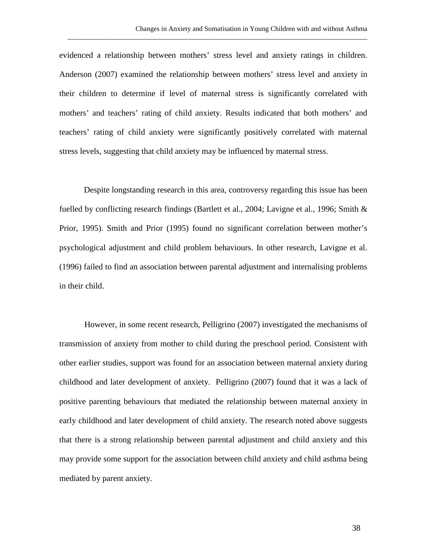evidenced a relationship between mothers' stress level and anxiety ratings in children. Anderson (2007) examined the relationship between mothers' stress level and anxiety in their children to determine if level of maternal stress is significantly correlated with mothers' and teachers' rating of child anxiety. Results indicated that both mothers' and teachers' rating of child anxiety were significantly positively correlated with maternal stress levels, suggesting that child anxiety may be influenced by maternal stress.

\_\_\_\_\_\_\_\_\_\_\_\_\_\_\_\_\_\_\_\_\_\_\_\_\_\_\_\_\_\_\_\_\_\_\_\_\_\_\_\_\_\_\_\_\_\_\_\_\_\_\_\_\_\_\_\_\_\_\_\_\_\_\_\_\_\_\_\_\_\_\_\_\_\_\_\_\_\_\_\_\_\_\_\_\_\_

Despite longstanding research in this area, controversy regarding this issue has been fuelled by conflicting research findings (Bartlett et al., 2004; Lavigne et al., 1996; Smith & Prior, 1995). Smith and Prior (1995) found no significant correlation between mother's psychological adjustment and child problem behaviours. In other research, Lavigne et al. (1996) failed to find an association between parental adjustment and internalising problems in their child.

However, in some recent research, Pelligrino (2007) investigated the mechanisms of transmission of anxiety from mother to child during the preschool period. Consistent with other earlier studies, support was found for an association between maternal anxiety during childhood and later development of anxiety. Pelligrino (2007) found that it was a lack of positive parenting behaviours that mediated the relationship between maternal anxiety in early childhood and later development of child anxiety. The research noted above suggests that there is a strong relationship between parental adjustment and child anxiety and this may provide some support for the association between child anxiety and child asthma being mediated by parent anxiety.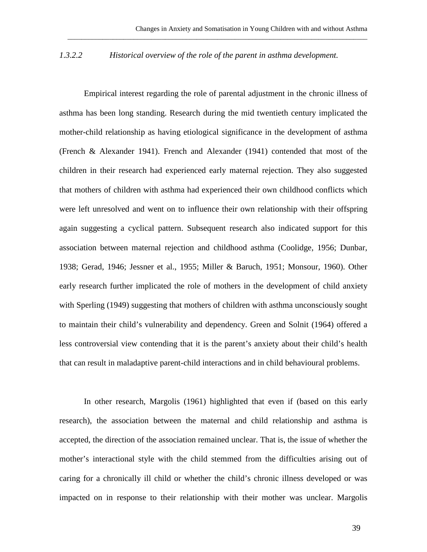### *1.3.2.2 Historical overview of the role of the parent in asthma development.*

\_\_\_\_\_\_\_\_\_\_\_\_\_\_\_\_\_\_\_\_\_\_\_\_\_\_\_\_\_\_\_\_\_\_\_\_\_\_\_\_\_\_\_\_\_\_\_\_\_\_\_\_\_\_\_\_\_\_\_\_\_\_\_\_\_\_\_\_\_\_\_\_\_\_\_\_\_\_\_\_\_\_\_\_\_\_

Empirical interest regarding the role of parental adjustment in the chronic illness of asthma has been long standing. Research during the mid twentieth century implicated the mother-child relationship as having etiological significance in the development of asthma (French & Alexander 1941). French and Alexander (1941) contended that most of the children in their research had experienced early maternal rejection. They also suggested that mothers of children with asthma had experienced their own childhood conflicts which were left unresolved and went on to influence their own relationship with their offspring again suggesting a cyclical pattern. Subsequent research also indicated support for this association between maternal rejection and childhood asthma (Coolidge, 1956; Dunbar, 1938; Gerad, 1946; Jessner et al., 1955; Miller & Baruch, 1951; Monsour, 1960). Other early research further implicated the role of mothers in the development of child anxiety with Sperling (1949) suggesting that mothers of children with asthma unconsciously sought to maintain their child's vulnerability and dependency. Green and Solnit (1964) offered a less controversial view contending that it is the parent's anxiety about their child's health that can result in maladaptive parent-child interactions and in child behavioural problems.

In other research, Margolis (1961) highlighted that even if (based on this early research), the association between the maternal and child relationship and asthma is accepted, the direction of the association remained unclear. That is, the issue of whether the mother's interactional style with the child stemmed from the difficulties arising out of caring for a chronically ill child or whether the child's chronic illness developed or was impacted on in response to their relationship with their mother was unclear. Margolis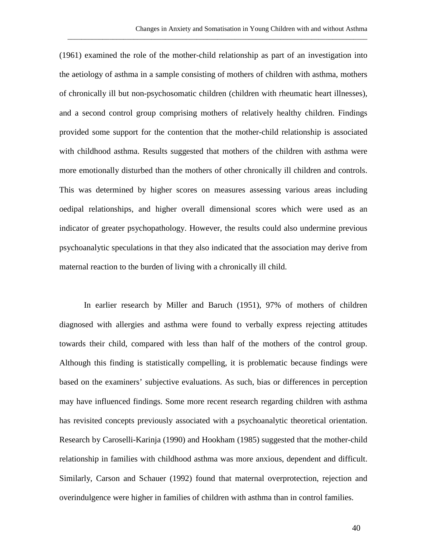(1961) examined the role of the mother-child relationship as part of an investigation into the aetiology of asthma in a sample consisting of mothers of children with asthma, mothers of chronically ill but non-psychosomatic children (children with rheumatic heart illnesses), and a second control group comprising mothers of relatively healthy children. Findings provided some support for the contention that the mother-child relationship is associated with childhood asthma. Results suggested that mothers of the children with asthma were more emotionally disturbed than the mothers of other chronically ill children and controls. This was determined by higher scores on measures assessing various areas including oedipal relationships, and higher overall dimensional scores which were used as an indicator of greater psychopathology. However, the results could also undermine previous psychoanalytic speculations in that they also indicated that the association may derive from maternal reaction to the burden of living with a chronically ill child.

\_\_\_\_\_\_\_\_\_\_\_\_\_\_\_\_\_\_\_\_\_\_\_\_\_\_\_\_\_\_\_\_\_\_\_\_\_\_\_\_\_\_\_\_\_\_\_\_\_\_\_\_\_\_\_\_\_\_\_\_\_\_\_\_\_\_\_\_\_\_\_\_\_\_\_\_\_\_\_\_\_\_\_\_\_\_

In earlier research by Miller and Baruch (1951), 97% of mothers of children diagnosed with allergies and asthma were found to verbally express rejecting attitudes towards their child, compared with less than half of the mothers of the control group. Although this finding is statistically compelling, it is problematic because findings were based on the examiners' subjective evaluations. As such, bias or differences in perception may have influenced findings. Some more recent research regarding children with asthma has revisited concepts previously associated with a psychoanalytic theoretical orientation. Research by Caroselli-Karinja (1990) and Hookham (1985) suggested that the mother-child relationship in families with childhood asthma was more anxious, dependent and difficult. Similarly, Carson and Schauer (1992) found that maternal overprotection, rejection and overindulgence were higher in families of children with asthma than in control families.

40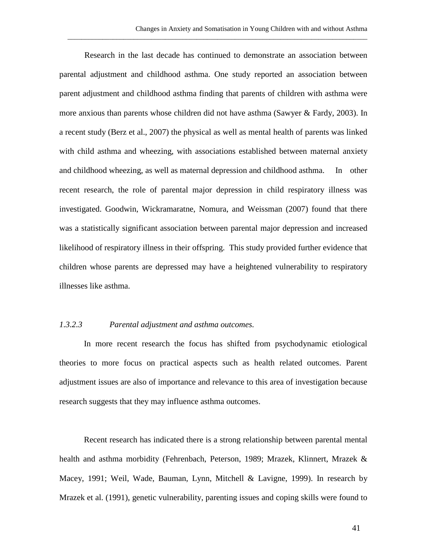Research in the last decade has continued to demonstrate an association between parental adjustment and childhood asthma. One study reported an association between parent adjustment and childhood asthma finding that parents of children with asthma were more anxious than parents whose children did not have asthma (Sawyer & Fardy, 2003). In a recent study (Berz et al., 2007) the physical as well as mental health of parents was linked with child asthma and wheezing, with associations established between maternal anxiety and childhood wheezing, as well as maternal depression and childhood asthma. In other recent research, the role of parental major depression in child respiratory illness was investigated. Goodwin, Wickramaratne, Nomura, and Weissman (2007) found that there was a statistically significant association between parental major depression and increased likelihood of respiratory illness in their offspring. This study provided further evidence that children whose parents are depressed may have a heightened vulnerability to respiratory illnesses like asthma.

\_\_\_\_\_\_\_\_\_\_\_\_\_\_\_\_\_\_\_\_\_\_\_\_\_\_\_\_\_\_\_\_\_\_\_\_\_\_\_\_\_\_\_\_\_\_\_\_\_\_\_\_\_\_\_\_\_\_\_\_\_\_\_\_\_\_\_\_\_\_\_\_\_\_\_\_\_\_\_\_\_\_\_\_\_\_

### *1.3.2.3 Parental adjustment and asthma outcomes.*

In more recent research the focus has shifted from psychodynamic etiological theories to more focus on practical aspects such as health related outcomes. Parent adjustment issues are also of importance and relevance to this area of investigation because research suggests that they may influence asthma outcomes.

Recent research has indicated there is a strong relationship between parental mental health and asthma morbidity (Fehrenbach, Peterson, 1989; Mrazek, Klinnert, Mrazek & Macey, 1991; Weil, Wade, Bauman, Lynn, Mitchell & Lavigne, 1999). In research by Mrazek et al. (1991), genetic vulnerability, parenting issues and coping skills were found to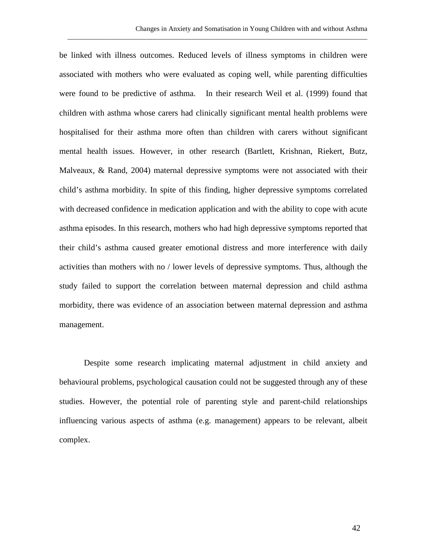be linked with illness outcomes. Reduced levels of illness symptoms in children were associated with mothers who were evaluated as coping well, while parenting difficulties were found to be predictive of asthma. In their research Weil et al. (1999) found that children with asthma whose carers had clinically significant mental health problems were hospitalised for their asthma more often than children with carers without significant mental health issues. However, in other research (Bartlett, Krishnan, Riekert, Butz, Malveaux, & Rand, 2004) maternal depressive symptoms were not associated with their child's asthma morbidity. In spite of this finding, higher depressive symptoms correlated with decreased confidence in medication application and with the ability to cope with acute asthma episodes. In this research, mothers who had high depressive symptoms reported that their child's asthma caused greater emotional distress and more interference with daily activities than mothers with no / lower levels of depressive symptoms. Thus, although the study failed to support the correlation between maternal depression and child asthma morbidity, there was evidence of an association between maternal depression and asthma management.

\_\_\_\_\_\_\_\_\_\_\_\_\_\_\_\_\_\_\_\_\_\_\_\_\_\_\_\_\_\_\_\_\_\_\_\_\_\_\_\_\_\_\_\_\_\_\_\_\_\_\_\_\_\_\_\_\_\_\_\_\_\_\_\_\_\_\_\_\_\_\_\_\_\_\_\_\_\_\_\_\_\_\_\_\_\_

Despite some research implicating maternal adjustment in child anxiety and behavioural problems, psychological causation could not be suggested through any of these studies. However, the potential role of parenting style and parent-child relationships influencing various aspects of asthma (e.g. management) appears to be relevant, albeit complex.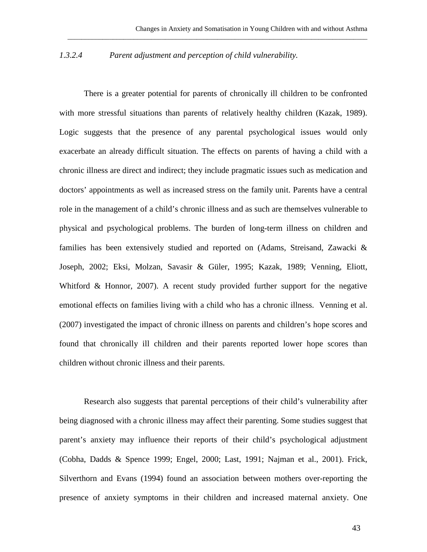### *1.3.2.4 Parent adjustment and perception of child vulnerability.*

There is a greater potential for parents of chronically ill children to be confronted with more stressful situations than parents of relatively healthy children (Kazak, 1989). Logic suggests that the presence of any parental psychological issues would only exacerbate an already difficult situation. The effects on parents of having a child with a chronic illness are direct and indirect; they include pragmatic issues such as medication and doctors' appointments as well as increased stress on the family unit. Parents have a central role in the management of a child's chronic illness and as such are themselves vulnerable to physical and psychological problems. The burden of long-term illness on children and families has been extensively studied and reported on (Adams, Streisand, Zawacki & Joseph, 2002; Eksi, Molzan, Savasir & Güler, 1995; Kazak, 1989; Venning, Eliott, Whitford & Honnor, 2007). A recent study provided further support for the negative emotional effects on families living with a child who has a chronic illness. Venning et al. (2007) investigated the impact of chronic illness on parents and children's hope scores and found that chronically ill children and their parents reported lower hope scores than children without chronic illness and their parents.

Research also suggests that parental perceptions of their child's vulnerability after being diagnosed with a chronic illness may affect their parenting. Some studies suggest that parent's anxiety may influence their reports of their child's psychological adjustment (Cobha, Dadds & Spence 1999; Engel, 2000; Last, 1991; Najman et al., 2001). Frick, Silverthorn and Evans (1994) found an association between mothers over-reporting the presence of anxiety symptoms in their children and increased maternal anxiety. One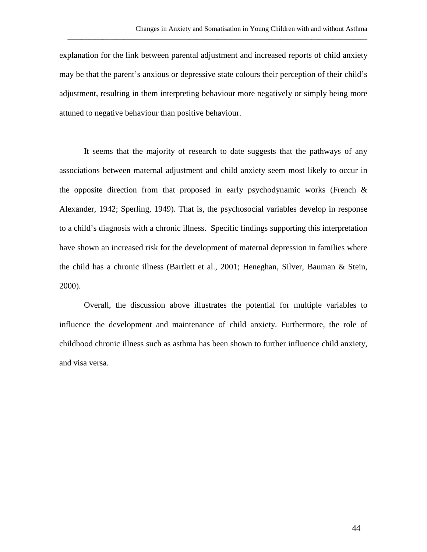explanation for the link between parental adjustment and increased reports of child anxiety may be that the parent's anxious or depressive state colours their perception of their child's adjustment, resulting in them interpreting behaviour more negatively or simply being more attuned to negative behaviour than positive behaviour.

\_\_\_\_\_\_\_\_\_\_\_\_\_\_\_\_\_\_\_\_\_\_\_\_\_\_\_\_\_\_\_\_\_\_\_\_\_\_\_\_\_\_\_\_\_\_\_\_\_\_\_\_\_\_\_\_\_\_\_\_\_\_\_\_\_\_\_\_\_\_\_\_\_\_\_\_\_\_\_\_\_\_\_\_\_\_

It seems that the majority of research to date suggests that the pathways of any associations between maternal adjustment and child anxiety seem most likely to occur in the opposite direction from that proposed in early psychodynamic works (French  $\&$ Alexander, 1942; Sperling, 1949). That is, the psychosocial variables develop in response to a child's diagnosis with a chronic illness. Specific findings supporting this interpretation have shown an increased risk for the development of maternal depression in families where the child has a chronic illness (Bartlett et al., 2001; Heneghan, Silver, Bauman & Stein, 2000).

Overall, the discussion above illustrates the potential for multiple variables to influence the development and maintenance of child anxiety. Furthermore, the role of childhood chronic illness such as asthma has been shown to further influence child anxiety, and visa versa.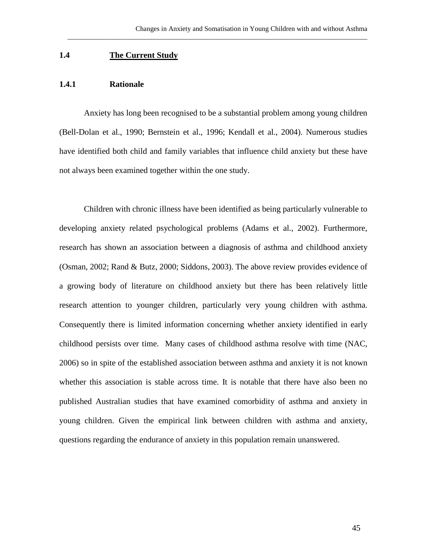### **1.4 The Current Study**

### **1.4.1 Rationale**

Anxiety has long been recognised to be a substantial problem among young children (Bell-Dolan et al., 1990; Bernstein et al., 1996; Kendall et al., 2004). Numerous studies have identified both child and family variables that influence child anxiety but these have not always been examined together within the one study.

\_\_\_\_\_\_\_\_\_\_\_\_\_\_\_\_\_\_\_\_\_\_\_\_\_\_\_\_\_\_\_\_\_\_\_\_\_\_\_\_\_\_\_\_\_\_\_\_\_\_\_\_\_\_\_\_\_\_\_\_\_\_\_\_\_\_\_\_\_\_\_\_\_\_\_\_\_\_\_\_\_\_\_\_\_\_

Children with chronic illness have been identified as being particularly vulnerable to developing anxiety related psychological problems (Adams et al., 2002). Furthermore, research has shown an association between a diagnosis of asthma and childhood anxiety (Osman, 2002; Rand & Butz, 2000; Siddons, 2003). The above review provides evidence of a growing body of literature on childhood anxiety but there has been relatively little research attention to younger children, particularly very young children with asthma. Consequently there is limited information concerning whether anxiety identified in early childhood persists over time. Many cases of childhood asthma resolve with time (NAC, 2006) so in spite of the established association between asthma and anxiety it is not known whether this association is stable across time. It is notable that there have also been no published Australian studies that have examined comorbidity of asthma and anxiety in young children. Given the empirical link between children with asthma and anxiety, questions regarding the endurance of anxiety in this population remain unanswered.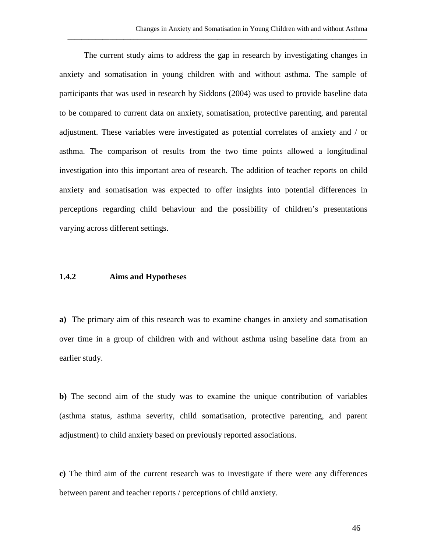The current study aims to address the gap in research by investigating changes in anxiety and somatisation in young children with and without asthma. The sample of participants that was used in research by Siddons (2004) was used to provide baseline data to be compared to current data on anxiety, somatisation, protective parenting, and parental adjustment. These variables were investigated as potential correlates of anxiety and / or asthma. The comparison of results from the two time points allowed a longitudinal investigation into this important area of research. The addition of teacher reports on child anxiety and somatisation was expected to offer insights into potential differences in perceptions regarding child behaviour and the possibility of children's presentations varying across different settings.

\_\_\_\_\_\_\_\_\_\_\_\_\_\_\_\_\_\_\_\_\_\_\_\_\_\_\_\_\_\_\_\_\_\_\_\_\_\_\_\_\_\_\_\_\_\_\_\_\_\_\_\_\_\_\_\_\_\_\_\_\_\_\_\_\_\_\_\_\_\_\_\_\_\_\_\_\_\_\_\_\_\_\_\_\_\_

### **1.4.2 Aims and Hypotheses**

**a)** The primary aim of this research was to examine changes in anxiety and somatisation over time in a group of children with and without asthma using baseline data from an earlier study.

**b)** The second aim of the study was to examine the unique contribution of variables (asthma status, asthma severity, child somatisation, protective parenting, and parent adjustment) to child anxiety based on previously reported associations.

**c)** The third aim of the current research was to investigate if there were any differences between parent and teacher reports / perceptions of child anxiety.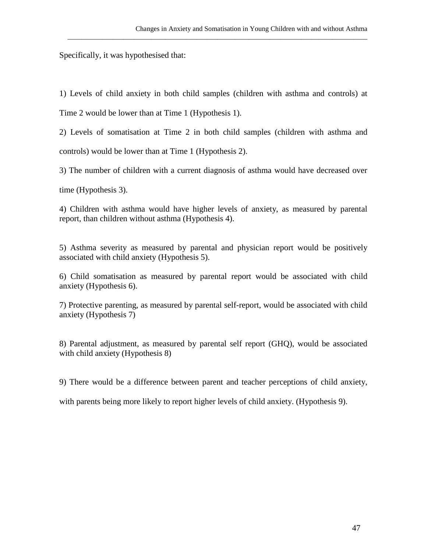Specifically, it was hypothesised that:

1) Levels of child anxiety in both child samples (children with asthma and controls) at

\_\_\_\_\_\_\_\_\_\_\_\_\_\_\_\_\_\_\_\_\_\_\_\_\_\_\_\_\_\_\_\_\_\_\_\_\_\_\_\_\_\_\_\_\_\_\_\_\_\_\_\_\_\_\_\_\_\_\_\_\_\_\_\_\_\_\_\_\_\_\_\_\_\_\_\_\_\_\_\_\_\_\_\_\_\_

Time 2 would be lower than at Time 1 (Hypothesis 1).

2) Levels of somatisation at Time 2 in both child samples (children with asthma and controls) would be lower than at Time 1 (Hypothesis 2).

3) The number of children with a current diagnosis of asthma would have decreased over

time (Hypothesis 3).

4) Children with asthma would have higher levels of anxiety, as measured by parental report, than children without asthma (Hypothesis 4).

5) Asthma severity as measured by parental and physician report would be positively associated with child anxiety (Hypothesis 5).

6) Child somatisation as measured by parental report would be associated with child anxiety (Hypothesis 6).

7) Protective parenting, as measured by parental self-report, would be associated with child anxiety (Hypothesis 7)

8) Parental adjustment, as measured by parental self report (GHQ), would be associated with child anxiety (Hypothesis 8)

9) There would be a difference between parent and teacher perceptions of child anxiety,

with parents being more likely to report higher levels of child anxiety. (Hypothesis 9).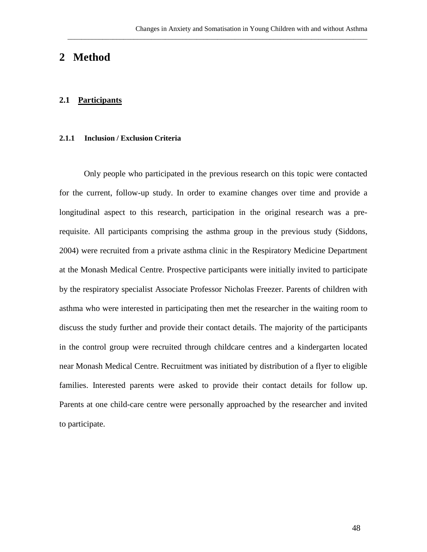# **2 Method**

### **2.1 Participants**

### **2.1.1 Inclusion / Exclusion Criteria**

Only people who participated in the previous research on this topic were contacted for the current, follow-up study. In order to examine changes over time and provide a longitudinal aspect to this research, participation in the original research was a prerequisite. All participants comprising the asthma group in the previous study (Siddons, 2004) were recruited from a private asthma clinic in the Respiratory Medicine Department at the Monash Medical Centre. Prospective participants were initially invited to participate by the respiratory specialist Associate Professor Nicholas Freezer. Parents of children with asthma who were interested in participating then met the researcher in the waiting room to discuss the study further and provide their contact details. The majority of the participants in the control group were recruited through childcare centres and a kindergarten located near Monash Medical Centre. Recruitment was initiated by distribution of a flyer to eligible families. Interested parents were asked to provide their contact details for follow up. Parents at one child-care centre were personally approached by the researcher and invited to participate.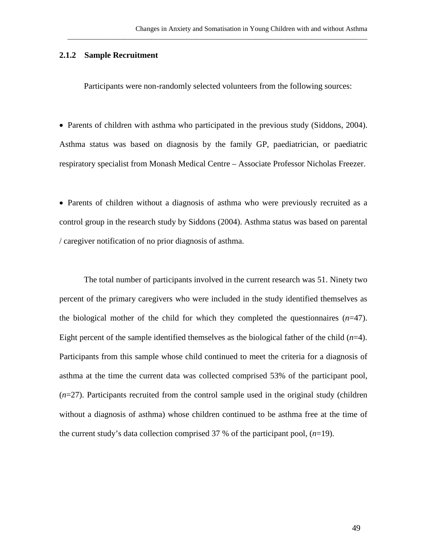### **2.1.2 Sample Recruitment**

Participants were non-randomly selected volunteers from the following sources:

\_\_\_\_\_\_\_\_\_\_\_\_\_\_\_\_\_\_\_\_\_\_\_\_\_\_\_\_\_\_\_\_\_\_\_\_\_\_\_\_\_\_\_\_\_\_\_\_\_\_\_\_\_\_\_\_\_\_\_\_\_\_\_\_\_\_\_\_\_\_\_\_\_\_\_\_\_\_\_\_\_\_\_\_\_\_

• Parents of children with asthma who participated in the previous study (Siddons, 2004). Asthma status was based on diagnosis by the family GP, paediatrician, or paediatric respiratory specialist from Monash Medical Centre – Associate Professor Nicholas Freezer.

• Parents of children without a diagnosis of asthma who were previously recruited as a control group in the research study by Siddons (2004). Asthma status was based on parental / caregiver notification of no prior diagnosis of asthma.

The total number of participants involved in the current research was 51. Ninety two percent of the primary caregivers who were included in the study identified themselves as the biological mother of the child for which they completed the questionnaires  $(n=47)$ . Eight percent of the sample identified themselves as the biological father of the child (*n*=4). Participants from this sample whose child continued to meet the criteria for a diagnosis of asthma at the time the current data was collected comprised 53% of the participant pool, (*n*=27). Participants recruited from the control sample used in the original study (children without a diagnosis of asthma) whose children continued to be asthma free at the time of the current study's data collection comprised 37 % of the participant pool, (*n*=19).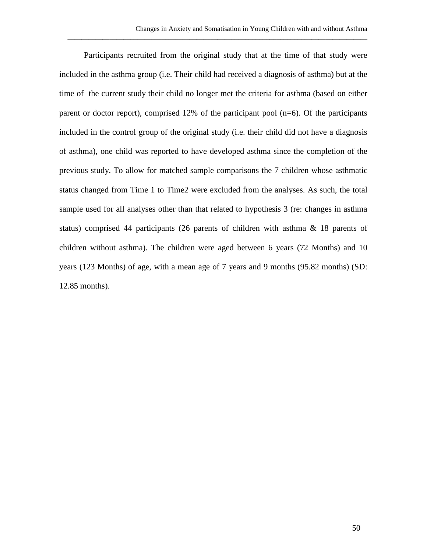Participants recruited from the original study that at the time of that study were included in the asthma group (i.e. Their child had received a diagnosis of asthma) but at the time of the current study their child no longer met the criteria for asthma (based on either parent or doctor report), comprised 12% of the participant pool (n=6). Of the participants included in the control group of the original study (i.e. their child did not have a diagnosis of asthma), one child was reported to have developed asthma since the completion of the previous study. To allow for matched sample comparisons the 7 children whose asthmatic status changed from Time 1 to Time2 were excluded from the analyses. As such, the total sample used for all analyses other than that related to hypothesis 3 (re: changes in asthma status) comprised 44 participants (26 parents of children with asthma & 18 parents of children without asthma). The children were aged between 6 years (72 Months) and 10 years (123 Months) of age, with a mean age of 7 years and 9 months (95.82 months) (SD: 12.85 months).

\_\_\_\_\_\_\_\_\_\_\_\_\_\_\_\_\_\_\_\_\_\_\_\_\_\_\_\_\_\_\_\_\_\_\_\_\_\_\_\_\_\_\_\_\_\_\_\_\_\_\_\_\_\_\_\_\_\_\_\_\_\_\_\_\_\_\_\_\_\_\_\_\_\_\_\_\_\_\_\_\_\_\_\_\_\_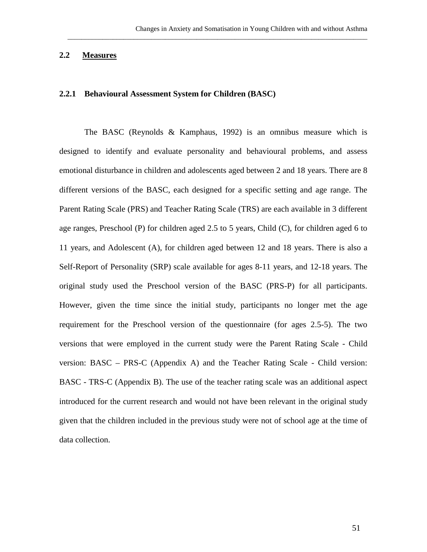### **2.2 Measures**

### **2.2.1 Behavioural Assessment System for Children (BASC)**

The BASC (Reynolds & Kamphaus, 1992) is an omnibus measure which is designed to identify and evaluate personality and behavioural problems, and assess emotional disturbance in children and adolescents aged between 2 and 18 years. There are 8 different versions of the BASC, each designed for a specific setting and age range. The Parent Rating Scale (PRS) and Teacher Rating Scale (TRS) are each available in 3 different age ranges, Preschool (P) for children aged 2.5 to 5 years, Child (C), for children aged 6 to 11 years, and Adolescent (A), for children aged between 12 and 18 years. There is also a Self-Report of Personality (SRP) scale available for ages 8-11 years, and 12-18 years. The original study used the Preschool version of the BASC (PRS-P) for all participants. However, given the time since the initial study, participants no longer met the age requirement for the Preschool version of the questionnaire (for ages 2.5-5). The two versions that were employed in the current study were the Parent Rating Scale - Child version: BASC – PRS-C (Appendix A) and the Teacher Rating Scale - Child version: BASC - TRS-C (Appendix B). The use of the teacher rating scale was an additional aspect introduced for the current research and would not have been relevant in the original study given that the children included in the previous study were not of school age at the time of data collection.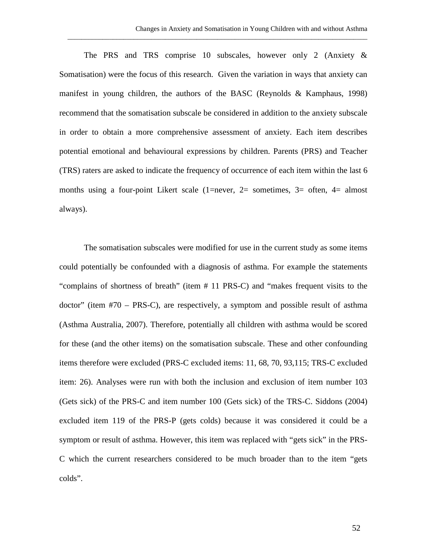The PRS and TRS comprise 10 subscales, however only 2 (Anxiety & Somatisation) were the focus of this research. Given the variation in ways that anxiety can manifest in young children, the authors of the BASC (Reynolds & Kamphaus, 1998) recommend that the somatisation subscale be considered in addition to the anxiety subscale in order to obtain a more comprehensive assessment of anxiety. Each item describes potential emotional and behavioural expressions by children. Parents (PRS) and Teacher (TRS) raters are asked to indicate the frequency of occurrence of each item within the last 6 months using a four-point Likert scale (1=never, 2= sometimes, 3= often, 4= almost always).

\_\_\_\_\_\_\_\_\_\_\_\_\_\_\_\_\_\_\_\_\_\_\_\_\_\_\_\_\_\_\_\_\_\_\_\_\_\_\_\_\_\_\_\_\_\_\_\_\_\_\_\_\_\_\_\_\_\_\_\_\_\_\_\_\_\_\_\_\_\_\_\_\_\_\_\_\_\_\_\_\_\_\_\_\_\_

The somatisation subscales were modified for use in the current study as some items could potentially be confounded with a diagnosis of asthma. For example the statements "complains of shortness of breath" (item # 11 PRS-C) and "makes frequent visits to the doctor" (item #70 – PRS-C), are respectively, a symptom and possible result of asthma (Asthma Australia, 2007). Therefore, potentially all children with asthma would be scored for these (and the other items) on the somatisation subscale. These and other confounding items therefore were excluded (PRS-C excluded items: 11, 68, 70, 93,115; TRS-C excluded item: 26). Analyses were run with both the inclusion and exclusion of item number 103 (Gets sick) of the PRS-C and item number 100 (Gets sick) of the TRS-C. Siddons (2004) excluded item 119 of the PRS-P (gets colds) because it was considered it could be a symptom or result of asthma. However, this item was replaced with "gets sick" in the PRS-C which the current researchers considered to be much broader than to the item "gets colds".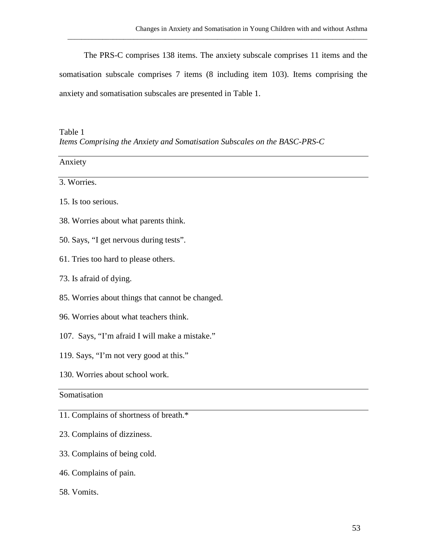The PRS-C comprises 138 items. The anxiety subscale comprises 11 items and the somatisation subscale comprises 7 items (8 including item 103). Items comprising the anxiety and somatisation subscales are presented in Table 1.

\_\_\_\_\_\_\_\_\_\_\_\_\_\_\_\_\_\_\_\_\_\_\_\_\_\_\_\_\_\_\_\_\_\_\_\_\_\_\_\_\_\_\_\_\_\_\_\_\_\_\_\_\_\_\_\_\_\_\_\_\_\_\_\_\_\_\_\_\_\_\_\_\_\_\_\_\_\_\_\_\_\_\_\_\_\_

Table 1 *Items Comprising the Anxiety and Somatisation Subscales on the BASC-PRS-C*

| Anxiety                                          |  |
|--------------------------------------------------|--|
| 3. Worries.                                      |  |
| 15. Is too serious.                              |  |
| 38. Worries about what parents think.            |  |
| 50. Says, "I get nervous during tests".          |  |
| 61. Tries too hard to please others.             |  |
| 73. Is afraid of dying.                          |  |
| 85. Worries about things that cannot be changed. |  |
| 96. Worries about what teachers think.           |  |
| 107. Says, "I'm afraid I will make a mistake."   |  |
| 119. Says, "I'm not very good at this."          |  |
| 130. Worries about school work.                  |  |
| Somatisation                                     |  |
| 11. Complains of shortness of breath.*           |  |

- 23. Complains of dizziness.
- 33. Complains of being cold.
- 46. Complains of pain.
- 58. Vomits.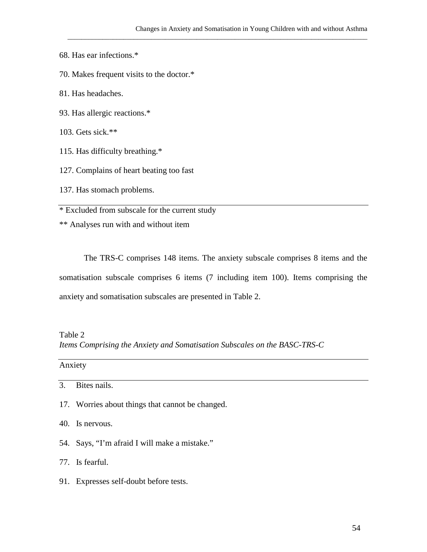- 68. Has ear infections.\*
- 70. Makes frequent visits to the doctor.\*
- 81. Has headaches.
- 93. Has allergic reactions.\*
- 103. Gets sick.\*\*
- 115. Has difficulty breathing.\*
- 127. Complains of heart beating too fast
- 137. Has stomach problems.

\* Excluded from subscale for the current study

\*\* Analyses run with and without item

The TRS-C comprises 148 items. The anxiety subscale comprises 8 items and the somatisation subscale comprises 6 items (7 including item 100). Items comprising the anxiety and somatisation subscales are presented in Table 2.

Table 2

*Items Comprising the Anxiety and Somatisation Subscales on the BASC-TRS-C*

Anxiety

- 17. Worries about things that cannot be changed.
- 40. Is nervous.
- 54. Says, "I'm afraid I will make a mistake."
- 77. Is fearful.
- 91. Expresses self-doubt before tests.

<sup>3.</sup> Bites nails.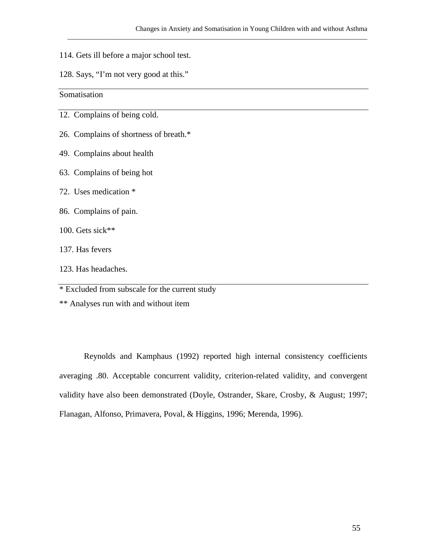- 114. Gets ill before a major school test.
- 128. Says, "I'm not very good at this."

Somatisation

- 12. Complains of being cold.
- 26. Complains of shortness of breath.\*
- 49. Complains about health
- 63. Complains of being hot
- 72. Uses medication \*
- 86. Complains of pain.
- 100. Gets sick\*\*
- 137. Has fevers
- 123. Has headaches.

\* Excluded from subscale for the current study

\*\* Analyses run with and without item

Reynolds and Kamphaus (1992) reported high internal consistency coefficients averaging .80. Acceptable concurrent validity, criterion-related validity, and convergent validity have also been demonstrated (Doyle, Ostrander, Skare, Crosby, & August; 1997; Flanagan, Alfonso, Primavera, Poval, & Higgins, 1996; Merenda, 1996).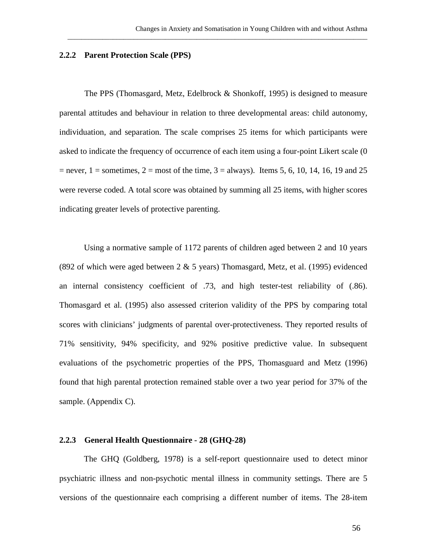#### **2.2.2 Parent Protection Scale (PPS)**

The PPS (Thomasgard, Metz, Edelbrock & Shonkoff, 1995) is designed to measure parental attitudes and behaviour in relation to three developmental areas: child autonomy, individuation, and separation. The scale comprises 25 items for which participants were asked to indicate the frequency of occurrence of each item using a four-point Likert scale (0  $=$  never,  $1 =$  sometimes,  $2 =$  most of the time,  $3 =$  always). Items 5, 6, 10, 14, 16, 19 and 25 were reverse coded. A total score was obtained by summing all 25 items, with higher scores indicating greater levels of protective parenting.

\_\_\_\_\_\_\_\_\_\_\_\_\_\_\_\_\_\_\_\_\_\_\_\_\_\_\_\_\_\_\_\_\_\_\_\_\_\_\_\_\_\_\_\_\_\_\_\_\_\_\_\_\_\_\_\_\_\_\_\_\_\_\_\_\_\_\_\_\_\_\_\_\_\_\_\_\_\_\_\_\_\_\_\_\_\_

Using a normative sample of 1172 parents of children aged between 2 and 10 years (892 of which were aged between  $2 \& 5$  years) Thomasgard, Metz, et al. (1995) evidenced an internal consistency coefficient of .73, and high tester-test reliability of (.86). Thomasgard et al. (1995) also assessed criterion validity of the PPS by comparing total scores with clinicians' judgments of parental over-protectiveness. They reported results of 71% sensitivity, 94% specificity, and 92% positive predictive value. In subsequent evaluations of the psychometric properties of the PPS, Thomasguard and Metz (1996) found that high parental protection remained stable over a two year period for 37% of the sample. (Appendix C).

#### **2.2.3 General Health Questionnaire - 28 (GHQ-28)**

The GHQ (Goldberg, 1978) is a self-report questionnaire used to detect minor psychiatric illness and non-psychotic mental illness in community settings. There are 5 versions of the questionnaire each comprising a different number of items. The 28-item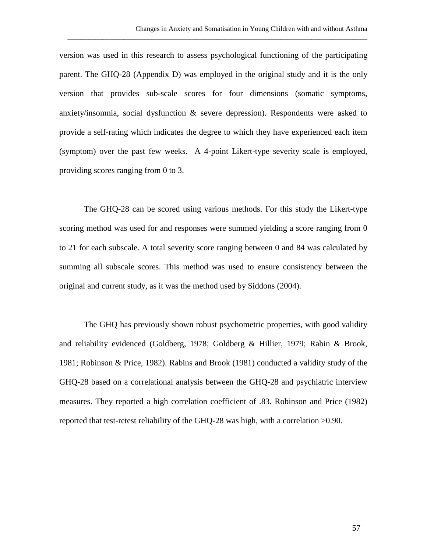version was used in this research to assess psychological functioning of the participating parent. The GHQ-28 (Appendix D) was employed in the original study and it is the only version that provides sub-scale scores for four dimensions (somatic symptoms, anxiety/insomnia, social dysfunction & severe depression). Respondents were asked to provide a self-rating which indicates the degree to which they have experienced each item (symptom) over the past few weeks. A 4-point Likert-type severity scale is employed, providing scores ranging from 0 to 3.

\_\_\_\_\_\_\_\_\_\_\_\_\_\_\_\_\_\_\_\_\_\_\_\_\_\_\_\_\_\_\_\_\_\_\_\_\_\_\_\_\_\_\_\_\_\_\_\_\_\_\_\_\_\_\_\_\_\_\_\_\_\_\_\_\_\_\_\_\_\_\_\_\_\_\_\_\_\_\_\_\_\_\_\_\_\_

The GHQ-28 can be scored using various methods. For this study the Likert-type scoring method was used for and responses were summed yielding a score ranging from 0 to 21 for each subscale. A total severity score ranging between 0 and 84 was calculated by summing all subscale scores. This method was used to ensure consistency between the original and current study, as it was the method used by Siddons (2004).

The GHQ has previously shown robust psychometric properties, with good validity and reliability evidenced (Goldberg, 1978; Goldberg & Hillier, 1979; Rabin & Brook, 1981; Robinson & Price, 1982). Rabins and Brook (1981) conducted a validity study of the GHQ-28 based on a correlational analysis between the GHQ-28 and psychiatric interview measures. They reported a high correlation coefficient of .83. Robinson and Price (1982) reported that test-retest reliability of the GHQ-28 was high, with a correlation >0.90.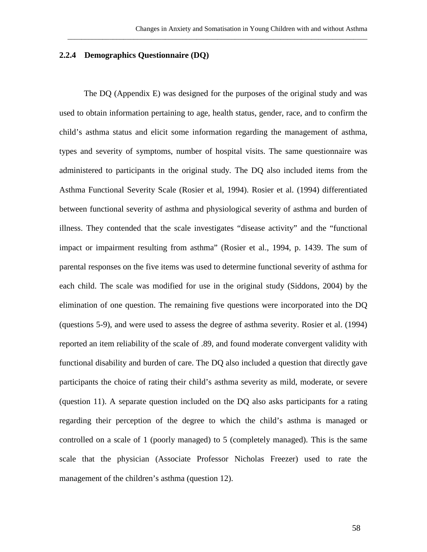### **2.2.4 Demographics Questionnaire (DQ)**

The DQ (Appendix E) was designed for the purposes of the original study and was used to obtain information pertaining to age, health status, gender, race, and to confirm the child's asthma status and elicit some information regarding the management of asthma, types and severity of symptoms, number of hospital visits. The same questionnaire was administered to participants in the original study. The DQ also included items from the Asthma Functional Severity Scale (Rosier et al, 1994). Rosier et al. (1994) differentiated between functional severity of asthma and physiological severity of asthma and burden of illness. They contended that the scale investigates "disease activity" and the "functional impact or impairment resulting from asthma" (Rosier et al., 1994, p. 1439. The sum of parental responses on the five items was used to determine functional severity of asthma for each child. The scale was modified for use in the original study (Siddons, 2004) by the elimination of one question. The remaining five questions were incorporated into the DQ (questions 5-9), and were used to assess the degree of asthma severity. Rosier et al. (1994) reported an item reliability of the scale of .89, and found moderate convergent validity with functional disability and burden of care. The DQ also included a question that directly gave participants the choice of rating their child's asthma severity as mild, moderate, or severe (question 11). A separate question included on the DQ also asks participants for a rating regarding their perception of the degree to which the child's asthma is managed or controlled on a scale of 1 (poorly managed) to 5 (completely managed). This is the same scale that the physician (Associate Professor Nicholas Freezer) used to rate the management of the children's asthma (question 12).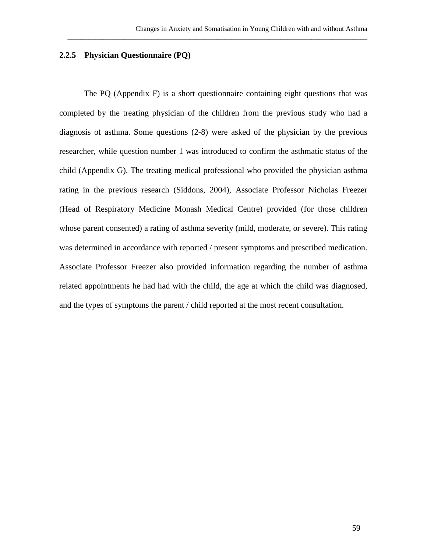## **2.2.5 Physician Questionnaire (PQ)**

The PQ (Appendix F) is a short questionnaire containing eight questions that was completed by the treating physician of the children from the previous study who had a diagnosis of asthma. Some questions (2-8) were asked of the physician by the previous researcher, while question number 1 was introduced to confirm the asthmatic status of the child (Appendix G). The treating medical professional who provided the physician asthma rating in the previous research (Siddons, 2004), Associate Professor Nicholas Freezer (Head of Respiratory Medicine Monash Medical Centre) provided (for those children whose parent consented) a rating of asthma severity (mild, moderate, or severe). This rating was determined in accordance with reported / present symptoms and prescribed medication. Associate Professor Freezer also provided information regarding the number of asthma related appointments he had had with the child, the age at which the child was diagnosed, and the types of symptoms the parent / child reported at the most recent consultation.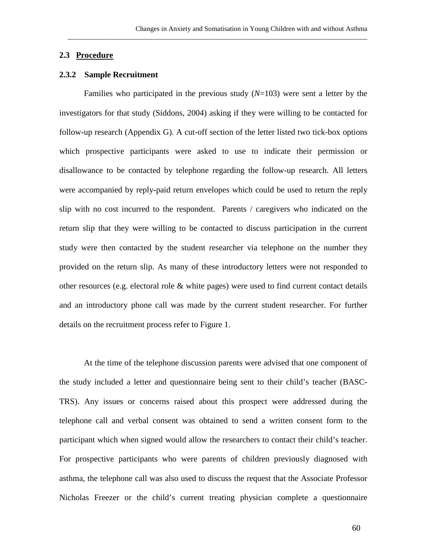### **2.3 Procedure**

### **2.3.2 Sample Recruitment**

Families who participated in the previous study (*N*=103) were sent a letter by the investigators for that study (Siddons, 2004) asking if they were willing to be contacted for follow-up research (Appendix G). A cut-off section of the letter listed two tick-box options which prospective participants were asked to use to indicate their permission or disallowance to be contacted by telephone regarding the follow-up research. All letters were accompanied by reply-paid return envelopes which could be used to return the reply slip with no cost incurred to the respondent. Parents / caregivers who indicated on the return slip that they were willing to be contacted to discuss participation in the current study were then contacted by the student researcher via telephone on the number they provided on the return slip. As many of these introductory letters were not responded to other resources (e.g. electoral role & white pages) were used to find current contact details and an introductory phone call was made by the current student researcher. For further details on the recruitment process refer to Figure 1.

At the time of the telephone discussion parents were advised that one component of the study included a letter and questionnaire being sent to their child's teacher (BASC-TRS). Any issues or concerns raised about this prospect were addressed during the telephone call and verbal consent was obtained to send a written consent form to the participant which when signed would allow the researchers to contact their child's teacher. For prospective participants who were parents of children previously diagnosed with asthma, the telephone call was also used to discuss the request that the Associate Professor Nicholas Freezer or the child's current treating physician complete a questionnaire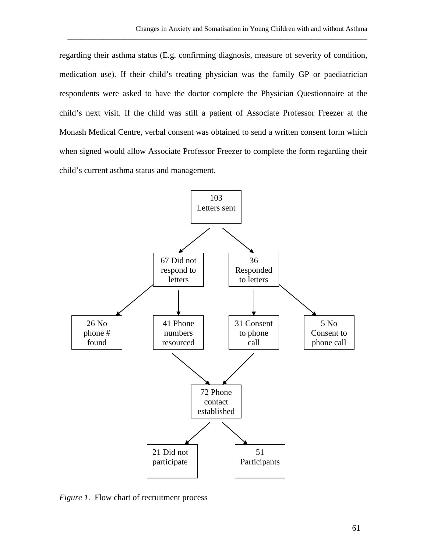regarding their asthma status (E.g. confirming diagnosis, measure of severity of condition, medication use). If their child's treating physician was the family GP or paediatrician respondents were asked to have the doctor complete the Physician Questionnaire at the child's next visit. If the child was still a patient of Associate Professor Freezer at the Monash Medical Centre, verbal consent was obtained to send a written consent form which when signed would allow Associate Professor Freezer to complete the form regarding their child's current asthma status and management.

\_\_\_\_\_\_\_\_\_\_\_\_\_\_\_\_\_\_\_\_\_\_\_\_\_\_\_\_\_\_\_\_\_\_\_\_\_\_\_\_\_\_\_\_\_\_\_\_\_\_\_\_\_\_\_\_\_\_\_\_\_\_\_\_\_\_\_\_\_\_\_\_\_\_\_\_\_\_\_\_\_\_\_\_\_\_



*Figure 1.* Flow chart of recruitment process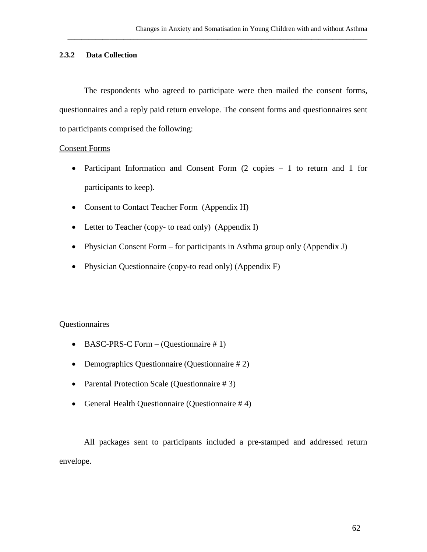## **2.3.2 Data Collection**

The respondents who agreed to participate were then mailed the consent forms, questionnaires and a reply paid return envelope. The consent forms and questionnaires sent to participants comprised the following:

\_\_\_\_\_\_\_\_\_\_\_\_\_\_\_\_\_\_\_\_\_\_\_\_\_\_\_\_\_\_\_\_\_\_\_\_\_\_\_\_\_\_\_\_\_\_\_\_\_\_\_\_\_\_\_\_\_\_\_\_\_\_\_\_\_\_\_\_\_\_\_\_\_\_\_\_\_\_\_\_\_\_\_\_\_\_

#### Consent Forms

- Participant Information and Consent Form (2 copies 1 to return and 1 for participants to keep).
- Consent to Contact Teacher Form (Appendix H)
- Letter to Teacher (copy- to read only) (Appendix I)
- Physician Consent Form for participants in Asthma group only (Appendix J)
- Physician Questionnaire (copy-to read only) (Appendix F)

### Questionnaires

- BASC-PRS-C Form (Questionnaire #1)
- Demographics Questionnaire (Questionnaire # 2)
- Parental Protection Scale (Questionnaire # 3)
- General Health Questionnaire (Questionnaire # 4)

All packages sent to participants included a pre-stamped and addressed return envelope.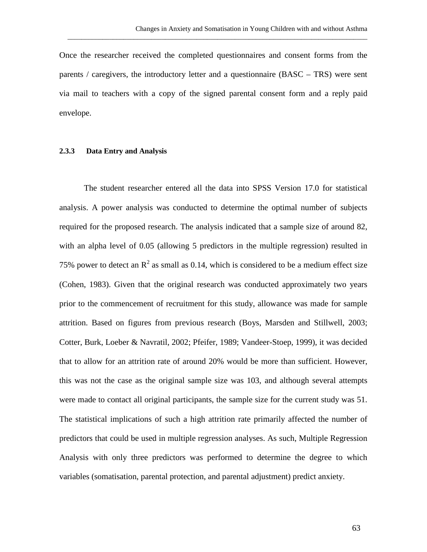Once the researcher received the completed questionnaires and consent forms from the parents / caregivers, the introductory letter and a questionnaire (BASC – TRS) were sent via mail to teachers with a copy of the signed parental consent form and a reply paid envelope.

\_\_\_\_\_\_\_\_\_\_\_\_\_\_\_\_\_\_\_\_\_\_\_\_\_\_\_\_\_\_\_\_\_\_\_\_\_\_\_\_\_\_\_\_\_\_\_\_\_\_\_\_\_\_\_\_\_\_\_\_\_\_\_\_\_\_\_\_\_\_\_\_\_\_\_\_\_\_\_\_\_\_\_\_\_\_

#### **2.3.3 Data Entry and Analysis**

The student researcher entered all the data into SPSS Version 17.0 for statistical analysis. A power analysis was conducted to determine the optimal number of subjects required for the proposed research. The analysis indicated that a sample size of around 82, with an alpha level of 0.05 (allowing 5 predictors in the multiple regression) resulted in 75% power to detect an  $R^2$  as small as 0.14, which is considered to be a medium effect size (Cohen, 1983). Given that the original research was conducted approximately two years prior to the commencement of recruitment for this study, allowance was made for sample attrition. Based on figures from previous research (Boys, Marsden and Stillwell, 2003; Cotter, Burk, Loeber & Navratil, 2002; Pfeifer, 1989; Vandeer-Stoep, 1999), it was decided that to allow for an attrition rate of around 20% would be more than sufficient. However, this was not the case as the original sample size was 103, and although several attempts were made to contact all original participants, the sample size for the current study was 51. The statistical implications of such a high attrition rate primarily affected the number of predictors that could be used in multiple regression analyses. As such, Multiple Regression Analysis with only three predictors was performed to determine the degree to which variables (somatisation, parental protection, and parental adjustment) predict anxiety.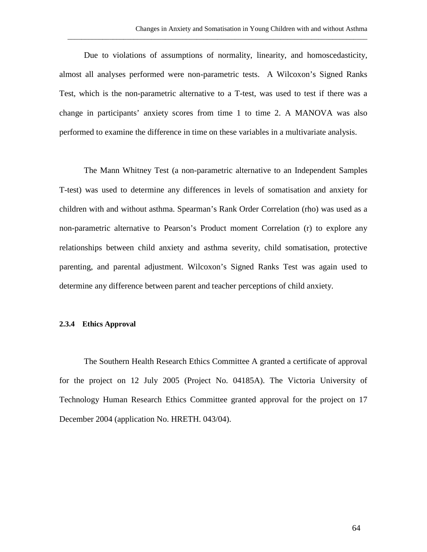Due to violations of assumptions of normality, linearity, and homoscedasticity, almost all analyses performed were non-parametric tests. A Wilcoxon's Signed Ranks Test, which is the non-parametric alternative to a T-test, was used to test if there was a change in participants' anxiety scores from time 1 to time 2. A MANOVA was also performed to examine the difference in time on these variables in a multivariate analysis.

\_\_\_\_\_\_\_\_\_\_\_\_\_\_\_\_\_\_\_\_\_\_\_\_\_\_\_\_\_\_\_\_\_\_\_\_\_\_\_\_\_\_\_\_\_\_\_\_\_\_\_\_\_\_\_\_\_\_\_\_\_\_\_\_\_\_\_\_\_\_\_\_\_\_\_\_\_\_\_\_\_\_\_\_\_\_

The Mann Whitney Test (a non-parametric alternative to an Independent Samples T-test) was used to determine any differences in levels of somatisation and anxiety for children with and without asthma. Spearman's Rank Order Correlation (rho) was used as a non-parametric alternative to Pearson's Product moment Correlation (r) to explore any relationships between child anxiety and asthma severity, child somatisation, protective parenting, and parental adjustment. Wilcoxon's Signed Ranks Test was again used to determine any difference between parent and teacher perceptions of child anxiety.

#### **2.3.4 Ethics Approval**

The Southern Health Research Ethics Committee A granted a certificate of approval for the project on 12 July 2005 (Project No. 04185A). The Victoria University of Technology Human Research Ethics Committee granted approval for the project on 17 December 2004 (application No. HRETH. 043/04).

64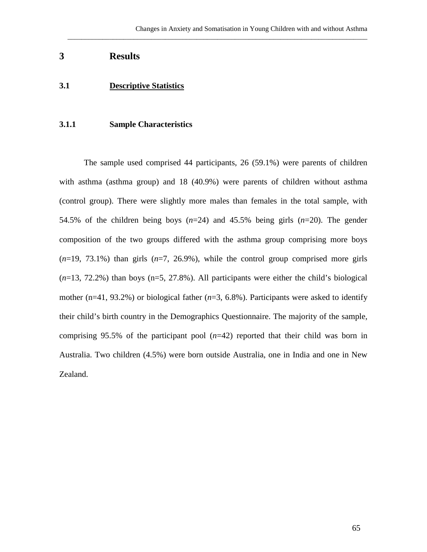\_\_\_\_\_\_\_\_\_\_\_\_\_\_\_\_\_\_\_\_\_\_\_\_\_\_\_\_\_\_\_\_\_\_\_\_\_\_\_\_\_\_\_\_\_\_\_\_\_\_\_\_\_\_\_\_\_\_\_\_\_\_\_\_\_\_\_\_\_\_\_\_\_\_\_\_\_\_\_\_\_\_\_\_\_\_

# **3 Results**

# **3.1 Descriptive Statistics**

## **3.1.1 Sample Characteristics**

The sample used comprised 44 participants, 26 (59.1%) were parents of children with asthma (asthma group) and 18 (40.9%) were parents of children without asthma (control group). There were slightly more males than females in the total sample, with 54.5% of the children being boys (*n*=24) and 45.5% being girls (*n*=20). The gender composition of the two groups differed with the asthma group comprising more boys (*n*=19, 73.1%) than girls (*n*=7, 26.9%), while the control group comprised more girls (*n*=13, 72.2%) than boys (n=5, 27.8%). All participants were either the child's biological mother ( $n=41$ , 93.2%) or biological father ( $n=3$ , 6.8%). Participants were asked to identify their child's birth country in the Demographics Questionnaire. The majority of the sample, comprising 95.5% of the participant pool (*n*=42) reported that their child was born in Australia. Two children (4.5%) were born outside Australia, one in India and one in New Zealand.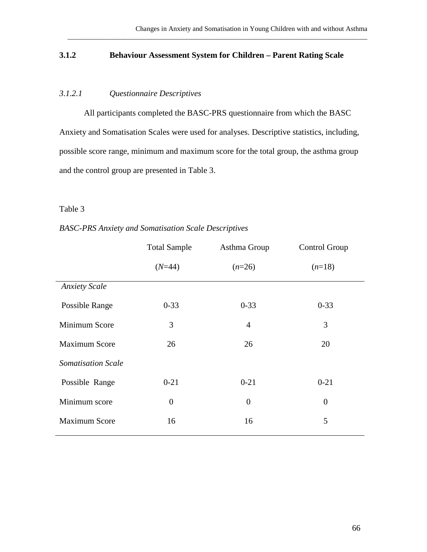# **3.1.2 Behaviour Assessment System for Children – Parent Rating Scale**

\_\_\_\_\_\_\_\_\_\_\_\_\_\_\_\_\_\_\_\_\_\_\_\_\_\_\_\_\_\_\_\_\_\_\_\_\_\_\_\_\_\_\_\_\_\_\_\_\_\_\_\_\_\_\_\_\_\_\_\_\_\_\_\_\_\_\_\_\_\_\_\_\_\_\_\_\_\_\_\_\_\_\_\_\_\_

# *3.1.2.1 Questionnaire Descriptives*

All participants completed the BASC-PRS questionnaire from which the BASC Anxiety and Somatisation Scales were used for analyses. Descriptive statistics, including, possible score range, minimum and maximum score for the total group, the asthma group and the control group are presented in Table 3.

# Table 3

## *BASC-PRS Anxiety and Somatisation Scale Descriptives*

|                           | <b>Total Sample</b> | Asthma Group     | Control Group  |
|---------------------------|---------------------|------------------|----------------|
|                           | $(N=44)$            | $(n=26)$         | $(n=18)$       |
| <b>Anxiety Scale</b>      |                     |                  |                |
| Possible Range            | $0 - 33$            | $0 - 33$         | $0 - 33$       |
| Minimum Score             | 3                   | $\overline{4}$   | 3              |
| <b>Maximum Score</b>      | 26                  | 26               | 20             |
| <b>Somatisation Scale</b> |                     |                  |                |
| Possible Range            | $0 - 21$            | $0 - 21$         | $0 - 21$       |
| Minimum score             | $\boldsymbol{0}$    | $\boldsymbol{0}$ | $\overline{0}$ |
| <b>Maximum Score</b>      | 16                  | 16               | 5              |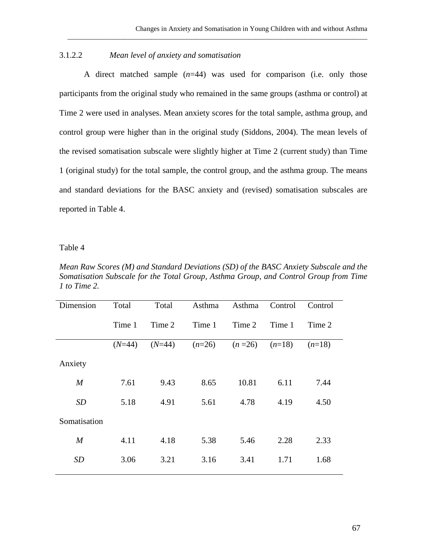# 3.1.2.2 *Mean level of anxiety and somatisation*

A direct matched sample (*n*=44) was used for comparison (i.e. only those participants from the original study who remained in the same groups (asthma or control) at Time 2 were used in analyses. Mean anxiety scores for the total sample, asthma group, and control group were higher than in the original study (Siddons, 2004). The mean levels of the revised somatisation subscale were slightly higher at Time 2 (current study) than Time 1 (original study) for the total sample, the control group, and the asthma group. The means and standard deviations for the BASC anxiety and (revised) somatisation subscales are reported in Table 4.

\_\_\_\_\_\_\_\_\_\_\_\_\_\_\_\_\_\_\_\_\_\_\_\_\_\_\_\_\_\_\_\_\_\_\_\_\_\_\_\_\_\_\_\_\_\_\_\_\_\_\_\_\_\_\_\_\_\_\_\_\_\_\_\_\_\_\_\_\_\_\_\_\_\_\_\_\_\_\_\_\_\_\_\_\_\_

#### Table 4

*Mean Raw Scores (M) and Standard Deviations (SD) of the BASC Anxiety Subscale and the Somatisation Subscale for the Total Group, Asthma Group, and Control Group from Time 1 to Time 2.*

| Dimension        | Total    | Total    | Asthma   | Asthma   | Control  | Control  |
|------------------|----------|----------|----------|----------|----------|----------|
|                  | Time 1   | Time 2   | Time 1   | Time 2   | Time 1   | Time 2   |
|                  | $(N=44)$ | $(N=44)$ | $(n=26)$ | $(n=26)$ | $(n=18)$ | $(n=18)$ |
| Anxiety          |          |          |          |          |          |          |
| $\boldsymbol{M}$ | 7.61     | 9.43     | 8.65     | 10.81    | 6.11     | 7.44     |
| <b>SD</b>        | 5.18     | 4.91     | 5.61     | 4.78     | 4.19     | 4.50     |
| Somatisation     |          |          |          |          |          |          |
| $\boldsymbol{M}$ | 4.11     | 4.18     | 5.38     | 5.46     | 2.28     | 2.33     |
| <b>SD</b>        | 3.06     | 3.21     | 3.16     | 3.41     | 1.71     | 1.68     |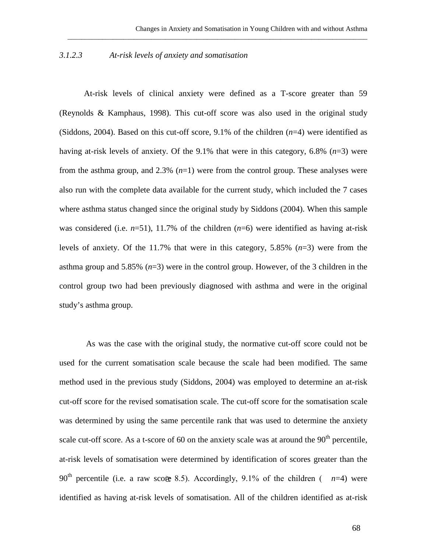\_\_\_\_\_\_\_\_\_\_\_\_\_\_\_\_\_\_\_\_\_\_\_\_\_\_\_\_\_\_\_\_\_\_\_\_\_\_\_\_\_\_\_\_\_\_\_\_\_\_\_\_\_\_\_\_\_\_\_\_\_\_\_\_\_\_\_\_\_\_\_\_\_\_\_\_\_\_\_\_\_\_\_\_\_\_

## *3.1.2.3 At-risk levels of anxiety and somatisation*

At-risk levels of clinical anxiety were defined as a T-score greater than 59 (Reynolds & Kamphaus, 1998). This cut-off score was also used in the original study (Siddons, 2004). Based on this cut-off score, 9.1% of the children (*n*=4) were identified as having at-risk levels of anxiety. Of the 9.1% that were in this category, 6.8% (*n*=3) were from the asthma group, and 2.3% (*n*=1) were from the control group. These analyses were also run with the complete data available for the current study, which included the 7 cases where asthma status changed since the original study by Siddons (2004). When this sample was considered (i.e.  $n=51$ ), 11.7% of the children  $(n=6)$  were identified as having at-risk levels of anxiety. Of the 11.7% that were in this category, 5.85% (*n*=3) were from the asthma group and 5.85% (*n*=3) were in the control group. However, of the 3 children in the control group two had been previously diagnosed with asthma and were in the original study's asthma group.

As was the case with the original study, the normative cut-off score could not be used for the current somatisation scale because the scale had been modified. The same method used in the previous study (Siddons, 2004) was employed to determine an at-risk cut-off score for the revised somatisation scale. The cut-off score for the somatisation scale was determined by using the same percentile rank that was used to determine the anxiety scale cut-off score. As a t-score of 60 on the anxiety scale was at around the  $90<sup>th</sup>$  percentile, at-risk levels of somatisation were determined by identification of scores greater than the 90<sup>th</sup> percentile (i.e. a raw score 8.5). Accordingly, 9.1% of the children ( $n=4$ ) were identified as having at-risk levels of somatisation. All of the children identified as at-risk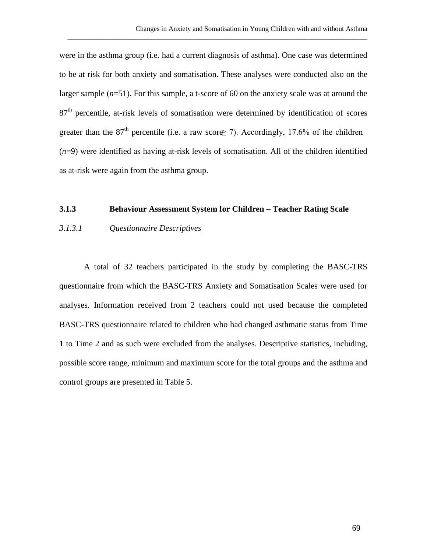were in the asthma group (i.e. had a current diagnosis of asthma). One case was determined to be at risk for both anxiety and somatisation. These analyses were conducted also on the larger sample (*n*=51). For this sample, a t-score of 60 on the anxiety scale was at around the 87<sup>th</sup> percentile, at-risk levels of somatisation were determined by identification of scores greater than the 87<sup>th</sup> percentile (i.e. a raw score  $\geq$  7). Accordingly, 17.6% of the children (*n*=9) were identified as having at-risk levels of somatisation. All of the children identified as at-risk were again from the asthma group.

\_\_\_\_\_\_\_\_\_\_\_\_\_\_\_\_\_\_\_\_\_\_\_\_\_\_\_\_\_\_\_\_\_\_\_\_\_\_\_\_\_\_\_\_\_\_\_\_\_\_\_\_\_\_\_\_\_\_\_\_\_\_\_\_\_\_\_\_\_\_\_\_\_\_\_\_\_\_\_\_\_\_\_\_\_\_

#### **3.1.3 Behaviour Assessment System for Children – Teacher Rating Scale**

#### *3.1.3.1 Questionnaire Descriptives*

A total of 32 teachers participated in the study by completing the BASC-TRS questionnaire from which the BASC-TRS Anxiety and Somatisation Scales were used for analyses. Information received from 2 teachers could not used because the completed BASC-TRS questionnaire related to children who had changed asthmatic status from Time 1 to Time 2 and as such were excluded from the analyses. Descriptive statistics, including, possible score range, minimum and maximum score for the total groups and the asthma and control groups are presented in Table 5.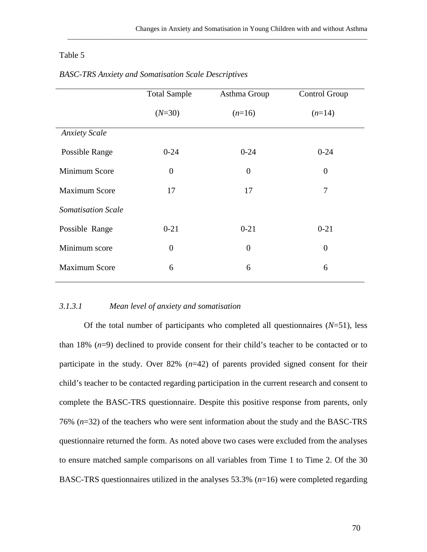\_\_\_\_\_\_\_\_\_\_\_\_\_\_\_\_\_\_\_\_\_\_\_\_\_\_\_\_\_\_\_\_\_\_\_\_\_\_\_\_\_\_\_\_\_\_\_\_\_\_\_\_\_\_\_\_\_\_\_\_\_\_\_\_\_\_\_\_\_\_\_\_\_\_\_\_\_\_\_\_\_\_\_\_\_\_

## Table 5

|                           | <b>Total Sample</b> | Asthma Group     | Control Group  |
|---------------------------|---------------------|------------------|----------------|
|                           | $(N=30)$            | $(n=16)$         | $(n=14)$       |
| <b>Anxiety Scale</b>      |                     |                  |                |
| Possible Range            | $0 - 24$            | $0 - 24$         | $0 - 24$       |
| Minimum Score             | $\theta$            | $\theta$         | $\overline{0}$ |
| <b>Maximum Score</b>      | 17                  | 17               | 7              |
| <b>Somatisation Scale</b> |                     |                  |                |
| Possible Range            | $0 - 21$            | $0 - 21$         | $0 - 21$       |
| Minimum score             | $\overline{0}$      | $\boldsymbol{0}$ | $\overline{0}$ |
| <b>Maximum Score</b>      | 6                   | 6                | 6              |

## *BASC-TRS Anxiety and Somatisation Scale Descriptives*

#### *3.1.3.1 Mean level of anxiety and somatisation*

Of the total number of participants who completed all questionnaires (*N*=51), less than 18% (*n*=9) declined to provide consent for their child's teacher to be contacted or to participate in the study. Over 82% (*n*=42) of parents provided signed consent for their child's teacher to be contacted regarding participation in the current research and consent to complete the BASC-TRS questionnaire. Despite this positive response from parents, only 76% (*n*=32) of the teachers who were sent information about the study and the BASC-TRS questionnaire returned the form. As noted above two cases were excluded from the analyses to ensure matched sample comparisons on all variables from Time 1 to Time 2. Of the 30 BASC-TRS questionnaires utilized in the analyses 53.3% (*n*=16) were completed regarding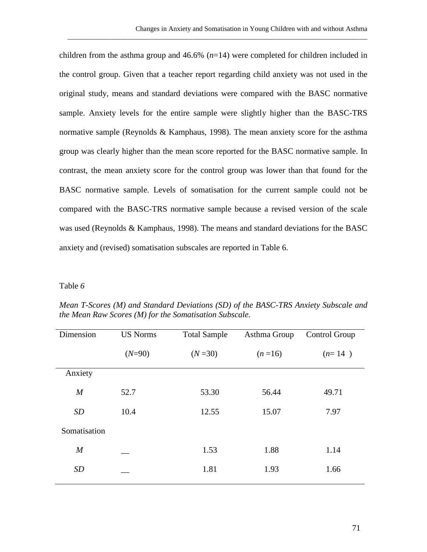children from the asthma group and 46.6% (*n*=14) were completed for children included in the control group. Given that a teacher report regarding child anxiety was not used in the original study, means and standard deviations were compared with the BASC normative sample. Anxiety levels for the entire sample were slightly higher than the BASC-TRS normative sample (Reynolds & Kamphaus, 1998). The mean anxiety score for the asthma group was clearly higher than the mean score reported for the BASC normative sample. In contrast, the mean anxiety score for the control group was lower than that found for the BASC normative sample. Levels of somatisation for the current sample could not be compared with the BASC-TRS normative sample because a revised version of the scale was used (Reynolds & Kamphaus, 1998). The means and standard deviations for the BASC anxiety and (revised) somatisation subscales are reported in Table 6.

\_\_\_\_\_\_\_\_\_\_\_\_\_\_\_\_\_\_\_\_\_\_\_\_\_\_\_\_\_\_\_\_\_\_\_\_\_\_\_\_\_\_\_\_\_\_\_\_\_\_\_\_\_\_\_\_\_\_\_\_\_\_\_\_\_\_\_\_\_\_\_\_\_\_\_\_\_\_\_\_\_\_\_\_\_\_

## Table *6*

| Dimension        | <b>US Norms</b> | <b>Total Sample</b> | Asthma Group | Control Group |
|------------------|-----------------|---------------------|--------------|---------------|
|                  | $(N=90)$        | $(N=30)$            | $(n=16)$     | $(n=14)$      |
| Anxiety          |                 |                     |              |               |
| $\boldsymbol{M}$ | 52.7            | 53.30               | 56.44        | 49.71         |
| SD               | 10.4            | 12.55               | 15.07        | 7.97          |
| Somatisation     |                 |                     |              |               |
| $\boldsymbol{M}$ |                 | 1.53                | 1.88         | 1.14          |
| SD               |                 | 1.81                | 1.93         | 1.66          |
|                  |                 |                     |              |               |

*Mean T-Scores (M) and Standard Deviations (SD) of the BASC-TRS Anxiety Subscale and the Mean Raw Scores (M) for the Somatisation Subscale.*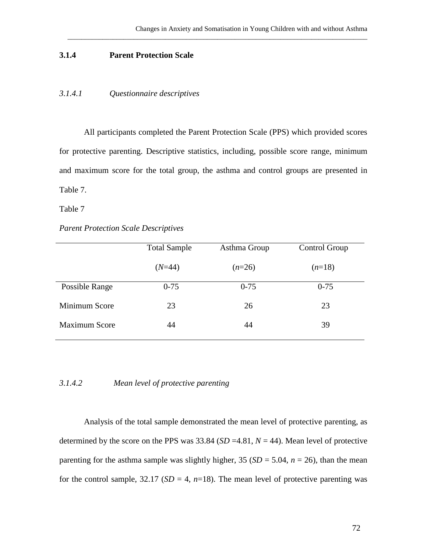## **3.1.4 Parent Protection Scale**

## *3.1.4.1 Questionnaire descriptives*

All participants completed the Parent Protection Scale (PPS) which provided scores for protective parenting. Descriptive statistics, including, possible score range, minimum and maximum score for the total group, the asthma and control groups are presented in Table 7.

\_\_\_\_\_\_\_\_\_\_\_\_\_\_\_\_\_\_\_\_\_\_\_\_\_\_\_\_\_\_\_\_\_\_\_\_\_\_\_\_\_\_\_\_\_\_\_\_\_\_\_\_\_\_\_\_\_\_\_\_\_\_\_\_\_\_\_\_\_\_\_\_\_\_\_\_\_\_\_\_\_\_\_\_\_\_

Table 7

#### *Parent Protection Scale Descriptives*

| <b>Total Sample</b> | Asthma Group | Control Group |
|---------------------|--------------|---------------|
| $(N=44)$            | $(n=26)$     | $(n=18)$      |
| $0 - 75$            | $0 - 75$     | $0 - 75$      |
| 23                  | 26           | 23            |
| 44                  | 44           | 39            |
|                     |              |               |

### *3.1.4.2 Mean level of protective parenting*

Analysis of the total sample demonstrated the mean level of protective parenting, as determined by the score on the PPS was  $33.84$  (*SD* =4.81, *N* = 44). Mean level of protective parenting for the asthma sample was slightly higher,  $35 (SD = 5.04, n = 26)$ , than the mean for the control sample,  $32.17$  ( $SD = 4$ ,  $n=18$ ). The mean level of protective parenting was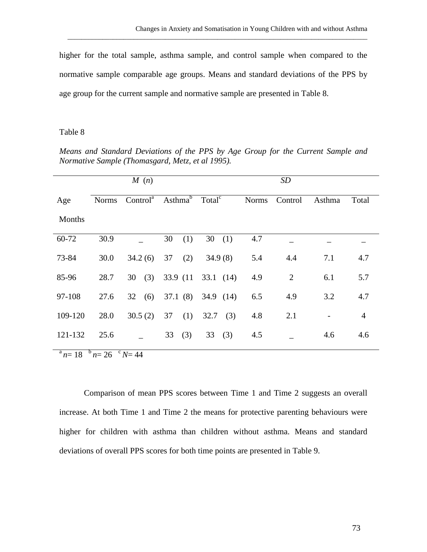higher for the total sample, asthma sample, and control sample when compared to the normative sample comparable age groups. Means and standard deviations of the PPS by age group for the current sample and normative sample are presented in Table 8.

\_\_\_\_\_\_\_\_\_\_\_\_\_\_\_\_\_\_\_\_\_\_\_\_\_\_\_\_\_\_\_\_\_\_\_\_\_\_\_\_\_\_\_\_\_\_\_\_\_\_\_\_\_\_\_\_\_\_\_\_\_\_\_\_\_\_\_\_\_\_\_\_\_\_\_\_\_\_\_\_\_\_\_\_\_\_

#### Table 8

*Means and Standard Deviations of the PPS by Age Group for the Current Sample and Normative Sample (Thomasgard, Metz, et al 1995).*

|         |              | M(n)                 |                     |                    |              | SD             |        |                |
|---------|--------------|----------------------|---------------------|--------------------|--------------|----------------|--------|----------------|
| Age     | <b>Norms</b> | Control <sup>a</sup> | Asthma <sup>6</sup> | Total <sup>c</sup> | <b>Norms</b> | Control        | Asthma | Total          |
| Months  |              |                      |                     |                    |              |                |        |                |
| 60-72   | 30.9         |                      | 30<br>(1)           | 30<br>(1)          | 4.7          |                |        |                |
| 73-84   | 30.0         | 34.2(6)              | (2)<br>37           | 34.9(8)            | 5.4          | 4.4            | 7.1    | 4.7            |
| 85-96   | 28.7         | (3)<br>30            | 33.9 (11            | 33.1 $(14)$        | 4.9          | $\overline{2}$ | 6.1    | 5.7            |
| 97-108  | 27.6         | 32<br>(6)            | 37.1(8)             | 34.9 $(14)$        | 6.5          | 4.9            | 3.2    | 4.7            |
| 109-120 | 28.0         | 30.5(2)              | (1)<br>37           | 32.7<br>(3)        | 4.8          | 2.1            |        | $\overline{4}$ |
| 121-132 | 25.6         |                      | (3)<br>33           | (3)<br>33          | 4.5          |                | 4.6    | 4.6            |

 $n^a n = 18$   $n^b n = 26$   $n^c N = 44$ 

Comparison of mean PPS scores between Time 1 and Time 2 suggests an overall increase. At both Time 1 and Time 2 the means for protective parenting behaviours were higher for children with asthma than children without asthma. Means and standard deviations of overall PPS scores for both time points are presented in Table 9.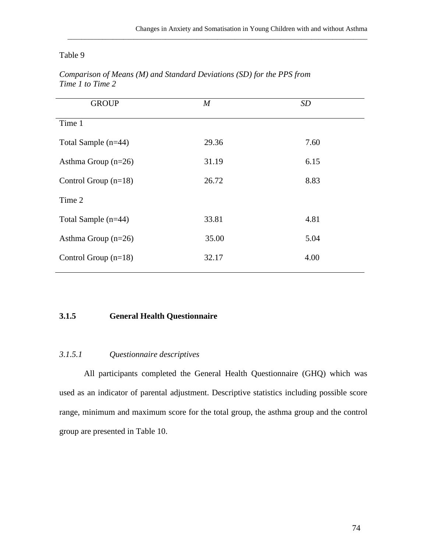\_\_\_\_\_\_\_\_\_\_\_\_\_\_\_\_\_\_\_\_\_\_\_\_\_\_\_\_\_\_\_\_\_\_\_\_\_\_\_\_\_\_\_\_\_\_\_\_\_\_\_\_\_\_\_\_\_\_\_\_\_\_\_\_\_\_\_\_\_\_\_\_\_\_\_\_\_\_\_\_\_\_\_\_\_\_

# Table 9

| <b>GROUP</b>           | $\boldsymbol{M}$ | <b>SD</b> |
|------------------------|------------------|-----------|
| Time 1                 |                  |           |
| Total Sample (n=44)    | 29.36            | 7.60      |
| Asthma Group $(n=26)$  | 31.19            | 6.15      |
| Control Group $(n=18)$ | 26.72            | 8.83      |
| Time 2                 |                  |           |
| Total Sample (n=44)    | 33.81            | 4.81      |
| Asthma Group $(n=26)$  | 35.00            | 5.04      |
| Control Group $(n=18)$ | 32.17            | 4.00      |
|                        |                  |           |

*Comparison of Means (M) and Standard Deviations (SD) for the PPS from Time 1 to Time 2*

## **3.1.5 General Health Questionnaire**

# *3.1.5.1 Questionnaire descriptives*

All participants completed the General Health Questionnaire (GHQ) which was used as an indicator of parental adjustment. Descriptive statistics including possible score range, minimum and maximum score for the total group, the asthma group and the control group are presented in Table 10.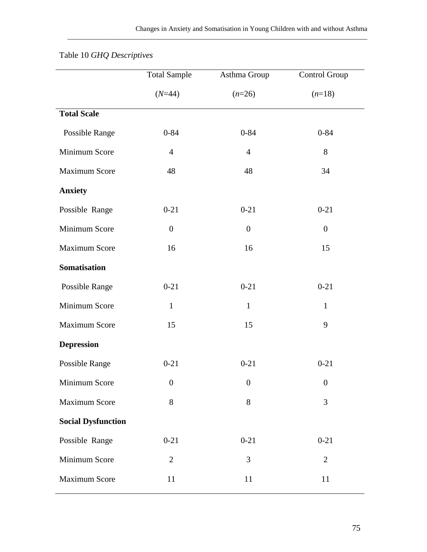\_\_\_\_\_\_\_\_\_\_\_\_\_\_\_\_\_\_\_\_\_\_\_\_\_\_\_\_\_\_\_\_\_\_\_\_\_\_\_\_\_\_\_\_\_\_\_\_\_\_\_\_\_\_\_\_\_\_\_\_\_\_\_\_\_\_\_\_\_\_\_\_\_\_\_\_\_\_\_\_\_\_\_\_\_\_

|                           | <b>Total Sample</b> | Asthma Group     | Control Group    |
|---------------------------|---------------------|------------------|------------------|
|                           | $(N=44)$            | $(n=26)$         | $(n=18)$         |
| <b>Total Scale</b>        |                     |                  |                  |
| Possible Range            | $0 - 84$            | $0 - 84$         | $0 - 84$         |
| Minimum Score             | $\overline{4}$      | $\overline{4}$   | 8                |
| <b>Maximum Score</b>      | 48                  | 48               | 34               |
| <b>Anxiety</b>            |                     |                  |                  |
| Possible Range            | $0 - 21$            | $0 - 21$         | $0 - 21$         |
| Minimum Score             | $\boldsymbol{0}$    | $\overline{0}$   | $\boldsymbol{0}$ |
| <b>Maximum Score</b>      | 16                  | 16               | 15               |
| <b>Somatisation</b>       |                     |                  |                  |
| Possible Range            | $0 - 21$            | $0 - 21$         | $0 - 21$         |
| Minimum Score             | $\mathbf{1}$        | $\mathbf{1}$     | $\mathbf{1}$     |
| <b>Maximum Score</b>      | 15                  | 15               | 9                |
| <b>Depression</b>         |                     |                  |                  |
| <b>Possible Range</b>     | $0 - 21$            | $0 - 21$         | $0 - 21$         |
| Minimum Score             | $\boldsymbol{0}$    | $\boldsymbol{0}$ | $\boldsymbol{0}$ |
| Maximum Score             | 8                   | 8                | 3                |
| <b>Social Dysfunction</b> |                     |                  |                  |
| Possible Range            | $0 - 21$            | $0 - 21$         | $0 - 21$         |
| Minimum Score             | $\overline{2}$      | 3                | $\overline{2}$   |
| <b>Maximum Score</b>      | 11                  | 11               | 11               |

# Table 10 *GHQ Descriptives*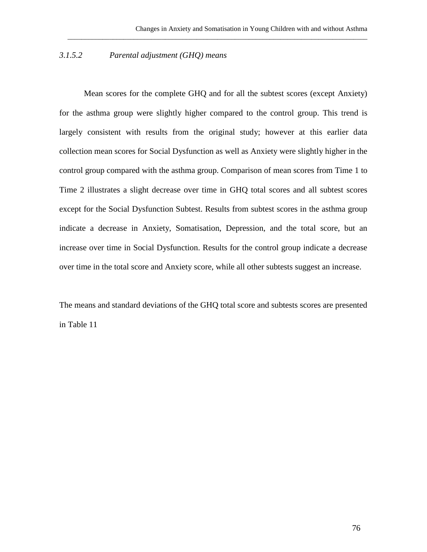## *3.1.5.2 Parental adjustment (GHQ) means*

Mean scores for the complete GHQ and for all the subtest scores (except Anxiety) for the asthma group were slightly higher compared to the control group. This trend is largely consistent with results from the original study; however at this earlier data collection mean scores for Social Dysfunction as well as Anxiety were slightly higher in the control group compared with the asthma group. Comparison of mean scores from Time 1 to Time 2 illustrates a slight decrease over time in GHQ total scores and all subtest scores except for the Social Dysfunction Subtest. Results from subtest scores in the asthma group indicate a decrease in Anxiety, Somatisation, Depression, and the total score, but an increase over time in Social Dysfunction. Results for the control group indicate a decrease over time in the total score and Anxiety score, while all other subtests suggest an increase.

\_\_\_\_\_\_\_\_\_\_\_\_\_\_\_\_\_\_\_\_\_\_\_\_\_\_\_\_\_\_\_\_\_\_\_\_\_\_\_\_\_\_\_\_\_\_\_\_\_\_\_\_\_\_\_\_\_\_\_\_\_\_\_\_\_\_\_\_\_\_\_\_\_\_\_\_\_\_\_\_\_\_\_\_\_\_

The means and standard deviations of the GHQ total score and subtests scores are presented in Table 11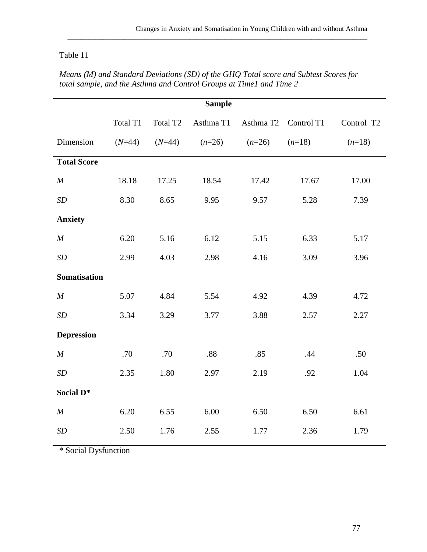# Table 11

|                     |          |                      | <b>Sample</b> |                      |          |            |
|---------------------|----------|----------------------|---------------|----------------------|----------|------------|
|                     | Total T1 | Total T <sub>2</sub> | Asthma T1     | Asthma T2 Control T1 |          | Control T2 |
| Dimension           | $(N=44)$ | $(N=44)$             | $(n=26)$      | $(n=26)$             | $(n=18)$ | $(n=18)$   |
| <b>Total Score</b>  |          |                      |               |                      |          |            |
| M                   | 18.18    | 17.25                | 18.54         | 17.42                | 17.67    | 17.00      |
| SD                  | 8.30     | 8.65                 | 9.95          | 9.57                 | 5.28     | 7.39       |
| <b>Anxiety</b>      |          |                      |               |                      |          |            |
| M                   | 6.20     | 5.16                 | 6.12          | 5.15                 | 6.33     | 5.17       |
| SD                  | 2.99     | 4.03                 | 2.98          | 4.16                 | 3.09     | 3.96       |
| <b>Somatisation</b> |          |                      |               |                      |          |            |
| M                   | 5.07     | 4.84                 | 5.54          | 4.92                 | 4.39     | 4.72       |
| SD                  | 3.34     | 3.29                 | 3.77          | 3.88                 | 2.57     | 2.27       |
| <b>Depression</b>   |          |                      |               |                      |          |            |
| $\cal M$            | .70      | .70                  | .88           | .85                  | .44      | .50        |
| SD                  | 2.35     | 1.80                 | 2.97          | 2.19                 | .92      | 1.04       |
| Social D*           |          |                      |               |                      |          |            |
| M                   | 6.20     | 6.55                 | 6.00          | 6.50                 | 6.50     | 6.61       |
| SD                  | 2.50     | 1.76                 | 2.55          | 1.77                 | 2.36     | 1.79       |
|                     |          |                      |               |                      |          |            |

*Means (M) and Standard Deviations (SD) of the GHQ Total score and Subtest Scores for total sample, and the Asthma and Control Groups at Time1 and Time 2*

\_\_\_\_\_\_\_\_\_\_\_\_\_\_\_\_\_\_\_\_\_\_\_\_\_\_\_\_\_\_\_\_\_\_\_\_\_\_\_\_\_\_\_\_\_\_\_\_\_\_\_\_\_\_\_\_\_\_\_\_\_\_\_\_\_\_\_\_\_\_\_\_\_\_\_\_\_\_\_\_\_\_\_\_\_\_

\* Social Dysfunction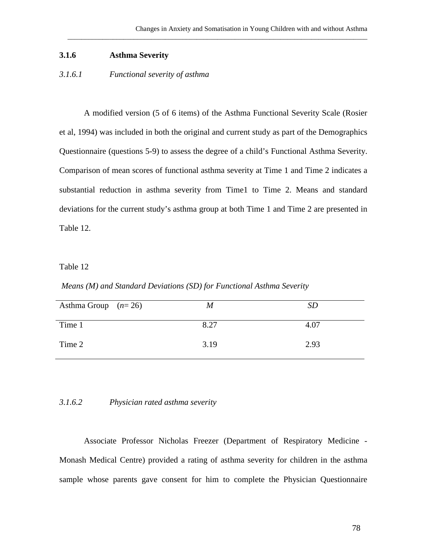#### **3.1.6 Asthma Severity**

## *3.1.6.1 Functional severity of asthma*

A modified version (5 of 6 items) of the Asthma Functional Severity Scale (Rosier et al, 1994) was included in both the original and current study as part of the Demographics Questionnaire (questions 5-9) to assess the degree of a child's Functional Asthma Severity. Comparison of mean scores of functional asthma severity at Time 1 and Time 2 indicates a substantial reduction in asthma severity from Time1 to Time 2. Means and standard deviations for the current study's asthma group at both Time 1 and Time 2 are presented in Table 12.

\_\_\_\_\_\_\_\_\_\_\_\_\_\_\_\_\_\_\_\_\_\_\_\_\_\_\_\_\_\_\_\_\_\_\_\_\_\_\_\_\_\_\_\_\_\_\_\_\_\_\_\_\_\_\_\_\_\_\_\_\_\_\_\_\_\_\_\_\_\_\_\_\_\_\_\_\_\_\_\_\_\_\_\_\_\_

### Table 12

*Means (M) and Standard Deviations (SD) for Functional Asthma Severity*

| Asthma Group $(n=26)$ | M    | <i>SD</i> |
|-----------------------|------|-----------|
| Time 1                | 8.27 | 4.07      |
| Time 2                | 3.19 | 2.93      |

### *3.1.6.2 Physician rated asthma severity*

Associate Professor Nicholas Freezer (Department of Respiratory Medicine - Monash Medical Centre) provided a rating of asthma severity for children in the asthma sample whose parents gave consent for him to complete the Physician Questionnaire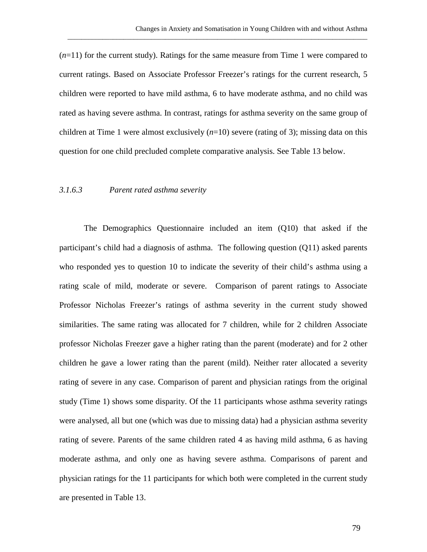(*n*=11) for the current study). Ratings for the same measure from Time 1 were compared to current ratings. Based on Associate Professor Freezer's ratings for the current research, 5 children were reported to have mild asthma, 6 to have moderate asthma, and no child was rated as having severe asthma. In contrast, ratings for asthma severity on the same group of children at Time 1 were almost exclusively  $(n=10)$  severe (rating of 3); missing data on this question for one child precluded complete comparative analysis. See Table 13 below.

\_\_\_\_\_\_\_\_\_\_\_\_\_\_\_\_\_\_\_\_\_\_\_\_\_\_\_\_\_\_\_\_\_\_\_\_\_\_\_\_\_\_\_\_\_\_\_\_\_\_\_\_\_\_\_\_\_\_\_\_\_\_\_\_\_\_\_\_\_\_\_\_\_\_\_\_\_\_\_\_\_\_\_\_\_\_

#### *3.1.6.3 Parent rated asthma severity*

The Demographics Questionnaire included an item (Q10) that asked if the participant's child had a diagnosis of asthma. The following question (Q11) asked parents who responded yes to question 10 to indicate the severity of their child's asthma using a rating scale of mild, moderate or severe. Comparison of parent ratings to Associate Professor Nicholas Freezer's ratings of asthma severity in the current study showed similarities. The same rating was allocated for 7 children, while for 2 children Associate professor Nicholas Freezer gave a higher rating than the parent (moderate) and for 2 other children he gave a lower rating than the parent (mild). Neither rater allocated a severity rating of severe in any case. Comparison of parent and physician ratings from the original study (Time 1) shows some disparity. Of the 11 participants whose asthma severity ratings were analysed, all but one (which was due to missing data) had a physician asthma severity rating of severe. Parents of the same children rated 4 as having mild asthma, 6 as having moderate asthma, and only one as having severe asthma. Comparisons of parent and physician ratings for the 11 participants for which both were completed in the current study are presented in Table 13.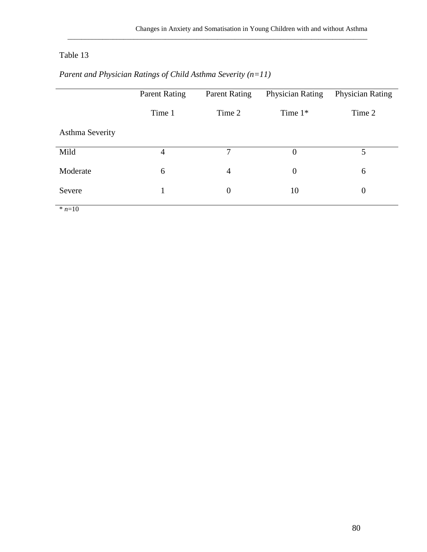# Table 13

|                        | Parent Rating | <b>Parent Rating</b> | <b>Physician Rating</b> | Physician Rating |
|------------------------|---------------|----------------------|-------------------------|------------------|
|                        | Time 1        | Time 2               | Time $1*$               | Time 2           |
| <b>Asthma Severity</b> |               |                      |                         |                  |
| Mild                   | 4             | $\tau$               | $\theta$                | 5                |
| Moderate               | 6             | $\overline{4}$       | $\overline{0}$          | 6                |
| Severe                 |               | $\theta$             | 10                      | $\overline{0}$   |

\_\_\_\_\_\_\_\_\_\_\_\_\_\_\_\_\_\_\_\_\_\_\_\_\_\_\_\_\_\_\_\_\_\_\_\_\_\_\_\_\_\_\_\_\_\_\_\_\_\_\_\_\_\_\_\_\_\_\_\_\_\_\_\_\_\_\_\_\_\_\_\_\_\_\_\_\_\_\_\_\_\_\_\_\_\_

# *Parent and Physician Ratings of Child Asthma Severity (n=11)*

 $\frac{1}{n+10}$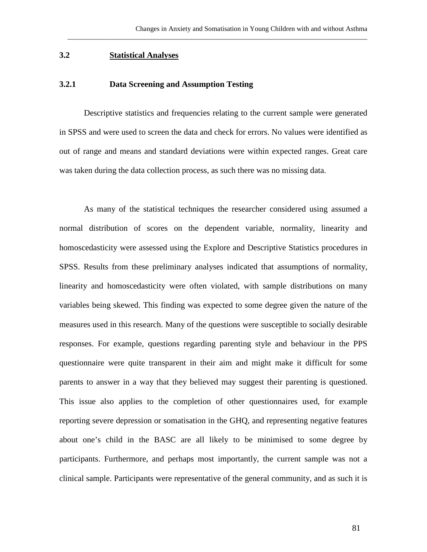## **3.2 Statistical Analyses**

#### **3.2.1 Data Screening and Assumption Testing**

Descriptive statistics and frequencies relating to the current sample were generated in SPSS and were used to screen the data and check for errors. No values were identified as out of range and means and standard deviations were within expected ranges. Great care was taken during the data collection process, as such there was no missing data.

\_\_\_\_\_\_\_\_\_\_\_\_\_\_\_\_\_\_\_\_\_\_\_\_\_\_\_\_\_\_\_\_\_\_\_\_\_\_\_\_\_\_\_\_\_\_\_\_\_\_\_\_\_\_\_\_\_\_\_\_\_\_\_\_\_\_\_\_\_\_\_\_\_\_\_\_\_\_\_\_\_\_\_\_\_\_

As many of the statistical techniques the researcher considered using assumed a normal distribution of scores on the dependent variable, normality, linearity and homoscedasticity were assessed using the Explore and Descriptive Statistics procedures in SPSS. Results from these preliminary analyses indicated that assumptions of normality, linearity and homoscedasticity were often violated, with sample distributions on many variables being skewed. This finding was expected to some degree given the nature of the measures used in this research. Many of the questions were susceptible to socially desirable responses. For example, questions regarding parenting style and behaviour in the PPS questionnaire were quite transparent in their aim and might make it difficult for some parents to answer in a way that they believed may suggest their parenting is questioned. This issue also applies to the completion of other questionnaires used, for example reporting severe depression or somatisation in the GHQ, and representing negative features about one's child in the BASC are all likely to be minimised to some degree by participants. Furthermore, and perhaps most importantly, the current sample was not a clinical sample. Participants were representative of the general community, and as such it is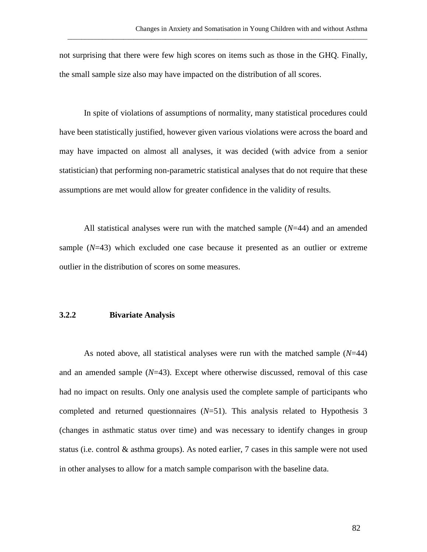not surprising that there were few high scores on items such as those in the GHQ. Finally, the small sample size also may have impacted on the distribution of all scores.

\_\_\_\_\_\_\_\_\_\_\_\_\_\_\_\_\_\_\_\_\_\_\_\_\_\_\_\_\_\_\_\_\_\_\_\_\_\_\_\_\_\_\_\_\_\_\_\_\_\_\_\_\_\_\_\_\_\_\_\_\_\_\_\_\_\_\_\_\_\_\_\_\_\_\_\_\_\_\_\_\_\_\_\_\_\_

In spite of violations of assumptions of normality, many statistical procedures could have been statistically justified, however given various violations were across the board and may have impacted on almost all analyses, it was decided (with advice from a senior statistician) that performing non-parametric statistical analyses that do not require that these assumptions are met would allow for greater confidence in the validity of results.

All statistical analyses were run with the matched sample (*N*=44) and an amended sample (*N*=43) which excluded one case because it presented as an outlier or extreme outlier in the distribution of scores on some measures.

#### **3.2.2 Bivariate Analysis**

As noted above, all statistical analyses were run with the matched sample (*N*=44) and an amended sample (*N*=43). Except where otherwise discussed, removal of this case had no impact on results. Only one analysis used the complete sample of participants who completed and returned questionnaires (*N*=51). This analysis related to Hypothesis 3 (changes in asthmatic status over time) and was necessary to identify changes in group status (i.e. control & asthma groups). As noted earlier, 7 cases in this sample were not used in other analyses to allow for a match sample comparison with the baseline data.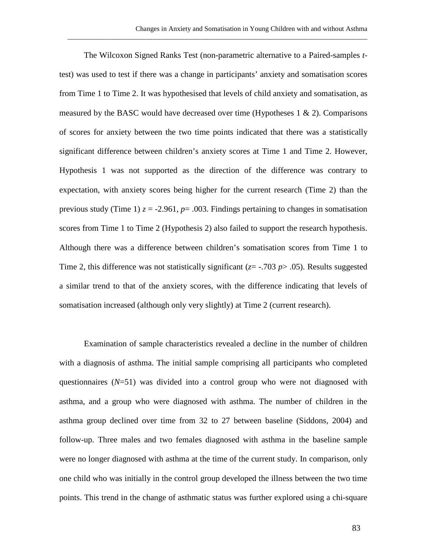The Wilcoxon Signed Ranks Test (non-parametric alternative to a Paired-samples *t*test) was used to test if there was a change in participants' anxiety and somatisation scores from Time 1 to Time 2. It was hypothesised that levels of child anxiety and somatisation, as measured by the BASC would have decreased over time (Hypotheses  $1 \& 2$ ). Comparisons of scores for anxiety between the two time points indicated that there was a statistically significant difference between children's anxiety scores at Time 1 and Time 2. However, Hypothesis 1 was not supported as the direction of the difference was contrary to expectation, with anxiety scores being higher for the current research (Time 2) than the previous study (Time 1)  $z = -2.961$ ,  $p = .003$ . Findings pertaining to changes in somatisation scores from Time 1 to Time 2 (Hypothesis 2) also failed to support the research hypothesis. Although there was a difference between children's somatisation scores from Time 1 to Time 2, this difference was not statistically significant ( $z = -0.703$  *p* $> 0.05$ ). Results suggested a similar trend to that of the anxiety scores, with the difference indicating that levels of somatisation increased (although only very slightly) at Time 2 (current research).

\_\_\_\_\_\_\_\_\_\_\_\_\_\_\_\_\_\_\_\_\_\_\_\_\_\_\_\_\_\_\_\_\_\_\_\_\_\_\_\_\_\_\_\_\_\_\_\_\_\_\_\_\_\_\_\_\_\_\_\_\_\_\_\_\_\_\_\_\_\_\_\_\_\_\_\_\_\_\_\_\_\_\_\_\_\_

Examination of sample characteristics revealed a decline in the number of children with a diagnosis of asthma. The initial sample comprising all participants who completed questionnaires  $(N=51)$  was divided into a control group who were not diagnosed with asthma, and a group who were diagnosed with asthma. The number of children in the asthma group declined over time from 32 to 27 between baseline (Siddons, 2004) and follow-up. Three males and two females diagnosed with asthma in the baseline sample were no longer diagnosed with asthma at the time of the current study. In comparison, only one child who was initially in the control group developed the illness between the two time points. This trend in the change of asthmatic status was further explored using a chi-square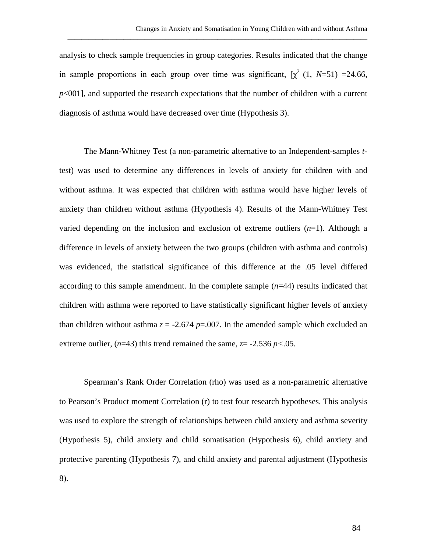analysis to check sample frequencies in group categories. Results indicated that the change in sample proportions in each group over time was significant,  $[\chi^2 (1, N=51) = 24.66,$ *p*<001], and supported the research expectations that the number of children with a current diagnosis of asthma would have decreased over time (Hypothesis 3).

\_\_\_\_\_\_\_\_\_\_\_\_\_\_\_\_\_\_\_\_\_\_\_\_\_\_\_\_\_\_\_\_\_\_\_\_\_\_\_\_\_\_\_\_\_\_\_\_\_\_\_\_\_\_\_\_\_\_\_\_\_\_\_\_\_\_\_\_\_\_\_\_\_\_\_\_\_\_\_\_\_\_\_\_\_\_

The Mann-Whitney Test (a non-parametric alternative to an Independent-samples *t*test) was used to determine any differences in levels of anxiety for children with and without asthma. It was expected that children with asthma would have higher levels of anxiety than children without asthma (Hypothesis 4). Results of the Mann-Whitney Test varied depending on the inclusion and exclusion of extreme outliers (*n*=1). Although a difference in levels of anxiety between the two groups (children with asthma and controls) was evidenced, the statistical significance of this difference at the .05 level differed according to this sample amendment. In the complete sample (*n*=44) results indicated that children with asthma were reported to have statistically significant higher levels of anxiety than children without asthma  $z = -2.674$  *p*=.007. In the amended sample which excluded an extreme outlier,  $(n=43)$  this trend remained the same,  $z = -2.536 \, p < 0.05$ .

Spearman's Rank Order Correlation (rho) was used as a non-parametric alternative to Pearson's Product moment Correlation (r) to test four research hypotheses. This analysis was used to explore the strength of relationships between child anxiety and asthma severity (Hypothesis 5), child anxiety and child somatisation (Hypothesis 6), child anxiety and protective parenting (Hypothesis 7), and child anxiety and parental adjustment (Hypothesis 8).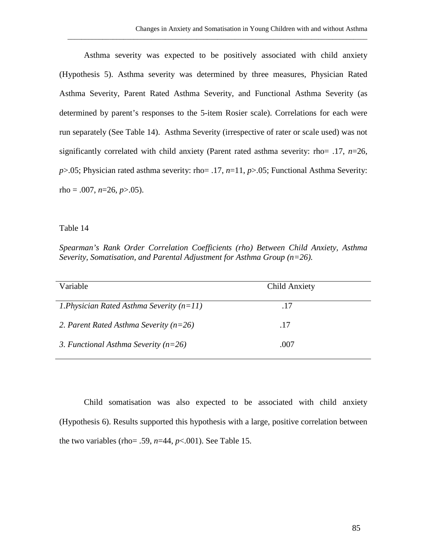Asthma severity was expected to be positively associated with child anxiety (Hypothesis 5). Asthma severity was determined by three measures, Physician Rated Asthma Severity, Parent Rated Asthma Severity, and Functional Asthma Severity (as determined by parent's responses to the 5-item Rosier scale). Correlations for each were run separately (See Table 14). Asthma Severity (irrespective of rater or scale used) was not significantly correlated with child anxiety (Parent rated asthma severity: rho= .17, *n*=26, *p*>.05; Physician rated asthma severity: rho= .17, *n*=11, *p*>.05; Functional Asthma Severity: rho =  $.007$ ,  $n=26$ ,  $p>0.05$ ).

\_\_\_\_\_\_\_\_\_\_\_\_\_\_\_\_\_\_\_\_\_\_\_\_\_\_\_\_\_\_\_\_\_\_\_\_\_\_\_\_\_\_\_\_\_\_\_\_\_\_\_\_\_\_\_\_\_\_\_\_\_\_\_\_\_\_\_\_\_\_\_\_\_\_\_\_\_\_\_\_\_\_\_\_\_\_

Table 14

*Spearman's Rank Order Correlation Coefficients (rho) Between Child Anxiety, Asthma Severity, Somatisation, and Parental Adjustment for Asthma Group (n=26).*

| Variable                                    | Child Anxiety |
|---------------------------------------------|---------------|
| 1. Physician Rated Asthma Severity $(n=11)$ | .17           |
| 2. Parent Rated Asthma Severity ( $n=26$ )  | .17           |
| 3. Functional Asthma Severity ( $n=26$ )    | .007          |

Child somatisation was also expected to be associated with child anxiety (Hypothesis 6). Results supported this hypothesis with a large, positive correlation between the two variables (rho= .59,  $n=44$ ,  $p<.001$ ). See Table 15.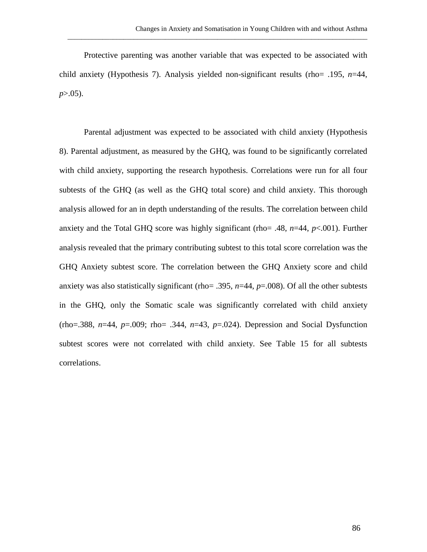Protective parenting was another variable that was expected to be associated with child anxiety (Hypothesis 7). Analysis yielded non-significant results (rho= .195, *n*=44, *p*>.05).

\_\_\_\_\_\_\_\_\_\_\_\_\_\_\_\_\_\_\_\_\_\_\_\_\_\_\_\_\_\_\_\_\_\_\_\_\_\_\_\_\_\_\_\_\_\_\_\_\_\_\_\_\_\_\_\_\_\_\_\_\_\_\_\_\_\_\_\_\_\_\_\_\_\_\_\_\_\_\_\_\_\_\_\_\_\_

Parental adjustment was expected to be associated with child anxiety (Hypothesis 8). Parental adjustment, as measured by the GHQ, was found to be significantly correlated with child anxiety, supporting the research hypothesis. Correlations were run for all four subtests of the GHQ (as well as the GHQ total score) and child anxiety. This thorough analysis allowed for an in depth understanding of the results. The correlation between child anxiety and the Total GHQ score was highly significant (rho= .48, *n*=44, *p*<.001). Further analysis revealed that the primary contributing subtest to this total score correlation was the GHQ Anxiety subtest score. The correlation between the GHQ Anxiety score and child anxiety was also statistically significant (rho= .395, *n*=44, *p*=.008). Of all the other subtests in the GHQ, only the Somatic scale was significantly correlated with child anxiety (rho=.388, *n*=44, *p*=.009; rho= .344, *n*=43, *p*=.024). Depression and Social Dysfunction subtest scores were not correlated with child anxiety. See Table 15 for all subtests correlations.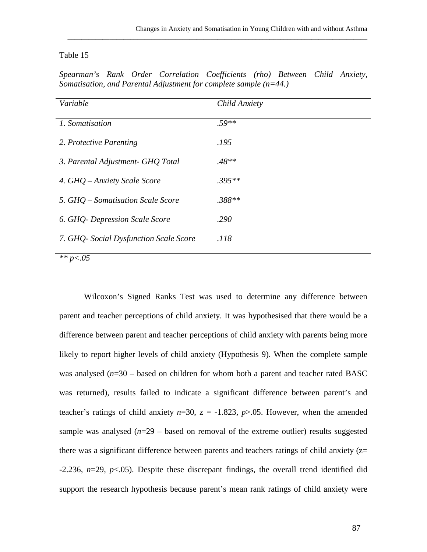## Table 15

|  |  | Spearman's Rank Order Correlation Coefficients (rho) Between Child Anxiety, |  |  |
|--|--|-----------------------------------------------------------------------------|--|--|
|  |  | Somatisation, and Parental Adjustment for complete sample $(n=44)$          |  |  |

\_\_\_\_\_\_\_\_\_\_\_\_\_\_\_\_\_\_\_\_\_\_\_\_\_\_\_\_\_\_\_\_\_\_\_\_\_\_\_\_\_\_\_\_\_\_\_\_\_\_\_\_\_\_\_\_\_\_\_\_\_\_\_\_\_\_\_\_\_\_\_\_\_\_\_\_\_\_\_\_\_\_\_\_\_\_

| Variable                               | Child Anxiety |
|----------------------------------------|---------------|
| 1. Somatisation                        | $.59**$       |
| 2. Protective Parenting                | .195          |
| 3. Parental Adjustment- GHQ Total      | $.48**$       |
| 4. GHQ – Anxiety Scale Score           | $.395**$      |
| 5. GHQ – Somatisation Scale Score      | $.388**$      |
| 6. GHQ-Depression Scale Score          | .290          |
| 7. GHQ- Social Dysfunction Scale Score | .118          |

*\*\* p<.05* 

Wilcoxon's Signed Ranks Test was used to determine any difference between parent and teacher perceptions of child anxiety. It was hypothesised that there would be a difference between parent and teacher perceptions of child anxiety with parents being more likely to report higher levels of child anxiety (Hypothesis 9). When the complete sample was analysed  $(n=30 -$  based on children for whom both a parent and teacher rated BASC was returned), results failed to indicate a significant difference between parent's and teacher's ratings of child anxiety  $n=30$ ,  $z = -1.823$ ,  $p > .05$ . However, when the amended sample was analysed  $(n=29 -$  based on removal of the extreme outlier) results suggested there was a significant difference between parents and teachers ratings of child anxiety  $(z=$ -2.236, *n*=29, *p*<.05). Despite these discrepant findings, the overall trend identified did support the research hypothesis because parent's mean rank ratings of child anxiety were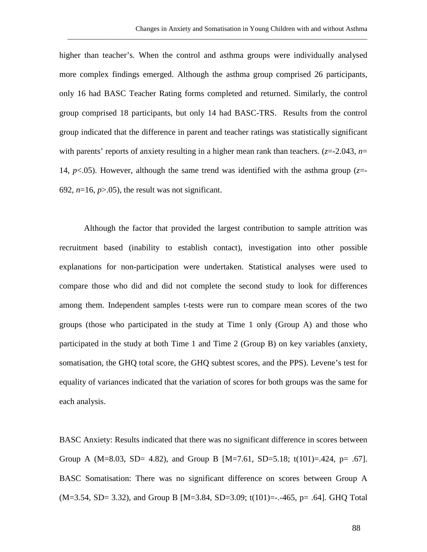higher than teacher's. When the control and asthma groups were individually analysed more complex findings emerged. Although the asthma group comprised 26 participants, only 16 had BASC Teacher Rating forms completed and returned. Similarly, the control group comprised 18 participants, but only 14 had BASC-TRS. Results from the control group indicated that the difference in parent and teacher ratings was statistically significant with parents' reports of anxiety resulting in a higher mean rank than teachers. (*z*=-2.043, *n*= 14,  $p<0.05$ ). However, although the same trend was identified with the asthma group ( $z=$ -692,  $n=16$ ,  $p>0.05$ ), the result was not significant.

\_\_\_\_\_\_\_\_\_\_\_\_\_\_\_\_\_\_\_\_\_\_\_\_\_\_\_\_\_\_\_\_\_\_\_\_\_\_\_\_\_\_\_\_\_\_\_\_\_\_\_\_\_\_\_\_\_\_\_\_\_\_\_\_\_\_\_\_\_\_\_\_\_\_\_\_\_\_\_\_\_\_\_\_\_\_

Although the factor that provided the largest contribution to sample attrition was recruitment based (inability to establish contact), investigation into other possible explanations for non-participation were undertaken. Statistical analyses were used to compare those who did and did not complete the second study to look for differences among them. Independent samples t-tests were run to compare mean scores of the two groups (those who participated in the study at Time 1 only (Group A) and those who participated in the study at both Time 1 and Time 2 (Group B) on key variables (anxiety, somatisation, the GHQ total score, the GHQ subtest scores, and the PPS). Levene's test for equality of variances indicated that the variation of scores for both groups was the same for each analysis.

BASC Anxiety: Results indicated that there was no significant difference in scores between Group A (M=8.03, SD= 4.82), and Group B [M=7.61, SD=5.18; t(101)=.424, p= .67]. BASC Somatisation: There was no significant difference on scores between Group A (M=3.54, SD= 3.32), and Group B [M=3.84, SD=3.09; t(101)=-.-465, p= .64]. GHQ Total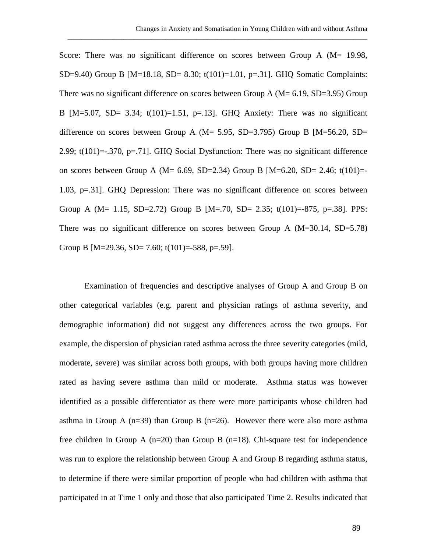Score: There was no significant difference on scores between Group A (M= 19.98, SD=9.40) Group B  $[M=18.18, SD= 8.30; t(101)=1.01, p=.31]$ . GHQ Somatic Complaints: There was no significant difference on scores between Group A ( $M = 6.19$ , SD=3.95) Group B  $[M=5.07, SD= 3.34; t(101)=1.51, p=.13]$ . GHQ Anxiety: There was no significant difference on scores between Group A ( $M = 5.95$ , SD=3.795) Group B [ $M = 56.20$ , SD= 2.99; t(101)=-.370, p=.71]. GHQ Social Dysfunction: There was no significant difference on scores between Group A (M=  $6.69$ , SD=2.34) Group B [M= $6.20$ , SD= 2.46; t(101)= 1.03, p=.31]. GHQ Depression: There was no significant difference on scores between Group A (M= 1.15, SD=2.72) Group B [M=.70, SD= 2.35; t(101)=-875, p=.38]. PPS: There was no significant difference on scores between Group A (M=30.14, SD=5.78) Group B [M=29.36, SD= 7.60; t(101)=-588, p=.59].

\_\_\_\_\_\_\_\_\_\_\_\_\_\_\_\_\_\_\_\_\_\_\_\_\_\_\_\_\_\_\_\_\_\_\_\_\_\_\_\_\_\_\_\_\_\_\_\_\_\_\_\_\_\_\_\_\_\_\_\_\_\_\_\_\_\_\_\_\_\_\_\_\_\_\_\_\_\_\_\_\_\_\_\_\_\_

Examination of frequencies and descriptive analyses of Group A and Group B on other categorical variables (e.g. parent and physician ratings of asthma severity, and demographic information) did not suggest any differences across the two groups. For example, the dispersion of physician rated asthma across the three severity categories (mild, moderate, severe) was similar across both groups, with both groups having more children rated as having severe asthma than mild or moderate. Asthma status was however identified as a possible differentiator as there were more participants whose children had asthma in Group A ( $n=39$ ) than Group B ( $n=26$ ). However there were also more asthma free children in Group A  $(n=20)$  than Group B  $(n=18)$ . Chi-square test for independence was run to explore the relationship between Group A and Group B regarding asthma status, to determine if there were similar proportion of people who had children with asthma that participated in at Time 1 only and those that also participated Time 2. Results indicated that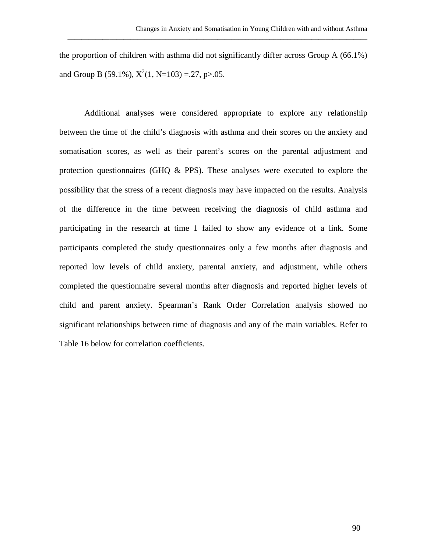the proportion of children with asthma did not significantly differ across Group A (66.1%) and Group B (59.1%),  $X^2(1, N=103) = .27$ , p>.05.

\_\_\_\_\_\_\_\_\_\_\_\_\_\_\_\_\_\_\_\_\_\_\_\_\_\_\_\_\_\_\_\_\_\_\_\_\_\_\_\_\_\_\_\_\_\_\_\_\_\_\_\_\_\_\_\_\_\_\_\_\_\_\_\_\_\_\_\_\_\_\_\_\_\_\_\_\_\_\_\_\_\_\_\_\_\_

Additional analyses were considered appropriate to explore any relationship between the time of the child's diagnosis with asthma and their scores on the anxiety and somatisation scores, as well as their parent's scores on the parental adjustment and protection questionnaires (GHQ & PPS). These analyses were executed to explore the possibility that the stress of a recent diagnosis may have impacted on the results. Analysis of the difference in the time between receiving the diagnosis of child asthma and participating in the research at time 1 failed to show any evidence of a link. Some participants completed the study questionnaires only a few months after diagnosis and reported low levels of child anxiety, parental anxiety, and adjustment, while others completed the questionnaire several months after diagnosis and reported higher levels of child and parent anxiety. Spearman's Rank Order Correlation analysis showed no significant relationships between time of diagnosis and any of the main variables. Refer to Table 16 below for correlation coefficients.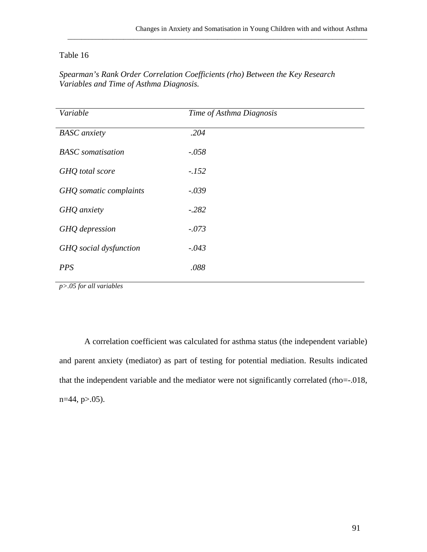## Table 16

| Variable                 | Time of Asthma Diagnosis |  |
|--------------------------|--------------------------|--|
| <b>BASC</b> anxiety      | .204                     |  |
| <b>BASC</b> somatisation | $-.058$                  |  |
| GHQ total score          | $-.152$                  |  |
| GHQ somatic complaints   | $-.039$                  |  |
| GHQ anxiety              | $-.282$                  |  |
| GHQ depression           | $-.073$                  |  |
| GHQ social dysfunction   | $-.043$                  |  |
| <b>PPS</b>               | .088                     |  |
|                          |                          |  |

*Spearman's Rank Order Correlation Coefficients (rho) Between the Key Research Variables and Time of Asthma Diagnosis.*

\_\_\_\_\_\_\_\_\_\_\_\_\_\_\_\_\_\_\_\_\_\_\_\_\_\_\_\_\_\_\_\_\_\_\_\_\_\_\_\_\_\_\_\_\_\_\_\_\_\_\_\_\_\_\_\_\_\_\_\_\_\_\_\_\_\_\_\_\_\_\_\_\_\_\_\_\_\_\_\_\_\_\_\_\_\_

*p>.05 for all variables*

A correlation coefficient was calculated for asthma status (the independent variable) and parent anxiety (mediator) as part of testing for potential mediation. Results indicated that the independent variable and the mediator were not significantly correlated (rho=-.018,  $n=44$ ,  $p>0.05$ ).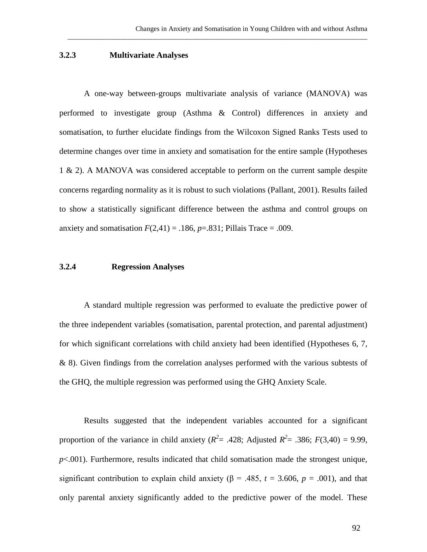### **3.2.3 Multivariate Analyses**

A one-way between-groups multivariate analysis of variance (MANOVA) was performed to investigate group (Asthma & Control) differences in anxiety and somatisation, to further elucidate findings from the Wilcoxon Signed Ranks Tests used to determine changes over time in anxiety and somatisation for the entire sample (Hypotheses 1 & 2). A MANOVA was considered acceptable to perform on the current sample despite concerns regarding normality as it is robust to such violations (Pallant, 2001). Results failed to show a statistically significant difference between the asthma and control groups on anxiety and somatisation  $F(2,41) = .186$ ,  $p=.831$ ; Pillais Trace = .009.

\_\_\_\_\_\_\_\_\_\_\_\_\_\_\_\_\_\_\_\_\_\_\_\_\_\_\_\_\_\_\_\_\_\_\_\_\_\_\_\_\_\_\_\_\_\_\_\_\_\_\_\_\_\_\_\_\_\_\_\_\_\_\_\_\_\_\_\_\_\_\_\_\_\_\_\_\_\_\_\_\_\_\_\_\_\_

#### **3.2.4 Regression Analyses**

A standard multiple regression was performed to evaluate the predictive power of the three independent variables (somatisation, parental protection, and parental adjustment) for which significant correlations with child anxiety had been identified (Hypotheses 6, 7, & 8). Given findings from the correlation analyses performed with the various subtests of the GHQ, the multiple regression was performed using the GHQ Anxiety Scale.

Results suggested that the independent variables accounted for a significant proportion of the variance in child anxiety ( $R^2$  = .428; Adjusted  $R^2$  = .386;  $F(3,40) = 9.99$ , *p*<.001). Furthermore, results indicated that child somatisation made the strongest unique, significant contribution to explain child anxiety ( $\beta$  = .485, *t* = 3.606, *p* = .001), and that only parental anxiety significantly added to the predictive power of the model. These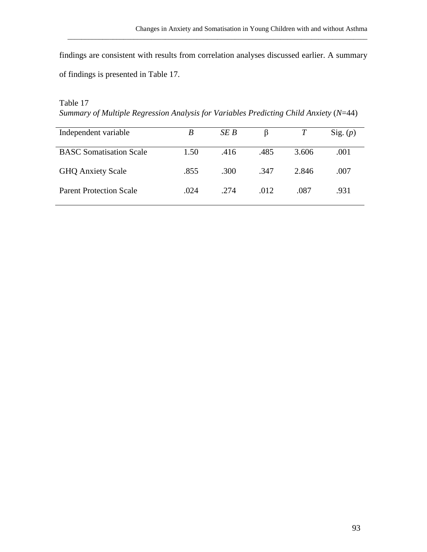findings are consistent with results from correlation analyses discussed earlier. A summary of findings is presented in Table 17.

\_\_\_\_\_\_\_\_\_\_\_\_\_\_\_\_\_\_\_\_\_\_\_\_\_\_\_\_\_\_\_\_\_\_\_\_\_\_\_\_\_\_\_\_\_\_\_\_\_\_\_\_\_\_\_\_\_\_\_\_\_\_\_\_\_\_\_\_\_\_\_\_\_\_\_\_\_\_\_\_\_\_\_\_\_\_

# Table 17

*Summary of Multiple Regression Analysis for Variables Predicting Child Anxiety (N=44)* 

| Independent variable           | B    | SE B |      |       | Sig. (p) |
|--------------------------------|------|------|------|-------|----------|
| <b>BASC</b> Somatisation Scale | 1.50 | .416 | .485 | 3.606 | .001     |
| <b>GHQ Anxiety Scale</b>       | .855 | .300 | .347 | 2.846 | .007     |
| <b>Parent Protection Scale</b> | .024 | .274 | .012 | .087  | .931     |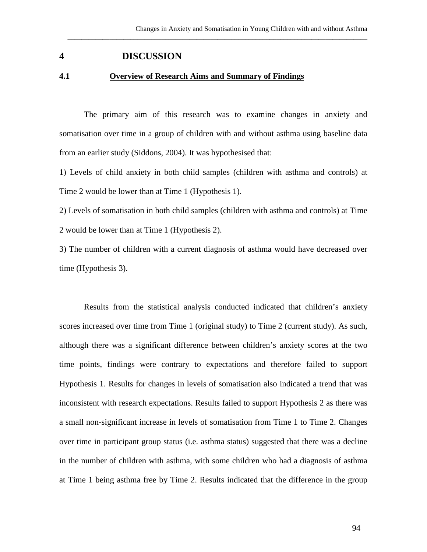# **4 DISCUSSION**

#### **4.1 Overview of Research Aims and Summary of Findings**

The primary aim of this research was to examine changes in anxiety and somatisation over time in a group of children with and without asthma using baseline data from an earlier study (Siddons, 2004). It was hypothesised that:

\_\_\_\_\_\_\_\_\_\_\_\_\_\_\_\_\_\_\_\_\_\_\_\_\_\_\_\_\_\_\_\_\_\_\_\_\_\_\_\_\_\_\_\_\_\_\_\_\_\_\_\_\_\_\_\_\_\_\_\_\_\_\_\_\_\_\_\_\_\_\_\_\_\_\_\_\_\_\_\_\_\_\_\_\_\_

1) Levels of child anxiety in both child samples (children with asthma and controls) at Time 2 would be lower than at Time 1 (Hypothesis 1).

2) Levels of somatisation in both child samples (children with asthma and controls) at Time 2 would be lower than at Time 1 (Hypothesis 2).

3) The number of children with a current diagnosis of asthma would have decreased over time (Hypothesis 3).

Results from the statistical analysis conducted indicated that children's anxiety scores increased over time from Time 1 (original study) to Time 2 (current study). As such, although there was a significant difference between children's anxiety scores at the two time points, findings were contrary to expectations and therefore failed to support Hypothesis 1. Results for changes in levels of somatisation also indicated a trend that was inconsistent with research expectations. Results failed to support Hypothesis 2 as there was a small non-significant increase in levels of somatisation from Time 1 to Time 2. Changes over time in participant group status (i.e. asthma status) suggested that there was a decline in the number of children with asthma, with some children who had a diagnosis of asthma at Time 1 being asthma free by Time 2. Results indicated that the difference in the group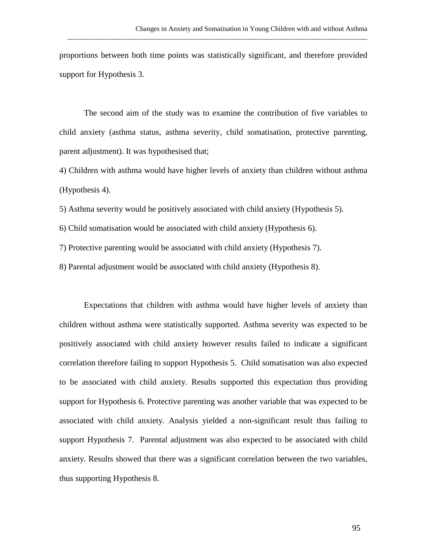proportions between both time points was statistically significant, and therefore provided support for Hypothesis 3.

\_\_\_\_\_\_\_\_\_\_\_\_\_\_\_\_\_\_\_\_\_\_\_\_\_\_\_\_\_\_\_\_\_\_\_\_\_\_\_\_\_\_\_\_\_\_\_\_\_\_\_\_\_\_\_\_\_\_\_\_\_\_\_\_\_\_\_\_\_\_\_\_\_\_\_\_\_\_\_\_\_\_\_\_\_\_

The second aim of the study was to examine the contribution of five variables to child anxiety (asthma status, asthma severity, child somatisation, protective parenting, parent adjustment). It was hypothesised that;

4) Children with asthma would have higher levels of anxiety than children without asthma (Hypothesis 4).

5) Asthma severity would be positively associated with child anxiety (Hypothesis 5).

6) Child somatisation would be associated with child anxiety (Hypothesis 6).

7) Protective parenting would be associated with child anxiety (Hypothesis 7).

8) Parental adjustment would be associated with child anxiety (Hypothesis 8).

Expectations that children with asthma would have higher levels of anxiety than children without asthma were statistically supported. Asthma severity was expected to be positively associated with child anxiety however results failed to indicate a significant correlation therefore failing to support Hypothesis 5. Child somatisation was also expected to be associated with child anxiety. Results supported this expectation thus providing support for Hypothesis 6. Protective parenting was another variable that was expected to be associated with child anxiety. Analysis yielded a non-significant result thus failing to support Hypothesis 7. Parental adjustment was also expected to be associated with child anxiety. Results showed that there was a significant correlation between the two variables, thus supporting Hypothesis 8.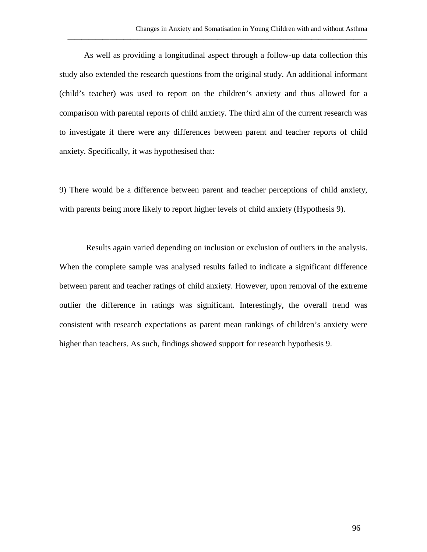As well as providing a longitudinal aspect through a follow-up data collection this study also extended the research questions from the original study. An additional informant (child's teacher) was used to report on the children's anxiety and thus allowed for a comparison with parental reports of child anxiety. The third aim of the current research was to investigate if there were any differences between parent and teacher reports of child anxiety. Specifically, it was hypothesised that:

\_\_\_\_\_\_\_\_\_\_\_\_\_\_\_\_\_\_\_\_\_\_\_\_\_\_\_\_\_\_\_\_\_\_\_\_\_\_\_\_\_\_\_\_\_\_\_\_\_\_\_\_\_\_\_\_\_\_\_\_\_\_\_\_\_\_\_\_\_\_\_\_\_\_\_\_\_\_\_\_\_\_\_\_\_\_

9) There would be a difference between parent and teacher perceptions of child anxiety, with parents being more likely to report higher levels of child anxiety (Hypothesis 9).

Results again varied depending on inclusion or exclusion of outliers in the analysis. When the complete sample was analysed results failed to indicate a significant difference between parent and teacher ratings of child anxiety. However, upon removal of the extreme outlier the difference in ratings was significant. Interestingly, the overall trend was consistent with research expectations as parent mean rankings of children's anxiety were higher than teachers. As such, findings showed support for research hypothesis 9.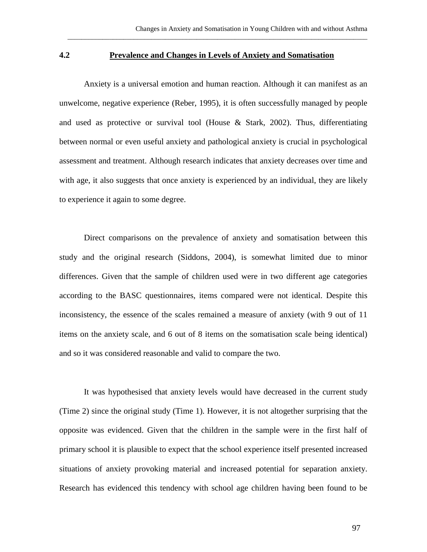#### **4.2 Prevalence and Changes in Levels of Anxiety and Somatisation**

\_\_\_\_\_\_\_\_\_\_\_\_\_\_\_\_\_\_\_\_\_\_\_\_\_\_\_\_\_\_\_\_\_\_\_\_\_\_\_\_\_\_\_\_\_\_\_\_\_\_\_\_\_\_\_\_\_\_\_\_\_\_\_\_\_\_\_\_\_\_\_\_\_\_\_\_\_\_\_\_\_\_\_\_\_\_

Anxiety is a universal emotion and human reaction. Although it can manifest as an unwelcome, negative experience (Reber, 1995), it is often successfully managed by people and used as protective or survival tool (House & Stark, 2002). Thus, differentiating between normal or even useful anxiety and pathological anxiety is crucial in psychological assessment and treatment. Although research indicates that anxiety decreases over time and with age, it also suggests that once anxiety is experienced by an individual, they are likely to experience it again to some degree.

Direct comparisons on the prevalence of anxiety and somatisation between this study and the original research (Siddons, 2004), is somewhat limited due to minor differences. Given that the sample of children used were in two different age categories according to the BASC questionnaires, items compared were not identical. Despite this inconsistency, the essence of the scales remained a measure of anxiety (with 9 out of 11 items on the anxiety scale, and 6 out of 8 items on the somatisation scale being identical) and so it was considered reasonable and valid to compare the two.

It was hypothesised that anxiety levels would have decreased in the current study (Time 2) since the original study (Time 1). However, it is not altogether surprising that the opposite was evidenced. Given that the children in the sample were in the first half of primary school it is plausible to expect that the school experience itself presented increased situations of anxiety provoking material and increased potential for separation anxiety. Research has evidenced this tendency with school age children having been found to be

97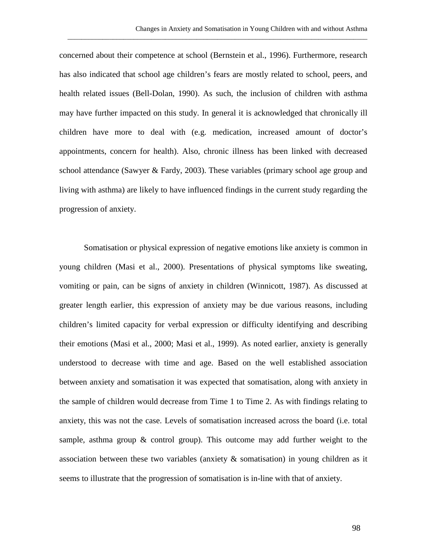concerned about their competence at school (Bernstein et al., 1996). Furthermore, research has also indicated that school age children's fears are mostly related to school, peers, and health related issues (Bell-Dolan, 1990). As such, the inclusion of children with asthma may have further impacted on this study. In general it is acknowledged that chronically ill children have more to deal with (e.g. medication, increased amount of doctor's appointments, concern for health). Also, chronic illness has been linked with decreased school attendance (Sawyer & Fardy, 2003). These variables (primary school age group and living with asthma) are likely to have influenced findings in the current study regarding the progression of anxiety.

\_\_\_\_\_\_\_\_\_\_\_\_\_\_\_\_\_\_\_\_\_\_\_\_\_\_\_\_\_\_\_\_\_\_\_\_\_\_\_\_\_\_\_\_\_\_\_\_\_\_\_\_\_\_\_\_\_\_\_\_\_\_\_\_\_\_\_\_\_\_\_\_\_\_\_\_\_\_\_\_\_\_\_\_\_\_

Somatisation or physical expression of negative emotions like anxiety is common in young children (Masi et al., 2000). Presentations of physical symptoms like sweating, vomiting or pain, can be signs of anxiety in children (Winnicott, 1987). As discussed at greater length earlier, this expression of anxiety may be due various reasons, including children's limited capacity for verbal expression or difficulty identifying and describing their emotions (Masi et al., 2000; Masi et al., 1999). As noted earlier, anxiety is generally understood to decrease with time and age. Based on the well established association between anxiety and somatisation it was expected that somatisation, along with anxiety in the sample of children would decrease from Time 1 to Time 2. As with findings relating to anxiety, this was not the case. Levels of somatisation increased across the board (i.e. total sample, asthma group & control group). This outcome may add further weight to the association between these two variables (anxiety  $\&$  somatisation) in young children as it seems to illustrate that the progression of somatisation is in-line with that of anxiety.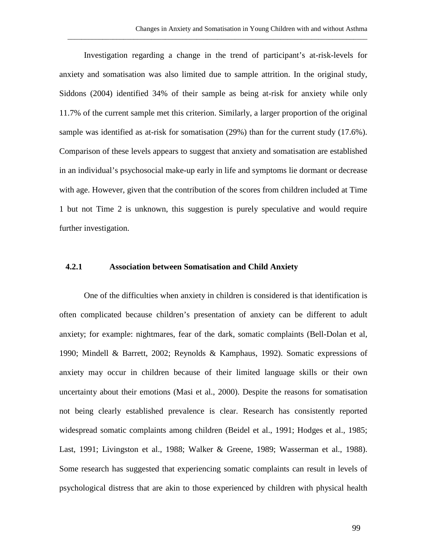Investigation regarding a change in the trend of participant's at-risk-levels for anxiety and somatisation was also limited due to sample attrition. In the original study, Siddons (2004) identified 34% of their sample as being at-risk for anxiety while only 11.7% of the current sample met this criterion. Similarly, a larger proportion of the original sample was identified as at-risk for somatisation (29%) than for the current study (17.6%). Comparison of these levels appears to suggest that anxiety and somatisation are established in an individual's psychosocial make-up early in life and symptoms lie dormant or decrease with age. However, given that the contribution of the scores from children included at Time 1 but not Time 2 is unknown, this suggestion is purely speculative and would require further investigation.

\_\_\_\_\_\_\_\_\_\_\_\_\_\_\_\_\_\_\_\_\_\_\_\_\_\_\_\_\_\_\_\_\_\_\_\_\_\_\_\_\_\_\_\_\_\_\_\_\_\_\_\_\_\_\_\_\_\_\_\_\_\_\_\_\_\_\_\_\_\_\_\_\_\_\_\_\_\_\_\_\_\_\_\_\_\_

### **4.2.1 Association between Somatisation and Child Anxiety**

One of the difficulties when anxiety in children is considered is that identification is often complicated because children's presentation of anxiety can be different to adult anxiety; for example: nightmares, fear of the dark, somatic complaints (Bell-Dolan et al, 1990; Mindell & Barrett, 2002; Reynolds & Kamphaus, 1992). Somatic expressions of anxiety may occur in children because of their limited language skills or their own uncertainty about their emotions (Masi et al., 2000). Despite the reasons for somatisation not being clearly established prevalence is clear. Research has consistently reported widespread somatic complaints among children (Beidel et al., 1991; Hodges et al., 1985; Last, 1991; Livingston et al., 1988; Walker & Greene, 1989; Wasserman et al., 1988). Some research has suggested that experiencing somatic complaints can result in levels of psychological distress that are akin to those experienced by children with physical health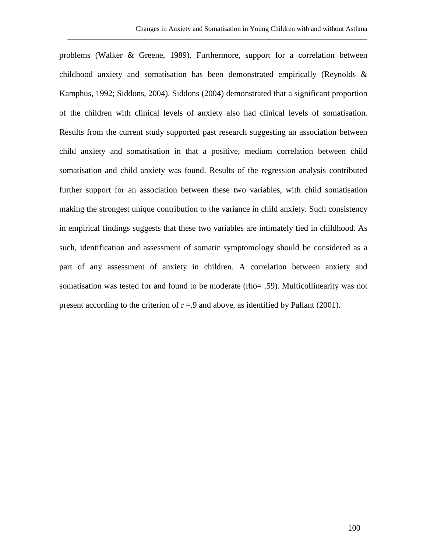problems (Walker & Greene, 1989). Furthermore, support for a correlation between childhood anxiety and somatisation has been demonstrated empirically (Reynolds & Kamphus, 1992; Siddons, 2004). Siddons (2004) demonstrated that a significant proportion of the children with clinical levels of anxiety also had clinical levels of somatisation. Results from the current study supported past research suggesting an association between child anxiety and somatisation in that a positive, medium correlation between child somatisation and child anxiety was found. Results of the regression analysis contributed further support for an association between these two variables, with child somatisation making the strongest unique contribution to the variance in child anxiety. Such consistency in empirical findings suggests that these two variables are intimately tied in childhood. As such, identification and assessment of somatic symptomology should be considered as a part of any assessment of anxiety in children. A correlation between anxiety and somatisation was tested for and found to be moderate (rho= .59). Multicollinearity was not present according to the criterion of  $r = 9$  and above, as identified by Pallant (2001).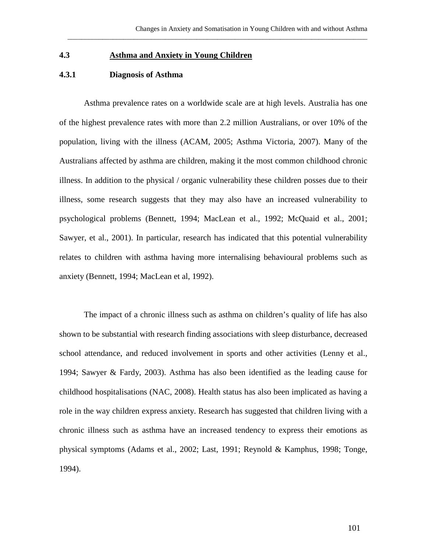## **4.3 Asthma and Anxiety in Young Children**

## **4.3.1 Diagnosis of Asthma**

Asthma prevalence rates on a worldwide scale are at high levels. Australia has one of the highest prevalence rates with more than 2.2 million Australians, or over 10% of the population, living with the illness (ACAM, 2005; Asthma Victoria, 2007). Many of the Australians affected by asthma are children, making it the most common childhood chronic illness. In addition to the physical / organic vulnerability these children posses due to their illness, some research suggests that they may also have an increased vulnerability to psychological problems (Bennett, 1994; MacLean et al., 1992; McQuaid et al., 2001; Sawyer, et al., 2001). In particular, research has indicated that this potential vulnerability relates to children with asthma having more internalising behavioural problems such as anxiety (Bennett, 1994; MacLean et al, 1992).

\_\_\_\_\_\_\_\_\_\_\_\_\_\_\_\_\_\_\_\_\_\_\_\_\_\_\_\_\_\_\_\_\_\_\_\_\_\_\_\_\_\_\_\_\_\_\_\_\_\_\_\_\_\_\_\_\_\_\_\_\_\_\_\_\_\_\_\_\_\_\_\_\_\_\_\_\_\_\_\_\_\_\_\_\_\_

The impact of a chronic illness such as asthma on children's quality of life has also shown to be substantial with research finding associations with sleep disturbance, decreased school attendance, and reduced involvement in sports and other activities (Lenny et al., 1994; Sawyer & Fardy, 2003). Asthma has also been identified as the leading cause for childhood hospitalisations (NAC, 2008). Health status has also been implicated as having a role in the way children express anxiety. Research has suggested that children living with a chronic illness such as asthma have an increased tendency to express their emotions as physical symptoms (Adams et al., 2002; Last, 1991; Reynold & Kamphus, 1998; Tonge, 1994).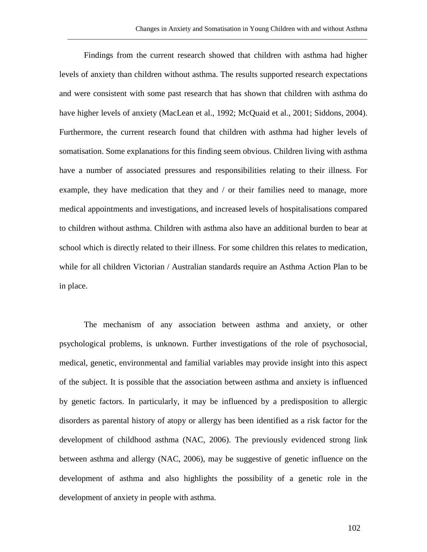Findings from the current research showed that children with asthma had higher levels of anxiety than children without asthma. The results supported research expectations and were consistent with some past research that has shown that children with asthma do have higher levels of anxiety (MacLean et al., 1992; McQuaid et al., 2001; Siddons, 2004). Furthermore, the current research found that children with asthma had higher levels of somatisation. Some explanations for this finding seem obvious. Children living with asthma have a number of associated pressures and responsibilities relating to their illness. For example, they have medication that they and / or their families need to manage, more medical appointments and investigations, and increased levels of hospitalisations compared to children without asthma. Children with asthma also have an additional burden to bear at school which is directly related to their illness. For some children this relates to medication, while for all children Victorian / Australian standards require an Asthma Action Plan to be in place.

\_\_\_\_\_\_\_\_\_\_\_\_\_\_\_\_\_\_\_\_\_\_\_\_\_\_\_\_\_\_\_\_\_\_\_\_\_\_\_\_\_\_\_\_\_\_\_\_\_\_\_\_\_\_\_\_\_\_\_\_\_\_\_\_\_\_\_\_\_\_\_\_\_\_\_\_\_\_\_\_\_\_\_\_\_\_

The mechanism of any association between asthma and anxiety, or other psychological problems, is unknown. Further investigations of the role of psychosocial, medical, genetic, environmental and familial variables may provide insight into this aspect of the subject. It is possible that the association between asthma and anxiety is influenced by genetic factors. In particularly, it may be influenced by a predisposition to allergic disorders as parental history of atopy or allergy has been identified as a risk factor for the development of childhood asthma (NAC, 2006). The previously evidenced strong link between asthma and allergy (NAC, 2006), may be suggestive of genetic influence on the development of asthma and also highlights the possibility of a genetic role in the development of anxiety in people with asthma.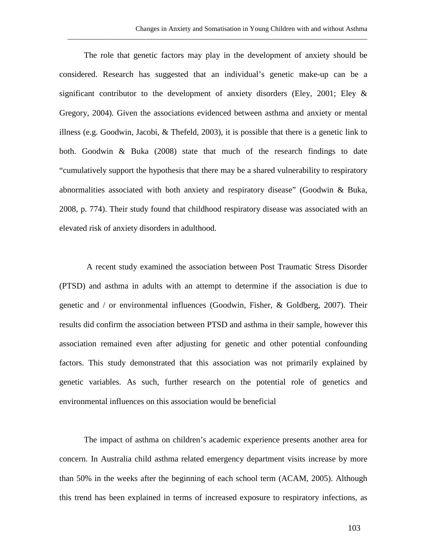The role that genetic factors may play in the development of anxiety should be considered. Research has suggested that an individual's genetic make-up can be a significant contributor to the development of anxiety disorders (Eley, 2001; Eley & Gregory, 2004). Given the associations evidenced between asthma and anxiety or mental illness (e.g. Goodwin, Jacobi,  $\&$  Thefeld, 2003), it is possible that there is a genetic link to both. Goodwin & Buka (2008) state that much of the research findings to date "cumulatively support the hypothesis that there may be a shared vulnerability to respiratory abnormalities associated with both anxiety and respiratory disease" (Goodwin & Buka, 2008, p. 774). Their study found that childhood respiratory disease was associated with an elevated risk of anxiety disorders in adulthood.

\_\_\_\_\_\_\_\_\_\_\_\_\_\_\_\_\_\_\_\_\_\_\_\_\_\_\_\_\_\_\_\_\_\_\_\_\_\_\_\_\_\_\_\_\_\_\_\_\_\_\_\_\_\_\_\_\_\_\_\_\_\_\_\_\_\_\_\_\_\_\_\_\_\_\_\_\_\_\_\_\_\_\_\_\_\_

A recent study examined the association between Post Traumatic Stress Disorder (PTSD) and asthma in adults with an attempt to determine if the association is due to genetic and / or environmental influences (Goodwin, Fisher, & Goldberg, 2007). Their results did confirm the association between PTSD and asthma in their sample, however this association remained even after adjusting for genetic and other potential confounding factors. This study demonstrated that this association was not primarily explained by genetic variables. As such, further research on the potential role of genetics and environmental influences on this association would be beneficial

The impact of asthma on children's academic experience presents another area for concern. In Australia child asthma related emergency department visits increase by more than 50% in the weeks after the beginning of each school term (ACAM, 2005). Although this trend has been explained in terms of increased exposure to respiratory infections, as

103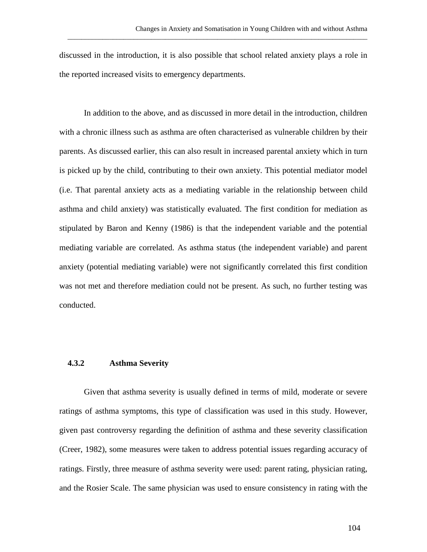discussed in the introduction, it is also possible that school related anxiety plays a role in the reported increased visits to emergency departments.

\_\_\_\_\_\_\_\_\_\_\_\_\_\_\_\_\_\_\_\_\_\_\_\_\_\_\_\_\_\_\_\_\_\_\_\_\_\_\_\_\_\_\_\_\_\_\_\_\_\_\_\_\_\_\_\_\_\_\_\_\_\_\_\_\_\_\_\_\_\_\_\_\_\_\_\_\_\_\_\_\_\_\_\_\_\_

In addition to the above, and as discussed in more detail in the introduction, children with a chronic illness such as asthma are often characterised as vulnerable children by their parents. As discussed earlier, this can also result in increased parental anxiety which in turn is picked up by the child, contributing to their own anxiety. This potential mediator model (i.e. That parental anxiety acts as a mediating variable in the relationship between child asthma and child anxiety) was statistically evaluated. The first condition for mediation as stipulated by Baron and Kenny (1986) is that the independent variable and the potential mediating variable are correlated. As asthma status (the independent variable) and parent anxiety (potential mediating variable) were not significantly correlated this first condition was not met and therefore mediation could not be present. As such, no further testing was conducted.

### **4.3.2 Asthma Severity**

Given that asthma severity is usually defined in terms of mild, moderate or severe ratings of asthma symptoms, this type of classification was used in this study. However, given past controversy regarding the definition of asthma and these severity classification (Creer, 1982), some measures were taken to address potential issues regarding accuracy of ratings. Firstly, three measure of asthma severity were used: parent rating, physician rating, and the Rosier Scale. The same physician was used to ensure consistency in rating with the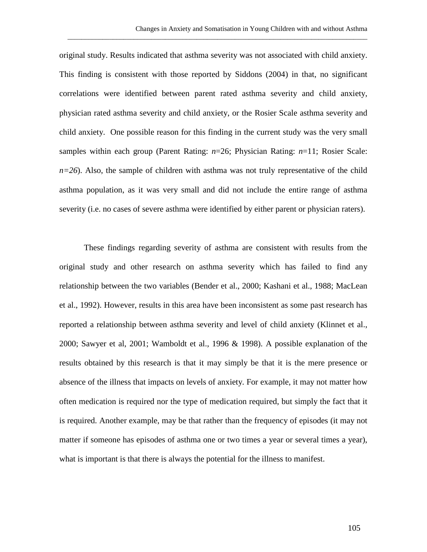original study. Results indicated that asthma severity was not associated with child anxiety. This finding is consistent with those reported by Siddons (2004) in that, no significant correlations were identified between parent rated asthma severity and child anxiety, physician rated asthma severity and child anxiety, or the Rosier Scale asthma severity and child anxiety. One possible reason for this finding in the current study was the very small samples within each group (Parent Rating: *n*=26; Physician Rating: *n*=11; Rosier Scale: *n*=26). Also, the sample of children with asthma was not truly representative of the child asthma population, as it was very small and did not include the entire range of asthma severity (i.e. no cases of severe asthma were identified by either parent or physician raters).

\_\_\_\_\_\_\_\_\_\_\_\_\_\_\_\_\_\_\_\_\_\_\_\_\_\_\_\_\_\_\_\_\_\_\_\_\_\_\_\_\_\_\_\_\_\_\_\_\_\_\_\_\_\_\_\_\_\_\_\_\_\_\_\_\_\_\_\_\_\_\_\_\_\_\_\_\_\_\_\_\_\_\_\_\_\_

These findings regarding severity of asthma are consistent with results from the original study and other research on asthma severity which has failed to find any relationship between the two variables (Bender et al., 2000; Kashani et al., 1988; MacLean et al., 1992). However, results in this area have been inconsistent as some past research has reported a relationship between asthma severity and level of child anxiety (Klinnet et al., 2000; Sawyer et al, 2001; Wamboldt et al., 1996 & 1998). A possible explanation of the results obtained by this research is that it may simply be that it is the mere presence or absence of the illness that impacts on levels of anxiety. For example, it may not matter how often medication is required nor the type of medication required, but simply the fact that it is required. Another example, may be that rather than the frequency of episodes (it may not matter if someone has episodes of asthma one or two times a year or several times a year), what is important is that there is always the potential for the illness to manifest.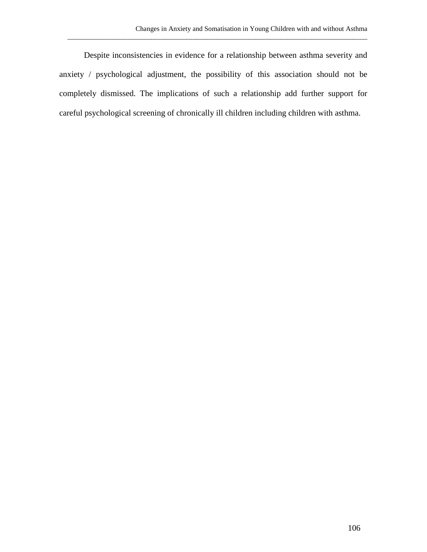Despite inconsistencies in evidence for a relationship between asthma severity and anxiety / psychological adjustment, the possibility of this association should not be completely dismissed. The implications of such a relationship add further support for careful psychological screening of chronically ill children including children with asthma.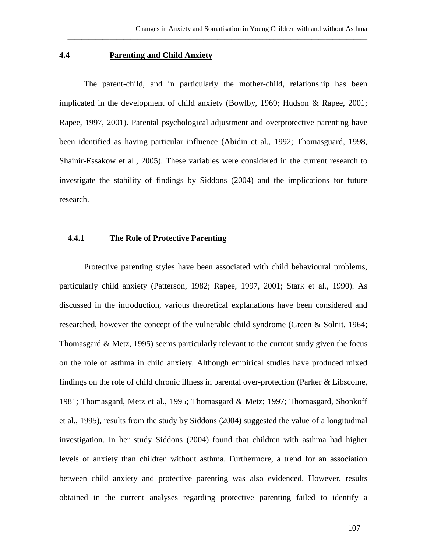### **4.4 Parenting and Child Anxiety**

The parent-child, and in particularly the mother-child, relationship has been implicated in the development of child anxiety (Bowlby, 1969; Hudson & Rapee, 2001; Rapee, 1997, 2001). Parental psychological adjustment and overprotective parenting have been identified as having particular influence (Abidin et al., 1992; Thomasguard, 1998, Shainir-Essakow et al., 2005). These variables were considered in the current research to investigate the stability of findings by Siddons (2004) and the implications for future research.

\_\_\_\_\_\_\_\_\_\_\_\_\_\_\_\_\_\_\_\_\_\_\_\_\_\_\_\_\_\_\_\_\_\_\_\_\_\_\_\_\_\_\_\_\_\_\_\_\_\_\_\_\_\_\_\_\_\_\_\_\_\_\_\_\_\_\_\_\_\_\_\_\_\_\_\_\_\_\_\_\_\_\_\_\_\_

## **4.4.1 The Role of Protective Parenting**

Protective parenting styles have been associated with child behavioural problems, particularly child anxiety (Patterson, 1982; Rapee, 1997, 2001; Stark et al., 1990). As discussed in the introduction, various theoretical explanations have been considered and researched, however the concept of the vulnerable child syndrome (Green & Solnit, 1964; Thomasgard & Metz, 1995) seems particularly relevant to the current study given the focus on the role of asthma in child anxiety. Although empirical studies have produced mixed findings on the role of child chronic illness in parental over-protection (Parker & Libscome, 1981; Thomasgard, Metz et al., 1995; Thomasgard & Metz; 1997; Thomasgard, Shonkoff et al., 1995), results from the study by Siddons (2004) suggested the value of a longitudinal investigation. In her study Siddons (2004) found that children with asthma had higher levels of anxiety than children without asthma. Furthermore, a trend for an association between child anxiety and protective parenting was also evidenced. However, results obtained in the current analyses regarding protective parenting failed to identify a

107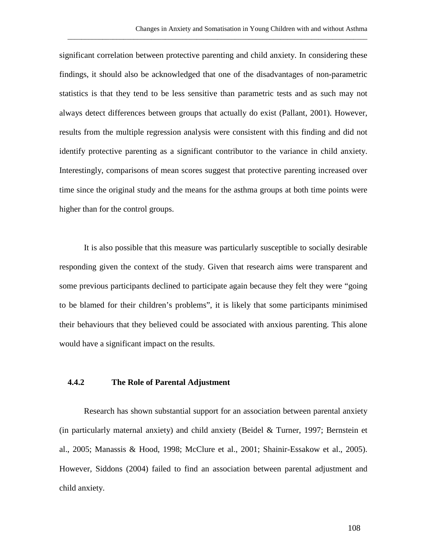significant correlation between protective parenting and child anxiety. In considering these findings, it should also be acknowledged that one of the disadvantages of non-parametric statistics is that they tend to be less sensitive than parametric tests and as such may not always detect differences between groups that actually do exist (Pallant, 2001). However, results from the multiple regression analysis were consistent with this finding and did not identify protective parenting as a significant contributor to the variance in child anxiety. Interestingly, comparisons of mean scores suggest that protective parenting increased over time since the original study and the means for the asthma groups at both time points were higher than for the control groups.

\_\_\_\_\_\_\_\_\_\_\_\_\_\_\_\_\_\_\_\_\_\_\_\_\_\_\_\_\_\_\_\_\_\_\_\_\_\_\_\_\_\_\_\_\_\_\_\_\_\_\_\_\_\_\_\_\_\_\_\_\_\_\_\_\_\_\_\_\_\_\_\_\_\_\_\_\_\_\_\_\_\_\_\_\_\_

It is also possible that this measure was particularly susceptible to socially desirable responding given the context of the study. Given that research aims were transparent and some previous participants declined to participate again because they felt they were "going to be blamed for their children's problems", it is likely that some participants minimised their behaviours that they believed could be associated with anxious parenting. This alone would have a significant impact on the results.

### **4.4.2 The Role of Parental Adjustment**

Research has shown substantial support for an association between parental anxiety (in particularly maternal anxiety) and child anxiety (Beidel & Turner, 1997; Bernstein et al., 2005; Manassis & Hood, 1998; McClure et al., 2001; Shainir-Essakow et al., 2005). However, Siddons (2004) failed to find an association between parental adjustment and child anxiety.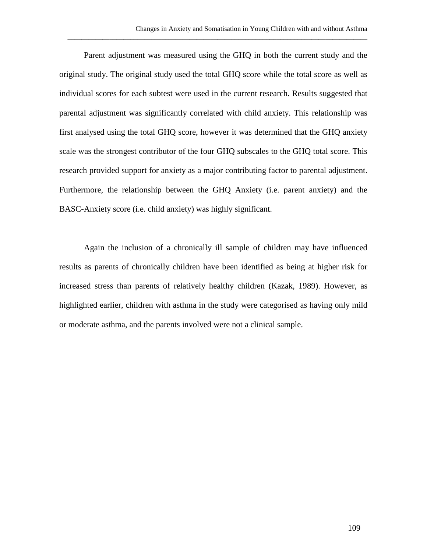Parent adjustment was measured using the GHQ in both the current study and the original study. The original study used the total GHQ score while the total score as well as individual scores for each subtest were used in the current research. Results suggested that parental adjustment was significantly correlated with child anxiety. This relationship was first analysed using the total GHQ score, however it was determined that the GHQ anxiety scale was the strongest contributor of the four GHQ subscales to the GHQ total score. This research provided support for anxiety as a major contributing factor to parental adjustment. Furthermore, the relationship between the GHQ Anxiety (i.e. parent anxiety) and the BASC-Anxiety score (i.e. child anxiety) was highly significant.

\_\_\_\_\_\_\_\_\_\_\_\_\_\_\_\_\_\_\_\_\_\_\_\_\_\_\_\_\_\_\_\_\_\_\_\_\_\_\_\_\_\_\_\_\_\_\_\_\_\_\_\_\_\_\_\_\_\_\_\_\_\_\_\_\_\_\_\_\_\_\_\_\_\_\_\_\_\_\_\_\_\_\_\_\_\_

Again the inclusion of a chronically ill sample of children may have influenced results as parents of chronically children have been identified as being at higher risk for increased stress than parents of relatively healthy children (Kazak, 1989). However, as highlighted earlier, children with asthma in the study were categorised as having only mild or moderate asthma, and the parents involved were not a clinical sample.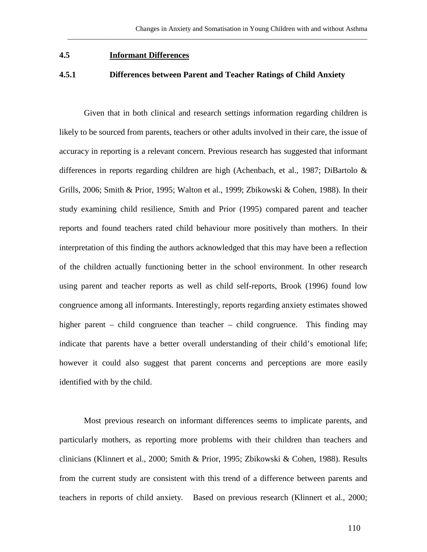### **4.5 Informant Differences**

### **4.5.1 Differences between Parent and Teacher Ratings of Child Anxiety**

\_\_\_\_\_\_\_\_\_\_\_\_\_\_\_\_\_\_\_\_\_\_\_\_\_\_\_\_\_\_\_\_\_\_\_\_\_\_\_\_\_\_\_\_\_\_\_\_\_\_\_\_\_\_\_\_\_\_\_\_\_\_\_\_\_\_\_\_\_\_\_\_\_\_\_\_\_\_\_\_\_\_\_\_\_\_

Given that in both clinical and research settings information regarding children is likely to be sourced from parents, teachers or other adults involved in their care, the issue of accuracy in reporting is a relevant concern. Previous research has suggested that informant differences in reports regarding children are high (Achenbach, et al., 1987; DiBartolo & Grills, 2006; Smith & Prior, 1995; Walton et al., 1999; Zbikowski & Cohen, 1988). In their study examining child resilience, Smith and Prior (1995) compared parent and teacher reports and found teachers rated child behaviour more positively than mothers. In their interpretation of this finding the authors acknowledged that this may have been a reflection of the children actually functioning better in the school environment. In other research using parent and teacher reports as well as child self-reports, Brook (1996) found low congruence among all informants. Interestingly, reports regarding anxiety estimates showed higher parent – child congruence than teacher – child congruence. This finding may indicate that parents have a better overall understanding of their child's emotional life; however it could also suggest that parent concerns and perceptions are more easily identified with by the child.

Most previous research on informant differences seems to implicate parents, and particularly mothers, as reporting more problems with their children than teachers and clinicians (Klinnert et al., 2000; Smith & Prior, 1995; Zbikowski & Cohen, 1988). Results from the current study are consistent with this trend of a difference between parents and teachers in reports of child anxiety. Based on previous research (Klinnert et al., 2000;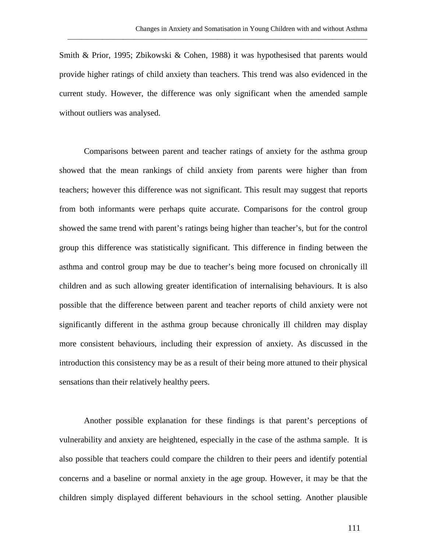Smith & Prior, 1995; Zbikowski & Cohen, 1988) it was hypothesised that parents would provide higher ratings of child anxiety than teachers. This trend was also evidenced in the current study. However, the difference was only significant when the amended sample without outliers was analysed.

\_\_\_\_\_\_\_\_\_\_\_\_\_\_\_\_\_\_\_\_\_\_\_\_\_\_\_\_\_\_\_\_\_\_\_\_\_\_\_\_\_\_\_\_\_\_\_\_\_\_\_\_\_\_\_\_\_\_\_\_\_\_\_\_\_\_\_\_\_\_\_\_\_\_\_\_\_\_\_\_\_\_\_\_\_\_

Comparisons between parent and teacher ratings of anxiety for the asthma group showed that the mean rankings of child anxiety from parents were higher than from teachers; however this difference was not significant. This result may suggest that reports from both informants were perhaps quite accurate. Comparisons for the control group showed the same trend with parent's ratings being higher than teacher's, but for the control group this difference was statistically significant. This difference in finding between the asthma and control group may be due to teacher's being more focused on chronically ill children and as such allowing greater identification of internalising behaviours. It is also possible that the difference between parent and teacher reports of child anxiety were not significantly different in the asthma group because chronically ill children may display more consistent behaviours, including their expression of anxiety. As discussed in the introduction this consistency may be as a result of their being more attuned to their physical sensations than their relatively healthy peers.

Another possible explanation for these findings is that parent's perceptions of vulnerability and anxiety are heightened, especially in the case of the asthma sample. It is also possible that teachers could compare the children to their peers and identify potential concerns and a baseline or normal anxiety in the age group. However, it may be that the children simply displayed different behaviours in the school setting. Another plausible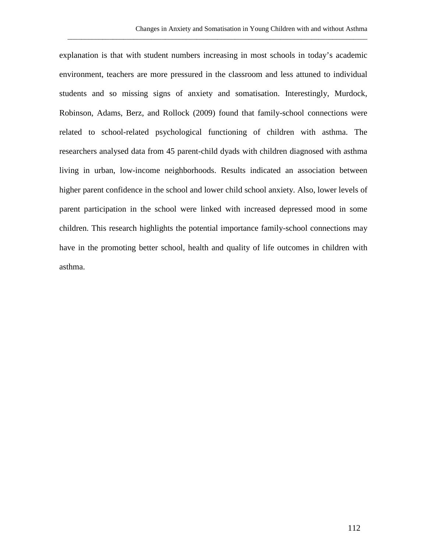explanation is that with student numbers increasing in most schools in today's academic environment, teachers are more pressured in the classroom and less attuned to individual students and so missing signs of anxiety and somatisation. Interestingly, Murdock, Robinson, Adams, Berz, and Rollock (2009) found that family-school connections were related to school-related psychological functioning of children with asthma. The researchers analysed data from 45 parent-child dyads with children diagnosed with asthma living in urban, low-income neighborhoods. Results indicated an association between higher parent confidence in the school and lower child school anxiety. Also, lower levels of parent participation in the school were linked with increased depressed mood in some children. This research highlights the potential importance family-school connections may have in the promoting better school, health and quality of life outcomes in children with asthma.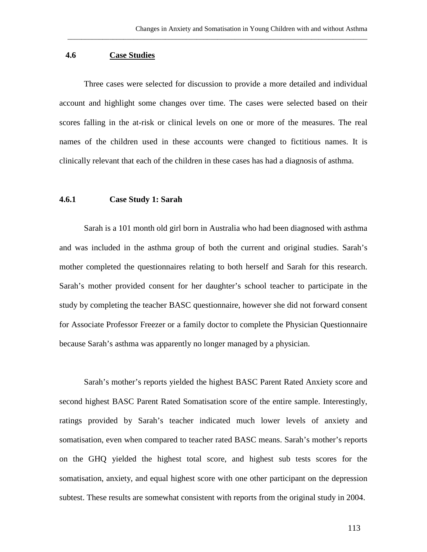## **4.6 Case Studies**

Three cases were selected for discussion to provide a more detailed and individual account and highlight some changes over time. The cases were selected based on their scores falling in the at-risk or clinical levels on one or more of the measures. The real names of the children used in these accounts were changed to fictitious names. It is clinically relevant that each of the children in these cases has had a diagnosis of asthma.

\_\_\_\_\_\_\_\_\_\_\_\_\_\_\_\_\_\_\_\_\_\_\_\_\_\_\_\_\_\_\_\_\_\_\_\_\_\_\_\_\_\_\_\_\_\_\_\_\_\_\_\_\_\_\_\_\_\_\_\_\_\_\_\_\_\_\_\_\_\_\_\_\_\_\_\_\_\_\_\_\_\_\_\_\_\_

### **4.6.1 Case Study 1: Sarah**

Sarah is a 101 month old girl born in Australia who had been diagnosed with asthma and was included in the asthma group of both the current and original studies. Sarah's mother completed the questionnaires relating to both herself and Sarah for this research. Sarah's mother provided consent for her daughter's school teacher to participate in the study by completing the teacher BASC questionnaire, however she did not forward consent for Associate Professor Freezer or a family doctor to complete the Physician Questionnaire because Sarah's asthma was apparently no longer managed by a physician.

Sarah's mother's reports yielded the highest BASC Parent Rated Anxiety score and second highest BASC Parent Rated Somatisation score of the entire sample. Interestingly, ratings provided by Sarah's teacher indicated much lower levels of anxiety and somatisation, even when compared to teacher rated BASC means. Sarah's mother's reports on the GHQ yielded the highest total score, and highest sub tests scores for the somatisation, anxiety, and equal highest score with one other participant on the depression subtest. These results are somewhat consistent with reports from the original study in 2004.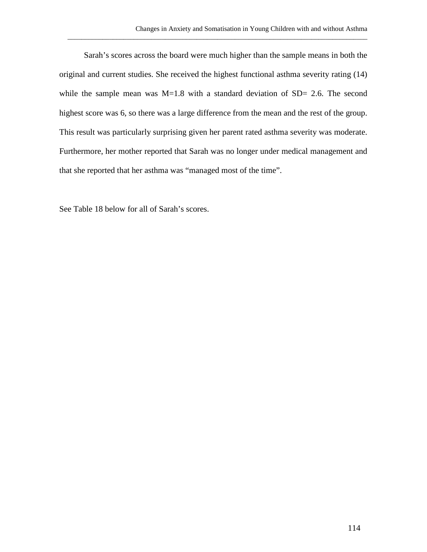Sarah's scores across the board were much higher than the sample means in both the original and current studies. She received the highest functional asthma severity rating (14) while the sample mean was M=1.8 with a standard deviation of SD= 2.6. The second highest score was 6, so there was a large difference from the mean and the rest of the group. This result was particularly surprising given her parent rated asthma severity was moderate. Furthermore, her mother reported that Sarah was no longer under medical management and that she reported that her asthma was "managed most of the time".

\_\_\_\_\_\_\_\_\_\_\_\_\_\_\_\_\_\_\_\_\_\_\_\_\_\_\_\_\_\_\_\_\_\_\_\_\_\_\_\_\_\_\_\_\_\_\_\_\_\_\_\_\_\_\_\_\_\_\_\_\_\_\_\_\_\_\_\_\_\_\_\_\_\_\_\_\_\_\_\_\_\_\_\_\_\_

See Table 18 below for all of Sarah's scores.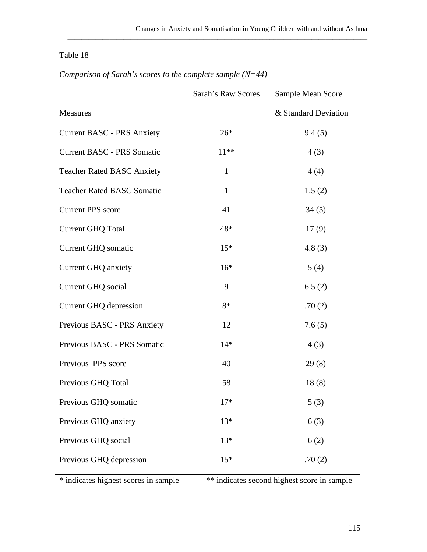# Table 18

|                                   | Sarah's Raw Scores | Sample Mean Score    |
|-----------------------------------|--------------------|----------------------|
| Measures                          |                    | & Standard Deviation |
| <b>Current BASC - PRS Anxiety</b> | $26*$              | 9.4(5)               |
| <b>Current BASC - PRS Somatic</b> | $11**$             | 4(3)                 |
| <b>Teacher Rated BASC Anxiety</b> | $\mathbf{1}$       | 4(4)                 |
| <b>Teacher Rated BASC Somatic</b> | $\mathbf{1}$       | 1.5(2)               |
| <b>Current PPS</b> score          | 41                 | 34(5)                |
| <b>Current GHQ Total</b>          | 48*                | 17(9)                |
| <b>Current GHQ somatic</b>        | $15*$              | 4.8(3)               |
| <b>Current GHQ anxiety</b>        | $16*$              | 5(4)                 |
| <b>Current GHQ</b> social         | 9                  | 6.5(2)               |
| <b>Current GHQ depression</b>     | $8*$               | .70(2)               |
| Previous BASC - PRS Anxiety       | 12                 | 7.6(5)               |
| Previous BASC - PRS Somatic       | $14*$              | 4(3)                 |
| Previous PPS score                | 40                 | 29(8)                |
| Previous GHQ Total                | 58                 | 18(8)                |
| Previous GHQ somatic              | $17*$              | 5(3)                 |
| Previous GHQ anxiety              | $13*$              | 6(3)                 |
| Previous GHQ social               | $13*$              | 6(2)                 |
| Previous GHQ depression           | $15*$              | .70(2)               |

*Comparison of Sarah's scores to the complete sample (N=44)*

\* indicates highest scores in sample \*\* indicates second highest score in sample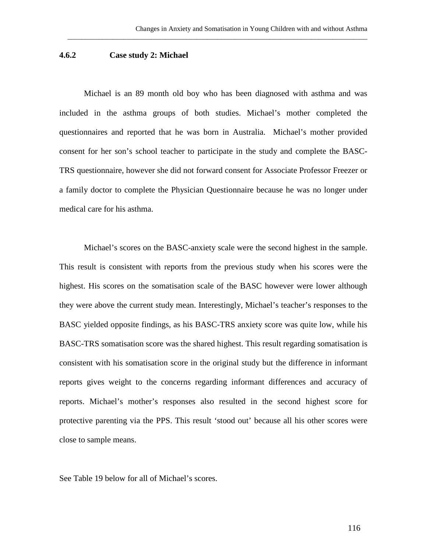### **4.6.2 Case study 2: Michael**

Michael is an 89 month old boy who has been diagnosed with asthma and was included in the asthma groups of both studies. Michael's mother completed the questionnaires and reported that he was born in Australia. Michael's mother provided consent for her son's school teacher to participate in the study and complete the BASC-TRS questionnaire, however she did not forward consent for Associate Professor Freezer or a family doctor to complete the Physician Questionnaire because he was no longer under medical care for his asthma.

\_\_\_\_\_\_\_\_\_\_\_\_\_\_\_\_\_\_\_\_\_\_\_\_\_\_\_\_\_\_\_\_\_\_\_\_\_\_\_\_\_\_\_\_\_\_\_\_\_\_\_\_\_\_\_\_\_\_\_\_\_\_\_\_\_\_\_\_\_\_\_\_\_\_\_\_\_\_\_\_\_\_\_\_\_\_

Michael's scores on the BASC-anxiety scale were the second highest in the sample. This result is consistent with reports from the previous study when his scores were the highest. His scores on the somatisation scale of the BASC however were lower although they were above the current study mean. Interestingly, Michael's teacher's responses to the BASC yielded opposite findings, as his BASC-TRS anxiety score was quite low, while his BASC-TRS somatisation score was the shared highest. This result regarding somatisation is consistent with his somatisation score in the original study but the difference in informant reports gives weight to the concerns regarding informant differences and accuracy of reports. Michael's mother's responses also resulted in the second highest score for protective parenting via the PPS. This result 'stood out' because all his other scores were close to sample means.

See Table 19 below for all of Michael's scores.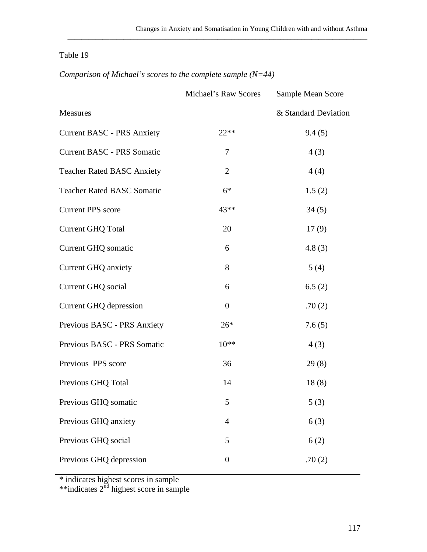## Table 19

|                                   | <b>Michael's Raw Scores</b> | Sample Mean Score    |
|-----------------------------------|-----------------------------|----------------------|
| Measures                          |                             | & Standard Deviation |
| <b>Current BASC - PRS Anxiety</b> | $22**$                      | 9.4(5)               |
| <b>Current BASC - PRS Somatic</b> | 7                           | 4(3)                 |
| <b>Teacher Rated BASC Anxiety</b> | $\overline{2}$              | 4(4)                 |
| <b>Teacher Rated BASC Somatic</b> | $6*$                        | 1.5(2)               |
| <b>Current PPS</b> score          | 43**                        | 34(5)                |
| <b>Current GHQ Total</b>          | 20                          | 17(9)                |
| <b>Current GHQ somatic</b>        | 6                           | 4.8(3)               |
| <b>Current GHQ anxiety</b>        | 8                           | 5(4)                 |
| Current GHQ social                | 6                           | 6.5(2)               |
| <b>Current GHQ depression</b>     | $\boldsymbol{0}$            | .70(2)               |
| Previous BASC - PRS Anxiety       | $26*$                       | 7.6(5)               |
| Previous BASC - PRS Somatic       | $10**$                      | 4(3)                 |
| Previous PPS score                | 36                          | 29(8)                |
| Previous GHQ Total                | 14                          | 18(8)                |
| Previous GHQ somatic              | 5                           | 5(3)                 |
| Previous GHQ anxiety              | $\overline{4}$              | 6(3)                 |
| Previous GHQ social               | 5                           | 6(2)                 |
| Previous GHQ depression           | $\boldsymbol{0}$            | .70(2)               |

*Comparison of Michael's scores to the complete sample (N=44)*

\* indicates highest scores in sample

\*\*indicates 2<sup>nd</sup> highest score in sample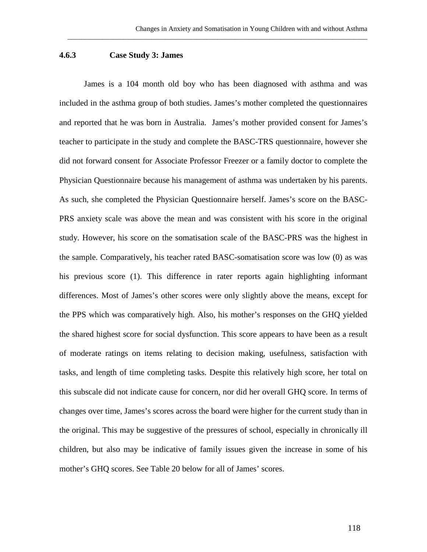### **4.6.3 Case Study 3: James**

James is a 104 month old boy who has been diagnosed with asthma and was included in the asthma group of both studies. James's mother completed the questionnaires and reported that he was born in Australia. James's mother provided consent for James's teacher to participate in the study and complete the BASC-TRS questionnaire, however she did not forward consent for Associate Professor Freezer or a family doctor to complete the Physician Questionnaire because his management of asthma was undertaken by his parents. As such, she completed the Physician Questionnaire herself. James's score on the BASC-PRS anxiety scale was above the mean and was consistent with his score in the original study. However, his score on the somatisation scale of the BASC-PRS was the highest in the sample. Comparatively, his teacher rated BASC-somatisation score was low (0) as was his previous score (1). This difference in rater reports again highlighting informant differences. Most of James's other scores were only slightly above the means, except for the PPS which was comparatively high. Also, his mother's responses on the GHQ yielded the shared highest score for social dysfunction. This score appears to have been as a result of moderate ratings on items relating to decision making, usefulness, satisfaction with tasks, and length of time completing tasks. Despite this relatively high score, her total on this subscale did not indicate cause for concern, nor did her overall GHQ score. In terms of changes over time, James's scores across the board were higher for the current study than in the original. This may be suggestive of the pressures of school, especially in chronically ill children, but also may be indicative of family issues given the increase in some of his mother's GHQ scores. See Table 20 below for all of James' scores.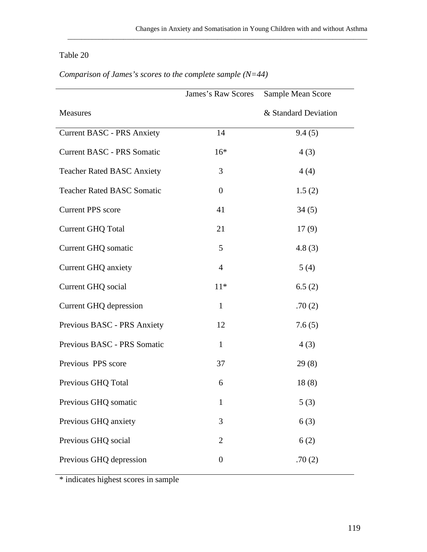# Table 20

|                                   | James's Raw Scores | Sample Mean Score    |
|-----------------------------------|--------------------|----------------------|
| Measures                          |                    | & Standard Deviation |
| <b>Current BASC - PRS Anxiety</b> | 14                 | 9.4(5)               |
| <b>Current BASC - PRS Somatic</b> | $16*$              | 4(3)                 |
| <b>Teacher Rated BASC Anxiety</b> | 3                  | 4(4)                 |
| <b>Teacher Rated BASC Somatic</b> | $\theta$           | 1.5(2)               |
| <b>Current PPS</b> score          | 41                 | 34(5)                |
| <b>Current GHQ Total</b>          | 21                 | 17(9)                |
| Current GHQ somatic               | 5                  | 4.8(3)               |
| <b>Current GHQ anxiety</b>        | $\overline{4}$     | 5(4)                 |
| Current GHQ social                | $11*$              | 6.5(2)               |
| Current GHQ depression            | $\mathbf{1}$       | .70(2)               |
| Previous BASC - PRS Anxiety       | 12                 | 7.6(5)               |
| Previous BASC - PRS Somatic       | $\mathbf{1}$       | 4(3)                 |
| Previous PPS score                | 37                 | 29(8)                |
| Previous GHQ Total                | 6                  | 18(8)                |
| Previous GHQ somatic              | 1                  | 5(3)                 |
| Previous GHQ anxiety              | 3                  | 6(3)                 |
| Previous GHQ social               | $\overline{2}$     | 6(2)                 |
| Previous GHQ depression           | $\boldsymbol{0}$   | .70(2)               |

*Comparison of James's scores to the complete sample (N=44)*

\* indicates highest scores in sample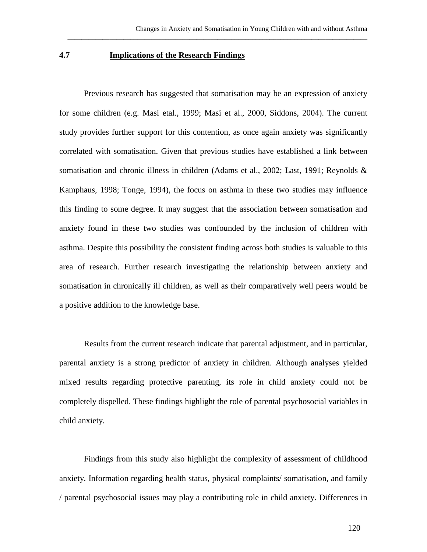## **4.7 Implications of the Research Findings**

Previous research has suggested that somatisation may be an expression of anxiety for some children (e.g. Masi etal., 1999; Masi et al., 2000, Siddons, 2004). The current study provides further support for this contention, as once again anxiety was significantly correlated with somatisation. Given that previous studies have established a link between somatisation and chronic illness in children (Adams et al., 2002; Last, 1991; Reynolds & Kamphaus, 1998; Tonge, 1994), the focus on asthma in these two studies may influence this finding to some degree. It may suggest that the association between somatisation and anxiety found in these two studies was confounded by the inclusion of children with asthma. Despite this possibility the consistent finding across both studies is valuable to this area of research. Further research investigating the relationship between anxiety and somatisation in chronically ill children, as well as their comparatively well peers would be a positive addition to the knowledge base.

Results from the current research indicate that parental adjustment, and in particular, parental anxiety is a strong predictor of anxiety in children. Although analyses yielded mixed results regarding protective parenting, its role in child anxiety could not be completely dispelled. These findings highlight the role of parental psychosocial variables in child anxiety.

Findings from this study also highlight the complexity of assessment of childhood anxiety. Information regarding health status, physical complaints/ somatisation, and family / parental psychosocial issues may play a contributing role in child anxiety. Differences in

120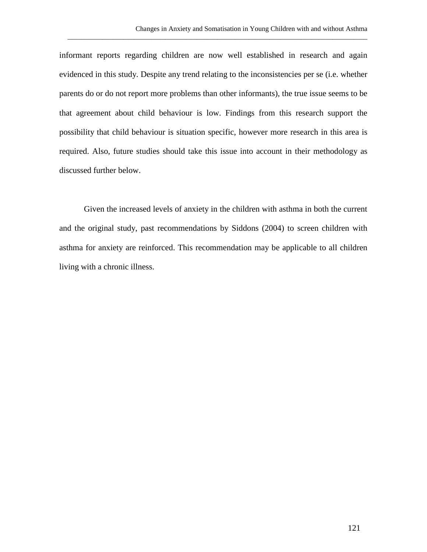informant reports regarding children are now well established in research and again evidenced in this study. Despite any trend relating to the inconsistencies per se (i.e. whether parents do or do not report more problems than other informants), the true issue seems to be that agreement about child behaviour is low. Findings from this research support the possibility that child behaviour is situation specific, however more research in this area is required. Also, future studies should take this issue into account in their methodology as discussed further below.

\_\_\_\_\_\_\_\_\_\_\_\_\_\_\_\_\_\_\_\_\_\_\_\_\_\_\_\_\_\_\_\_\_\_\_\_\_\_\_\_\_\_\_\_\_\_\_\_\_\_\_\_\_\_\_\_\_\_\_\_\_\_\_\_\_\_\_\_\_\_\_\_\_\_\_\_\_\_\_\_\_\_\_\_\_\_

Given the increased levels of anxiety in the children with asthma in both the current and the original study, past recommendations by Siddons (2004) to screen children with asthma for anxiety are reinforced. This recommendation may be applicable to all children living with a chronic illness.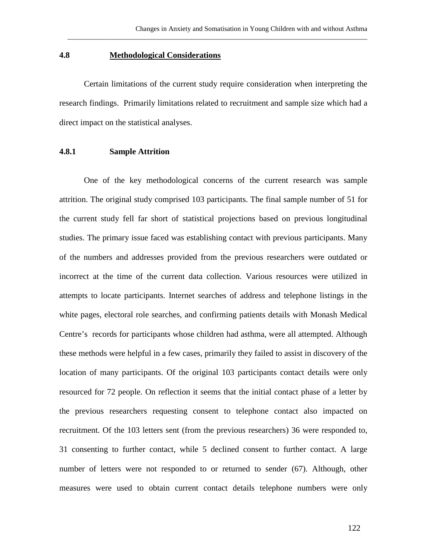### **4.8 Methodological Considerations**

Certain limitations of the current study require consideration when interpreting the research findings. Primarily limitations related to recruitment and sample size which had a direct impact on the statistical analyses.

\_\_\_\_\_\_\_\_\_\_\_\_\_\_\_\_\_\_\_\_\_\_\_\_\_\_\_\_\_\_\_\_\_\_\_\_\_\_\_\_\_\_\_\_\_\_\_\_\_\_\_\_\_\_\_\_\_\_\_\_\_\_\_\_\_\_\_\_\_\_\_\_\_\_\_\_\_\_\_\_\_\_\_\_\_\_

### **4.8.1 Sample Attrition**

One of the key methodological concerns of the current research was sample attrition. The original study comprised 103 participants. The final sample number of 51 for the current study fell far short of statistical projections based on previous longitudinal studies. The primary issue faced was establishing contact with previous participants. Many of the numbers and addresses provided from the previous researchers were outdated or incorrect at the time of the current data collection. Various resources were utilized in attempts to locate participants. Internet searches of address and telephone listings in the white pages, electoral role searches, and confirming patients details with Monash Medical Centre's records for participants whose children had asthma, were all attempted. Although these methods were helpful in a few cases, primarily they failed to assist in discovery of the location of many participants. Of the original 103 participants contact details were only resourced for 72 people. On reflection it seems that the initial contact phase of a letter by the previous researchers requesting consent to telephone contact also impacted on recruitment. Of the 103 letters sent (from the previous researchers) 36 were responded to, 31 consenting to further contact, while 5 declined consent to further contact. A large number of letters were not responded to or returned to sender (67). Although, other measures were used to obtain current contact details telephone numbers were only

122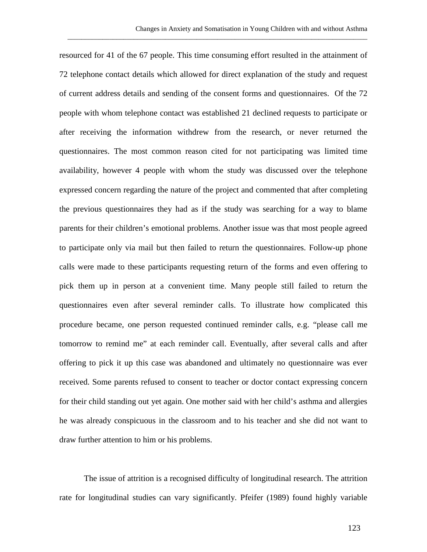resourced for 41 of the 67 people. This time consuming effort resulted in the attainment of 72 telephone contact details which allowed for direct explanation of the study and request of current address details and sending of the consent forms and questionnaires. Of the 72 people with whom telephone contact was established 21 declined requests to participate or after receiving the information withdrew from the research, or never returned the questionnaires. The most common reason cited for not participating was limited time availability, however 4 people with whom the study was discussed over the telephone expressed concern regarding the nature of the project and commented that after completing the previous questionnaires they had as if the study was searching for a way to blame parents for their children's emotional problems. Another issue was that most people agreed to participate only via mail but then failed to return the questionnaires. Follow-up phone calls were made to these participants requesting return of the forms and even offering to pick them up in person at a convenient time. Many people still failed to return the questionnaires even after several reminder calls. To illustrate how complicated this procedure became, one person requested continued reminder calls, e.g. "please call me tomorrow to remind me" at each reminder call. Eventually, after several calls and after offering to pick it up this case was abandoned and ultimately no questionnaire was ever received. Some parents refused to consent to teacher or doctor contact expressing concern for their child standing out yet again. One mother said with her child's asthma and allergies he was already conspicuous in the classroom and to his teacher and she did not want to draw further attention to him or his problems.

The issue of attrition is a recognised difficulty of longitudinal research. The attrition rate for longitudinal studies can vary significantly. Pfeifer (1989) found highly variable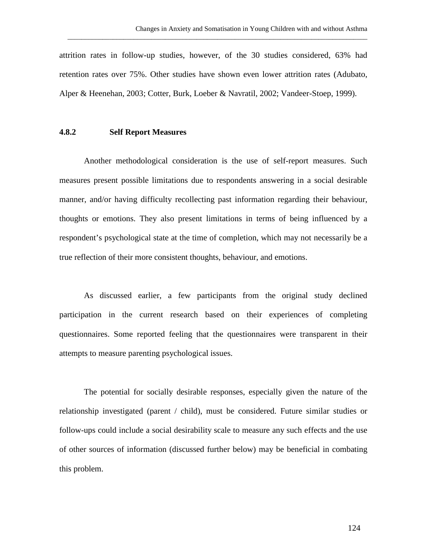attrition rates in follow-up studies, however, of the 30 studies considered, 63% had retention rates over 75%. Other studies have shown even lower attrition rates (Adubato, Alper & Heenehan, 2003; Cotter, Burk, Loeber & Navratil, 2002; Vandeer-Stoep, 1999).

\_\_\_\_\_\_\_\_\_\_\_\_\_\_\_\_\_\_\_\_\_\_\_\_\_\_\_\_\_\_\_\_\_\_\_\_\_\_\_\_\_\_\_\_\_\_\_\_\_\_\_\_\_\_\_\_\_\_\_\_\_\_\_\_\_\_\_\_\_\_\_\_\_\_\_\_\_\_\_\_\_\_\_\_\_\_

### **4.8.2 Self Report Measures**

Another methodological consideration is the use of self-report measures. Such measures present possible limitations due to respondents answering in a social desirable manner, and/or having difficulty recollecting past information regarding their behaviour, thoughts or emotions. They also present limitations in terms of being influenced by a respondent's psychological state at the time of completion, which may not necessarily be a true reflection of their more consistent thoughts, behaviour, and emotions.

As discussed earlier, a few participants from the original study declined participation in the current research based on their experiences of completing questionnaires. Some reported feeling that the questionnaires were transparent in their attempts to measure parenting psychological issues.

The potential for socially desirable responses, especially given the nature of the relationship investigated (parent / child), must be considered. Future similar studies or follow-ups could include a social desirability scale to measure any such effects and the use of other sources of information (discussed further below) may be beneficial in combating this problem.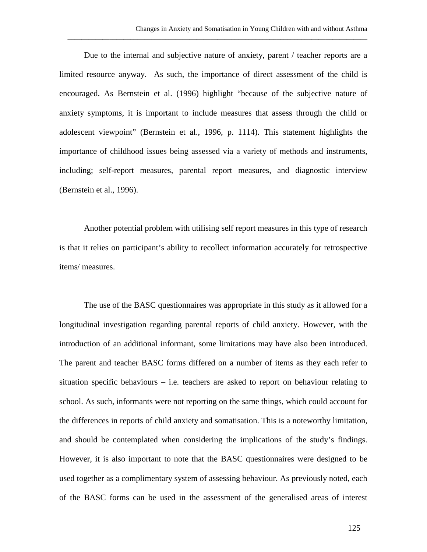Due to the internal and subjective nature of anxiety, parent / teacher reports are a limited resource anyway. As such, the importance of direct assessment of the child is encouraged. As Bernstein et al. (1996) highlight "because of the subjective nature of anxiety symptoms, it is important to include measures that assess through the child or adolescent viewpoint" (Bernstein et al., 1996, p. 1114). This statement highlights the importance of childhood issues being assessed via a variety of methods and instruments, including; self-report measures, parental report measures, and diagnostic interview (Bernstein et al., 1996).

\_\_\_\_\_\_\_\_\_\_\_\_\_\_\_\_\_\_\_\_\_\_\_\_\_\_\_\_\_\_\_\_\_\_\_\_\_\_\_\_\_\_\_\_\_\_\_\_\_\_\_\_\_\_\_\_\_\_\_\_\_\_\_\_\_\_\_\_\_\_\_\_\_\_\_\_\_\_\_\_\_\_\_\_\_\_

Another potential problem with utilising self report measures in this type of research is that it relies on participant's ability to recollect information accurately for retrospective items/ measures.

The use of the BASC questionnaires was appropriate in this study as it allowed for a longitudinal investigation regarding parental reports of child anxiety. However, with the introduction of an additional informant, some limitations may have also been introduced. The parent and teacher BASC forms differed on a number of items as they each refer to situation specific behaviours  $-$  i.e. teachers are asked to report on behaviour relating to school. As such, informants were not reporting on the same things, which could account for the differences in reports of child anxiety and somatisation. This is a noteworthy limitation, and should be contemplated when considering the implications of the study's findings. However, it is also important to note that the BASC questionnaires were designed to be used together as a complimentary system of assessing behaviour. As previously noted, each of the BASC forms can be used in the assessment of the generalised areas of interest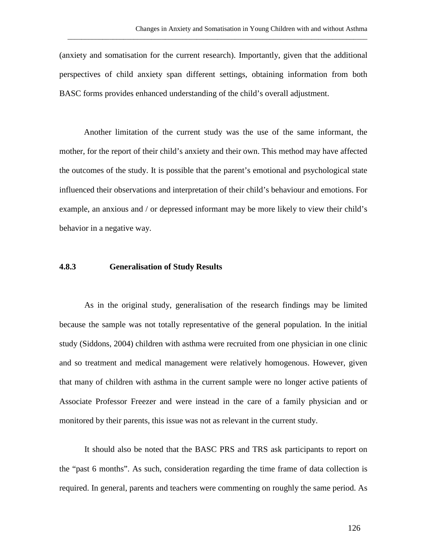(anxiety and somatisation for the current research). Importantly, given that the additional perspectives of child anxiety span different settings, obtaining information from both BASC forms provides enhanced understanding of the child's overall adjustment.

\_\_\_\_\_\_\_\_\_\_\_\_\_\_\_\_\_\_\_\_\_\_\_\_\_\_\_\_\_\_\_\_\_\_\_\_\_\_\_\_\_\_\_\_\_\_\_\_\_\_\_\_\_\_\_\_\_\_\_\_\_\_\_\_\_\_\_\_\_\_\_\_\_\_\_\_\_\_\_\_\_\_\_\_\_\_

Another limitation of the current study was the use of the same informant, the mother, for the report of their child's anxiety and their own. This method may have affected the outcomes of the study. It is possible that the parent's emotional and psychological state influenced their observations and interpretation of their child's behaviour and emotions. For example, an anxious and / or depressed informant may be more likely to view their child's behavior in a negative way.

#### **4.8.3 Generalisation of Study Results**

As in the original study, generalisation of the research findings may be limited because the sample was not totally representative of the general population. In the initial study (Siddons, 2004) children with asthma were recruited from one physician in one clinic and so treatment and medical management were relatively homogenous. However, given that many of children with asthma in the current sample were no longer active patients of Associate Professor Freezer and were instead in the care of a family physician and or monitored by their parents, this issue was not as relevant in the current study.

It should also be noted that the BASC PRS and TRS ask participants to report on the "past 6 months". As such, consideration regarding the time frame of data collection is required. In general, parents and teachers were commenting on roughly the same period. As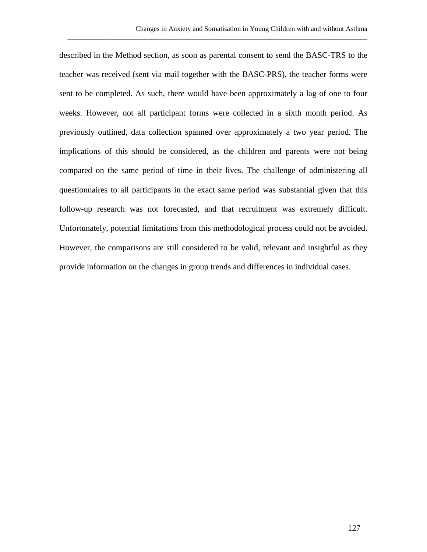described in the Method section, as soon as parental consent to send the BASC-TRS to the teacher was received (sent via mail together with the BASC-PRS), the teacher forms were sent to be completed. As such, there would have been approximately a lag of one to four weeks. However, not all participant forms were collected in a sixth month period. As previously outlined, data collection spanned over approximately a two year period. The implications of this should be considered, as the children and parents were not being compared on the same period of time in their lives. The challenge of administering all questionnaires to all participants in the exact same period was substantial given that this follow-up research was not forecasted, and that recruitment was extremely difficult. Unfortunately, potential limitations from this methodological process could not be avoided. However, the comparisons are still considered to be valid, relevant and insightful as they provide information on the changes in group trends and differences in individual cases.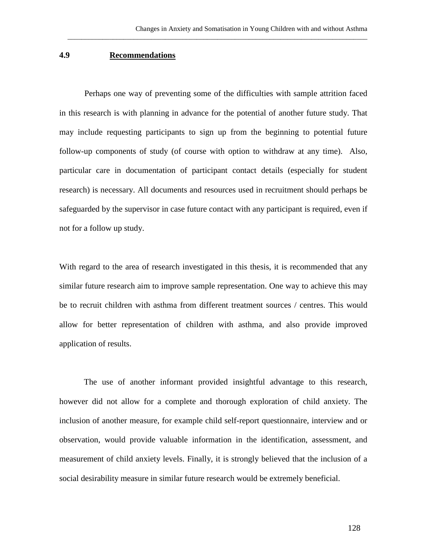### **4.9 Recommendations**

Perhaps one way of preventing some of the difficulties with sample attrition faced in this research is with planning in advance for the potential of another future study. That may include requesting participants to sign up from the beginning to potential future follow-up components of study (of course with option to withdraw at any time). Also, particular care in documentation of participant contact details (especially for student research) is necessary. All documents and resources used in recruitment should perhaps be safeguarded by the supervisor in case future contact with any participant is required, even if not for a follow up study.

\_\_\_\_\_\_\_\_\_\_\_\_\_\_\_\_\_\_\_\_\_\_\_\_\_\_\_\_\_\_\_\_\_\_\_\_\_\_\_\_\_\_\_\_\_\_\_\_\_\_\_\_\_\_\_\_\_\_\_\_\_\_\_\_\_\_\_\_\_\_\_\_\_\_\_\_\_\_\_\_\_\_\_\_\_\_

With regard to the area of research investigated in this thesis, it is recommended that any similar future research aim to improve sample representation. One way to achieve this may be to recruit children with asthma from different treatment sources / centres. This would allow for better representation of children with asthma, and also provide improved application of results.

The use of another informant provided insightful advantage to this research, however did not allow for a complete and thorough exploration of child anxiety. The inclusion of another measure, for example child self-report questionnaire, interview and or observation, would provide valuable information in the identification, assessment, and measurement of child anxiety levels. Finally, it is strongly believed that the inclusion of a social desirability measure in similar future research would be extremely beneficial.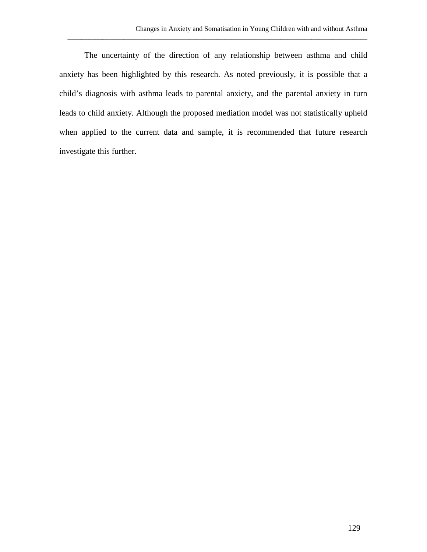The uncertainty of the direction of any relationship between asthma and child anxiety has been highlighted by this research. As noted previously, it is possible that a child's diagnosis with asthma leads to parental anxiety, and the parental anxiety in turn leads to child anxiety. Although the proposed mediation model was not statistically upheld when applied to the current data and sample, it is recommended that future research investigate this further.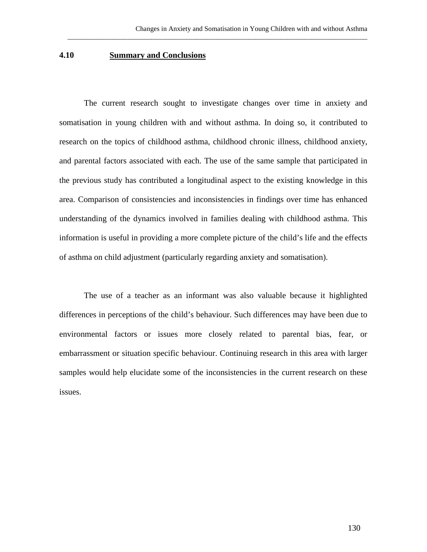#### **4.10 Summary and Conclusions**

The current research sought to investigate changes over time in anxiety and somatisation in young children with and without asthma. In doing so, it contributed to research on the topics of childhood asthma, childhood chronic illness, childhood anxiety, and parental factors associated with each. The use of the same sample that participated in the previous study has contributed a longitudinal aspect to the existing knowledge in this area. Comparison of consistencies and inconsistencies in findings over time has enhanced understanding of the dynamics involved in families dealing with childhood asthma. This information is useful in providing a more complete picture of the child's life and the effects of asthma on child adjustment (particularly regarding anxiety and somatisation).

\_\_\_\_\_\_\_\_\_\_\_\_\_\_\_\_\_\_\_\_\_\_\_\_\_\_\_\_\_\_\_\_\_\_\_\_\_\_\_\_\_\_\_\_\_\_\_\_\_\_\_\_\_\_\_\_\_\_\_\_\_\_\_\_\_\_\_\_\_\_\_\_\_\_\_\_\_\_\_\_\_\_\_\_\_\_

The use of a teacher as an informant was also valuable because it highlighted differences in perceptions of the child's behaviour. Such differences may have been due to environmental factors or issues more closely related to parental bias, fear, or embarrassment or situation specific behaviour. Continuing research in this area with larger samples would help elucidate some of the inconsistencies in the current research on these issues.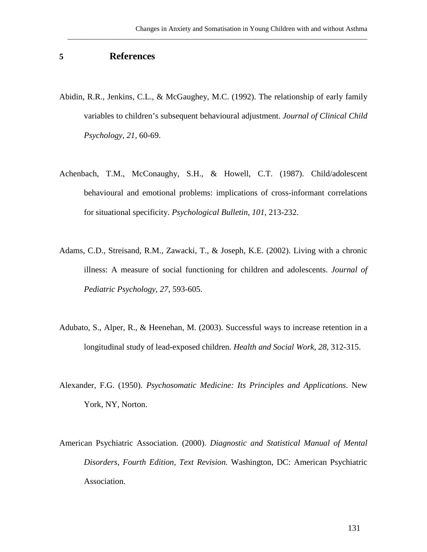## **5 References**

Abidin, R.R., Jenkins, C.L., & McGaughey, M.C. (1992). The relationship of early family variables to children's subsequent behavioural adjustment. *Journal of Clinical Child Psychology, 21,* 60-69.

- Achenbach, T.M., McConaughy, S.H., & Howell, C.T. (1987). Child/adolescent behavioural and emotional problems: implications of cross-informant correlations for situational specificity. *Psychological Bulletin, 101*, 213-232.
- Adams, C.D., Streisand, R.M., Zawacki, T., & Joseph, K.E. (2002). Living with a chronic illness: A measure of social functioning for children and adolescents. *Journal of Pediatric Psychology, 27*, 593-605.
- Adubato, S., Alper, R., & Heenehan, M. (2003). Successful ways to increase retention in a longitudinal study of lead-exposed children. *Health and Social Work, 28,* 312-315.
- Alexander, F.G. (1950). *Psychosomatic Medicine: Its Principles and Applications*. New York, NY, Norton.
- American Psychiatric Association. (2000). *Diagnostic and Statistical Manual of Mental Disorders, Fourth Edition, Text Revision.* Washington, DC: American Psychiatric Association.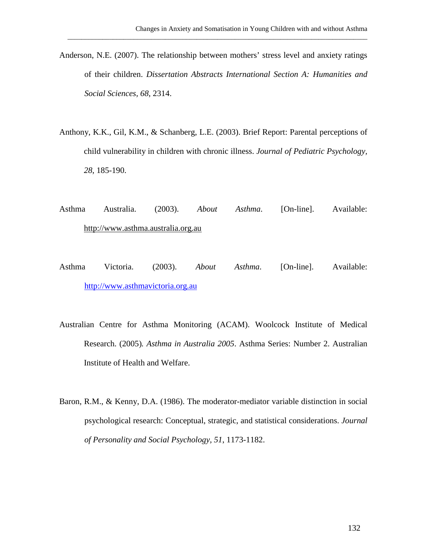Anderson, N.E. (2007). The relationship between mothers' stress level and anxiety ratings of their children. *Dissertation Abstracts International Section A: Humanities and Social Sciences, 68*, 2314.

- Anthony, K.K., Gil, K.M., & Schanberg, L.E. (2003). Brief Report: Parental perceptions of child vulnerability in children with chronic illness. *Journal of Pediatric Psychology, 28*, 185-190.
- Asthma Australia. (2003). *About Asthma*. [On-line]. Available: http://www.asthma.australia.org.au
- Asthma Victoria. (2003). *About Asthma*. [On-line]. Available: [http://www.asthmavictoria.org.au](http://www.asthmavictoria.org.au/)
- Australian Centre for Asthma Monitoring (ACAM). Woolcock Institute of Medical Research. (2005)*. Asthma in Australia 2005*. Asthma Series: Number 2. Australian Institute of Health and Welfare.
- Baron, R.M., & Kenny, D.A. (1986). The moderator-mediator variable distinction in social psychological research: Conceptual, strategic, and statistical considerations. *Journal of Personality and Social Psychology, 51*, 1173-1182.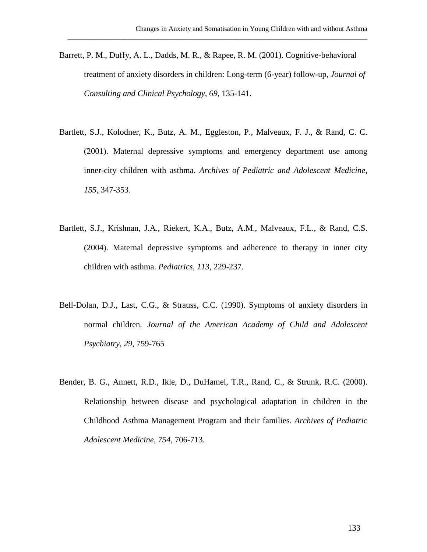Barrett, P. M., Duffy, A. L., Dadds, M. R., & Rapee, R. M. (2001). Cognitive-behavioral treatment of anxiety disorders in children: Long-term (6-year) follow-up, *Journal of Consulting and Clinical Psychology, 69*, 135-141.

- Bartlett, S.J., Kolodner, K., Butz, A. M., Eggleston, P., Malveaux, F. J., & Rand, C. C. (2001). Maternal depressive symptoms and emergency department use among inner-city children with asthma. *Archives of Pediatric and Adolescent Medicine, 155*, 347-353.
- Bartlett, S.J., Krishnan, J.A., Riekert, K.A., Butz, A.M., Malveaux, F.L., & Rand, C.S. (2004). Maternal depressive symptoms and adherence to therapy in inner city children with asthma. *Pediatrics, 113*, 229-237.
- Bell-Dolan, D.J., Last, C.G., & Strauss, C.C. (1990). Symptoms of anxiety disorders in normal children. *Journal of the American Academy of Child and Adolescent Psychiatry, 29*, 759-765
- Bender, B. G., Annett, R.D., Ikle, D., DuHamel, T.R., Rand, C., & Strunk, R.C. (2000). Relationship between disease and psychological adaptation in children in the Childhood Asthma Management Program and their families. *Archives of Pediatric Adolescent Medicine, 754*, 706-713.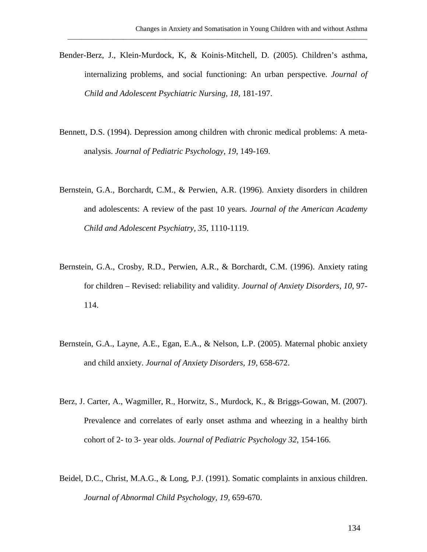Bender-Berz, J., Klein-Murdock, K, & Koinis-Mitchell, D. (2005). Children's asthma, internalizing problems, and social functioning: An urban perspective. *Journal of Child and Adolescent Psychiatric Nursing, 18,* 181-197.

- Bennett, D.S. (1994). Depression among children with chronic medical problems: A metaanalysis. *Journal of Pediatric Psychology, 19*, 149-169.
- Bernstein, G.A., Borchardt, C.M., & Perwien, A.R. (1996). Anxiety disorders in children and adolescents: A review of the past 10 years. *Journal of the American Academy Child and Adolescent Psychiatry, 35,* 1110-1119.
- Bernstein, G.A., Crosby, R.D., Perwien, A.R., & Borchardt, C.M. (1996). Anxiety rating for children – Revised: reliability and validity. *Journal of Anxiety Disorders, 10*, 97- 114.
- Bernstein, G.A., Layne, A.E., Egan, E.A., & Nelson, L.P. (2005). Maternal phobic anxiety and child anxiety. *Journal of Anxiety Disorders, 19,* 658-672.
- Berz, J. Carter, A., Wagmiller, R., Horwitz, S., Murdock, K., & Briggs-Gowan, M. (2007). Prevalence and correlates of early onset asthma and wheezing in a healthy birth cohort of 2- to 3- year olds. *Journal of Pediatric Psychology 32*, 154-166.
- Beidel, D.C., Christ, M.A.G., & Long, P.J. (1991). Somatic complaints in anxious children. *Journal of Abnormal Child Psychology, 19,* 659-670.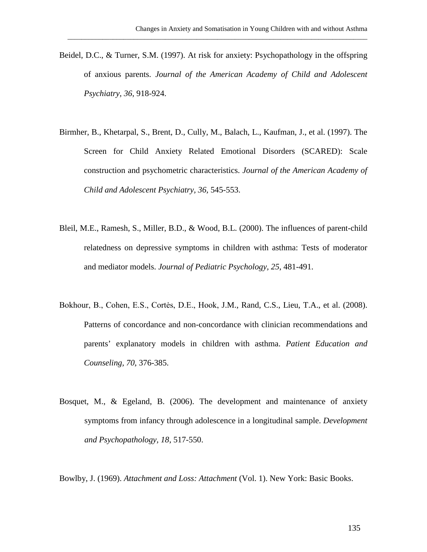Beidel, D.C., & Turner, S.M. (1997). At risk for anxiety: Psychopathology in the offspring of anxious parents. *Journal of the American Academy of Child and Adolescent Psychiatry, 36*, 918-924.

\_\_\_\_\_\_\_\_\_\_\_\_\_\_\_\_\_\_\_\_\_\_\_\_\_\_\_\_\_\_\_\_\_\_\_\_\_\_\_\_\_\_\_\_\_\_\_\_\_\_\_\_\_\_\_\_\_\_\_\_\_\_\_\_\_\_\_\_\_\_\_\_\_\_\_\_\_\_\_\_\_\_\_\_\_\_

- Birmher, B., Khetarpal, S., Brent, D., Cully, M., Balach, L., Kaufman, J., et al. (1997). The Screen for Child Anxiety Related Emotional Disorders (SCARED): Scale construction and psychometric characteristics. *Journal of the American Academy of Child and Adolescent Psychiatry, 36,* 545-553.
- Bleil, M.E., Ramesh, S., Miller, B.D., & Wood, B.L. (2000). The influences of parent-child relatedness on depressive symptoms in children with asthma: Tests of moderator and mediator models. *Journal of Pediatric Psychology, 25*, 481-491.
- Bokhour, B., Cohen, E.S., Cortės, D.E., Hook, J.M., Rand, C.S., Lieu, T.A., et al. (2008). Patterns of concordance and non-concordance with clinician recommendations and parents' explanatory models in children with asthma. *Patient Education and Counseling, 70*, 376-385.
- Bosquet, M., & Egeland, B. (2006). The development and maintenance of anxiety symptoms from infancy through adolescence in a longitudinal sample. *Development and Psychopathology, 18*, 517-550.

Bowlby, J. (1969). *Attachment and Loss: Attachment* (Vol. 1). New York: Basic Books.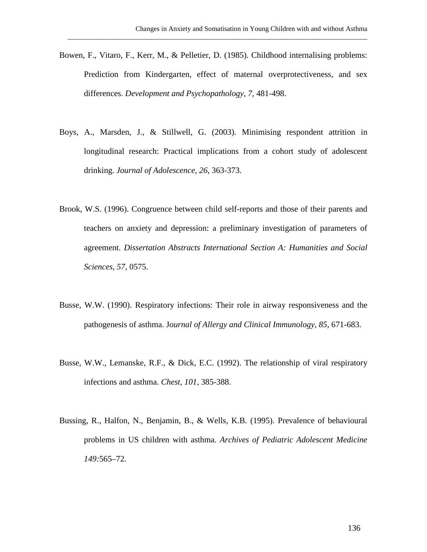Bowen, F., Vitaro, F., Kerr, M., & Pelletier, D. (1985). Childhood internalising problems: Prediction from Kindergarten, effect of maternal overprotectiveness, and sex differences. *Development and Psychopathology, 7,* 481-498.

- Boys, A., Marsden, J., & Stillwell, G. (2003). Minimising respondent attrition in longitudinal research: Practical implications from a cohort study of adolescent drinking. *Journal of Adolescence, 26*, 363-373.
- Brook, W.S. (1996). Congruence between child self-reports and those of their parents and teachers on anxiety and depression: a preliminary investigation of parameters of agreement. *Dissertation Abstracts International Section A: Humanities and Social Sciences, 57*, 0575.
- Busse, W.W. (1990). Respiratory infections: Their role in airway responsiveness and the pathogenesis of asthma. J*ournal of Allergy and Clinical Immunology, 85*, 671-683.
- Busse, W.W., Lemanske, R.F., & Dick, E.C. (1992). The relationship of viral respiratory infections and asthma. *Chest, 101*, 385-388.
- Bussing, R., Halfon, N., Benjamin, B., & Wells, K.B. (1995). Prevalence of behavioural problems in US children with asthma. *Archives of Pediatric Adolescent Medicine 149:*565–72.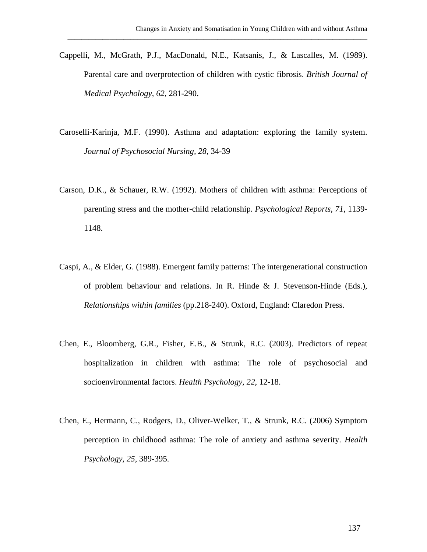Cappelli, M., McGrath, P.J., MacDonald, N.E., Katsanis, J., & Lascalles, M. (1989). Parental care and overprotection of children with cystic fibrosis. *British Journal of Medical Psychology, 62*, 281-290.

- Caroselli-Karinja, M.F. (1990). Asthma and adaptation: exploring the family system. *Journal of Psychosocial Nursing, 28*, 34-39
- Carson, D.K., & Schauer, R.W. (1992). Mothers of children with asthma: Perceptions of parenting stress and the mother-child relationship. *Psychological Reports, 71*, 1139- 1148.
- Caspi, A., & Elder, G. (1988). Emergent family patterns: The intergenerational construction of problem behaviour and relations. In R. Hinde & J. Stevenson-Hinde (Eds.), *Relationships within families* (pp.218-240). Oxford, England: Claredon Press.
- Chen, E., Bloomberg, G.R., Fisher, E.B., & Strunk, R.C. (2003). Predictors of repeat hospitalization in children with asthma: The role of psychosocial and socioenvironmental factors. *Health Psychology, 22*, 12-18.
- Chen, E., Hermann, C., Rodgers, D., Oliver-Welker, T., & Strunk, R.C. (2006) Symptom perception in childhood asthma: The role of anxiety and asthma severity. *Health Psychology, 25*, 389-395.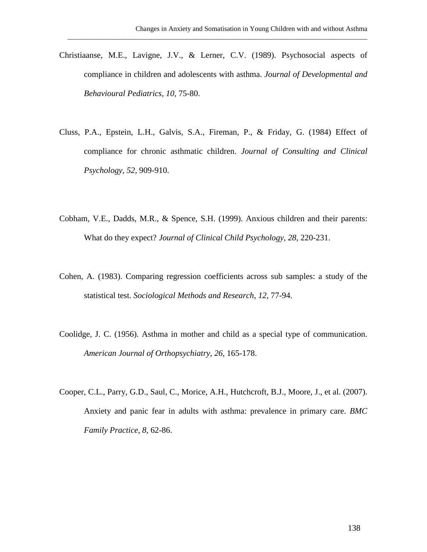Christiaanse, M.E., Lavigne, J.V., & Lerner, C.V. (1989). Psychosocial aspects of compliance in children and adolescents with asthma. *Journal of Developmental and Behavioural Pediatrics, 10,* 75-80.

- Cluss, P.A., Epstein, L.H., Galvis, S.A., Fireman, P., & Friday, G. (1984) Effect of compliance for chronic asthmatic children. *Journal of Consulting and Clinical Psychology, 52,* 909-910.
- Cobham, V.E., Dadds, M.R., & Spence, S.H. (1999). Anxious children and their parents: What do they expect? *Journal of Clinical Child Psychology, 28*, 220-231.
- Cohen, A. (1983). Comparing regression coefficients across sub samples: a study of the statistical test. *Sociological Methods and Research, 12*, 77-94.
- Coolidge, J. C. (1956). Asthma in mother and child as a special type of communication. *American Journal of Orthopsychiatry, 26,* 165-178.
- Cooper, C.L., Parry, G.D., Saul, C., Morice, A.H., Hutchcroft, B.J., Moore, J., et al. (2007). Anxiety and panic fear in adults with asthma: prevalence in primary care. *BMC Family Practice, 8*, 62-86.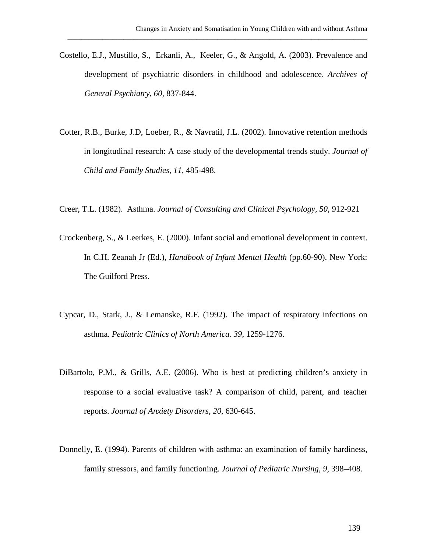Costello, E.J., Mustillo, S., Erkanli, A., Keeler, G., & Angold, A. (2003). Prevalence and development of psychiatric disorders in childhood and adolescence. *Archives of General Psychiatry, 60,* 837-844.

- Cotter, R.B., Burke, J.D, Loeber, R., & Navratil, J.L. (2002). Innovative retention methods in longitudinal research: A case study of the developmental trends study. *Journal of Child and Family Studies, 11,* 485-498.
- Creer, T.L. (1982). Asthma. *Journal of Consulting and Clinical Psychology, 50,* 912-921
- Crockenberg, S., & Leerkes, E. (2000). Infant social and emotional development in context. In C.H. Zeanah Jr (Ed.), *Handbook of Infant Mental Health* (pp.60-90). New York: The Guilford Press.
- Cypcar, D., Stark, J., & Lemanske, R.F. (1992). The impact of respiratory infections on asthma. *Pediatric Clinics of North America. 39*, 1259-1276.
- DiBartolo, P.M., & Grills, A.E. (2006). Who is best at predicting children's anxiety in response to a social evaluative task? A comparison of child, parent, and teacher reports. *Journal of Anxiety Disorders, 20*, 630-645.
- Donnelly, E. (1994). Parents of children with asthma: an examination of family hardiness, family stressors, and family functioning. *Journal of Pediatric Nursing, 9,* 398–408.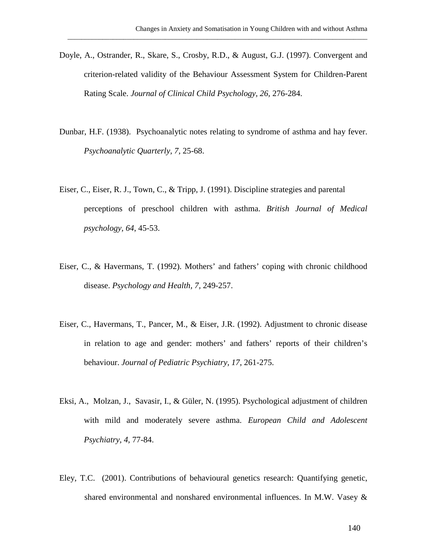Doyle, A., Ostrander, R., Skare, S., Crosby, R.D., & August, G.J. (1997). Convergent and criterion-related validity of the Behaviour Assessment System for Children-Parent Rating Scale. *Journal of Clinical Child Psychology, 26,* 276-284.

- Dunbar, H.F. (1938). Psychoanalytic notes relating to syndrome of asthma and hay fever. *Psychoanalytic Quarterly, 7,* 25-68.
- Eiser, C., Eiser, R. J., Town, C., & Tripp, J. (1991). Discipline strategies and parental perceptions of preschool children with asthma. *British Journal of Medical psychology, 64*, 45-53.
- Eiser, C., & Havermans, T. (1992). Mothers' and fathers' coping with chronic childhood disease. *Psychology and Health, 7,* 249-257.
- Eiser, C., Havermans, T., Pancer, M., & Eiser, J.R. (1992). Adjustment to chronic disease in relation to age and gender: mothers' and fathers' reports of their children's behaviour. *Journal of Pediatric Psychiatry, 17*, 261-275.
- Eksi, A., Molzan, J., Savasir, I., & Güler, N. (1995). Psychological adjustment of children with mild and moderately severe asthma. *European Child and Adolescent Psychiatry, 4,* 77-84.
- Eley, T.C. (2001). Contributions of behavioural genetics research: Quantifying genetic, shared environmental and nonshared environmental influences. In M.W. Vasey &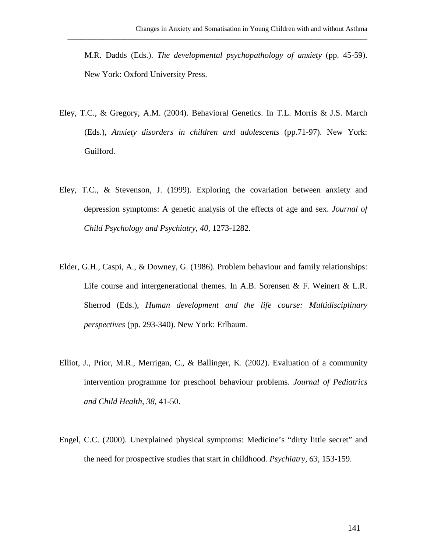M.R. Dadds (Eds.). *The developmental psychopathology of anxiety* (pp. 45-59). New York: Oxford University Press.

- Eley, T.C., & Gregory, A.M. (2004). Behavioral Genetics. In T.L. Morris & J.S. March (Eds.), *Anxiety disorders in children and adolescents* (pp.71-97). New York: Guilford.
- Eley, T.C., & Stevenson, J. (1999). Exploring the covariation between anxiety and depression symptoms: A genetic analysis of the effects of age and sex. *Journal of Child Psychology and Psychiatry, 40,* 1273-1282.
- Elder, G.H., Caspi, A., & Downey, G. (1986). Problem behaviour and family relationships: Life course and intergenerational themes. In A.B. Sorensen & F. Weinert & L.R. Sherrod (Eds.), *Human development and the life course: Multidisciplinary perspectives* (pp. 293-340). New York: Erlbaum.
- Elliot, J., Prior, M.R., Merrigan, C., & Ballinger, K. (2002). Evaluation of a community intervention programme for preschool behaviour problems. *Journal of Pediatrics and Child Health, 38,* 41-50.
- Engel, C.C. (2000). Unexplained physical symptoms: Medicine's "dirty little secret" and the need for prospective studies that start in childhood. *Psychiatry, 63,* 153-159.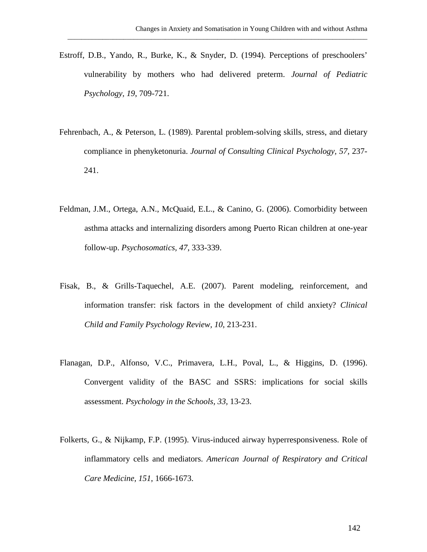Estroff, D.B., Yando, R., Burke, K., & Snyder, D. (1994). Perceptions of preschoolers' vulnerability by mothers who had delivered preterm. *Journal of Pediatric Psychology, 19*, 709-721.

- Fehrenbach, A., & Peterson, L. (1989). Parental problem-solving skills, stress, and dietary compliance in phenyketonuria. *Journal of Consulting Clinical Psychology, 57,* 237- 241.
- Feldman, J.M., Ortega, A.N., McQuaid, E.L., & Canino, G. (2006). Comorbidity between asthma attacks and internalizing disorders among Puerto Rican children at one-year follow-up. *Psychosomatics, 47*, 333-339.
- Fisak, B., & Grills-Taquechel, A.E. (2007). Parent modeling, reinforcement, and information transfer: risk factors in the development of child anxiety? *Clinical Child and Family Psychology Review, 10*, 213-231.
- Flanagan, D.P., Alfonso, V.C., Primavera, L.H., Poval, L., & Higgins, D. (1996). Convergent validity of the BASC and SSRS: implications for social skills assessment. *Psychology in the Schools, 33,* 13-23.
- Folkerts, G., & Nijkamp, F.P. (1995). Virus-induced airway hyperresponsiveness. Role of inflammatory cells and mediators. *American Journal of Respiratory and Critical Care Medicine, 151*, 1666-1673.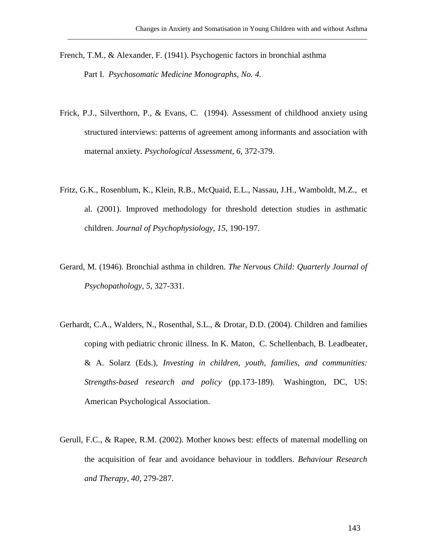- French, T.M., & Alexander, F. (1941). Psychogenic factors in bronchial asthma Part I. *Psychosomatic Medicine Monographs, No. 4.*
- Frick, P.J., Silverthorn, P., & Evans, C. (1994). Assessment of childhood anxiety using structured interviews: patterns of agreement among informants and association with maternal anxiety. *Psychological Assessment, 6,* 372-379.

- Fritz, G.K., Rosenblum, K., Klein, R.B., McQuaid, E.L., Nassau, J.H., Wamboldt, M.Z., et al. (2001). Improved methodology for threshold detection studies in asthmatic children. *Journal of Psychophysiology, 15*, 190-197.
- Gerard, M. (1946). Bronchial asthma in children. *The Nervous Child: Quarterly Journal of Psychopathology, 5,* 327-331.
- Gerhardt, C.A., Walders, N., Rosenthal, S.L., & Drotar, D.D. (2004). Children and families coping with pediatric chronic illness. In K. Maton, C. Schellenbach, B. Leadbeater, & A. Solarz (Eds.), *Investing in children, youth, families, and communities: Strengths-based research and policy* (pp.173-189). Washington, DC, US: American Psychological Association.
- Gerull, F.C., & Rapee, R.M. (2002). Mother knows best: effects of maternal modelling on the acquisition of fear and avoidance behaviour in toddlers. *Behaviour Research and Therapy, 40*, 279-287.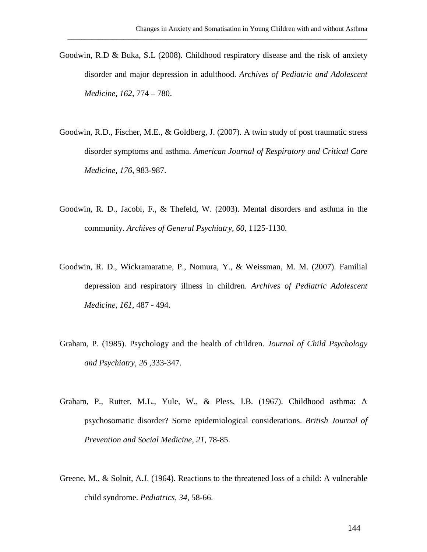Goodwin, R.D & Buka, S.L (2008). Childhood respiratory disease and the risk of anxiety disorder and major depression in adulthood. *Archives of Pediatric and Adolescent Medicine, 162*, 774 – 780.

- Goodwin, R.D., Fischer, M.E., & Goldberg, J. (2007). A twin study of post traumatic stress disorder symptoms and asthma. *American Journal of Respiratory and Critical Care Medicine, 176*, 983-987.
- Goodwin, R. D., Jacobi, F., & Thefeld, W. (2003). Mental disorders and asthma in the community. *Archives of General Psychiatry, 60*, 1125-1130.
- Goodwin, R. D., Wickramaratne, P., Nomura, Y., & Weissman, M. M. (2007). Familial depression and respiratory illness in children. *Archives of Pediatric Adolescent Medicine, 161*, 487 - 494.
- Graham, P. (1985). Psychology and the health of children. *Journal of Child Psychology and Psychiatry, 26 ,*333-347.
- Graham, P., Rutter, M.L., Yule, W., & Pless, I.B. (1967). Childhood asthma: A psychosomatic disorder? Some epidemiological considerations. *British Journal of Prevention and Social Medicine, 21*, 78-85.
- Greene, M., & Solnit, A.J. (1964). Reactions to the threatened loss of a child: A vulnerable child syndrome. *Pediatrics, 34*, 58-66.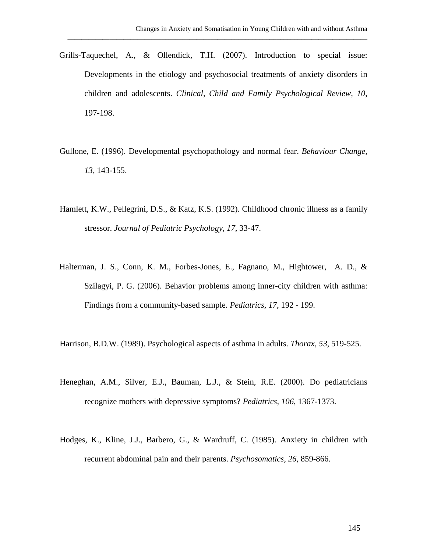Grills-Taquechel, A., & Ollendick, T.H. (2007). Introduction to special issue: Developments in the etiology and psychosocial treatments of anxiety disorders in children and adolescents. *Clinical, Child and Family Psychological Review, 10*, 197-198.

- Gullone, E. (1996). Developmental psychopathology and normal fear. *Behaviour Change, 13,* 143-155.
- Hamlett, K.W., Pellegrini, D.S., & Katz, K.S. (1992). Childhood chronic illness as a family stressor. *Journal of Pediatric Psychology, 17*, 33-47.
- Halterman, J. S., Conn, K. M., Forbes-Jones, E., Fagnano, M., Hightower, A. D., & Szilagyi, P. G. (2006). Behavior problems among inner-city children with asthma: Findings from a community-based sample. *Pediatrics, 17*, 192 - 199.
- Harrison, B.D.W. (1989). Psychological aspects of asthma in adults. *Thorax, 53,* 519-525.
- Heneghan, A.M., Silver, E.J., Bauman, L.J., & Stein, R.E. (2000). Do pediatricians recognize mothers with depressive symptoms? *Pediatrics, 106*, 1367-1373.
- Hodges, K., Kline, J.J., Barbero, G., & Wardruff, C. (1985). Anxiety in children with recurrent abdominal pain and their parents. *Psychosomatics, 26*, 859-866.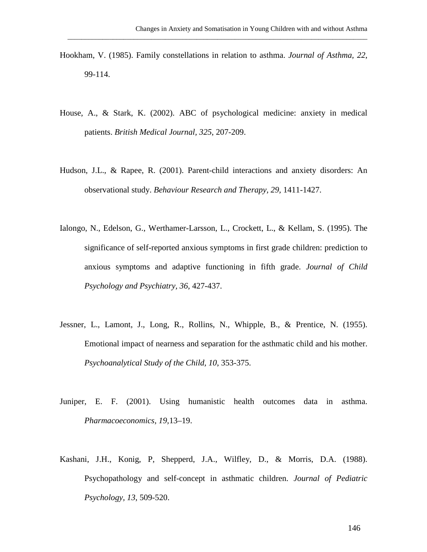Hookham, V. (1985). Family constellations in relation to asthma. *Journal of Asthma, 22*, 99-114.

- House, A., & Stark, K. (2002). ABC of psychological medicine: anxiety in medical patients. *British Medical Journal, 325*, 207-209.
- Hudson, J.L., & Rapee, R. (2001). Parent-child interactions and anxiety disorders: An observational study. *Behaviour Research and Therapy, 29,* 1411-1427.
- Ialongo, N., Edelson, G., Werthamer-Larsson, L., Crockett, L., & Kellam, S. (1995). The significance of self-reported anxious symptoms in first grade children: prediction to anxious symptoms and adaptive functioning in fifth grade. *Journal of Child Psychology and Psychiatry, 36,* 427-437.
- Jessner, L., Lamont, J., Long, R., Rollins, N., Whipple, B., & Prentice, N. (1955). Emotional impact of nearness and separation for the asthmatic child and his mother. *Psychoanalytical Study of the Child, 10*, 353-375.
- Juniper, E. F. (2001). Using humanistic health outcomes data in asthma. *Pharmacoeconomics, 19,*13–19.
- Kashani, J.H., Konig, P, Shepperd, J.A., Wilfley, D., & Morris, D.A. (1988). Psychopathology and self-concept in asthmatic children. *Journal of Pediatric Psychology, 13*, 509-520.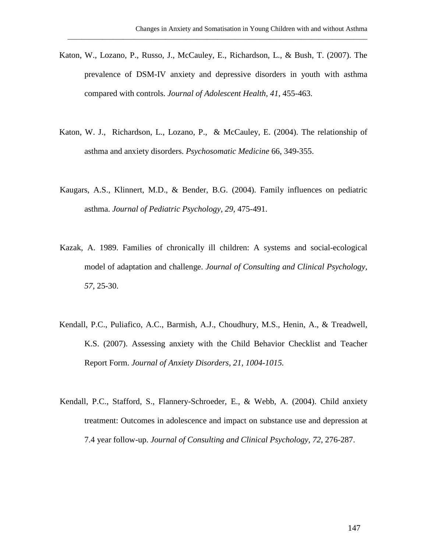Katon, W., Lozano, P., Russo, J., McCauley, E., Richardson, L., & Bush, T. (2007). The prevalence of DSM-IV anxiety and depressive disorders in youth with asthma compared with controls. *Journal of Adolescent Health, 41*, 455-463.

- Katon, W. J., Richardson, L., Lozano, P., & McCauley, E. (2004). The relationship of asthma and anxiety disorders. *Psychosomatic Medicine* 66, 349-355.
- Kaugars, A.S., Klinnert, M.D., & Bender, B.G. (2004). Family influences on pediatric asthma. *Journal of Pediatric Psychology, 29,* 475-491.
- Kazak, A. 1989. Families of chronically ill children: A systems and social-ecological model of adaptation and challenge. *Journal of Consulting and Clinical Psychology, 57,* 25-30.
- Kendall, P.C., Puliafico, A.C., Barmish, A.J., Choudhury, M.S., Henin, A., & Treadwell, K.S. (2007). Assessing anxiety with the Child Behavior Checklist and Teacher Report Form. *Journal of Anxiety Disorders, 21, 1004-1015.*
- Kendall, P.C., Stafford, S., Flannery-Schroeder, E., & Webb, A. (2004). Child anxiety treatment: Outcomes in adolescence and impact on substance use and depression at 7.4 year follow-up. *Journal of Consulting and Clinical Psychology, 72*, 276-287.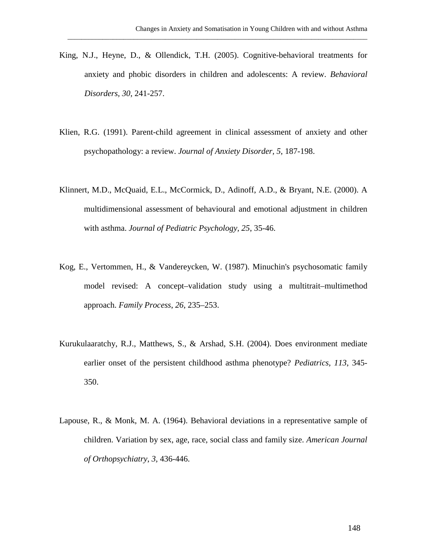King, N.J., Heyne, D., & Ollendick, T.H. (2005). Cognitive-behavioral treatments for anxiety and phobic disorders in children and adolescents: A review. *Behavioral Disorders, 30*, 241-257.

- Klien, R.G. (1991). Parent-child agreement in clinical assessment of anxiety and other psychopathology: a review. *Journal of Anxiety Disorder, 5*, 187-198.
- Klinnert, M.D., McQuaid, E.L., McCormick, D., Adinoff, A.D., & Bryant, N.E. (2000). A multidimensional assessment of behavioural and emotional adjustment in children with asthma. *Journal of Pediatric Psychology, 25*, 35-46.
- Kog, E., Vertommen, H., & Vandereycken, W. (1987). Minuchin's psychosomatic family model revised: A concept–validation study using a multitrait–multimethod approach. *Family Process*, *26*, 235–253.
- Kurukulaaratchy, R.J., Matthews, S., & Arshad, S.H. (2004). Does environment mediate earlier onset of the persistent childhood asthma phenotype? *Pediatrics, 113*, 345- 350.
- Lapouse, R., & Monk, M. A. (1964). Behavioral deviations in a representative sample of children. Variation by sex, age, race, social class and family size. *American Journal of Orthopsychiatry*, *3,* 436-446.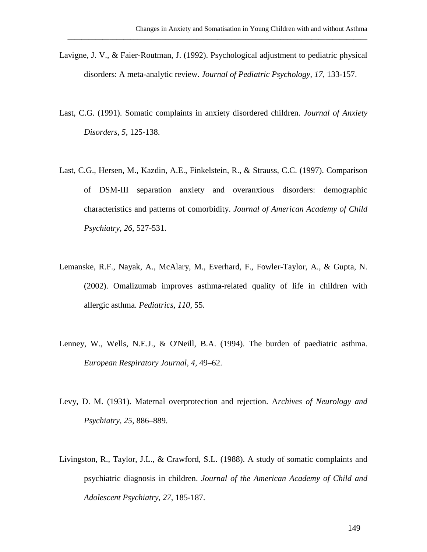Lavigne, J. V., & Faier-Routman, J. (1992). Psychological adjustment to pediatric physical disorders: A meta-analytic review. *Journal of Pediatric Psychology*, *17*, 133-157.

- Last, C.G. (1991). Somatic complaints in anxiety disordered children. *Journal of Anxiety Disorders, 5*, 125-138.
- Last, C.G., Hersen, M., Kazdin, A.E., Finkelstein, R., & Strauss, C.C. (1997). Comparison of DSM-III separation anxiety and overanxious disorders: demographic characteristics and patterns of comorbidity. *Journal of American Academy of Child Psychiatry, 26*, 527-531.
- Lemanske, R.F., Nayak, A., McAlary, M., Everhard, F., Fowler-Taylor, A., & Gupta, N. (2002). Omalizumab improves asthma-related quality of life in children with allergic asthma. *Pediatrics, 110*, 55.
- Lenney, W., Wells, N.E.J., & O'Neill, B.A. (1994). The burden of paediatric asthma. *European Respiratory Journal, 4,* 49–62.
- Levy, D. M. (1931). Maternal overprotection and rejection. A*rchives of Neurology and Psychiatry, 25*, 886–889.
- Livingston, R., Taylor, J.L., & Crawford, S.L. (1988). A study of somatic complaints and psychiatric diagnosis in children. *Journal of the American Academy of Child and Adolescent Psychiatry, 27*, 185-187.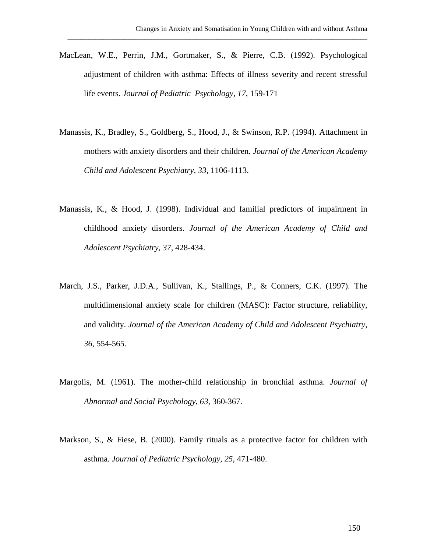MacLean, W.E., Perrin, J.M., Gortmaker, S., & Pierre, C.B. (1992). Psychological adjustment of children with asthma: Effects of illness severity and recent stressful life events. *Journal of Pediatric Psychology, 17*, 159-171

- Manassis, K., Bradley, S., Goldberg, S., Hood, J., & Swinson, R.P. (1994). Attachment in mothers with anxiety disorders and their children. *Journal of the American Academy Child and Adolescent Psychiatry, 33,* 1106-1113.
- Manassis, K., & Hood, J. (1998). Individual and familial predictors of impairment in childhood anxiety disorders. *Journal of the American Academy of Child and Adolescent Psychiatry, 37,* 428-434.
- March, J.S., Parker, J.D.A., Sullivan, K., Stallings, P., & Conners, C.K. (1997). The multidimensional anxiety scale for children (MASC): Factor structure, reliability, and validity. *Journal of the American Academy of Child and Adolescent Psychiatry, 36*, 554-565.
- Margolis, M. (1961). The mother-child relationship in bronchial asthma. *Journal of Abnormal and Social Psychology, 63*, 360-367.
- Markson, S., & Fiese, B. (2000). Family rituals as a protective factor for children with asthma. *Journal of Pediatric Psychology, 25*, 471-480.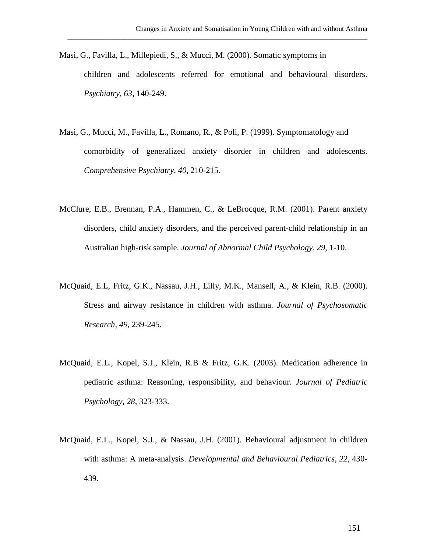Masi, G., Favilla, L., Millepiedi, S., & Mucci, M. (2000). Somatic symptoms in children and adolescents referred for emotional and behavioural disorders. *Psychiatry, 63*, 140-249.

- Masi, G., Mucci, M., Favilla, L., Romano, R., & Poli, P. (1999). Symptomatology and comorbidity of generalized anxiety disorder in children and adolescents. *Comprehensive Psychiatry, 40*, 210-215.
- McClure, E.B., Brennan, P.A., Hammen, C., & LeBrocque, R.M. (2001). Parent anxiety disorders, child anxiety disorders, and the perceived parent-child relationship in an Australian high-risk sample. *Journal of Abnormal Child Psychology, 29*, 1-10.
- McQuaid, E.L, Fritz, G.K., Nassau, J.H., Lilly, M.K., Mansell, A., & Klein, R.B. (2000). Stress and airway resistance in children with asthma. *Journal of Psychosomatic Research, 49,* 239-245.
- McQuaid, E.L., Kopel, S.J., Klein, R.B & Fritz, G.K. (2003). Medication adherence in pediatric asthma: Reasoning, responsibility, and behaviour. *Journal of Pediatric Psychology, 28*, 323-333.
- McQuaid, E.L., Kopel, S.J., & Nassau, J.H. (2001). Behavioural adjustment in children with asthma: A meta-analysis. *Developmental and Behavioural Pediatrics, 22*, 430- 439.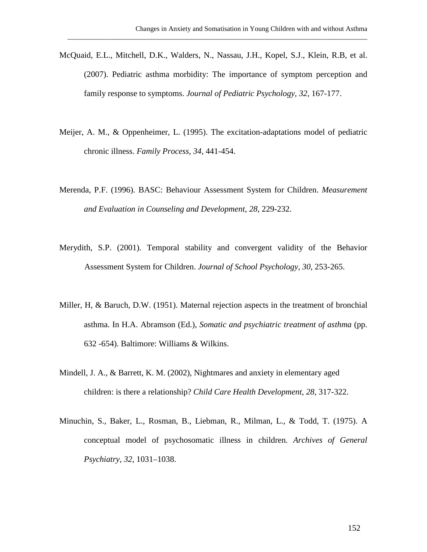McQuaid, E.L., Mitchell, D.K., Walders, N., Nassau, J.H., Kopel, S.J., Klein, R.B, et al. (2007). Pediatric asthma morbidity: The importance of symptom perception and family response to symptoms. *Journal of Pediatric Psychology, 32*, 167-177.

- Meijer, A. M., & Oppenheimer, L. (1995). The excitation-adaptations model of pediatric chronic illness. *Family Process, 34*, 441-454.
- Merenda, P.F. (1996). BASC: Behaviour Assessment System for Children. *Measurement and Evaluation in Counseling and Development, 28*, 229-232.
- Merydith, S.P. (2001). Temporal stability and convergent validity of the Behavior Assessment System for Children. *Journal of School Psychology, 30*, 253-265.
- Miller, H, & Baruch, D.W. (1951). Maternal rejection aspects in the treatment of bronchial asthma. In H.A. Abramson (Ed.), *Somatic and psychiatric treatment of asthma* (pp. 632 -654). Baltimore: Williams & Wilkins.
- Mindell, J. A., & Barrett, K. M. (2002), [Nightmares and anxiety in elementary aged](javascript:__doLinkPostBack()  [children: is there a relationship?](javascript:__doLinkPostBack() *Child Care Health Development, 28,* 317-322.
- Minuchin, S., Baker, L., Rosman, B., Liebman, R., Milman, L., & Todd, T. (1975). A conceptual model of psychosomatic illness in children. *Archives of General Psychiatry*, *32*, 1031–1038.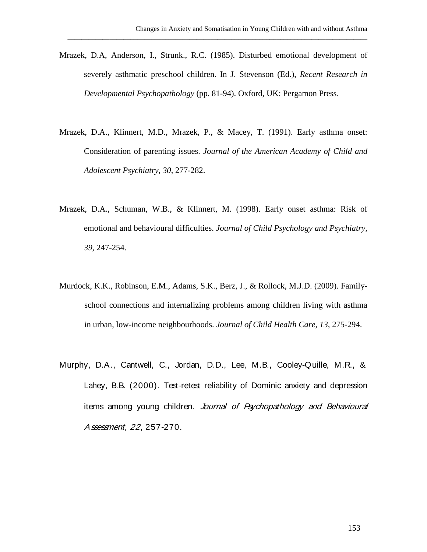Mrazek, D.A, Anderson, I., Strunk., R.C. (1985). Disturbed emotional development of severely asthmatic preschool children. In J. Stevenson (Ed.), *Recent Research in Developmental Psychopathology* (pp. 81-94). Oxford, UK: Pergamon Press.

- Mrazek, D.A., Klinnert, M.D., Mrazek, P., & Macey, T. (1991). Early asthma onset: Consideration of parenting issues. *Journal of the American Academy of Child and Adolescent Psychiatry, 30*, 277-282.
- Mrazek, D.A., Schuman, W.B., & Klinnert, M. (1998). Early onset asthma: Risk of emotional and behavioural difficulties. *Journal of Child Psychology and Psychiatry, 39,* 247-254.
- Murdock, K.K., Robinson, E.M., Adams, S.K., Berz, J., & Rollock, M.J.D. (2009). Familyschool connections and internalizing problems among children living with asthma in urban, low-income neighbourhoods. *Journal of Child Health Care, 13*, 275-294.
- Murphy, D.A., Cantwell, C., Jordan, D.D., Lee, M.B., Cooley-Quille, M.R., & Lahey, B.B. (2000). Test-retest reliability of Dominic anxiety and depression items among young children. Journal of Psychopathology and Behavioural Assessment, 22, 257-270.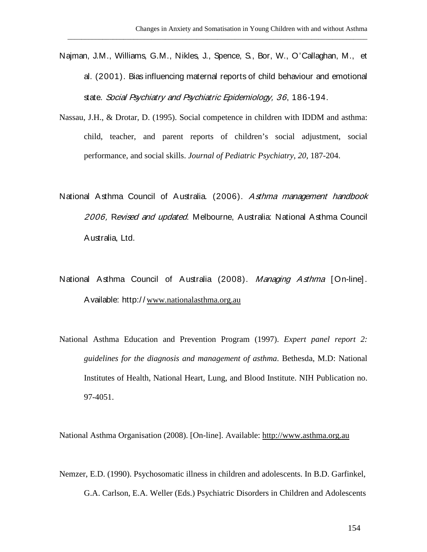Najman, J.M., Williams, G.M., Nikles, J., Spence, S., Bor, W., O'Callaghan, M., et al. (2001). Bias influencing maternal reports of child behaviour and emotional state. Social Psychiatry and Psychiatric Epidemiology, 36, 186-194.

\_\_\_\_\_\_\_\_\_\_\_\_\_\_\_\_\_\_\_\_\_\_\_\_\_\_\_\_\_\_\_\_\_\_\_\_\_\_\_\_\_\_\_\_\_\_\_\_\_\_\_\_\_\_\_\_\_\_\_\_\_\_\_\_\_\_\_\_\_\_\_\_\_\_\_\_\_\_\_\_\_\_\_\_\_\_

- Nassau, J.H., & Drotar, D. (1995). Social competence in children with IDDM and asthma: child, teacher, and parent reports of children's social adjustment, social performance, and social skills. *Journal of Pediatric Psychiatry, 20*, 187-204.
- National Asthma Council of Australia. (2006). Asthma management handbook 2006, Revised and updated. Melbourne, Australia: National Asthma Council Australia, Ltd.
- National Asthma Council of Australia (2008). Managing Asthma [On-line]. Available: http:/ / [www.nationalasthma.org.au](http://www.nationalasthma.org.au/)
- National Asthma Education and Prevention Program (1997). *Expert panel report 2: guidelines for the diagnosis and management of asthma*. Bethesda, M.D: National Institutes of Health, National Heart, Lung, and Blood Institute. NIH Publication no. 97-4051.

National Asthma Organisation (2008). [On-line]. Available: [http://www.asthma.org.au](http://www.asthma.org.au/)

Nemzer, E.D. (1990). Psychosomatic illness in children and adolescents. In B.D. Garfinkel, G.A. Carlson, E.A. Weller (Eds.) Psychiatric Disorders in Children and Adolescents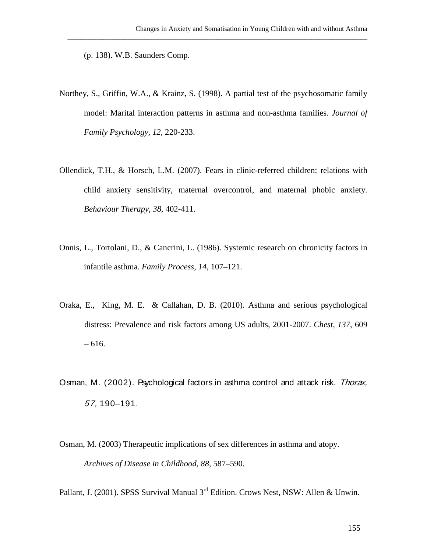(p. 138). W.B. Saunders Comp.

Northey, S., Griffin, W.A., & Krainz, S. (1998). A partial test of the psychosomatic family model: Marital interaction patterns in asthma and non-asthma families. *Journal of Family Psychology, 12*, 220-233.

\_\_\_\_\_\_\_\_\_\_\_\_\_\_\_\_\_\_\_\_\_\_\_\_\_\_\_\_\_\_\_\_\_\_\_\_\_\_\_\_\_\_\_\_\_\_\_\_\_\_\_\_\_\_\_\_\_\_\_\_\_\_\_\_\_\_\_\_\_\_\_\_\_\_\_\_\_\_\_\_\_\_\_\_\_\_

- Ollendick, T.H., & Horsch, L.M. (2007). Fears in clinic-referred children: relations with child anxiety sensitivity, maternal overcontrol, and maternal phobic anxiety. *Behaviour Therapy, 38,* 402-411.
- Onnis, L., Tortolani, D., & Cancrini, L. (1986). Systemic research on chronicity factors in infantile asthma. *Family Process*, *14*, 107–121.
- Oraka, E., King, M. E. & Callahan, D. B. (2010). Asthma and serious psychological distress: Prevalence and risk factors among US adults, 2001-2007. *Chest, 137*, 609 – 616.
- Osman, M. (2002). Psychological factors in asthma control and attack risk. Thorax, 57, 190–191.
- Osman, M. (2003) Therapeutic implications of sex differences in asthma and atopy. *Archives of Disease in Childhood, 88,* 587–590.

Pallant, J. (2001). SPSS Survival Manual 3<sup>rd</sup> Edition. Crows Nest, NSW: Allen & Unwin.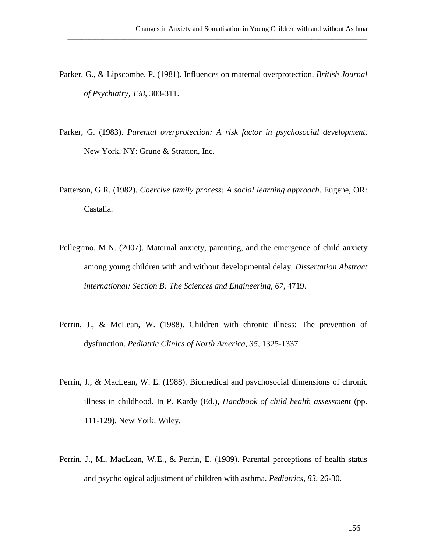Parker, G., & Lipscombe, P. (1981). Influences on maternal overprotection. *British Journal of Psychiatry, 138*, 303-311.

- Parker, G. (1983). *Parental overprotection: A risk factor in psychosocial development*. New York, NY: Grune & Stratton, Inc.
- Patterson, G.R. (1982). *Coercive family process: A social learning approach*. Eugene, OR: Castalia.
- Pellegrino, M.N. (2007). Maternal anxiety, parenting, and the emergence of child anxiety among young children with and without developmental delay. *Dissertation Abstract international: Section B: The Sciences and Engineering, 67,* 4719.
- Perrin, J., & McLean, W. (1988). Children with chronic illness: The prevention of dysfunction. *Pediatric Clinics of North America, 35,* 1325-1337
- Perrin, J., & MacLean, W. E. (1988). Biomedical and psychosocial dimensions of chronic illness in childhood. In P. Kardy (Ed.), *Handbook of child health assessment* (pp. 111-129). New York: Wiley.
- Perrin, J., M., MacLean, W.E., & Perrin, E. (1989). Parental perceptions of health status and psychological adjustment of children with asthma. *Pediatrics, 83*, 26-30.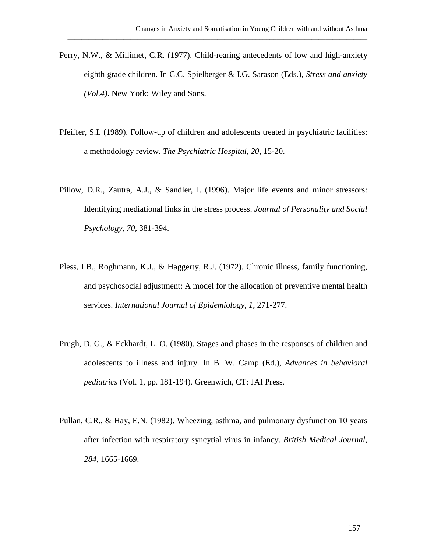Perry, N.W., & Millimet, C.R. (1977). Child-rearing antecedents of low and high-anxiety eighth grade children. In C.C. Spielberger & I.G. Sarason (Eds.), *Stress and anxiety (Vol.4)*. New York: Wiley and Sons.

- Pfeiffer, S.I. (1989). Follow-up of children and adolescents treated in psychiatric facilities: a methodology review. *The Psychiatric Hospital, 20*, 15-20.
- Pillow, D.R., Zautra, A.J., & Sandler, I. (1996). Major life events and minor stressors: Identifying mediational links in the stress process. *Journal of Personality and Social Psychology, 70*, 381-394.
- Pless, I.B., Roghmann, K.J., & Haggerty, R.J. (1972). Chronic illness, family functioning, and psychosocial adjustment: A model for the allocation of preventive mental health services. *International Journal of Epidemiology, 1*, 271-277.
- Prugh, D. G., & Eckhardt, L. O. (1980). Stages and phases in the responses of children and adolescents to illness and injury. In B. W. Camp (Ed.), *Advances in behavioral pediatrics* (Vol. 1, pp. 181-194). Greenwich, CT: JAI Press.
- Pullan, C.R., & Hay, E.N. (1982). Wheezing, asthma, and pulmonary dysfunction 10 years after infection with respiratory syncytial virus in infancy. *British Medical Journal, 284*, 1665-1669.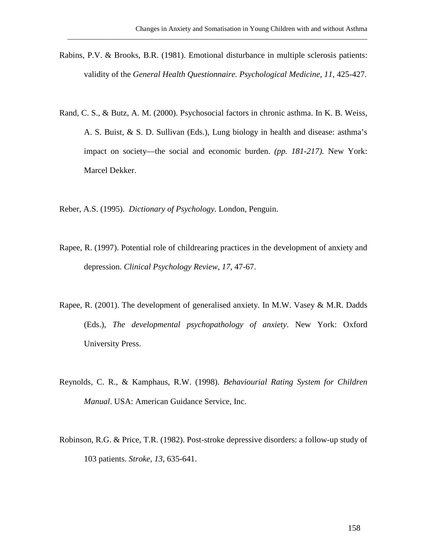Rabins, P.V. & Brooks, B.R. (1981). Emotional disturbance in multiple sclerosis patients: validity of the *General Health Questionnaire. Psychological Medicine, 11,* 425-427.

- Rand, C. S., & Butz, A. M. (2000). Psychosocial factors in chronic asthma. In K. B. Weiss, A. S. Buist, & S. D. Sullivan (Eds.), Lung biology in health and disease: asthma's impact on society—the social and economic burden. *(pp. 181-217).* New York: Marcel Dekker.
- Reber, A.S. (1995). *Dictionary of Psychology*. London, Penguin.
- Rapee, R. (1997). Potential role of childrearing practices in the development of anxiety and depression. *Clinical Psychology Review, 17*, 47-67.
- Rapee, R. (2001). The development of generalised anxiety. In M.W. Vasey & M.R. Dadds (Eds.), *The developmental psychopathology of anxiety*. New York: Oxford University Press.
- Reynolds, C. R., & Kamphaus, R.W. (1998). *Behaviourial Rating System for Children Manual*. USA: American Guidance Service, Inc.
- Robinson, R.G. & Price, T.R. (1982). Post-stroke depressive disorders: a follow-up study of 103 patients. *Stroke, 13*, 635-641.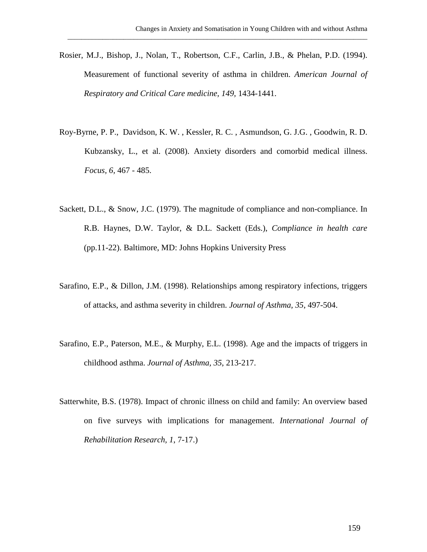Rosier, M.J., Bishop, J., Nolan, T., Robertson, C.F., Carlin, J.B., & Phelan, P.D. (1994). Measurement of functional severity of asthma in children. *American Journal of Respiratory and Critical Care medicine, 149,* 1434-1441.

- Roy-Byrne, P. P., Davidson, K. W. , Kessler, R. C. , Asmundson, G. J.G. , Goodwin, R. D. Kubzansky, L., et al. (2008). Anxiety disorders and comorbid medical illness. *Focus, 6,* 467 - 485.
- Sackett, D.L., & Snow, J.C. (1979). The magnitude of compliance and non-compliance. In R.B. Haynes, D.W. Taylor, & D.L. Sackett (Eds.), *Compliance in health care* (pp.11-22). Baltimore, MD: Johns Hopkins University Press
- Sarafino, E.P., & Dillon, J.M. (1998). Relationships among respiratory infections, triggers of attacks, and asthma severity in children. *Journal of Asthma, 35*, 497-504.
- Sarafino, E.P., Paterson, M.E., & Murphy, E.L. (1998). Age and the impacts of triggers in childhood asthma. *Journal of Asthma, 35*, 213-217.
- Satterwhite, B.S. (1978). Impact of chronic illness on child and family: An overview based on five surveys with implications for management. *International Journal of Rehabilitation Research, 1*, 7-17.)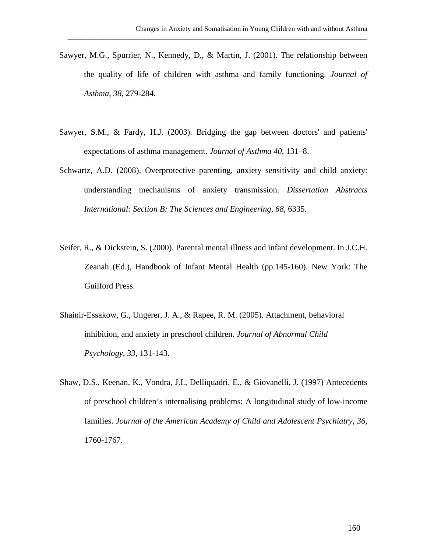Sawyer, M.G., Spurrier, N., Kennedy, D., & Martin, J. (2001). The relationship between the quality of life of children with asthma and family functioning. *Journal of Asthma, 38*, 279-284.

- Sawyer, S.M., & Fardy, H.J. (2003). Bridging the gap between doctors' and patients' expectations of asthma management. *Journal of Asthma 40*, 131–8.
- Schwartz, A.D. (2008). Overprotective parenting, anxiety sensitivity and child anxiety: understanding mechanisms of anxiety transmission. *Dissertation Abstracts International: Section B: The Sciences and Engineering, 68*, 6335.
- Seifer, R., & Dickstein, S. (2000). Parental mental illness and infant development. In J.C.H. Zeanah (Ed.), Handbook of Infant Mental Health (pp.145-160). New York: The Guilford Press.
- Shainir-Essakow, G., Ungerer, J. A., & Rapee, R. M. (2005). [Attachment, behavioral](javascript:__doLinkPostBack()  [inhibition, and anxiety in preschool children](javascript:__doLinkPostBack() . *Journal of Abnormal Child Psychology, 33*, 131-143.
- Shaw, D.S., Keenan, K., Vondra, J.I., Delliquadri, E., & Giovanelli, J. (1997) Antecedents of preschool children's internalising problems: A longitudinal study of low-income families. *Journal of the American Academy of Child and Adolescent Psychiatry, 36*, 1760-1767.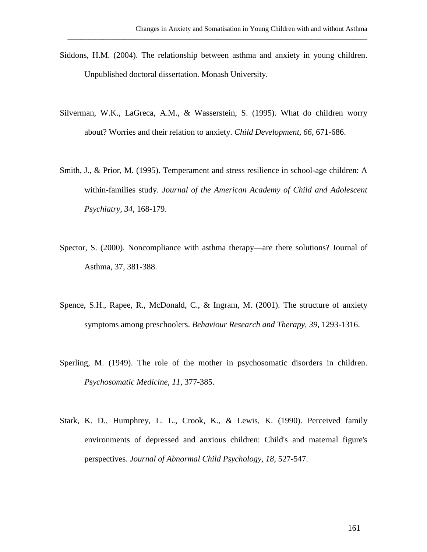Siddons, H.M. (2004). The relationship between asthma and anxiety in young children. Unpublished doctoral dissertation. Monash University.

- Silverman, W.K., LaGreca, A.M., & Wasserstein, S. (1995). What do children worry about? Worries and their relation to anxiety. *Child Development, 66*, 671-686.
- Smith, J., & Prior, M. (1995). Temperament and stress resilience in school-age children: A within-families study. *Journal of the American Academy of Child and Adolescent Psychiatry, 34*, 168-179.
- Spector, S. (2000). Noncompliance with asthma therapy—are there solutions? Journal of Asthma, 37, 381-388.
- Spence, S.H., Rapee, R., McDonald, C., & Ingram, M. (2001). The structure of anxiety symptoms among preschoolers. *Behaviour Research and Therapy, 39,* 1293-1316.
- Sperling, M. (1949). The role of the mother in psychosomatic disorders in children. *Psychosomatic Medicine, 11*, 377-385.
- Stark, K. D., Humphrey, L. L., Crook, K., & Lewis, K. (1990). [Perceived family](javascript:__doLinkPostBack()  [environments of depressed and anxious children: Child's and maternal figure's](javascript:__doLinkPostBack()  [perspectives.](javascript:__doLinkPostBack() *Journal of Abnormal Child Psychology, 18*, 527-547.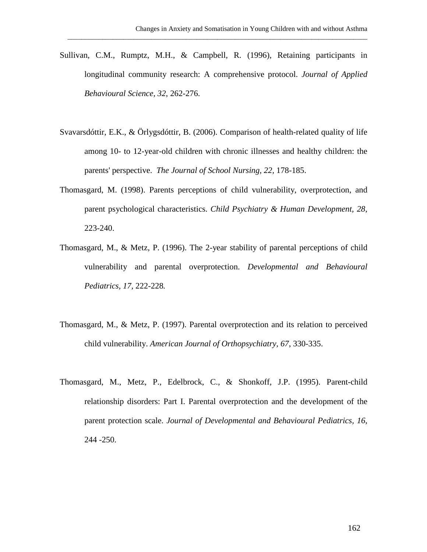Sullivan, C.M., Rumptz, M.H., & Campbell, R. (1996), Retaining participants in longitudinal community research: A comprehensive protocol. *Journal of Applied Behavioural Science, 32*, 262-276.

- Svavarsdóttir, E.K., & Örlygsdóttir, B. (2006). [Comparison of health-related quality of life](http://0-web.ebscohost.com.library.vu.edu.au/ehost/viewarticle?data=dGJyMPPp44rp2%2fdV0%2bnjisfk5Ie46a9Jsqu1Ta%2bk63nn5Kx95uXxjL6nrVGtqK5It5avUq6nuEmwlr9lpOrweezp33vy3%2b2G59q7Sbessk%2b2prdNtpzqeezdu33snOJ6u%2bbxkeac8nnls79mpNfsVbCmrk6rprVLrq2rSK6upH7t6Ot58rPkjeri8n326gAA&hid=112)  among 10- [to 12-year-old children with chronic illnesses and healthy children: the](http://0-web.ebscohost.com.library.vu.edu.au/ehost/viewarticle?data=dGJyMPPp44rp2%2fdV0%2bnjisfk5Ie46a9Jsqu1Ta%2bk63nn5Kx95uXxjL6nrVGtqK5It5avUq6nuEmwlr9lpOrweezp33vy3%2b2G59q7Sbessk%2b2prdNtpzqeezdu33snOJ6u%2bbxkeac8nnls79mpNfsVbCmrk6rprVLrq2rSK6upH7t6Ot58rPkjeri8n326gAA&hid=112)  [parents' perspective.](http://0-web.ebscohost.com.library.vu.edu.au/ehost/viewarticle?data=dGJyMPPp44rp2%2fdV0%2bnjisfk5Ie46a9Jsqu1Ta%2bk63nn5Kx95uXxjL6nrVGtqK5It5avUq6nuEmwlr9lpOrweezp33vy3%2b2G59q7Sbessk%2b2prdNtpzqeezdu33snOJ6u%2bbxkeac8nnls79mpNfsVbCmrk6rprVLrq2rSK6upH7t6Ot58rPkjeri8n326gAA&hid=112) *The Journal of School Nursing, 22,* 178-185.
- Thomasgard, M. (1998). Parents perceptions of child vulnerability, overprotection, and parent psychological characteristics. *Child Psychiatry & Human Development, 28*, 223-240.
- Thomasgard, M., & Metz, P. (1996). The 2-year stability of parental perceptions of child vulnerability and parental overprotection. *Developmental and Behavioural Pediatrics, 17,* 222-228*.*
- Thomasgard, M., & Metz, P. (1997). Parental overprotection and its relation to perceived child vulnerability. *American Journal of Orthopsychiatry, 67*, 330-335.
- Thomasgard, M., Metz, P., Edelbrock, C., & Shonkoff, J.P. (1995). Parent-child relationship disorders: Part I. Parental overprotection and the development of the parent protection scale. *Journal of Developmental and Behavioural Pediatrics, 16*, 244 -250.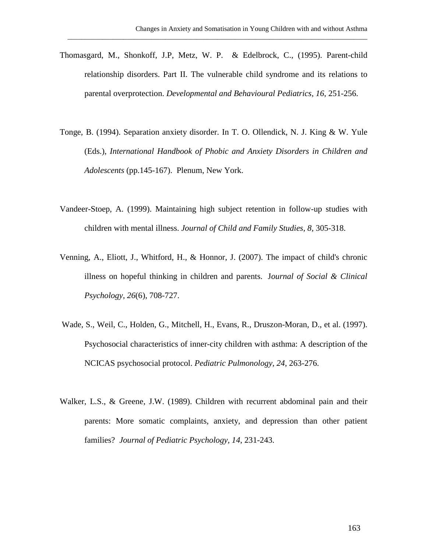Thomasgard, M., Shonkoff, J.P, Metz, W. P. & Edelbrock, C., (1995). Parent-child relationship disorders. Part II. The vulnerable child syndrome and its relations to parental overprotection. *Developmental and Behavioural Pediatrics, 16*, 251-256.

- Tonge, B. (1994). Separation anxiety disorder. In T. O. Ollendick, N. J. King & W. Yule (Eds.), *International Handbook of Phobic and Anxiety Disorders in Children and Adolescents* (pp.145-167). Plenum, New York.
- Vandeer-Stoep, A. (1999). Maintaining high subject retention in follow-up studies with children with mental illness. *Journal of Child and Family Studies, 8,* 305-318.
- Venning, A., Eliott, J., Whitford, H., & Honnor, J. (2007). [The impact of child's chronic](http://0-web.ebscohost.com.library.vu.edu.au/ehost/viewarticle?data=dGJyMPPp44rp2%2fdV0%2bnjisfk5Ie46a9Jsqu1Ta%2bk63nn5Kx95uXxjL6nrVGtqK5It5avUq6nuEmwlr9lpOrweezp33vy3%2b2G59q7Sbessk%2b2prdNtpzqeezdu33snOJ6u%2bbxkeac8nnls79mpNfsVbCmrk%2brprdOr6yrSK6qpH7t6Ot58rPkjeri8n326gAA&hid=112)  [illness on hopeful thinking in children and parents.](http://0-web.ebscohost.com.library.vu.edu.au/ehost/viewarticle?data=dGJyMPPp44rp2%2fdV0%2bnjisfk5Ie46a9Jsqu1Ta%2bk63nn5Kx95uXxjL6nrVGtqK5It5avUq6nuEmwlr9lpOrweezp33vy3%2b2G59q7Sbessk%2b2prdNtpzqeezdu33snOJ6u%2bbxkeac8nnls79mpNfsVbCmrk%2brprdOr6yrSK6qpH7t6Ot58rPkjeri8n326gAA&hid=112) J*ournal of Social & Clinical Psychology, 26*(6), 708-727.
- Wade, S., Weil, C., Holden, G., Mitchell, H., Evans, R., Druszon-Moran, D., et al. (1997). Psychosocial characteristics of inner-city children with asthma: A description of the NCICAS psychosocial protocol. *Pediatric Pulmonology, 24*, 263-276.
- Walker, L.S., & Greene, J.W. (1989). Children with recurrent abdominal pain and their parents: More somatic complaints, anxiety, and depression than other patient families? *Journal of Pediatric Psychology, 14*, 231-243.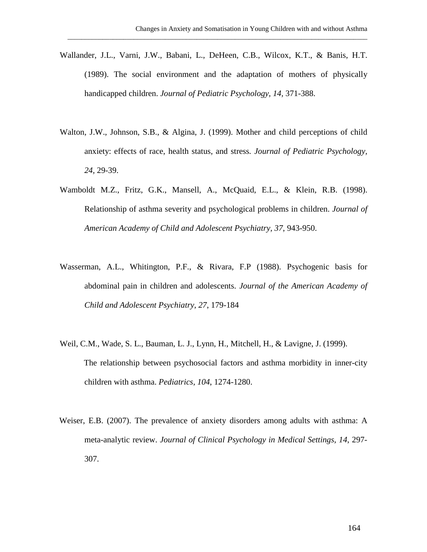Wallander, J.L., Varni, J.W., Babani, L., DeHeen, C.B., Wilcox, K.T., & Banis, H.T. (1989). The social environment and the adaptation of mothers of physically handicapped children. *Journal of Pediatric Psychology, 14,* 371-388.

- Walton, J.W., Johnson, S.B., & Algina, J. (1999). Mother and child perceptions of child anxiety: effects of race, health status, and stress*. Journal of Pediatric Psychology, 24,* 29-39.
- Wamboldt M.Z., Fritz, G.K., Mansell, A., McQuaid, E.L., & Klein, R.B. (1998). Relationship of asthma severity and psychological problems in children. *Journal of American Academy of Child and Adolescent Psychiatry, 37*, 943-950.
- Wasserman, A.L., Whitington, P.F., & Rivara, F.P (1988). Psychogenic basis for abdominal pain in children and adolescents. *Journal of the American Academy of Child and Adolescent Psychiatry, 27*, 179-184
- Weil, C.M., Wade, S. L., Bauman, L. J., Lynn, H., Mitchell, H., & Lavigne, J. (1999). The relationship between psychosocial factors and asthma morbidity in inner-city children with asthma. *Pediatrics, 104*, 1274-1280.
- Weiser, E.B. (2007). The prevalence of anxiety disorders among adults with asthma: A meta-analytic review. *Journal of Clinical Psychology in Medical Settings, 14*, 297- 307.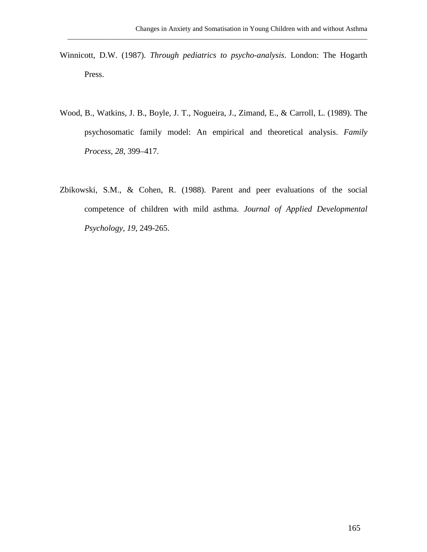Winnicott, D.W. (1987). *Through pediatrics to psycho-analysis*. London: The Hogarth Press.

- Wood, B., Watkins, J. B., Boyle, J. T., Nogueira, J., Zimand, E., & Carroll, L. (1989). The psychosomatic family model: An empirical and theoretical analysis. *Family Process*, *28*, 399–417.
- Zbikowski, S.M., & Cohen, R. (1988). Parent and peer evaluations of the social competence of children with mild asthma. *Journal of Applied Developmental Psychology, 19,* 249-265.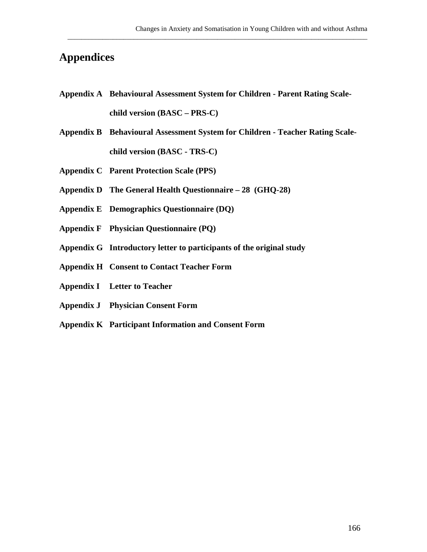## **Appendices**

**Appendix A Behavioural Assessment System for Children - Parent Rating Scalechild version (BASC – PRS-C)**

- **Appendix B Behavioural Assessment System for Children - Teacher Rating Scalechild version (BASC - TRS-C)**
- **Appendix C Parent Protection Scale (PPS)**
- **Appendix D The General Health Questionnaire – 28 (GHQ-28)**
- **Appendix E Demographics Questionnaire (DQ)**
- **Appendix F Physician Questionnaire (PQ)**
- **Appendix G Introductory letter to participants of the original study**
- **Appendix H Consent to Contact Teacher Form**
- **Appendix I Letter to Teacher**
- **Appendix J Physician Consent Form**
- **Appendix K Participant Information and Consent Form**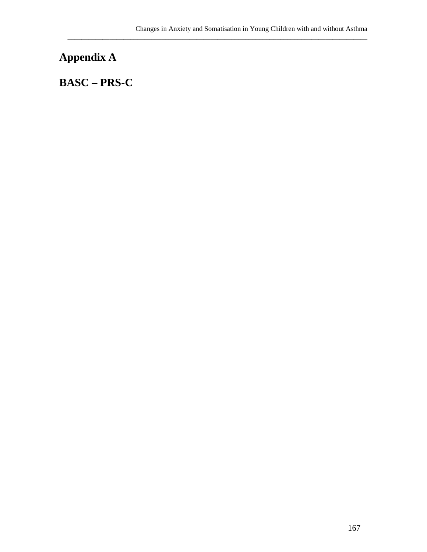## **Appendix A**

## **BASC – PRS-C**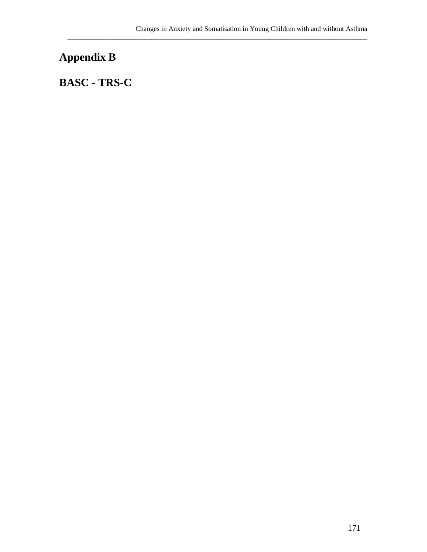# **Appendix B**

## **BASC - TRS-C**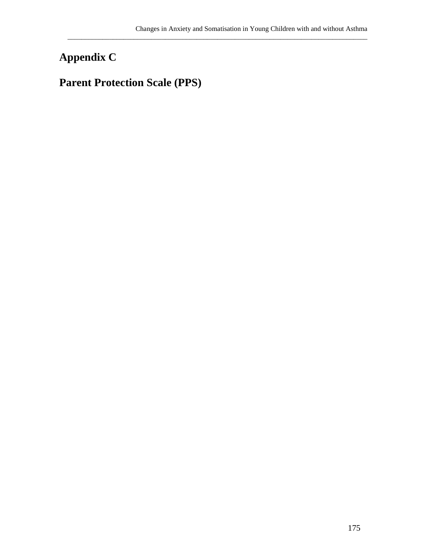# **Appendix C**

# **Parent Protection Scale (PPS)**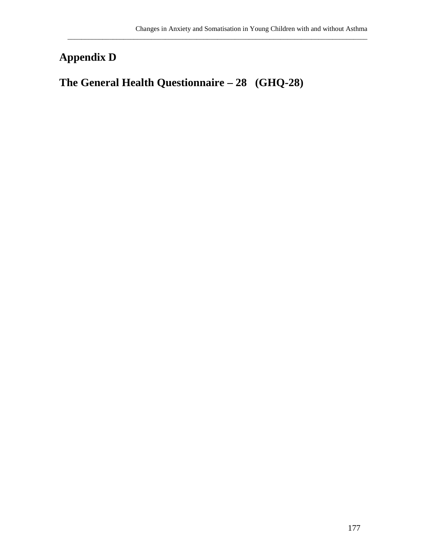## **Appendix D**

## **The General Health Questionnaire – 28 (GHQ-28)**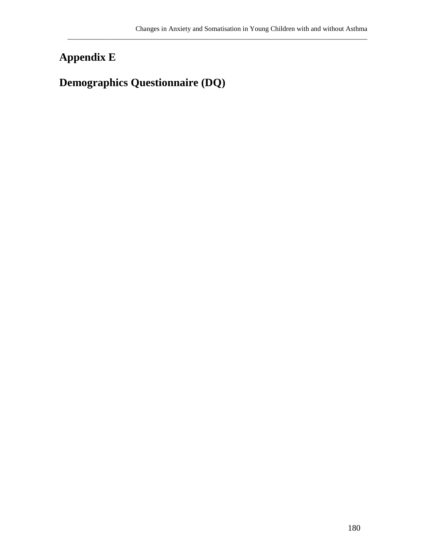# **Appendix E**

## **Demographics Questionnaire (DQ)**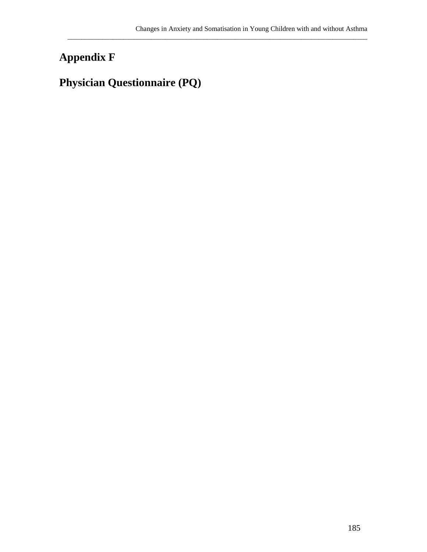# **Appendix F**

## **Physician Questionnaire (PQ)**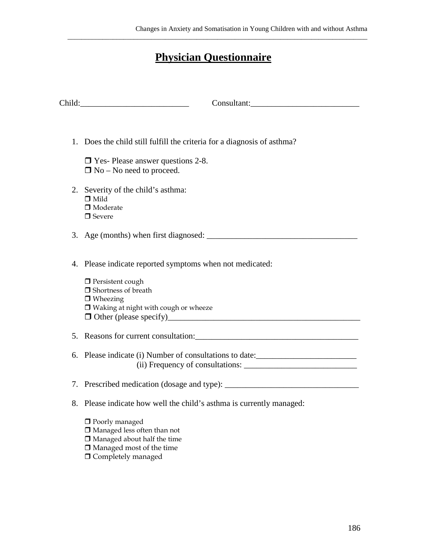## **Physician Questionnaire**

| Consultant:                                                                                                                                                       |
|-------------------------------------------------------------------------------------------------------------------------------------------------------------------|
|                                                                                                                                                                   |
| 1. Does the child still fulfill the criteria for a diagnosis of asthma?                                                                                           |
| $\Box$ Yes- Please answer questions 2-8.<br>$\Box$ No – No need to proceed.                                                                                       |
| 2. Severity of the child's asthma:<br>$\Box$ Mild<br>$\Box$ Moderate<br>$\Box$ Severe                                                                             |
|                                                                                                                                                                   |
| 4. Please indicate reported symptoms when not medicated:                                                                                                          |
| $\Box$ Persistent cough<br>$\Box$ Shortness of breath<br>$\Box$ Wheezing<br>$\Box$ Waking at night with cough or wheeze                                           |
|                                                                                                                                                                   |
| 6. Please indicate (i) Number of consultations to date: ________________________                                                                                  |
|                                                                                                                                                                   |
| 8. Please indicate how well the child's asthma is currently managed:                                                                                              |
| $\Box$ Poorly managed<br>$\Box$ Managed less often than not<br>$\Box$ Managed about half the time<br>$\Box$ Managed most of the time<br>$\Box$ Completely managed |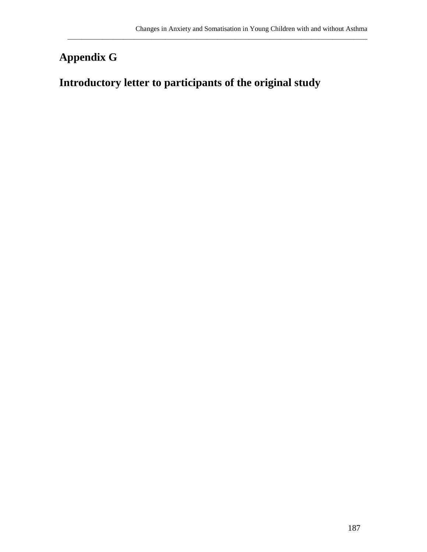## **Appendix G**

### **Introductory letter to participants of the original study**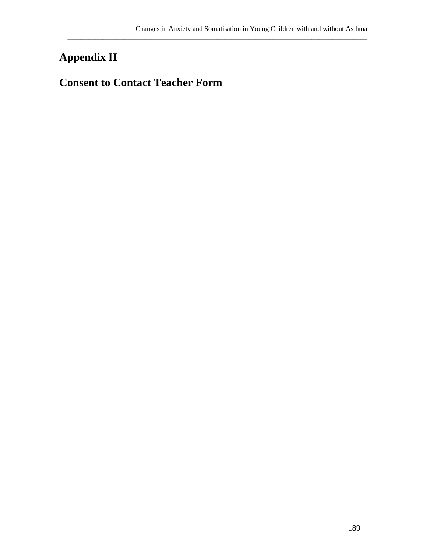# **Appendix H**

### **Consent to Contact Teacher Form**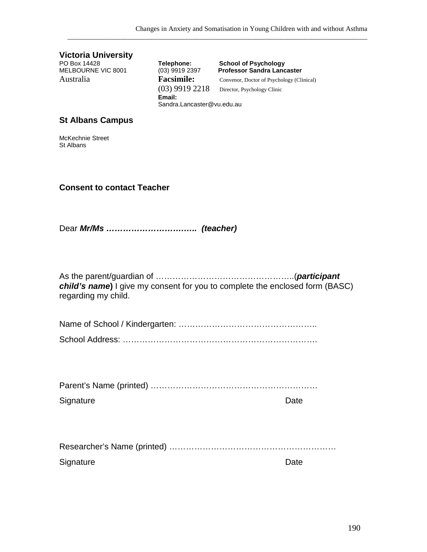(03) 9919 2218 Director, Psychology Clinic

Sandra.Lancaster@vu.edu.au

PO Box 14428 **Telephone: School of Psychology** MELBOURNE VIC 8001 (03) 9919 2397 **Professor Sandra Lancaster** Australia **Facsimile:** Convenor, Doctor of Psychology (Clinical)

**Email:**

**Victoria University**<br>PO Box 14428<br>MELBOURNE VIC 8001

**St Albans Campus**

| McKechnie Street<br>St Albans     |                                                                              |
|-----------------------------------|------------------------------------------------------------------------------|
| <b>Consent to contact Teacher</b> |                                                                              |
|                                   |                                                                              |
| regarding my child.               | child's name) I give my consent for you to complete the enclosed form (BASC) |
|                                   |                                                                              |
|                                   |                                                                              |
|                                   |                                                                              |
|                                   |                                                                              |
| Signature                         | Date                                                                         |
|                                   |                                                                              |
| Signature                         | Date                                                                         |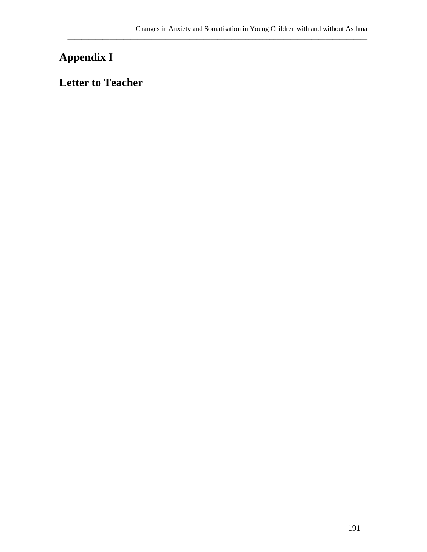# **Appendix I**

### **Letter to Teacher**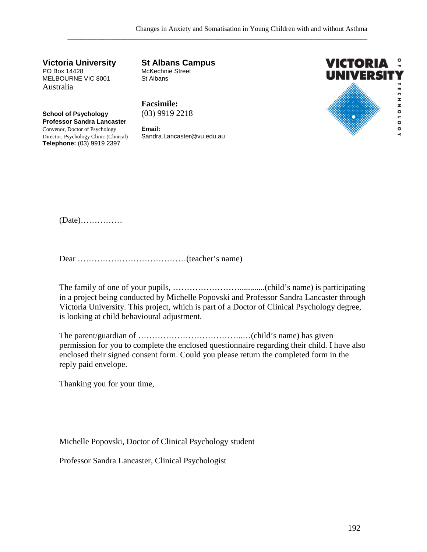**Victoria University St Albans Campus** MELBOURNE VIC 8001 Australia

McKechnie Street<br>St Albans

**School of Psychology** (03) 9919 2218 **Professor Sandra Lancaster** Convenor, Doctor of Psychology **Email:** Director, Psychology Clinic (Clinical) Sandra.Lancaster@vu.edu.au

**Telephone:** (03) 9919 2397

**Facsimile:**



(Date)……………

Dear …………………………………(teacher's name)

The family of one of your pupils, ……………………............(child's name) is participating in a project being conducted by Michelle Popovski and Professor Sandra Lancaster through Victoria University. This project, which is part of a Doctor of Clinical Psychology degree, is looking at child behavioural adjustment.

The parent/guardian of ………………………………..…(child's name) has given permission for you to complete the enclosed questionnaire regarding their child. I have also enclosed their signed consent form. Could you please return the completed form in the reply paid envelope.

Thanking you for your time,

Michelle Popovski, Doctor of Clinical Psychology student

Professor Sandra Lancaster, Clinical Psychologist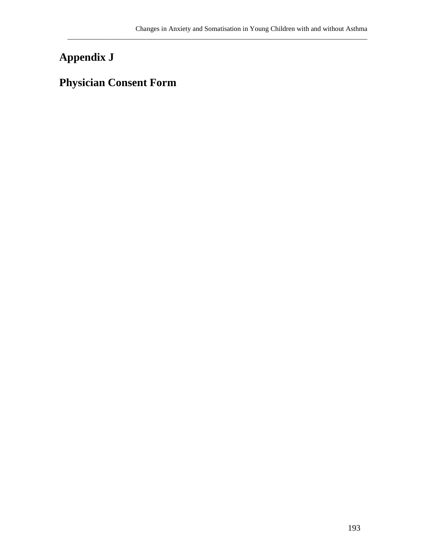# **Appendix J**

## **Physician Consent Form**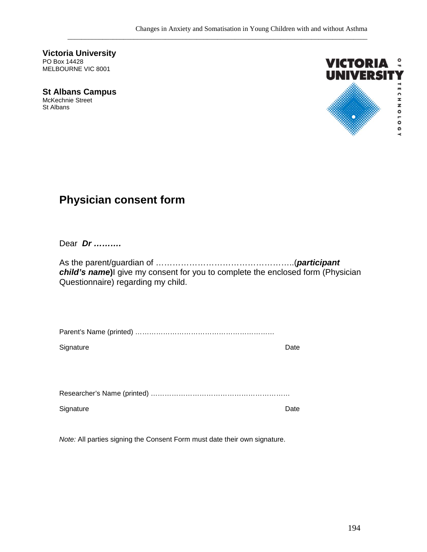**Victoria University** PO Box 14428 MELBOURNE VIC 8001

**St Albans Campus** McKechnie Street St Albans



### **Physician consent form**

Dear *Dr ……….*

As the parent/guardian of …………………………………………..(*participant child's name***)**I give my consent for you to complete the enclosed form (Physician Questionnaire) regarding my child.

|--|

Signature Date

Researcher's Name (printed) ……………………………………………………

Signature Date

*Note:* All parties signing the Consent Form must date their own signature.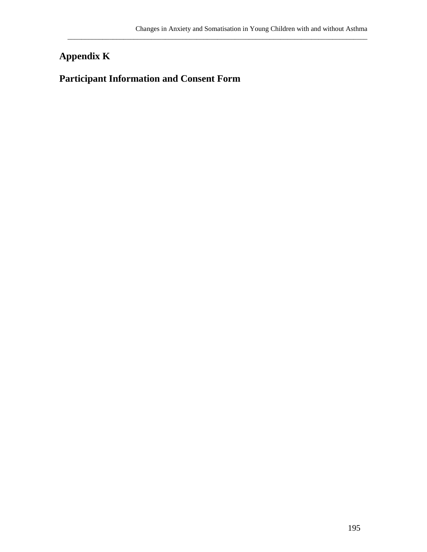### **Appendix K**

### **Participant Information and Consent Form**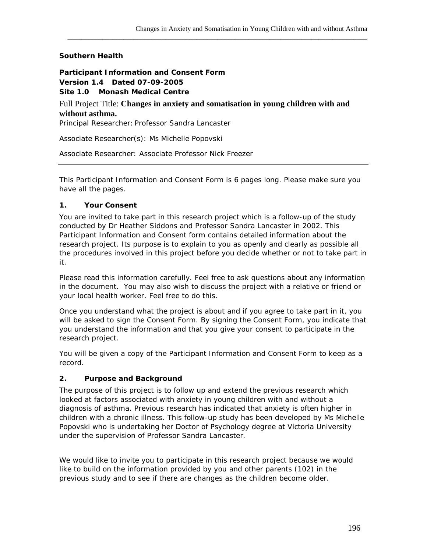### **Southern Health**

**Participant Information and Consent Form Version 1.4 Dated 07-09-2005 Site 1.0 Monash Medical Centre** Full Project Title: **Changes in anxiety and somatisation in young children with and without asthma.**  Principal Researcher: Professor Sandra Lancaster

\_\_\_\_\_\_\_\_\_\_\_\_\_\_\_\_\_\_\_\_\_\_\_\_\_\_\_\_\_\_\_\_\_\_\_\_\_\_\_\_\_\_\_\_\_\_\_\_\_\_\_\_\_\_\_\_\_\_\_\_\_\_\_\_\_\_\_\_\_\_\_\_\_\_\_\_\_\_\_\_\_\_\_\_\_\_

Associate Researcher(s): Ms Michelle Popovski

Associate Researcher: Associate Professor Nick Freezer

This Participant Information and Consent Form is 6 pages long. Please make sure you have all the pages.

#### **1. Your Consent**

You are invited to take part in this research project which is a follow-up of the study conducted by Dr Heather Siddons and Professor Sandra Lancaster in 2002. This Participant Information and Consent form contains detailed information about the research project. Its purpose is to explain to you as openly and clearly as possible all the procedures involved in this project before you decide whether or not to take part in it.

Please read this information carefully. Feel free to ask questions about any information in the document. You may also wish to discuss the project with a relative or friend or your local health worker. Feel free to do this.

Once you understand what the project is about and if you agree to take part in it, you will be asked to sign the Consent Form. By signing the Consent Form, you indicate that you understand the information and that you give your consent to participate in the research project.

You will be given a copy of the Participant Information and Consent Form to keep as a record.

### **2. Purpose and Background**

The purpose of this project is to follow up and extend the previous research which looked at factors associated with anxiety in young children with and without a diagnosis of asthma. Previous research has indicated that anxiety is often higher in children with a chronic illness. This follow-up study has been developed by Ms Michelle Popovski who is undertaking her Doctor of Psychology degree at Victoria University under the supervision of Professor Sandra Lancaster.

We would like to invite you to participate in this research project because we would like to build on the information provided by you and other parents (102) in the previous study and to see if there are changes as the children become older.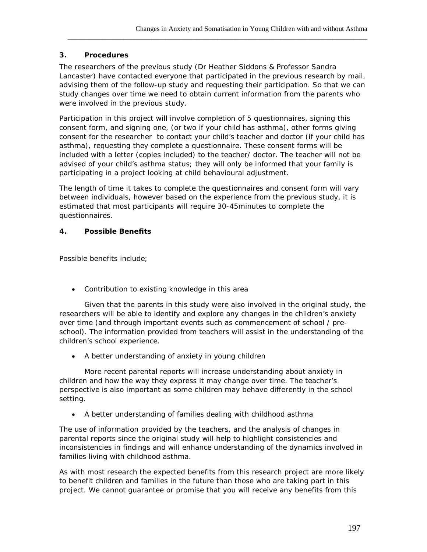### **3. Procedures**

The researchers of the previous study (Dr Heather Siddons & Professor Sandra Lancaster) have contacted everyone that participated in the previous research by mail, advising them of the follow-up study and requesting their participation. So that we can study changes over time we need to obtain current information from the parents who were involved in the previous study.

\_\_\_\_\_\_\_\_\_\_\_\_\_\_\_\_\_\_\_\_\_\_\_\_\_\_\_\_\_\_\_\_\_\_\_\_\_\_\_\_\_\_\_\_\_\_\_\_\_\_\_\_\_\_\_\_\_\_\_\_\_\_\_\_\_\_\_\_\_\_\_\_\_\_\_\_\_\_\_\_\_\_\_\_\_\_

Participation in this project will involve completion of 5 questionnaires, signing this consent form, and signing one, (or two if your child has asthma), other forms giving consent for the researcher to contact your child's teacher and doctor (if your child has asthma), requesting they complete a questionnaire. These consent forms will be included with a letter (copies included) to the teacher/ doctor. The teacher will not be advised of your child's asthma status; they will only be informed that your family is participating in a project looking at child behavioural adjustment.

The length of time it takes to complete the questionnaires and consent form will vary between individuals, however based on the experience from the previous study, it is estimated that most participants will require 30-45minutes to complete the questionnaires.

#### **4. Possible Benefits**

Possible benefits include;

• Contribution to existing knowledge in this area

Given that the parents in this study were also involved in the original study, the researchers will be able to identify and explore any changes in the children's anxiety over time (and through important events such as commencement of school / preschool). The information provided from teachers will assist in the understanding of the children's school experience.

• A better understanding of anxiety in young children

More recent parental reports will increase understanding about anxiety in children and how the way they express it may change over time. The teacher's perspective is also important as some children may behave differently in the school setting.

• A better understanding of families dealing with childhood asthma

The use of information provided by the teachers, and the analysis of changes in parental reports since the original study will help to highlight consistencies and inconsistencies in findings and will enhance understanding of the dynamics involved in families living with childhood asthma.

As with most research the expected benefits from this research project are more likely to benefit children and families in the future than those who are taking part in this project. We cannot guarantee or promise that you will receive any benefits from this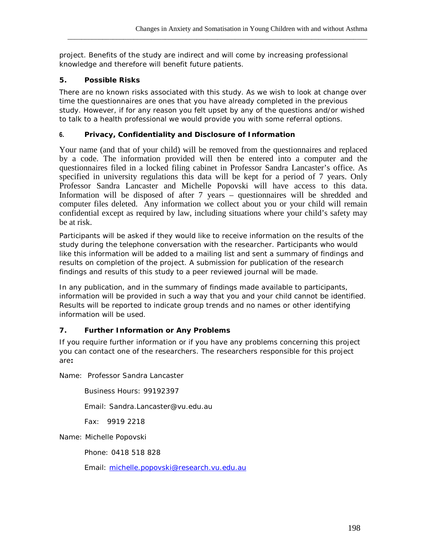project. Benefits of the study are indirect and will come by increasing professional knowledge and therefore will benefit future patients.

\_\_\_\_\_\_\_\_\_\_\_\_\_\_\_\_\_\_\_\_\_\_\_\_\_\_\_\_\_\_\_\_\_\_\_\_\_\_\_\_\_\_\_\_\_\_\_\_\_\_\_\_\_\_\_\_\_\_\_\_\_\_\_\_\_\_\_\_\_\_\_\_\_\_\_\_\_\_\_\_\_\_\_\_\_\_

### **5. Possible Risks**

There are no known risks associated with this study. As we wish to look at change over time the questionnaires are ones that you have already completed in the previous study. However, if for any reason you felt upset by any of the questions and/or wished to talk to a health professional we would provide you with some referral options.

### **6. Privacy, Confidentiality and Disclosure of Information**

Your name (and that of your child) will be removed from the questionnaires and replaced by a code. The information provided will then be entered into a computer and the questionnaires filed in a locked filing cabinet in Professor Sandra Lancaster's office. As specified in university regulations this data will be kept for a period of 7 years. Only Professor Sandra Lancaster and Michelle Popovski will have access to this data. Information will be disposed of after 7 years – questionnaires will be shredded and computer files deleted. Any information we collect about you or your child will remain confidential except as required by law, including situations where your child's safety may be at risk.

Participants will be asked if they would like to receive information on the results of the study during the telephone conversation with the researcher. Participants who would like this information will be added to a mailing list and sent a summary of findings and results on completion of the project. A submission for publication of the research findings and results of this study to a peer reviewed journal will be made.

In any publication, and in the summary of findings made available to participants, information will be provided in such a way that you and your child cannot be identified. Results will be reported to indicate group trends and no names or other identifying information will be used.

### **7. Further Information or Any Problems**

If you require further information or if you have any problems concerning this project you can contact one of the researchers. The researchers responsible for this project are**:**

Name: Professor Sandra Lancaster

Business Hours: 99192397

Email: Sandra.Lancaster@vu.edu.au

Fax: 9919 2218

Name: Michelle Popovski

Phone: 0418 518 828

Email: [michelle.popovski@research.vu.edu.au](mailto:michelle.popovski@research.vu.edu.au)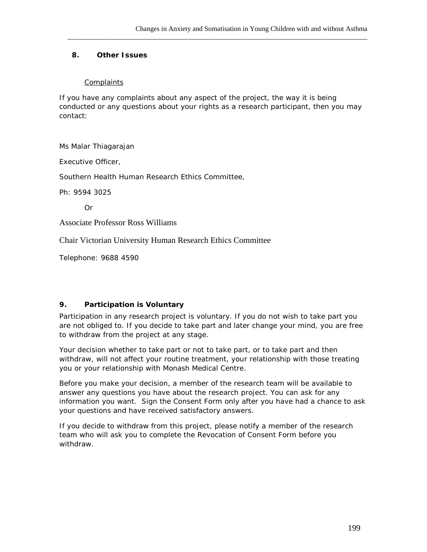#### **8. Other Issues**

### **Complaints**

If you have any complaints about any aspect of the project, the way it is being conducted or any questions about your rights as a research participant, then you may contact:

\_\_\_\_\_\_\_\_\_\_\_\_\_\_\_\_\_\_\_\_\_\_\_\_\_\_\_\_\_\_\_\_\_\_\_\_\_\_\_\_\_\_\_\_\_\_\_\_\_\_\_\_\_\_\_\_\_\_\_\_\_\_\_\_\_\_\_\_\_\_\_\_\_\_\_\_\_\_\_\_\_\_\_\_\_\_

Ms Malar Thiagarajan

Executive Officer,

Southern Health Human Research Ethics Committee,

Ph: 9594 3025

Or

Associate Professor Ross Williams

Chair Victorian University Human Research Ethics Committee

Telephone: 9688 4590

### **9. Participation is Voluntary**

Participation in any research project is voluntary. If you do not wish to take part you are not obliged to. If you decide to take part and later change your mind, you are free to withdraw from the project at any stage.

Your decision whether to take part or not to take part, or to take part and then withdraw, will not affect your routine treatment, your relationship with those treating you or your relationship with Monash Medical Centre.

Before you make your decision, a member of the research team will be available to answer any questions you have about the research project. You can ask for any information you want. Sign the Consent Form only after you have had a chance to ask your questions and have received satisfactory answers.

If you decide to withdraw from this project, please notify a member of the research team who will ask you to complete the Revocation of Consent Form before you withdraw.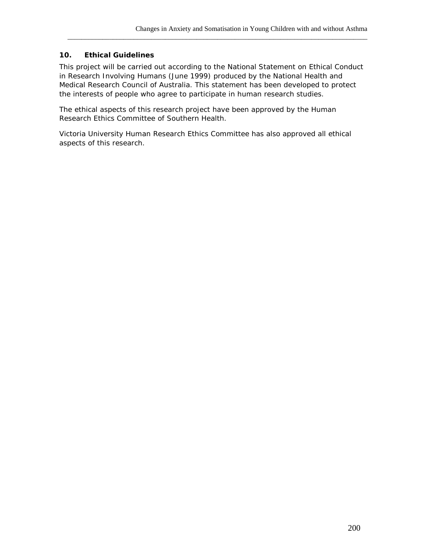#### **10. Ethical Guidelines**

This project will be carried out according to the *National Statement on Ethical Conduct in Research Involving Humans* (June 1999) produced by the National Health and Medical Research Council of Australia. This statement has been developed to protect the interests of people who agree to participate in human research studies.

\_\_\_\_\_\_\_\_\_\_\_\_\_\_\_\_\_\_\_\_\_\_\_\_\_\_\_\_\_\_\_\_\_\_\_\_\_\_\_\_\_\_\_\_\_\_\_\_\_\_\_\_\_\_\_\_\_\_\_\_\_\_\_\_\_\_\_\_\_\_\_\_\_\_\_\_\_\_\_\_\_\_\_\_\_\_

The ethical aspects of this research project have been approved by the Human Research Ethics Committee of Southern Health.

Victoria University Human Research Ethics Committee has also approved all ethical aspects of this research.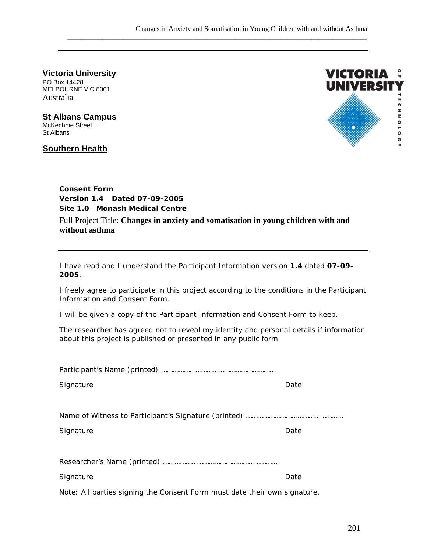0 **Victoria University** PO Box 14428 MELBOURNE VIC 8001 Australia

**St Albans Campus** McKechnie Street St Albans

### **Southern Health**



### **Consent Form Version 1.4 Dated 07-09-2005 Site 1.0 Monash Medical Centre** Full Project Title: **Changes in anxiety and somatisation in young children with and without asthma**

I have read and I understand the Participant Information version *1.4* dated *07-09- 2005.*

I freely agree to participate in this project according to the conditions in the Participant Information and Consent Form.

I will be given a copy of the Participant Information and Consent Form to keep.

The researcher has agreed not to reveal my identity and personal details if information about this project is published or presented in any public form.

| Signature                                                                 | Date |  |  |  |
|---------------------------------------------------------------------------|------|--|--|--|
|                                                                           |      |  |  |  |
|                                                                           |      |  |  |  |
| Signature                                                                 | Date |  |  |  |
|                                                                           |      |  |  |  |
|                                                                           |      |  |  |  |
| Signature                                                                 | Date |  |  |  |
| Note: All parties signing the Consent Form must date their own signature. |      |  |  |  |